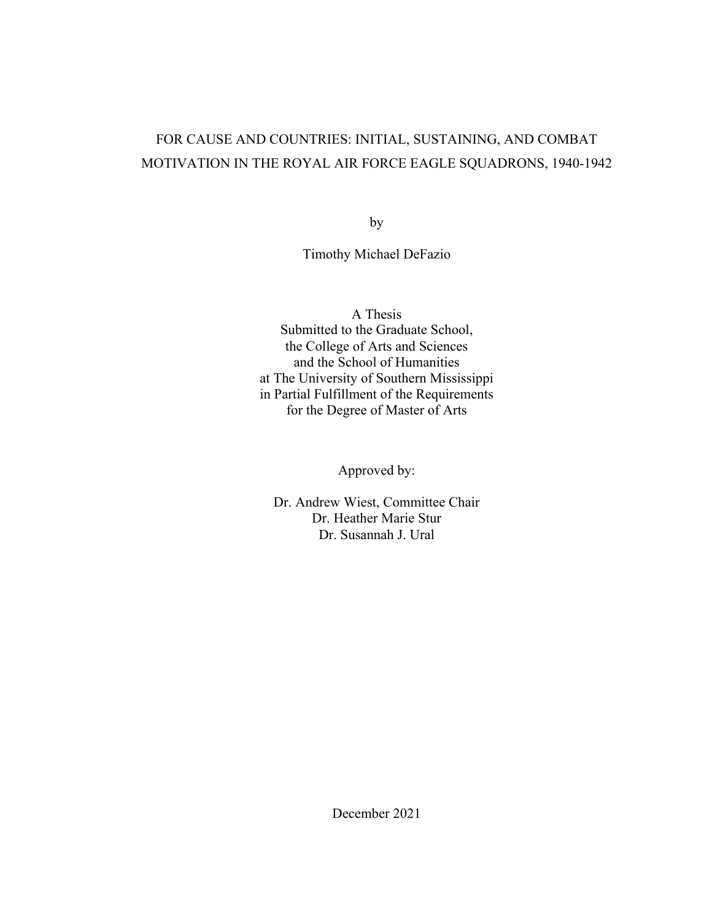# FOR CAUSE AND COUNTRIES: INITIAL, SUSTAINING, AND COMBAT MOTIVATION IN THE ROYAL AIR FORCE EAGLE SQUADRONS, 1940-1942

by

Timothy Michael DeFazio

A Thesis Submitted to the Graduate School, the College of Arts and Sciences and the School of Humanities at The University of Southern Mississippi in Partial Fulfillment of the Requirements for the Degree of Master of Arts

Approved by:

Dr. Andrew Wiest, Committee Chair Dr. Heather Marie Stur Dr. Susannah J. Ural

December 2021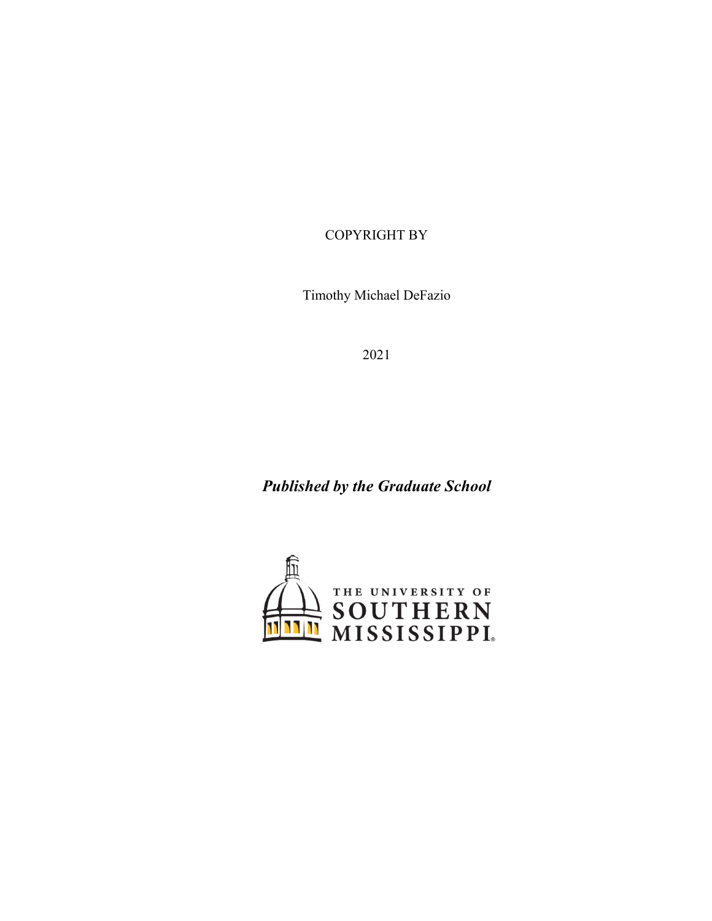COPYRIGHT BY

Timothy Michael DeFazio

2021

*Published by the Graduate School* 

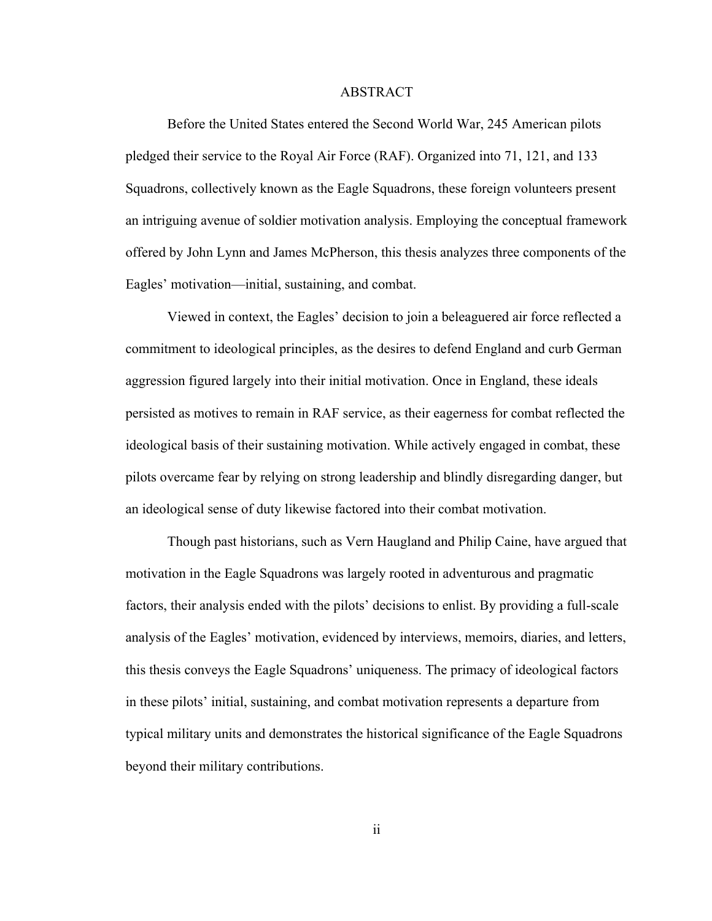### ABSTRACT

Before the United States entered the Second World War, 245 American pilots pledged their service to the Royal Air Force (RAF). Organized into 71, 121, and 133 Squadrons, collectively known as the Eagle Squadrons, these foreign volunteers present an intriguing avenue of soldier motivation analysis. Employing the conceptual framework offered by John Lynn and James McPherson, this thesis analyzes three components of the Eagles' motivation—initial, sustaining, and combat.

Viewed in context, the Eagles' decision to join a beleaguered air force reflected a commitment to ideological principles, as the desires to defend England and curb German aggression figured largely into their initial motivation. Once in England, these ideals persisted as motives to remain in RAF service, as their eagerness for combat reflected the ideological basis of their sustaining motivation. While actively engaged in combat, these pilots overcame fear by relying on strong leadership and blindly disregarding danger, but an ideological sense of duty likewise factored into their combat motivation.

Though past historians, such as Vern Haugland and Philip Caine, have argued that motivation in the Eagle Squadrons was largely rooted in adventurous and pragmatic factors, their analysis ended with the pilots' decisions to enlist. By providing a full-scale analysis of the Eagles' motivation, evidenced by interviews, memoirs, diaries, and letters, this thesis conveys the Eagle Squadrons' uniqueness. The primacy of ideological factors in these pilots' initial, sustaining, and combat motivation represents a departure from typical military units and demonstrates the historical significance of the Eagle Squadrons beyond their military contributions.

ii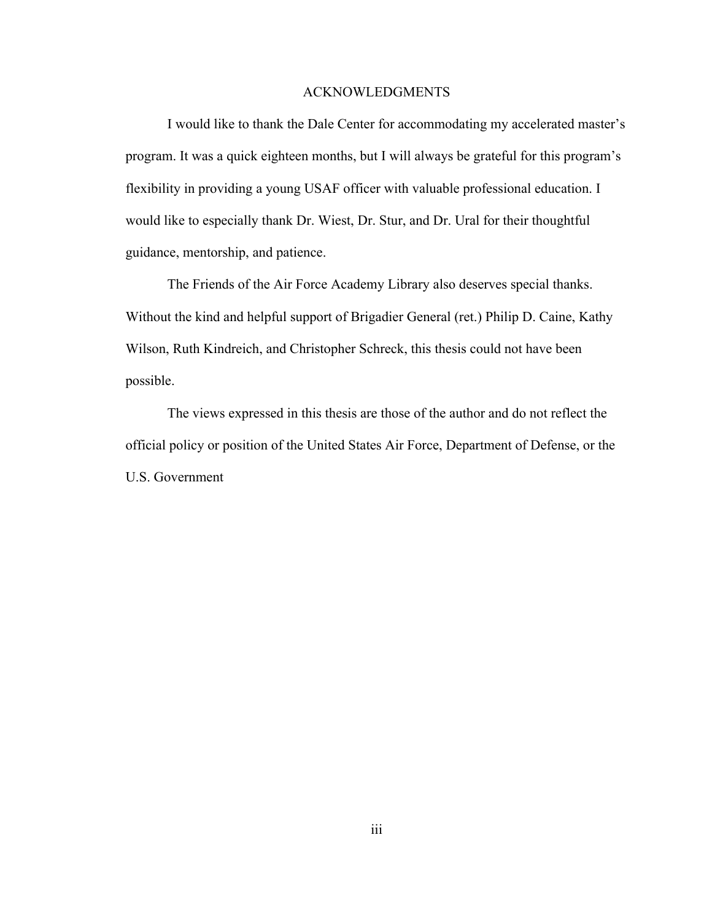#### ACKNOWLEDGMENTS

I would like to thank the Dale Center for accommodating my accelerated master's program. It was a quick eighteen months, but I will always be grateful for this program's flexibility in providing a young USAF officer with valuable professional education. I would like to especially thank Dr. Wiest, Dr. Stur, and Dr. Ural for their thoughtful guidance, mentorship, and patience.

The Friends of the Air Force Academy Library also deserves special thanks. Without the kind and helpful support of Brigadier General (ret.) Philip D. Caine, Kathy Wilson, Ruth Kindreich, and Christopher Schreck, this thesis could not have been possible.

The views expressed in this thesis are those of the author and do not reflect the official policy or position of the United States Air Force, Department of Defense, or the U.S. Government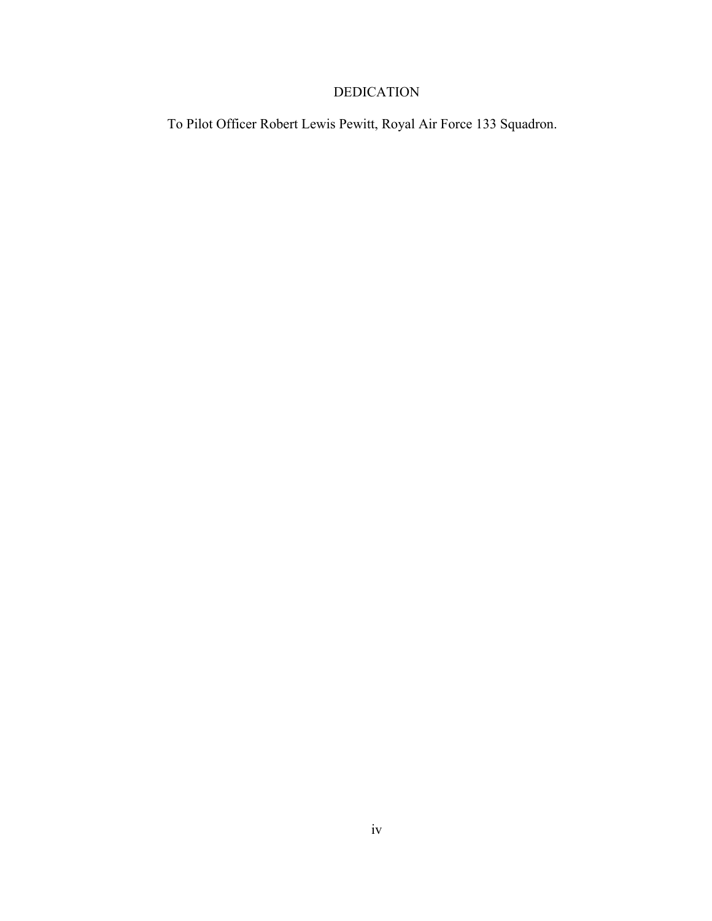### DEDICATION

To Pilot Officer Robert Lewis Pewitt, Royal Air Force 133 Squadron.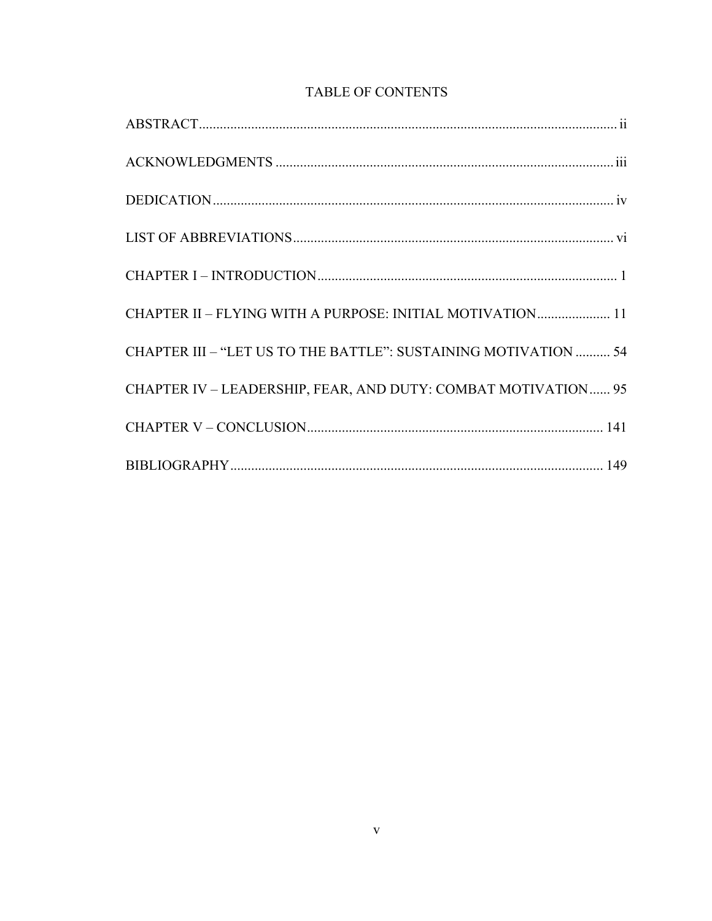### TABLE OF CONTENTS

| CHAPTER II - FLYING WITH A PURPOSE: INITIAL MOTIVATION 11       |
|-----------------------------------------------------------------|
| CHAPTER III - "LET US TO THE BATTLE": SUSTAINING MOTIVATION  54 |
| CHAPTER IV - LEADERSHIP, FEAR, AND DUTY: COMBAT MOTIVATION 95   |
|                                                                 |
|                                                                 |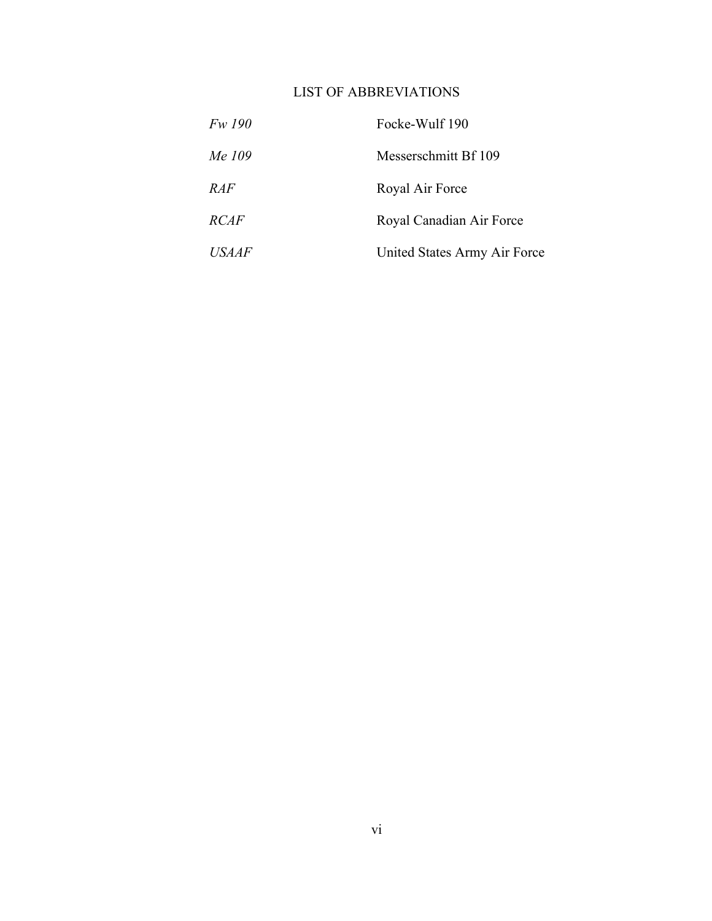## LIST OF ABBREVIATIONS

| <i>Fw 190</i> | Focke-Wulf 190               |
|---------------|------------------------------|
| Me 109        | Messerschmitt Bf 109         |
| RAF           | Royal Air Force              |
| <i>RCAF</i>   | Royal Canadian Air Force     |
| <b>USAAF</b>  | United States Army Air Force |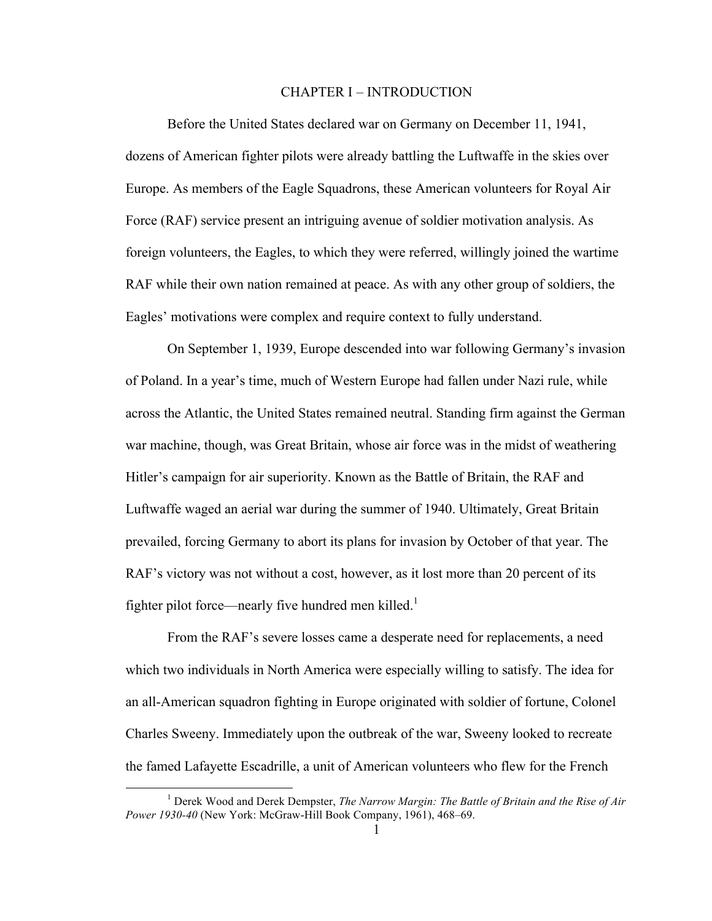#### CHAPTER I – INTRODUCTION

Before the United States declared war on Germany on December 11, 1941, dozens of American fighter pilots were already battling the Luftwaffe in the skies over Europe. As members of the Eagle Squadrons, these American volunteers for Royal Air Force (RAF) service present an intriguing avenue of soldier motivation analysis. As foreign volunteers, the Eagles, to which they were referred, willingly joined the wartime RAF while their own nation remained at peace. As with any other group of soldiers, the Eagles' motivations were complex and require context to fully understand.

On September 1, 1939, Europe descended into war following Germany's invasion of Poland. In a year's time, much of Western Europe had fallen under Nazi rule, while across the Atlantic, the United States remained neutral. Standing firm against the German war machine, though, was Great Britain, whose air force was in the midst of weathering Hitler's campaign for air superiority. Known as the Battle of Britain, the RAF and Luftwaffe waged an aerial war during the summer of 1940. Ultimately, Great Britain prevailed, forcing Germany to abort its plans for invasion by October of that year. The RAF's victory was not without a cost, however, as it lost more than 20 percent of its fighter pilot force—nearly five hundred men killed.<sup>1</sup>

From the RAF's severe losses came a desperate need for replacements, a need which two individuals in North America were especially willing to satisfy. The idea for an all-American squadron fighting in Europe originated with soldier of fortune, Colonel Charles Sweeny. Immediately upon the outbreak of the war, Sweeny looked to recreate the famed Lafayette Escadrille, a unit of American volunteers who flew for the French

 <sup>1</sup> Derek Wood and Derek Dempster, *The Narrow Margin: The Battle of Britain and the Rise of Air Power 1930-40* (New York: McGraw-Hill Book Company, 1961), 468–69.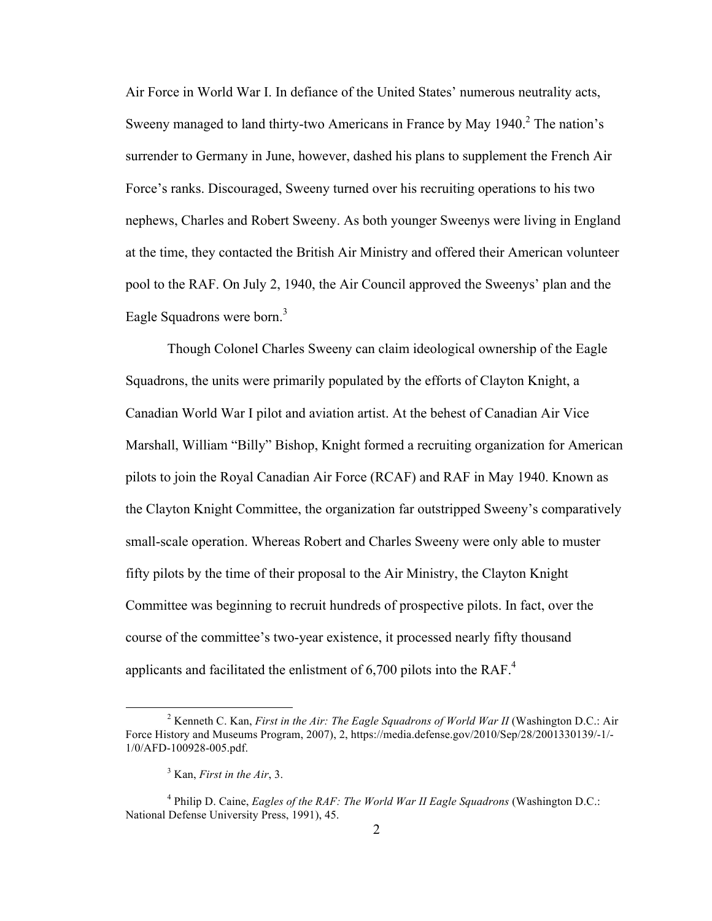Air Force in World War I. In defiance of the United States' numerous neutrality acts, Sweeny managed to land thirty-two Americans in France by May  $1940<sup>2</sup>$ . The nation's surrender to Germany in June, however, dashed his plans to supplement the French Air Force's ranks. Discouraged, Sweeny turned over his recruiting operations to his two nephews, Charles and Robert Sweeny. As both younger Sweenys were living in England at the time, they contacted the British Air Ministry and offered their American volunteer pool to the RAF. On July 2, 1940, the Air Council approved the Sweenys' plan and the Eagle Squadrons were born.<sup>3</sup>

Though Colonel Charles Sweeny can claim ideological ownership of the Eagle Squadrons, the units were primarily populated by the efforts of Clayton Knight, a Canadian World War I pilot and aviation artist. At the behest of Canadian Air Vice Marshall, William "Billy" Bishop, Knight formed a recruiting organization for American pilots to join the Royal Canadian Air Force (RCAF) and RAF in May 1940. Known as the Clayton Knight Committee, the organization far outstripped Sweeny's comparatively small-scale operation. Whereas Robert and Charles Sweeny were only able to muster fifty pilots by the time of their proposal to the Air Ministry, the Clayton Knight Committee was beginning to recruit hundreds of prospective pilots. In fact, over the course of the committee's two-year existence, it processed nearly fifty thousand applicants and facilitated the enlistment of 6,700 pilots into the RAF.<sup>4</sup>

<sup>&</sup>lt;sup>2</sup> Kenneth C. Kan, *First in the Air: The Eagle Squadrons of World War II* (Washington D.C.: Air Force History and Museums Program, 2007), 2, https://media.defense.gov/2010/Sep/28/2001330139/-1/- 1/0/AFD-100928-005.pdf.

<sup>3</sup> Kan, *First in the Air*, 3.

<sup>4</sup> Philip D. Caine, *Eagles of the RAF: The World War II Eagle Squadrons* (Washington D.C.: National Defense University Press, 1991), 45.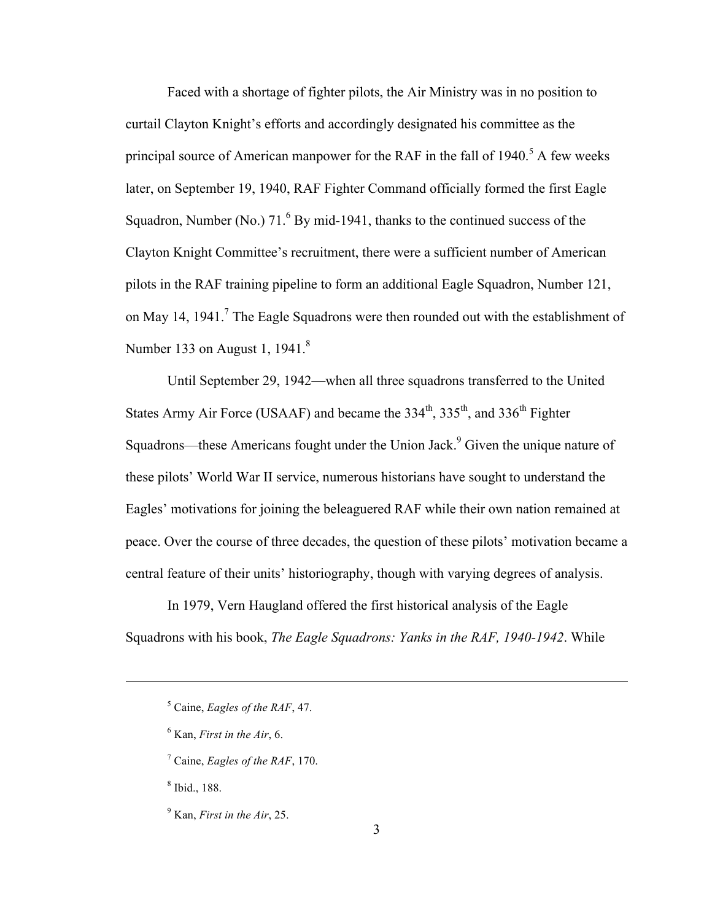Faced with a shortage of fighter pilots, the Air Ministry was in no position to curtail Clayton Knight's efforts and accordingly designated his committee as the principal source of American manpower for the RAF in the fall of  $1940$ .<sup>5</sup> A few weeks later, on September 19, 1940, RAF Fighter Command officially formed the first Eagle Squadron, Number (No.)  $71<sup>6</sup>$  By mid-1941, thanks to the continued success of the Clayton Knight Committee's recruitment, there were a sufficient number of American pilots in the RAF training pipeline to form an additional Eagle Squadron, Number 121, on May 14, 1941.<sup>7</sup> The Eagle Squadrons were then rounded out with the establishment of Number 133 on August 1,  $1941<sup>8</sup>$ 

Until September 29, 1942—when all three squadrons transferred to the United States Army Air Force (USAAF) and became the  $334<sup>th</sup>$ ,  $335<sup>th</sup>$ , and  $336<sup>th</sup>$  Fighter Squadrons—these Americans fought under the Union Jack.<sup>9</sup> Given the unique nature of these pilots' World War II service, numerous historians have sought to understand the Eagles' motivations for joining the beleaguered RAF while their own nation remained at peace. Over the course of three decades, the question of these pilots' motivation became a central feature of their units' historiography, though with varying degrees of analysis.

In 1979, Vern Haugland offered the first historical analysis of the Eagle Squadrons with his book, *The Eagle Squadrons: Yanks in the RAF, 1940-1942*. While

- <sup>6</sup> Kan, *First in the Air*, 6.
- <sup>7</sup> Caine, *Eagles of the RAF*, 170.

<sup>8</sup> Ibid., 188.

 $\overline{a}$ 

<sup>9</sup> Kan, *First in the Air*, 25.

<sup>5</sup> Caine, *Eagles of the RAF*, 47.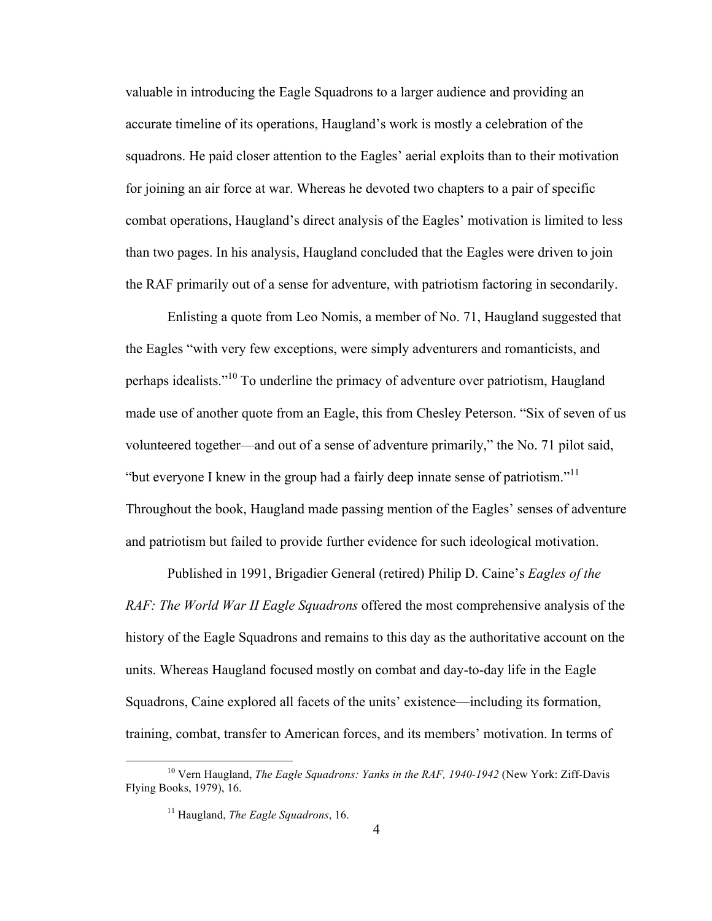valuable in introducing the Eagle Squadrons to a larger audience and providing an accurate timeline of its operations, Haugland's work is mostly a celebration of the squadrons. He paid closer attention to the Eagles' aerial exploits than to their motivation for joining an air force at war. Whereas he devoted two chapters to a pair of specific combat operations, Haugland's direct analysis of the Eagles' motivation is limited to less than two pages. In his analysis, Haugland concluded that the Eagles were driven to join the RAF primarily out of a sense for adventure, with patriotism factoring in secondarily.

Enlisting a quote from Leo Nomis, a member of No. 71, Haugland suggested that the Eagles "with very few exceptions, were simply adventurers and romanticists, and perhaps idealists."<sup>10</sup> To underline the primacy of adventure over patriotism, Haugland made use of another quote from an Eagle, this from Chesley Peterson. "Six of seven of us volunteered together—and out of a sense of adventure primarily," the No. 71 pilot said, "but everyone I knew in the group had a fairly deep innate sense of patriotism."<sup>11</sup> Throughout the book, Haugland made passing mention of the Eagles' senses of adventure and patriotism but failed to provide further evidence for such ideological motivation.

Published in 1991, Brigadier General (retired) Philip D. Caine's *Eagles of the RAF: The World War II Eagle Squadrons* offered the most comprehensive analysis of the history of the Eagle Squadrons and remains to this day as the authoritative account on the units. Whereas Haugland focused mostly on combat and day-to-day life in the Eagle Squadrons, Caine explored all facets of the units' existence—including its formation, training, combat, transfer to American forces, and its members' motivation. In terms of

<sup>&</sup>lt;sup>10</sup> Vern Haugland, *The Eagle Squadrons: Yanks in the RAF, 1940-1942* (New York: Ziff-Davis Flying Books, 1979), 16.

<sup>11</sup> Haugland, *The Eagle Squadrons*, 16.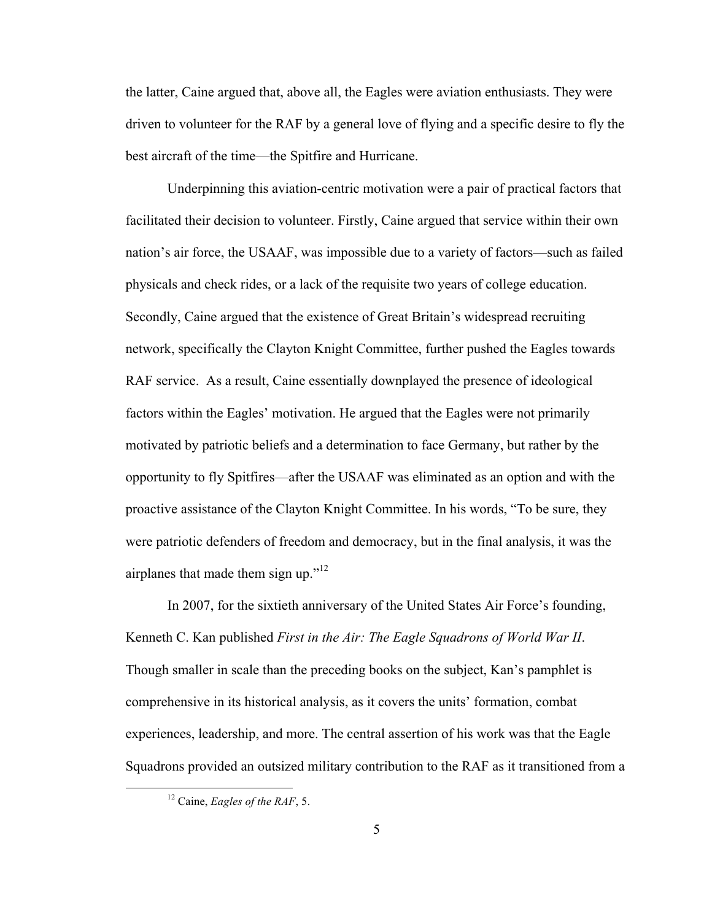the latter, Caine argued that, above all, the Eagles were aviation enthusiasts. They were driven to volunteer for the RAF by a general love of flying and a specific desire to fly the best aircraft of the time—the Spitfire and Hurricane.

Underpinning this aviation-centric motivation were a pair of practical factors that facilitated their decision to volunteer. Firstly, Caine argued that service within their own nation's air force, the USAAF, was impossible due to a variety of factors—such as failed physicals and check rides, or a lack of the requisite two years of college education. Secondly, Caine argued that the existence of Great Britain's widespread recruiting network, specifically the Clayton Knight Committee, further pushed the Eagles towards RAF service. As a result, Caine essentially downplayed the presence of ideological factors within the Eagles' motivation. He argued that the Eagles were not primarily motivated by patriotic beliefs and a determination to face Germany, but rather by the opportunity to fly Spitfires—after the USAAF was eliminated as an option and with the proactive assistance of the Clayton Knight Committee. In his words, "To be sure, they were patriotic defenders of freedom and democracy, but in the final analysis, it was the airplanes that made them sign up." $12$ 

In 2007, for the sixtieth anniversary of the United States Air Force's founding, Kenneth C. Kan published *First in the Air: The Eagle Squadrons of World War II*. Though smaller in scale than the preceding books on the subject, Kan's pamphlet is comprehensive in its historical analysis, as it covers the units' formation, combat experiences, leadership, and more. The central assertion of his work was that the Eagle Squadrons provided an outsized military contribution to the RAF as it transitioned from a

 <sup>12</sup> Caine, *Eagles of the RAF*, 5.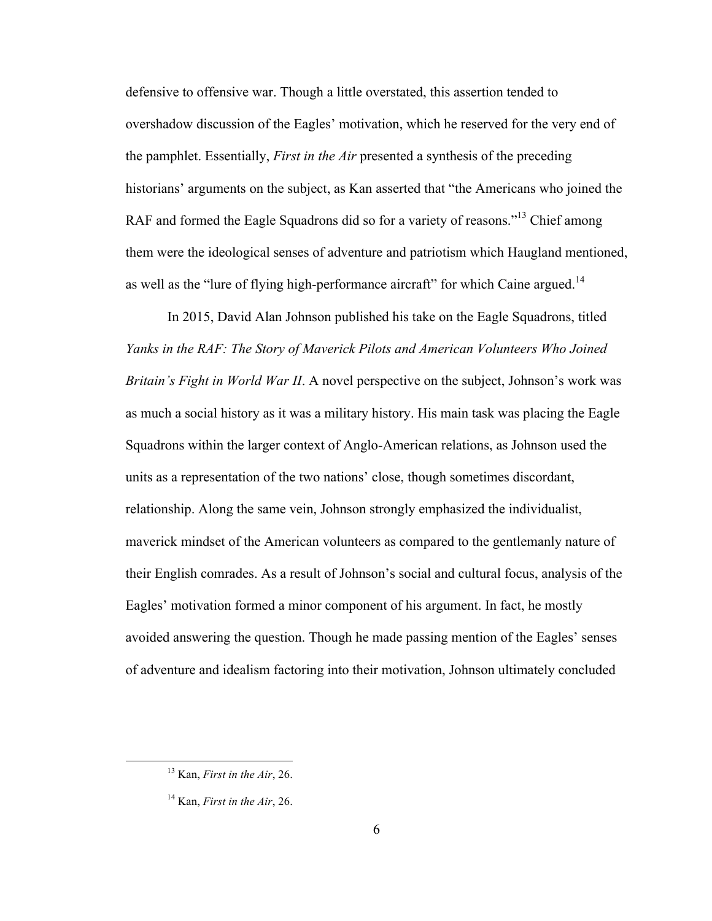defensive to offensive war. Though a little overstated, this assertion tended to overshadow discussion of the Eagles' motivation, which he reserved for the very end of the pamphlet. Essentially, *First in the Air* presented a synthesis of the preceding historians' arguments on the subject, as Kan asserted that "the Americans who joined the RAF and formed the Eagle Squadrons did so for a variety of reasons."<sup>13</sup> Chief among them were the ideological senses of adventure and patriotism which Haugland mentioned, as well as the "lure of flying high-performance aircraft" for which Caine argued.<sup>14</sup>

In 2015, David Alan Johnson published his take on the Eagle Squadrons, titled *Yanks in the RAF: The Story of Maverick Pilots and American Volunteers Who Joined Britain's Fight in World War II*. A novel perspective on the subject, Johnson's work was as much a social history as it was a military history. His main task was placing the Eagle Squadrons within the larger context of Anglo-American relations, as Johnson used the units as a representation of the two nations' close, though sometimes discordant, relationship. Along the same vein, Johnson strongly emphasized the individualist, maverick mindset of the American volunteers as compared to the gentlemanly nature of their English comrades. As a result of Johnson's social and cultural focus, analysis of the Eagles' motivation formed a minor component of his argument. In fact, he mostly avoided answering the question. Though he made passing mention of the Eagles' senses of adventure and idealism factoring into their motivation, Johnson ultimately concluded

 <sup>13</sup> Kan, *First in the Air*, 26.

<sup>14</sup> Kan, *First in the Air*, 26.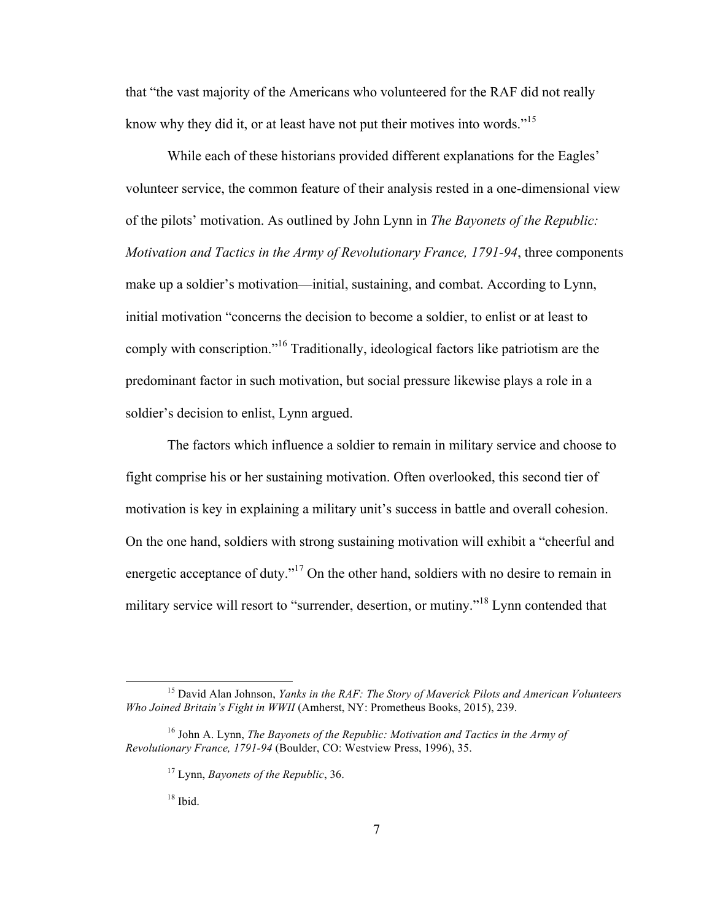that "the vast majority of the Americans who volunteered for the RAF did not really know why they did it, or at least have not put their motives into words."<sup>15</sup>

While each of these historians provided different explanations for the Eagles' volunteer service, the common feature of their analysis rested in a one-dimensional view of the pilots' motivation. As outlined by John Lynn in *The Bayonets of the Republic: Motivation and Tactics in the Army of Revolutionary France, 1791-94*, three components make up a soldier's motivation—initial, sustaining, and combat. According to Lynn, initial motivation "concerns the decision to become a soldier, to enlist or at least to comply with conscription."<sup>16</sup> Traditionally, ideological factors like patriotism are the predominant factor in such motivation, but social pressure likewise plays a role in a soldier's decision to enlist, Lynn argued.

The factors which influence a soldier to remain in military service and choose to fight comprise his or her sustaining motivation. Often overlooked, this second tier of motivation is key in explaining a military unit's success in battle and overall cohesion. On the one hand, soldiers with strong sustaining motivation will exhibit a "cheerful and energetic acceptance of duty."<sup>17</sup> On the other hand, soldiers with no desire to remain in military service will resort to "surrender, desertion, or mutiny."<sup>18</sup> Lynn contended that

 <sup>15</sup> David Alan Johnson, *Yanks in the RAF: The Story of Maverick Pilots and American Volunteers Who Joined Britain's Fight in WWII* (Amherst, NY: Prometheus Books, 2015), 239.

<sup>16</sup> John A. Lynn, *The Bayonets of the Republic: Motivation and Tactics in the Army of Revolutionary France, 1791-94* (Boulder, CO: Westview Press, 1996), 35.

<sup>17</sup> Lynn, *Bayonets of the Republic*, 36.

 $18$  Ibid.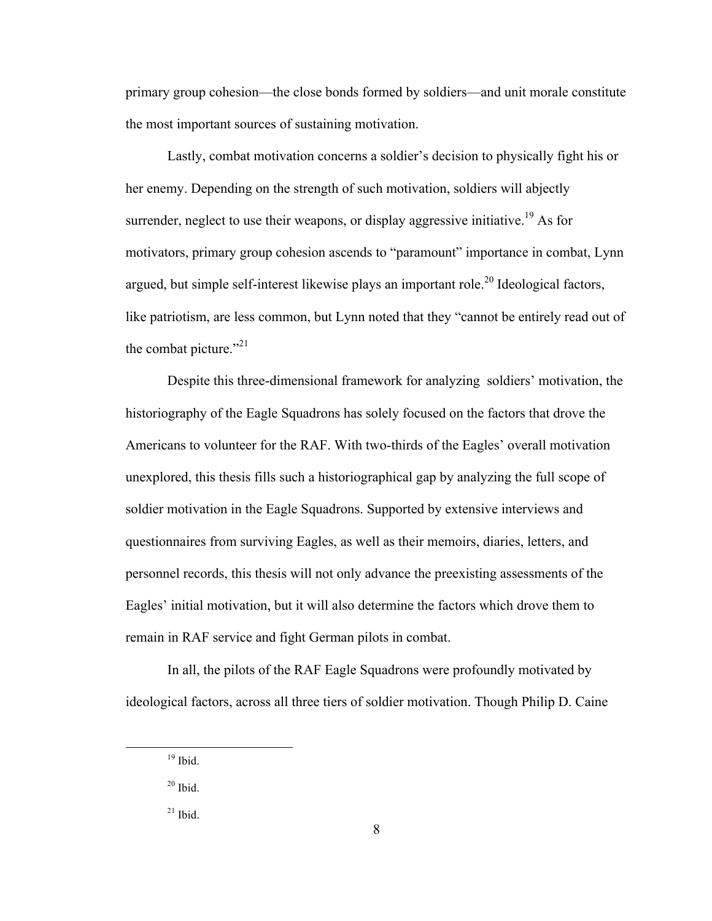primary group cohesion—the close bonds formed by soldiers—and unit morale constitute the most important sources of sustaining motivation.

Lastly, combat motivation concerns a soldier's decision to physically fight his or her enemy. Depending on the strength of such motivation, soldiers will abjectly surrender, neglect to use their weapons, or display aggressive initiative.<sup>19</sup> As for motivators, primary group cohesion ascends to "paramount" importance in combat, Lynn argued, but simple self-interest likewise plays an important role.<sup>20</sup> Ideological factors, like patriotism, are less common, but Lynn noted that they "cannot be entirely read out of the combat picture." $^{21}$ 

Despite this three-dimensional framework for analyzing soldiers' motivation, the historiography of the Eagle Squadrons has solely focused on the factors that drove the Americans to volunteer for the RAF. With two-thirds of the Eagles' overall motivation unexplored, this thesis fills such a historiographical gap by analyzing the full scope of soldier motivation in the Eagle Squadrons. Supported by extensive interviews and questionnaires from surviving Eagles, as well as their memoirs, diaries, letters, and personnel records, this thesis will not only advance the preexisting assessments of the Eagles' initial motivation, but it will also determine the factors which drove them to remain in RAF service and fight German pilots in combat.

In all, the pilots of the RAF Eagle Squadrons were profoundly motivated by ideological factors, across all three tiers of soldier motivation. Though Philip D. Caine

 $19$  Ibid.

 $20$  Ibid.

 $21$  Ibid.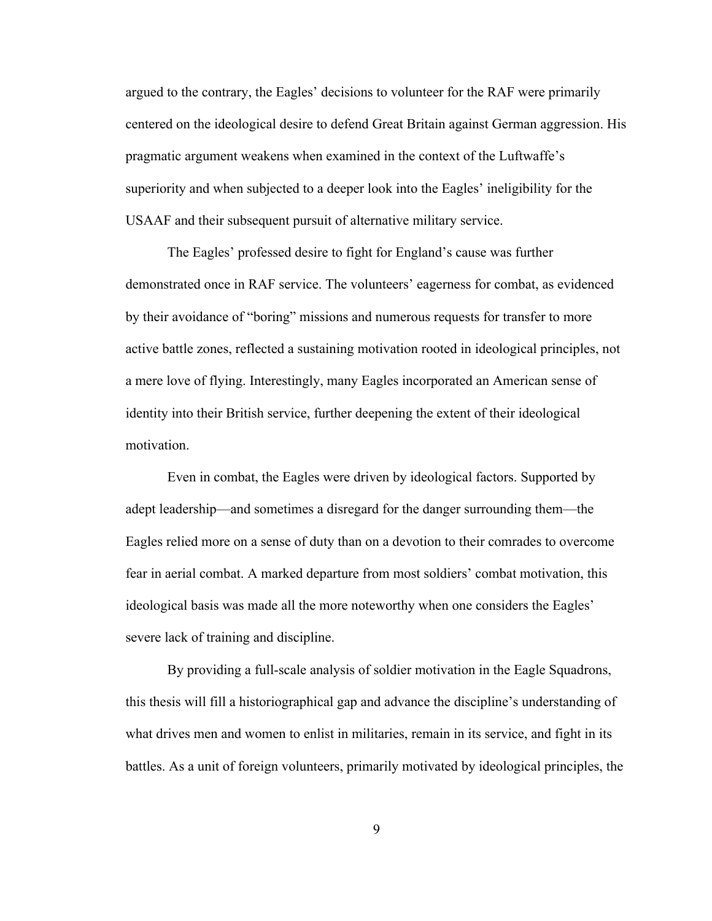argued to the contrary, the Eagles' decisions to volunteer for the RAF were primarily centered on the ideological desire to defend Great Britain against German aggression. His pragmatic argument weakens when examined in the context of the Luftwaffe's superiority and when subjected to a deeper look into the Eagles' ineligibility for the USAAF and their subsequent pursuit of alternative military service.

The Eagles' professed desire to fight for England's cause was further demonstrated once in RAF service. The volunteers' eagerness for combat, as evidenced by their avoidance of "boring" missions and numerous requests for transfer to more active battle zones, reflected a sustaining motivation rooted in ideological principles, not a mere love of flying. Interestingly, many Eagles incorporated an American sense of identity into their British service, further deepening the extent of their ideological motivation.

Even in combat, the Eagles were driven by ideological factors. Supported by adept leadership—and sometimes a disregard for the danger surrounding them—the Eagles relied more on a sense of duty than on a devotion to their comrades to overcome fear in aerial combat. A marked departure from most soldiers' combat motivation, this ideological basis was made all the more noteworthy when one considers the Eagles' severe lack of training and discipline.

By providing a full-scale analysis of soldier motivation in the Eagle Squadrons, this thesis will fill a historiographical gap and advance the discipline's understanding of what drives men and women to enlist in militaries, remain in its service, and fight in its battles. As a unit of foreign volunteers, primarily motivated by ideological principles, the

9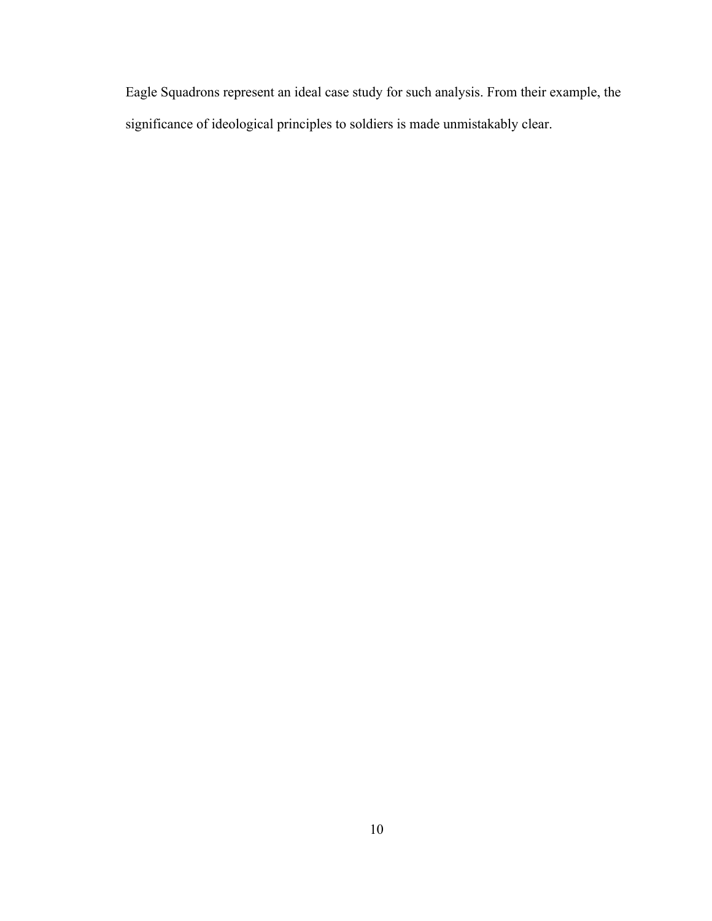Eagle Squadrons represent an ideal case study for such analysis. From their example, the significance of ideological principles to soldiers is made unmistakably clear.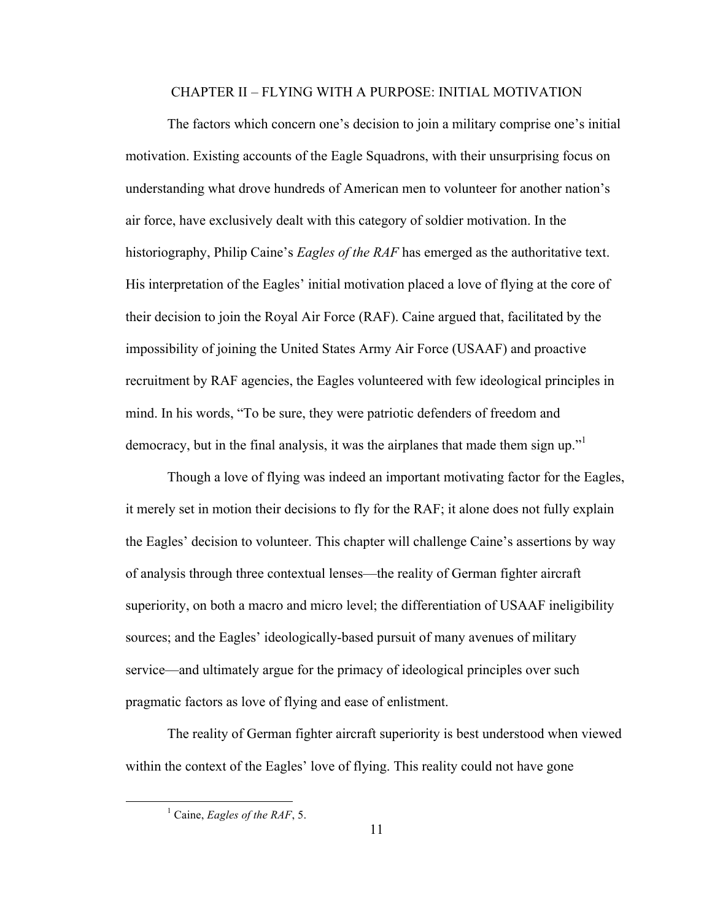#### CHAPTER II – FLYING WITH A PURPOSE: INITIAL MOTIVATION

The factors which concern one's decision to join a military comprise one's initial motivation. Existing accounts of the Eagle Squadrons, with their unsurprising focus on understanding what drove hundreds of American men to volunteer for another nation's air force, have exclusively dealt with this category of soldier motivation. In the historiography, Philip Caine's *Eagles of the RAF* has emerged as the authoritative text. His interpretation of the Eagles' initial motivation placed a love of flying at the core of their decision to join the Royal Air Force (RAF). Caine argued that, facilitated by the impossibility of joining the United States Army Air Force (USAAF) and proactive recruitment by RAF agencies, the Eagles volunteered with few ideological principles in mind. In his words, "To be sure, they were patriotic defenders of freedom and democracy, but in the final analysis, it was the airplanes that made them sign up."

Though a love of flying was indeed an important motivating factor for the Eagles, it merely set in motion their decisions to fly for the RAF; it alone does not fully explain the Eagles' decision to volunteer. This chapter will challenge Caine's assertions by way of analysis through three contextual lenses—the reality of German fighter aircraft superiority, on both a macro and micro level; the differentiation of USAAF ineligibility sources; and the Eagles' ideologically-based pursuit of many avenues of military service—and ultimately argue for the primacy of ideological principles over such pragmatic factors as love of flying and ease of enlistment.

The reality of German fighter aircraft superiority is best understood when viewed within the context of the Eagles' love of flying. This reality could not have gone

 <sup>1</sup> Caine, *Eagles of the RAF*, 5.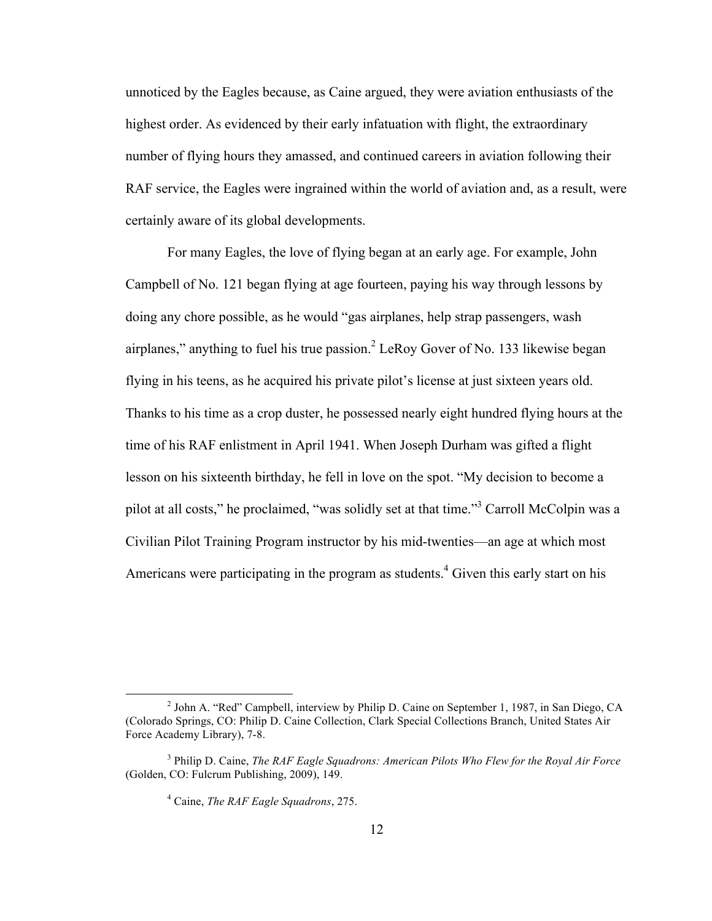unnoticed by the Eagles because, as Caine argued, they were aviation enthusiasts of the highest order. As evidenced by their early infatuation with flight, the extraordinary number of flying hours they amassed, and continued careers in aviation following their RAF service, the Eagles were ingrained within the world of aviation and, as a result, were certainly aware of its global developments.

For many Eagles, the love of flying began at an early age. For example, John Campbell of No. 121 began flying at age fourteen, paying his way through lessons by doing any chore possible, as he would "gas airplanes, help strap passengers, wash airplanes," anything to fuel his true passion. $<sup>2</sup>$  LeRoy Gover of No. 133 likewise began</sup> flying in his teens, as he acquired his private pilot's license at just sixteen years old. Thanks to his time as a crop duster, he possessed nearly eight hundred flying hours at the time of his RAF enlistment in April 1941. When Joseph Durham was gifted a flight lesson on his sixteenth birthday, he fell in love on the spot. "My decision to become a pilot at all costs," he proclaimed, "was solidly set at that time."<sup>3</sup> Carroll McColpin was a Civilian Pilot Training Program instructor by his mid-twenties—an age at which most Americans were participating in the program as students.<sup>4</sup> Given this early start on his

 <sup>2</sup> John A. "Red" Campbell, interview by Philip D. Caine on September 1, 1987, in San Diego, CA (Colorado Springs, CO: Philip D. Caine Collection, Clark Special Collections Branch, United States Air Force Academy Library), 7-8.

<sup>3</sup> Philip D. Caine, *The RAF Eagle Squadrons: American Pilots Who Flew for the Royal Air Force* (Golden, CO: Fulcrum Publishing, 2009), 149.

<sup>4</sup> Caine, *The RAF Eagle Squadrons*, 275.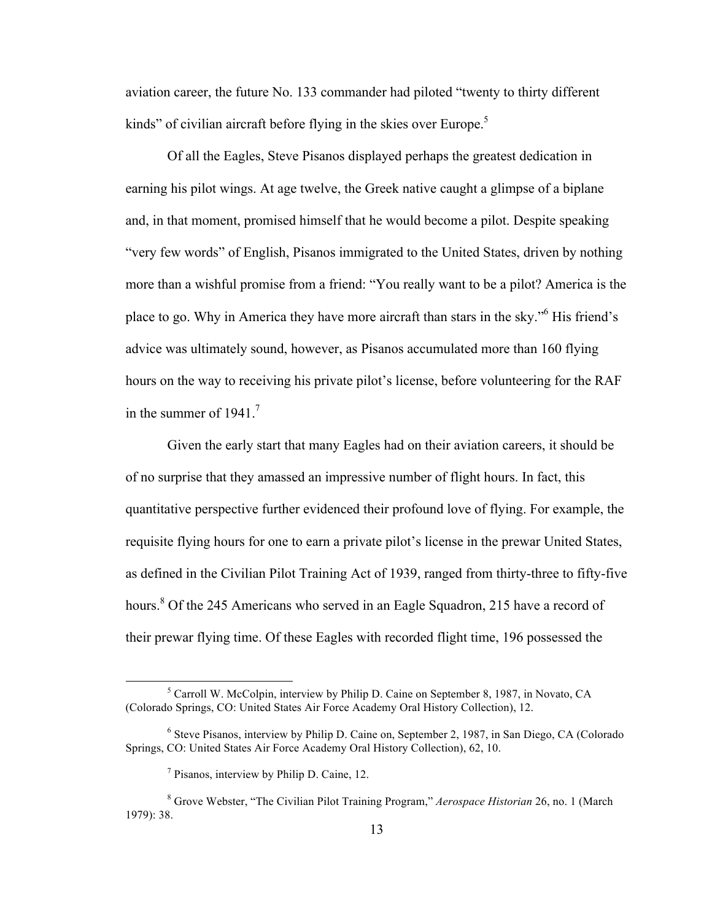aviation career, the future No. 133 commander had piloted "twenty to thirty different kinds" of civilian aircraft before flying in the skies over Europe.<sup>5</sup>

Of all the Eagles, Steve Pisanos displayed perhaps the greatest dedication in earning his pilot wings. At age twelve, the Greek native caught a glimpse of a biplane and, in that moment, promised himself that he would become a pilot. Despite speaking "very few words" of English, Pisanos immigrated to the United States, driven by nothing more than a wishful promise from a friend: "You really want to be a pilot? America is the place to go. Why in America they have more aircraft than stars in the sky."6 His friend's advice was ultimately sound, however, as Pisanos accumulated more than 160 flying hours on the way to receiving his private pilot's license, before volunteering for the RAF in the summer of  $1941$ .<sup>7</sup>

Given the early start that many Eagles had on their aviation careers, it should be of no surprise that they amassed an impressive number of flight hours. In fact, this quantitative perspective further evidenced their profound love of flying. For example, the requisite flying hours for one to earn a private pilot's license in the prewar United States, as defined in the Civilian Pilot Training Act of 1939, ranged from thirty-three to fifty-five hours.<sup>8</sup> Of the 245 Americans who served in an Eagle Squadron, 215 have a record of their prewar flying time. Of these Eagles with recorded flight time, 196 possessed the

 $<sup>5</sup>$  Carroll W. McColpin, interview by Philip D. Caine on September 8, 1987, in Novato, CA</sup> (Colorado Springs, CO: United States Air Force Academy Oral History Collection), 12.

<sup>6</sup> Steve Pisanos, interview by Philip D. Caine on, September 2, 1987, in San Diego, CA (Colorado Springs, CO: United States Air Force Academy Oral History Collection), 62, 10.

<sup>7</sup> Pisanos, interview by Philip D. Caine, 12.

<sup>8</sup> Grove Webster, "The Civilian Pilot Training Program," *Aerospace Historian* 26, no. 1 (March 1979): 38.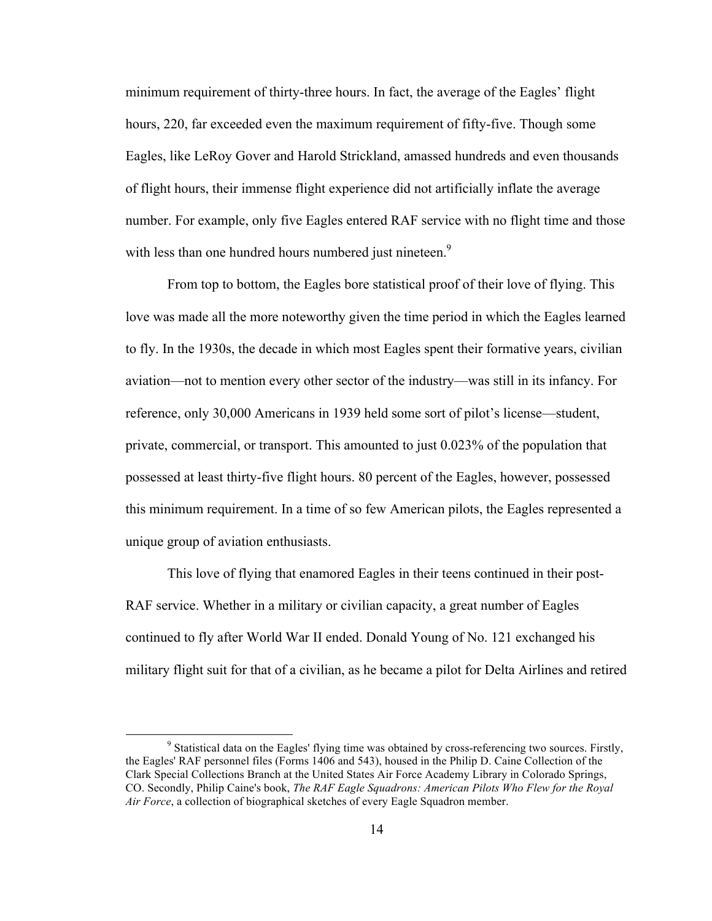minimum requirement of thirty-three hours. In fact, the average of the Eagles' flight hours, 220, far exceeded even the maximum requirement of fifty-five. Though some Eagles, like LeRoy Gover and Harold Strickland, amassed hundreds and even thousands of flight hours, their immense flight experience did not artificially inflate the average number. For example, only five Eagles entered RAF service with no flight time and those with less than one hundred hours numbered just nineteen.<sup>9</sup>

From top to bottom, the Eagles bore statistical proof of their love of flying. This love was made all the more noteworthy given the time period in which the Eagles learned to fly. In the 1930s, the decade in which most Eagles spent their formative years, civilian aviation—not to mention every other sector of the industry—was still in its infancy. For reference, only 30,000 Americans in 1939 held some sort of pilot's license—student, private, commercial, or transport. This amounted to just 0.023% of the population that possessed at least thirty-five flight hours. 80 percent of the Eagles, however, possessed this minimum requirement. In a time of so few American pilots, the Eagles represented a unique group of aviation enthusiasts.

This love of flying that enamored Eagles in their teens continued in their post-RAF service. Whether in a military or civilian capacity, a great number of Eagles continued to fly after World War II ended. Donald Young of No. 121 exchanged his military flight suit for that of a civilian, as he became a pilot for Delta Airlines and retired

<sup>&</sup>lt;sup>9</sup> Statistical data on the Eagles' flying time was obtained by cross-referencing two sources. Firstly, the Eagles' RAF personnel files (Forms 1406 and 543), housed in the Philip D. Caine Collection of the Clark Special Collections Branch at the United States Air Force Academy Library in Colorado Springs, CO. Secondly, Philip Caine's book, *The RAF Eagle Squadrons: American Pilots Who Flew for the Royal Air Force*, a collection of biographical sketches of every Eagle Squadron member.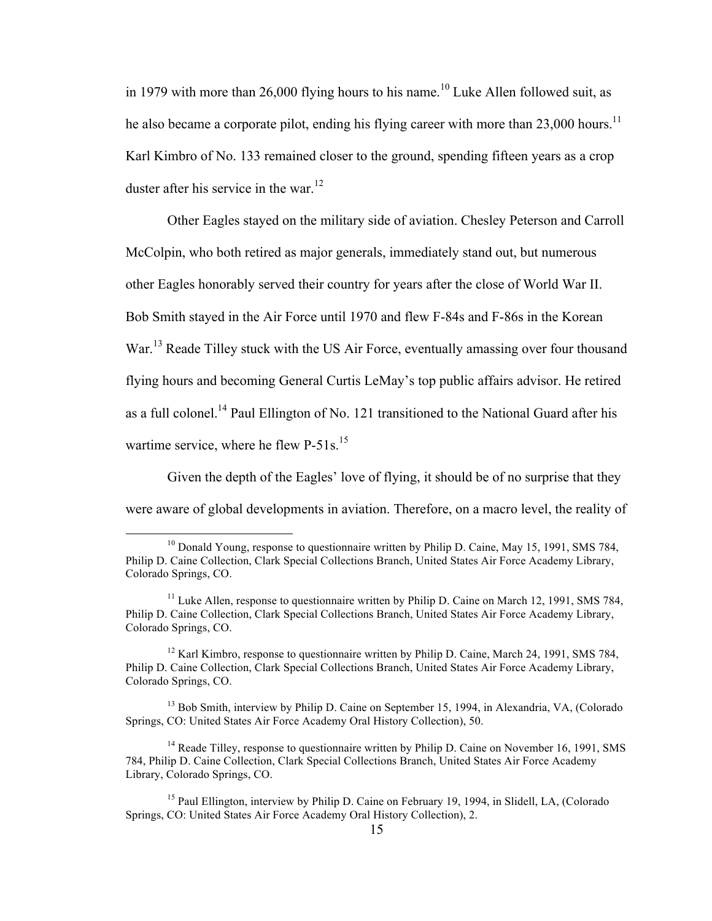in 1979 with more than 26,000 flying hours to his name.<sup>10</sup> Luke Allen followed suit, as he also became a corporate pilot, ending his flying career with more than 23,000 hours.<sup>11</sup> Karl Kimbro of No. 133 remained closer to the ground, spending fifteen years as a crop duster after his service in the war.<sup>12</sup>

Other Eagles stayed on the military side of aviation. Chesley Peterson and Carroll McColpin, who both retired as major generals, immediately stand out, but numerous other Eagles honorably served their country for years after the close of World War II. Bob Smith stayed in the Air Force until 1970 and flew F-84s and F-86s in the Korean War.<sup>13</sup> Reade Tilley stuck with the US Air Force, eventually amassing over four thousand flying hours and becoming General Curtis LeMay's top public affairs advisor. He retired as a full colonel.<sup>14</sup> Paul Ellington of No. 121 transitioned to the National Guard after his wartime service, where he flew  $P-51s$ .<sup>15</sup>

Given the depth of the Eagles' love of flying, it should be of no surprise that they were aware of global developments in aviation. Therefore, on a macro level, the reality of

 $10$  Donald Young, response to questionnaire written by Philip D. Caine, May 15, 1991, SMS 784, Philip D. Caine Collection, Clark Special Collections Branch, United States Air Force Academy Library, Colorado Springs, CO.

<sup>&</sup>lt;sup>11</sup> Luke Allen, response to questionnaire written by Philip D. Caine on March 12, 1991, SMS 784, Philip D. Caine Collection, Clark Special Collections Branch, United States Air Force Academy Library, Colorado Springs, CO.

<sup>&</sup>lt;sup>12</sup> Karl Kimbro, response to questionnaire written by Philip D. Caine, March 24, 1991, SMS 784, Philip D. Caine Collection, Clark Special Collections Branch, United States Air Force Academy Library, Colorado Springs, CO.

<sup>&</sup>lt;sup>13</sup> Bob Smith, interview by Philip D. Caine on September 15, 1994, in Alexandria, VA, (Colorado Springs, CO: United States Air Force Academy Oral History Collection), 50.

 $14$  Reade Tilley, response to questionnaire written by Philip D. Caine on November 16, 1991, SMS 784, Philip D. Caine Collection, Clark Special Collections Branch, United States Air Force Academy Library, Colorado Springs, CO.

<sup>&</sup>lt;sup>15</sup> Paul Ellington, interview by Philip D. Caine on February 19, 1994, in Slidell, LA, (Colorado Springs, CO: United States Air Force Academy Oral History Collection), 2.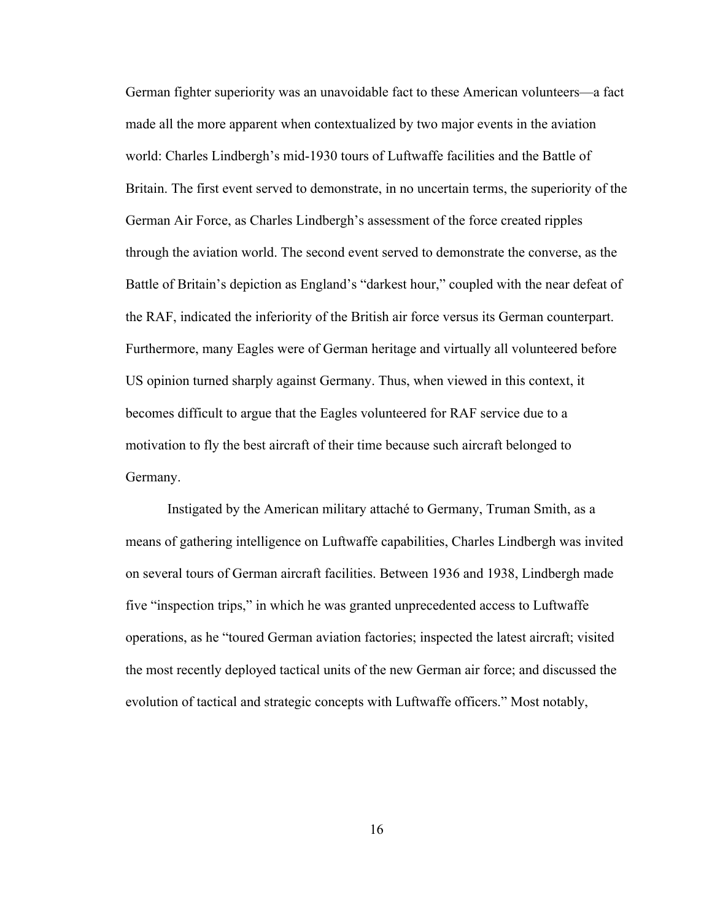German fighter superiority was an unavoidable fact to these American volunteers—a fact made all the more apparent when contextualized by two major events in the aviation world: Charles Lindbergh's mid-1930 tours of Luftwaffe facilities and the Battle of Britain. The first event served to demonstrate, in no uncertain terms, the superiority of the German Air Force, as Charles Lindbergh's assessment of the force created ripples through the aviation world. The second event served to demonstrate the converse, as the Battle of Britain's depiction as England's "darkest hour," coupled with the near defeat of the RAF, indicated the inferiority of the British air force versus its German counterpart. Furthermore, many Eagles were of German heritage and virtually all volunteered before US opinion turned sharply against Germany. Thus, when viewed in this context, it becomes difficult to argue that the Eagles volunteered for RAF service due to a motivation to fly the best aircraft of their time because such aircraft belonged to Germany.

Instigated by the American military attaché to Germany, Truman Smith, as a means of gathering intelligence on Luftwaffe capabilities, Charles Lindbergh was invited on several tours of German aircraft facilities. Between 1936 and 1938, Lindbergh made five "inspection trips," in which he was granted unprecedented access to Luftwaffe operations, as he "toured German aviation factories; inspected the latest aircraft; visited the most recently deployed tactical units of the new German air force; and discussed the evolution of tactical and strategic concepts with Luftwaffe officers." Most notably,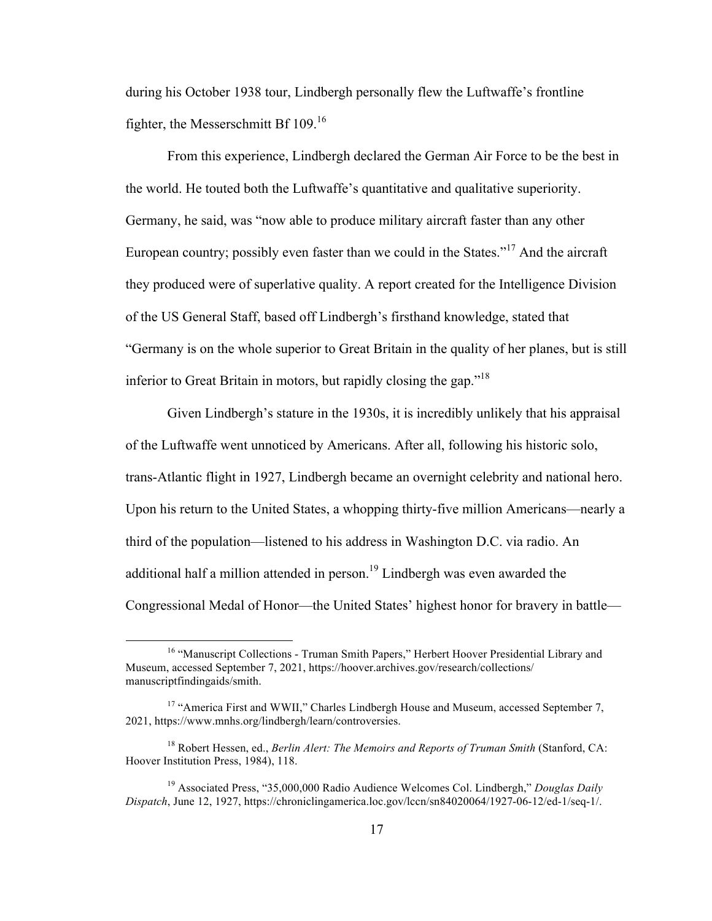during his October 1938 tour, Lindbergh personally flew the Luftwaffe's frontline fighter, the Messerschmitt Bf 109.<sup>16</sup>

From this experience, Lindbergh declared the German Air Force to be the best in the world. He touted both the Luftwaffe's quantitative and qualitative superiority. Germany, he said, was "now able to produce military aircraft faster than any other European country; possibly even faster than we could in the States."<sup>17</sup> And the aircraft they produced were of superlative quality. A report created for the Intelligence Division of the US General Staff, based off Lindbergh's firsthand knowledge, stated that "Germany is on the whole superior to Great Britain in the quality of her planes, but is still inferior to Great Britain in motors, but rapidly closing the gap."<sup>18</sup>

Given Lindbergh's stature in the 1930s, it is incredibly unlikely that his appraisal of the Luftwaffe went unnoticed by Americans. After all, following his historic solo, trans-Atlantic flight in 1927, Lindbergh became an overnight celebrity and national hero. Upon his return to the United States, a whopping thirty-five million Americans—nearly a third of the population—listened to his address in Washington D.C. via radio. An additional half a million attended in person.<sup>19</sup> Lindbergh was even awarded the Congressional Medal of Honor—the United States' highest honor for bravery in battle—

<sup>&</sup>lt;sup>16</sup> "Manuscript Collections - Truman Smith Papers," Herbert Hoover Presidential Library and Museum, accessed September 7, 2021, https://hoover.archives.gov/research/collections/ manuscriptfindingaids/smith.

<sup>&</sup>lt;sup>17</sup> "America First and WWII," Charles Lindbergh House and Museum, accessed September 7, 2021, https://www.mnhs.org/lindbergh/learn/controversies.

<sup>18</sup> Robert Hessen, ed., *Berlin Alert: The Memoirs and Reports of Truman Smith* (Stanford, CA: Hoover Institution Press, 1984), 118.

<sup>19</sup> Associated Press, "35,000,000 Radio Audience Welcomes Col. Lindbergh," *Douglas Daily Dispatch*, June 12, 1927, https://chroniclingamerica.loc.gov/lccn/sn84020064/1927-06-12/ed-1/seq-1/.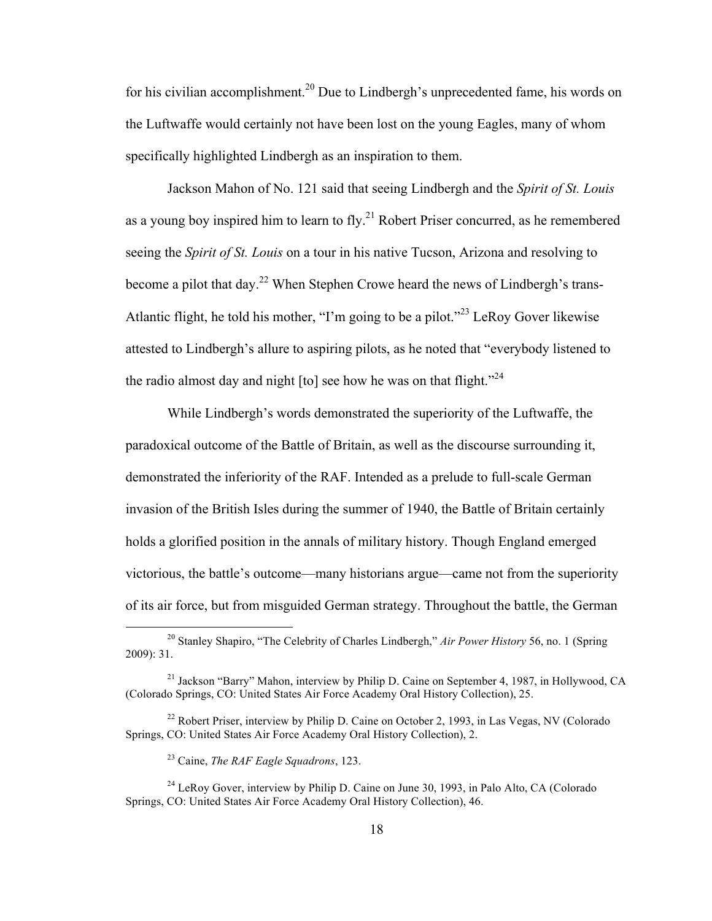for his civilian accomplishment.<sup>20</sup> Due to Lindbergh's unprecedented fame, his words on the Luftwaffe would certainly not have been lost on the young Eagles, many of whom specifically highlighted Lindbergh as an inspiration to them.

Jackson Mahon of No. 121 said that seeing Lindbergh and the *Spirit of St. Louis* as a young boy inspired him to learn to  $fly<sup>21</sup>$  Robert Priser concurred, as he remembered seeing the *Spirit of St. Louis* on a tour in his native Tucson, Arizona and resolving to become a pilot that day.<sup>22</sup> When Stephen Crowe heard the news of Lindbergh's trans-Atlantic flight, he told his mother, "I'm going to be a pilot."<sup>23</sup> LeRoy Gover likewise attested to Lindbergh's allure to aspiring pilots, as he noted that "everybody listened to the radio almost day and night  $[$  to  $]$  see how he was on that flight.<sup> $2<sup>24</sup>$ </sup>

While Lindbergh's words demonstrated the superiority of the Luftwaffe, the paradoxical outcome of the Battle of Britain, as well as the discourse surrounding it, demonstrated the inferiority of the RAF. Intended as a prelude to full-scale German invasion of the British Isles during the summer of 1940, the Battle of Britain certainly holds a glorified position in the annals of military history. Though England emerged victorious, the battle's outcome—many historians argue—came not from the superiority of its air force, but from misguided German strategy. Throughout the battle, the German

 <sup>20</sup> Stanley Shapiro, "The Celebrity of Charles Lindbergh," *Air Power History* 56, no. 1 (Spring 2009): 31.

<sup>&</sup>lt;sup>21</sup> Jackson "Barry" Mahon, interview by Philip D. Caine on September 4, 1987, in Hollywood, CA (Colorado Springs, CO: United States Air Force Academy Oral History Collection), 25.

 $22$  Robert Priser, interview by Philip D. Caine on October 2, 1993, in Las Vegas, NV (Colorado Springs, CO: United States Air Force Academy Oral History Collection), 2.

<sup>23</sup> Caine, *The RAF Eagle Squadrons*, 123.

<sup>&</sup>lt;sup>24</sup> LeRoy Gover, interview by Philip D. Caine on June 30, 1993, in Palo Alto, CA (Colorado Springs, CO: United States Air Force Academy Oral History Collection), 46.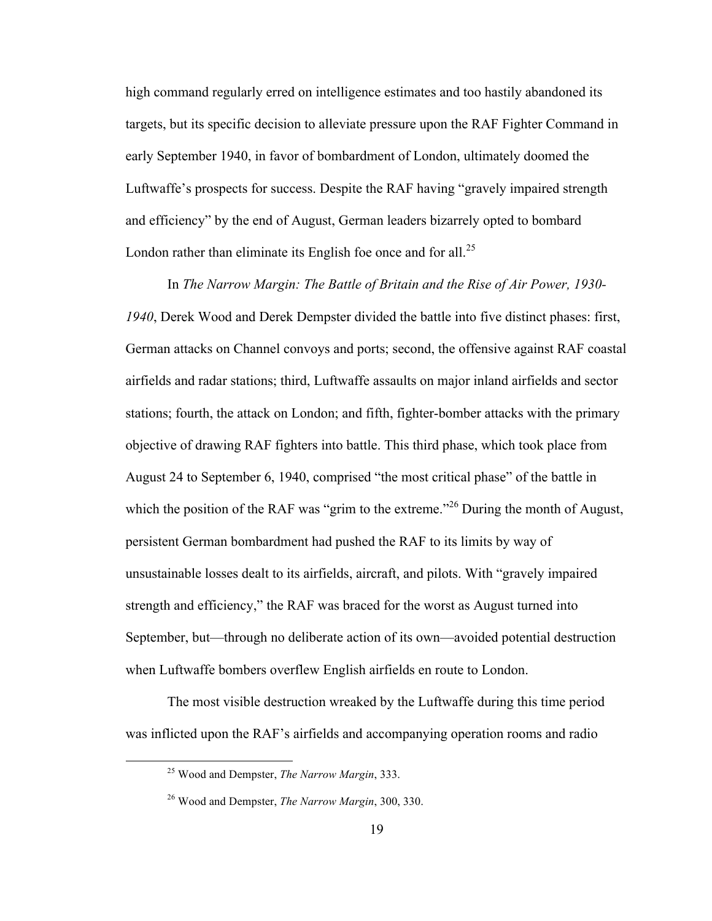high command regularly erred on intelligence estimates and too hastily abandoned its targets, but its specific decision to alleviate pressure upon the RAF Fighter Command in early September 1940, in favor of bombardment of London, ultimately doomed the Luftwaffe's prospects for success. Despite the RAF having "gravely impaired strength and efficiency" by the end of August, German leaders bizarrely opted to bombard London rather than eliminate its English foe once and for all. $^{25}$ 

In *The Narrow Margin: The Battle of Britain and the Rise of Air Power, 1930- 1940*, Derek Wood and Derek Dempster divided the battle into five distinct phases: first, German attacks on Channel convoys and ports; second, the offensive against RAF coastal airfields and radar stations; third, Luftwaffe assaults on major inland airfields and sector stations; fourth, the attack on London; and fifth, fighter-bomber attacks with the primary objective of drawing RAF fighters into battle. This third phase, which took place from August 24 to September 6, 1940, comprised "the most critical phase" of the battle in which the position of the RAF was "grim to the extreme."<sup>26</sup> During the month of August, persistent German bombardment had pushed the RAF to its limits by way of unsustainable losses dealt to its airfields, aircraft, and pilots. With "gravely impaired strength and efficiency," the RAF was braced for the worst as August turned into September, but—through no deliberate action of its own—avoided potential destruction when Luftwaffe bombers overflew English airfields en route to London.

The most visible destruction wreaked by the Luftwaffe during this time period was inflicted upon the RAF's airfields and accompanying operation rooms and radio

 <sup>25</sup> Wood and Dempster, *The Narrow Margin*, 333.

<sup>26</sup> Wood and Dempster, *The Narrow Margin*, 300, 330.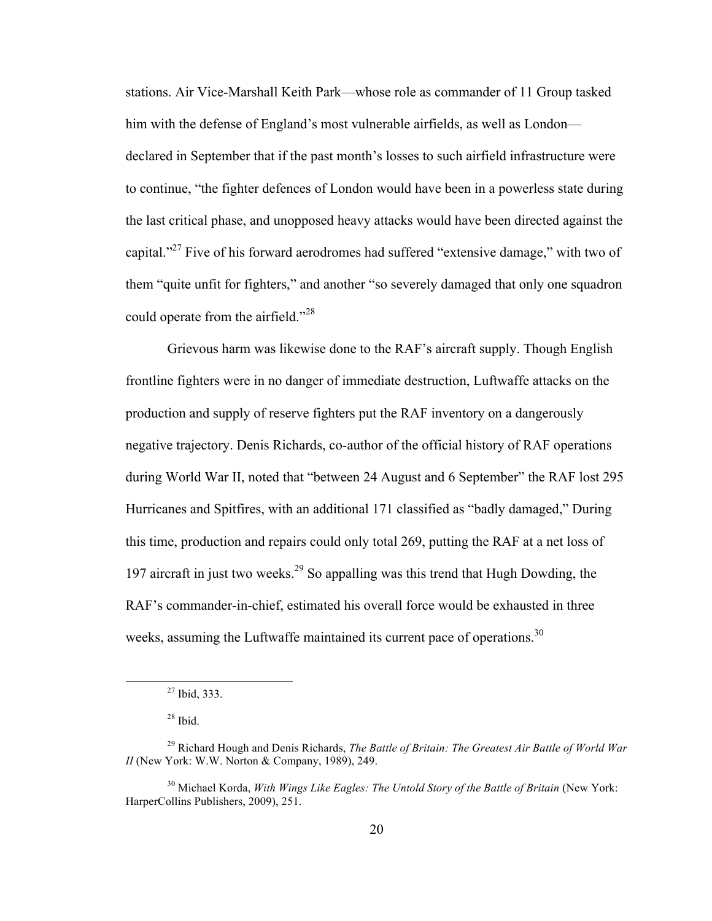stations. Air Vice-Marshall Keith Park—whose role as commander of 11 Group tasked him with the defense of England's most vulnerable airfields, as well as London declared in September that if the past month's losses to such airfield infrastructure were to continue, "the fighter defences of London would have been in a powerless state during the last critical phase, and unopposed heavy attacks would have been directed against the capital."<sup>27</sup> Five of his forward aerodromes had suffered "extensive damage," with two of them "quite unfit for fighters," and another "so severely damaged that only one squadron could operate from the airfield."<sup>28</sup>

Grievous harm was likewise done to the RAF's aircraft supply. Though English frontline fighters were in no danger of immediate destruction, Luftwaffe attacks on the production and supply of reserve fighters put the RAF inventory on a dangerously negative trajectory. Denis Richards, co-author of the official history of RAF operations during World War II, noted that "between 24 August and 6 September" the RAF lost 295 Hurricanes and Spitfires, with an additional 171 classified as "badly damaged," During this time, production and repairs could only total 269, putting the RAF at a net loss of 197 aircraft in just two weeks.29 So appalling was this trend that Hugh Dowding, the RAF's commander-in-chief, estimated his overall force would be exhausted in three weeks, assuming the Luftwaffe maintained its current pace of operations.<sup>30</sup>

 $27$  Ibid, 333.

 $28$  Ibid.

<sup>29</sup> Richard Hough and Denis Richards, *The Battle of Britain: The Greatest Air Battle of World War II* (New York: W.W. Norton & Company, 1989), 249.

<sup>30</sup> Michael Korda, *With Wings Like Eagles: The Untold Story of the Battle of Britain* (New York: HarperCollins Publishers, 2009), 251.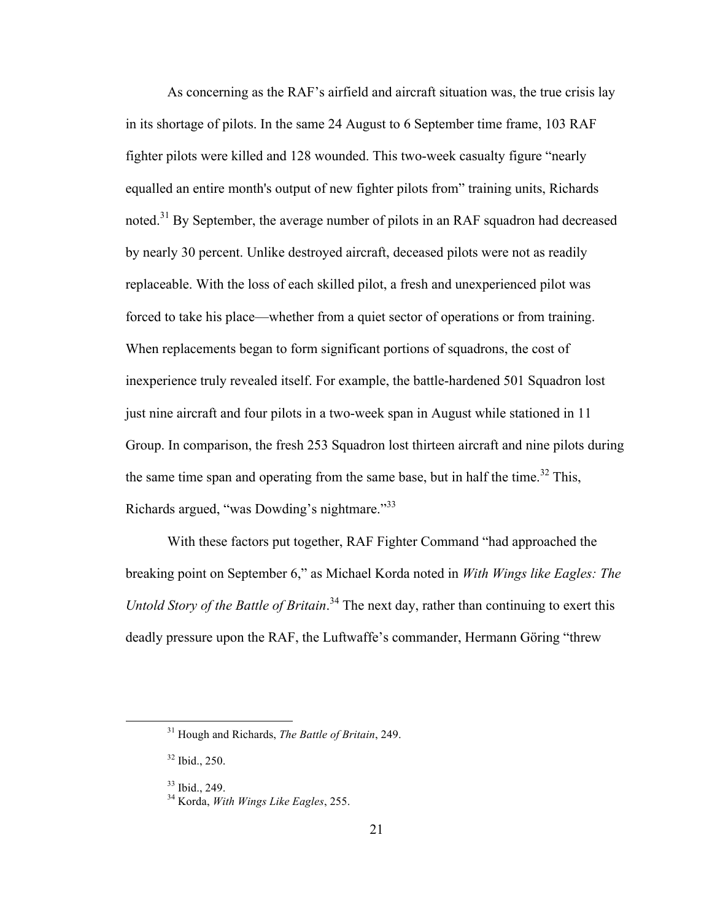As concerning as the RAF's airfield and aircraft situation was, the true crisis lay in its shortage of pilots. In the same 24 August to 6 September time frame, 103 RAF fighter pilots were killed and 128 wounded. This two-week casualty figure "nearly equalled an entire month's output of new fighter pilots from" training units, Richards noted.<sup>31</sup> By September, the average number of pilots in an RAF squadron had decreased by nearly 30 percent. Unlike destroyed aircraft, deceased pilots were not as readily replaceable. With the loss of each skilled pilot, a fresh and unexperienced pilot was forced to take his place—whether from a quiet sector of operations or from training. When replacements began to form significant portions of squadrons, the cost of inexperience truly revealed itself. For example, the battle-hardened 501 Squadron lost just nine aircraft and four pilots in a two-week span in August while stationed in 11 Group. In comparison, the fresh 253 Squadron lost thirteen aircraft and nine pilots during the same time span and operating from the same base, but in half the time.<sup>32</sup> This, Richards argued, "was Dowding's nightmare."<sup>33</sup>

With these factors put together, RAF Fighter Command "had approached the breaking point on September 6," as Michael Korda noted in *With Wings like Eagles: The Untold Story of the Battle of Britain*. <sup>34</sup> The next day, rather than continuing to exert this deadly pressure upon the RAF, the Luftwaffe's commander, Hermann Göring "threw

 <sup>31</sup> Hough and Richards, *The Battle of Britain*, 249.

<sup>32</sup> Ibid., 250.

<sup>33</sup> Ibid., 249. <sup>34</sup> Korda, *With Wings Like Eagles*, 255.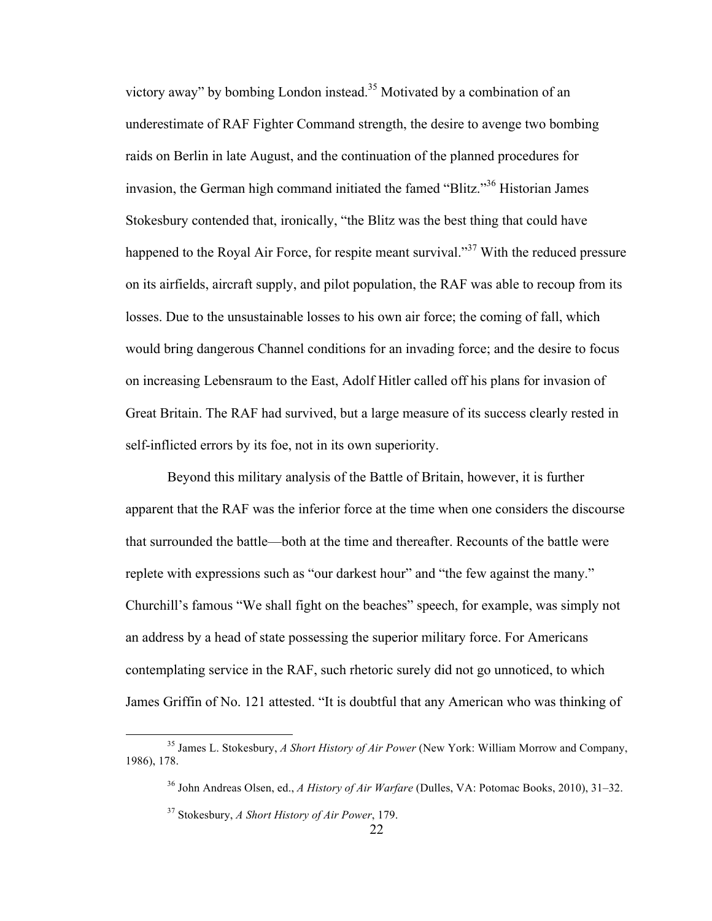victory away" by bombing London instead.<sup>35</sup> Motivated by a combination of an underestimate of RAF Fighter Command strength, the desire to avenge two bombing raids on Berlin in late August, and the continuation of the planned procedures for invasion, the German high command initiated the famed "Blitz."36 Historian James Stokesbury contended that, ironically, "the Blitz was the best thing that could have happened to the Royal Air Force, for respite meant survival."<sup>37</sup> With the reduced pressure on its airfields, aircraft supply, and pilot population, the RAF was able to recoup from its losses. Due to the unsustainable losses to his own air force; the coming of fall, which would bring dangerous Channel conditions for an invading force; and the desire to focus on increasing Lebensraum to the East, Adolf Hitler called off his plans for invasion of Great Britain. The RAF had survived, but a large measure of its success clearly rested in self-inflicted errors by its foe, not in its own superiority.

Beyond this military analysis of the Battle of Britain, however, it is further apparent that the RAF was the inferior force at the time when one considers the discourse that surrounded the battle—both at the time and thereafter. Recounts of the battle were replete with expressions such as "our darkest hour" and "the few against the many." Churchill's famous "We shall fight on the beaches" speech, for example, was simply not an address by a head of state possessing the superior military force. For Americans contemplating service in the RAF, such rhetoric surely did not go unnoticed, to which James Griffin of No. 121 attested. "It is doubtful that any American who was thinking of

 <sup>35</sup> James L. Stokesbury, *A Short History of Air Power* (New York: William Morrow and Company, 1986), 178.

<sup>36</sup> John Andreas Olsen, ed., *A History of Air Warfare* (Dulles, VA: Potomac Books, 2010), 31–32.

<sup>37</sup> Stokesbury, *A Short History of Air Power*, 179.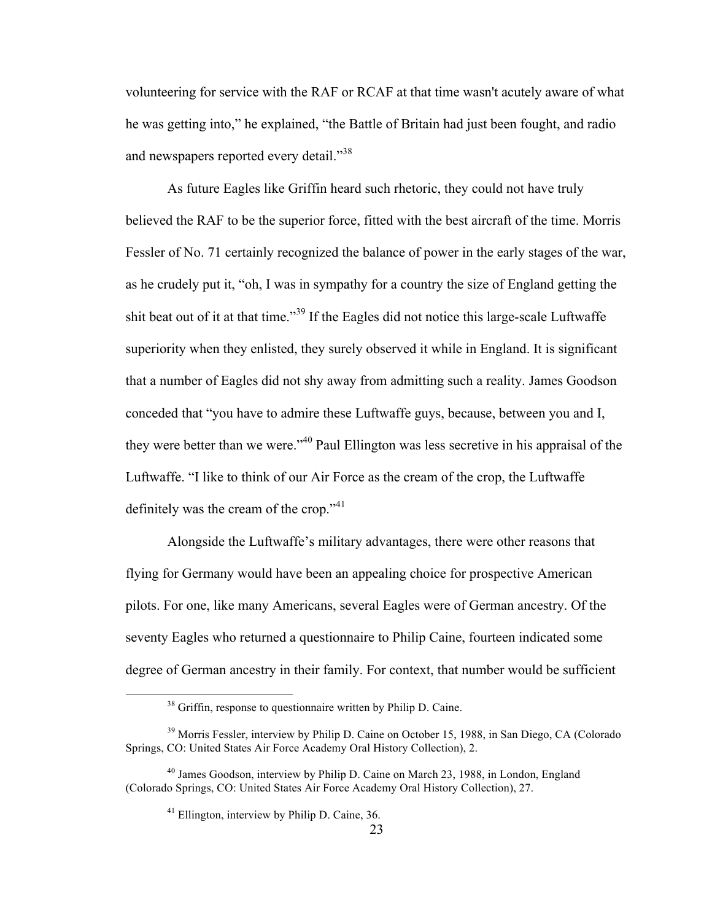volunteering for service with the RAF or RCAF at that time wasn't acutely aware of what he was getting into," he explained, "the Battle of Britain had just been fought, and radio and newspapers reported every detail."<sup>38</sup>

As future Eagles like Griffin heard such rhetoric, they could not have truly believed the RAF to be the superior force, fitted with the best aircraft of the time. Morris Fessler of No. 71 certainly recognized the balance of power in the early stages of the war, as he crudely put it, "oh, I was in sympathy for a country the size of England getting the shit beat out of it at that time."<sup>39</sup> If the Eagles did not notice this large-scale Luftwaffe superiority when they enlisted, they surely observed it while in England. It is significant that a number of Eagles did not shy away from admitting such a reality. James Goodson conceded that "you have to admire these Luftwaffe guys, because, between you and I, they were better than we were."<sup>40</sup> Paul Ellington was less secretive in his appraisal of the Luftwaffe. "I like to think of our Air Force as the cream of the crop, the Luftwaffe definitely was the cream of the crop."<sup>41</sup>

Alongside the Luftwaffe's military advantages, there were other reasons that flying for Germany would have been an appealing choice for prospective American pilots. For one, like many Americans, several Eagles were of German ancestry. Of the seventy Eagles who returned a questionnaire to Philip Caine, fourteen indicated some degree of German ancestry in their family. For context, that number would be sufficient

<sup>&</sup>lt;sup>38</sup> Griffin, response to questionnaire written by Philip D. Caine.

<sup>&</sup>lt;sup>39</sup> Morris Fessler, interview by Philip D. Caine on October 15, 1988, in San Diego, CA (Colorado Springs, CO: United States Air Force Academy Oral History Collection), 2.

<sup>40</sup> James Goodson, interview by Philip D. Caine on March 23, 1988, in London, England (Colorado Springs, CO: United States Air Force Academy Oral History Collection), 27.

<sup>41</sup> Ellington, interview by Philip D. Caine, 36.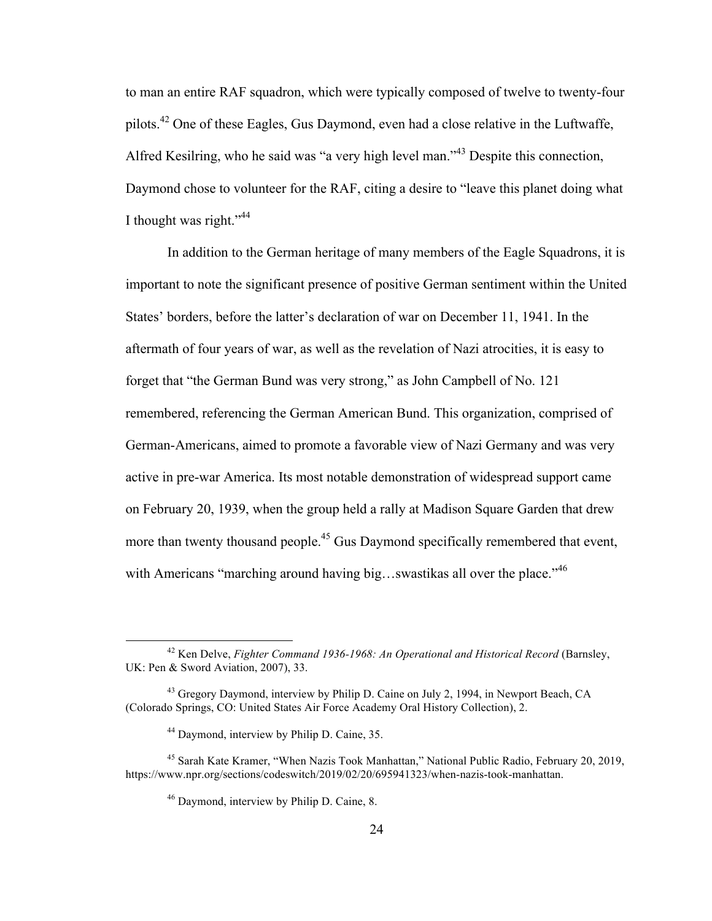to man an entire RAF squadron, which were typically composed of twelve to twenty-four pilots.<sup>42</sup> One of these Eagles, Gus Daymond, even had a close relative in the Luftwaffe, Alfred Kesilring, who he said was "a very high level man."<sup>43</sup> Despite this connection, Daymond chose to volunteer for the RAF, citing a desire to "leave this planet doing what I thought was right." $44$ 

In addition to the German heritage of many members of the Eagle Squadrons, it is important to note the significant presence of positive German sentiment within the United States' borders, before the latter's declaration of war on December 11, 1941. In the aftermath of four years of war, as well as the revelation of Nazi atrocities, it is easy to forget that "the German Bund was very strong," as John Campbell of No. 121 remembered, referencing the German American Bund. This organization, comprised of German-Americans, aimed to promote a favorable view of Nazi Germany and was very active in pre-war America. Its most notable demonstration of widespread support came on February 20, 1939, when the group held a rally at Madison Square Garden that drew more than twenty thousand people.<sup>45</sup> Gus Daymond specifically remembered that event, with Americans "marching around having big...swastikas all over the place."<sup>46</sup>

 <sup>42</sup> Ken Delve, *Fighter Command 1936-1968: An Operational and Historical Record* (Barnsley, UK: Pen & Sword Aviation, 2007), 33.

<sup>&</sup>lt;sup>43</sup> Gregory Daymond, interview by Philip D. Caine on July 2, 1994, in Newport Beach, CA (Colorado Springs, CO: United States Air Force Academy Oral History Collection), 2.

<sup>44</sup> Daymond, interview by Philip D. Caine, 35.

<sup>45</sup> Sarah Kate Kramer, "When Nazis Took Manhattan," National Public Radio, February 20, 2019, https://www.npr.org/sections/codeswitch/2019/02/20/695941323/when-nazis-took-manhattan.

<sup>46</sup> Daymond, interview by Philip D. Caine, 8.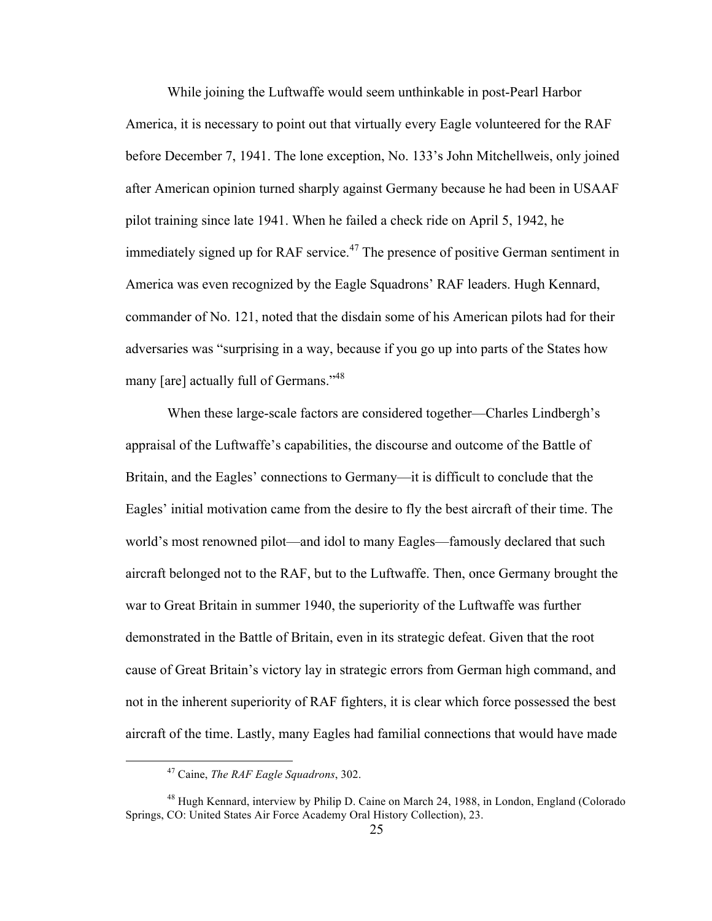While joining the Luftwaffe would seem unthinkable in post-Pearl Harbor America, it is necessary to point out that virtually every Eagle volunteered for the RAF before December 7, 1941. The lone exception, No. 133's John Mitchellweis, only joined after American opinion turned sharply against Germany because he had been in USAAF pilot training since late 1941. When he failed a check ride on April 5, 1942, he immediately signed up for RAF service.<sup>47</sup> The presence of positive German sentiment in America was even recognized by the Eagle Squadrons' RAF leaders. Hugh Kennard, commander of No. 121, noted that the disdain some of his American pilots had for their adversaries was "surprising in a way, because if you go up into parts of the States how many [are] actually full of Germans."<sup>48</sup>

When these large-scale factors are considered together—Charles Lindbergh's appraisal of the Luftwaffe's capabilities, the discourse and outcome of the Battle of Britain, and the Eagles' connections to Germany—it is difficult to conclude that the Eagles' initial motivation came from the desire to fly the best aircraft of their time. The world's most renowned pilot—and idol to many Eagles—famously declared that such aircraft belonged not to the RAF, but to the Luftwaffe. Then, once Germany brought the war to Great Britain in summer 1940, the superiority of the Luftwaffe was further demonstrated in the Battle of Britain, even in its strategic defeat. Given that the root cause of Great Britain's victory lay in strategic errors from German high command, and not in the inherent superiority of RAF fighters, it is clear which force possessed the best aircraft of the time. Lastly, many Eagles had familial connections that would have made

 <sup>47</sup> Caine, *The RAF Eagle Squadrons*, 302.

<sup>&</sup>lt;sup>48</sup> Hugh Kennard, interview by Philip D. Caine on March 24, 1988, in London, England (Colorado Springs, CO: United States Air Force Academy Oral History Collection), 23.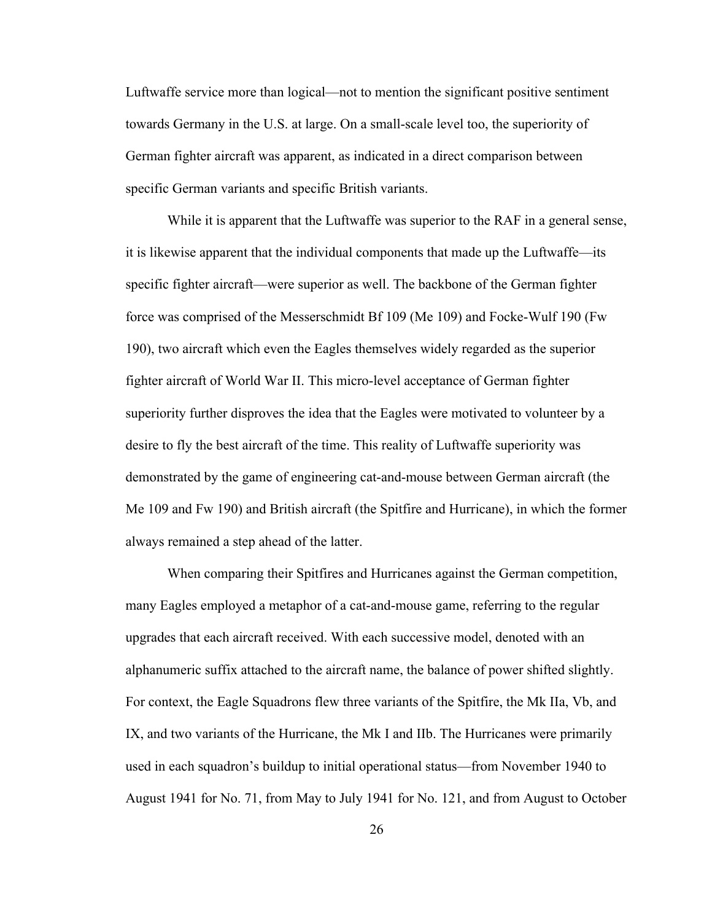Luftwaffe service more than logical—not to mention the significant positive sentiment towards Germany in the U.S. at large. On a small-scale level too, the superiority of German fighter aircraft was apparent, as indicated in a direct comparison between specific German variants and specific British variants.

While it is apparent that the Luftwaffe was superior to the RAF in a general sense, it is likewise apparent that the individual components that made up the Luftwaffe—its specific fighter aircraft—were superior as well. The backbone of the German fighter force was comprised of the Messerschmidt Bf 109 (Me 109) and Focke-Wulf 190 (Fw 190), two aircraft which even the Eagles themselves widely regarded as the superior fighter aircraft of World War II. This micro-level acceptance of German fighter superiority further disproves the idea that the Eagles were motivated to volunteer by a desire to fly the best aircraft of the time. This reality of Luftwaffe superiority was demonstrated by the game of engineering cat-and-mouse between German aircraft (the Me 109 and Fw 190) and British aircraft (the Spitfire and Hurricane), in which the former always remained a step ahead of the latter.

When comparing their Spitfires and Hurricanes against the German competition, many Eagles employed a metaphor of a cat-and-mouse game, referring to the regular upgrades that each aircraft received. With each successive model, denoted with an alphanumeric suffix attached to the aircraft name, the balance of power shifted slightly. For context, the Eagle Squadrons flew three variants of the Spitfire, the Mk IIa, Vb, and IX, and two variants of the Hurricane, the Mk I and IIb. The Hurricanes were primarily used in each squadron's buildup to initial operational status—from November 1940 to August 1941 for No. 71, from May to July 1941 for No. 121, and from August to October

26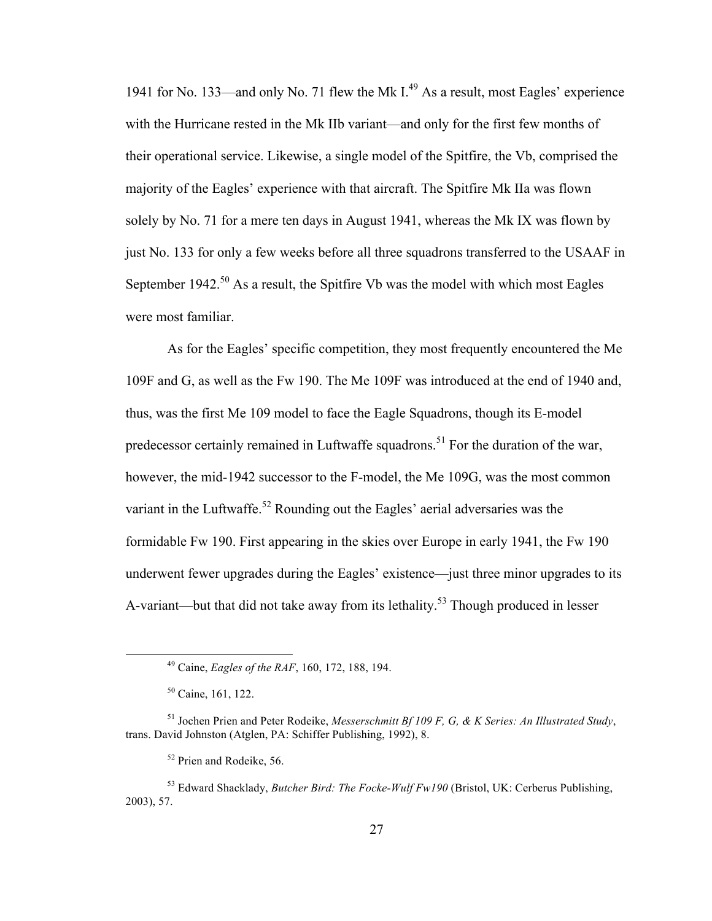1941 for No. 133—and only No. 71 flew the Mk  $I<sup>49</sup>$  As a result, most Eagles' experience with the Hurricane rested in the Mk IIb variant—and only for the first few months of their operational service. Likewise, a single model of the Spitfire, the Vb, comprised the majority of the Eagles' experience with that aircraft. The Spitfire Mk IIa was flown solely by No. 71 for a mere ten days in August 1941, whereas the Mk IX was flown by just No. 133 for only a few weeks before all three squadrons transferred to the USAAF in September 1942.<sup>50</sup> As a result, the Spitfire Vb was the model with which most Eagles were most familiar.

As for the Eagles' specific competition, they most frequently encountered the Me 109F and G, as well as the Fw 190. The Me 109F was introduced at the end of 1940 and, thus, was the first Me 109 model to face the Eagle Squadrons, though its E-model predecessor certainly remained in Luftwaffe squadrons.<sup>51</sup> For the duration of the war, however, the mid-1942 successor to the F-model, the Me 109G, was the most common variant in the Luftwaffe.<sup>52</sup> Rounding out the Eagles' aerial adversaries was the formidable Fw 190. First appearing in the skies over Europe in early 1941, the Fw 190 underwent fewer upgrades during the Eagles' existence—just three minor upgrades to its A-variant—but that did not take away from its lethality.<sup>53</sup> Though produced in lesser

 <sup>49</sup> Caine, *Eagles of the RAF*, 160, 172, 188, 194.

<sup>50</sup> Caine, 161, 122.

<sup>51</sup> Jochen Prien and Peter Rodeike, *Messerschmitt Bf 109 F, G, & K Series: An Illustrated Study*, trans. David Johnston (Atglen, PA: Schiffer Publishing, 1992), 8.

<sup>&</sup>lt;sup>52</sup> Prien and Rodeike, 56.

<sup>53</sup> Edward Shacklady, *Butcher Bird: The Focke-Wulf Fw190* (Bristol, UK: Cerberus Publishing, 2003), 57.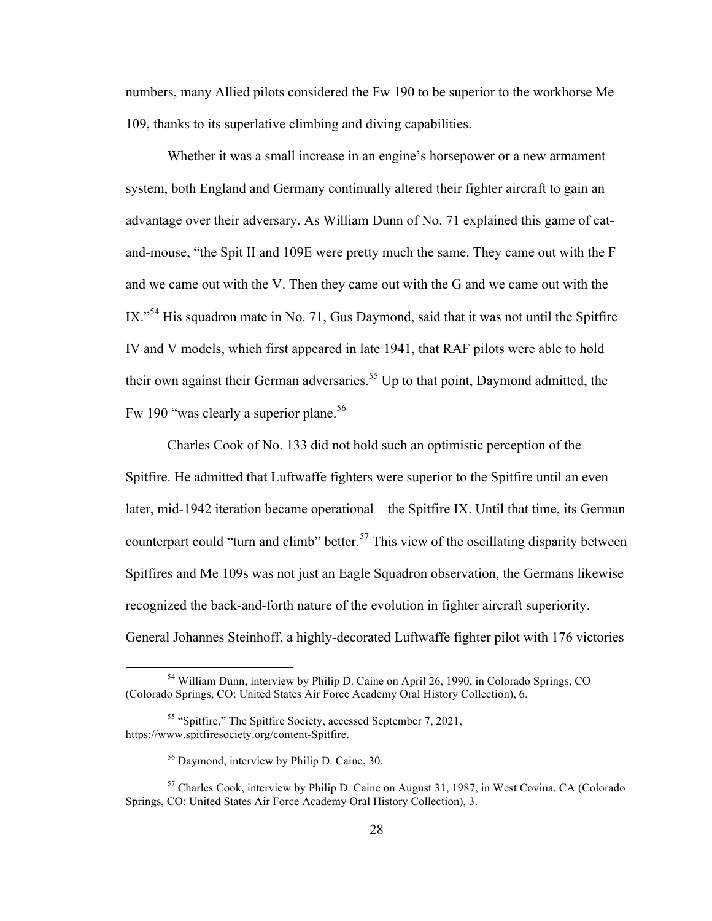numbers, many Allied pilots considered the Fw 190 to be superior to the workhorse Me 109, thanks to its superlative climbing and diving capabilities.

Whether it was a small increase in an engine's horsepower or a new armament system, both England and Germany continually altered their fighter aircraft to gain an advantage over their adversary. As William Dunn of No. 71 explained this game of catand-mouse, "the Spit II and 109E were pretty much the same. They came out with the F and we came out with the V. Then they came out with the G and we came out with the  $IX.$ <sup>54</sup> His squadron mate in No. 71, Gus Daymond, said that it was not until the Spitfire IV and V models, which first appeared in late 1941, that RAF pilots were able to hold their own against their German adversaries.<sup>55</sup> Up to that point, Daymond admitted, the Fw 190 "was clearly a superior plane.<sup>56</sup>

Charles Cook of No. 133 did not hold such an optimistic perception of the Spitfire. He admitted that Luftwaffe fighters were superior to the Spitfire until an even later, mid-1942 iteration became operational—the Spitfire IX. Until that time, its German counterpart could "turn and climb" better.<sup>57</sup> This view of the oscillating disparity between Spitfires and Me 109s was not just an Eagle Squadron observation, the Germans likewise recognized the back-and-forth nature of the evolution in fighter aircraft superiority. General Johannes Steinhoff, a highly-decorated Luftwaffe fighter pilot with 176 victories

 <sup>54</sup> William Dunn, interview by Philip D. Caine on April 26, 1990, in Colorado Springs, CO (Colorado Springs, CO: United States Air Force Academy Oral History Collection), 6.

<sup>55</sup> "Spitfire," The Spitfire Society, accessed September 7, 2021, https://www.spitfiresociety.org/content-Spitfire.

<sup>56</sup> Daymond, interview by Philip D. Caine, 30.

<sup>57</sup> Charles Cook, interview by Philip D. Caine on August 31, 1987, in West Covina, CA (Colorado Springs, CO: United States Air Force Academy Oral History Collection), 3.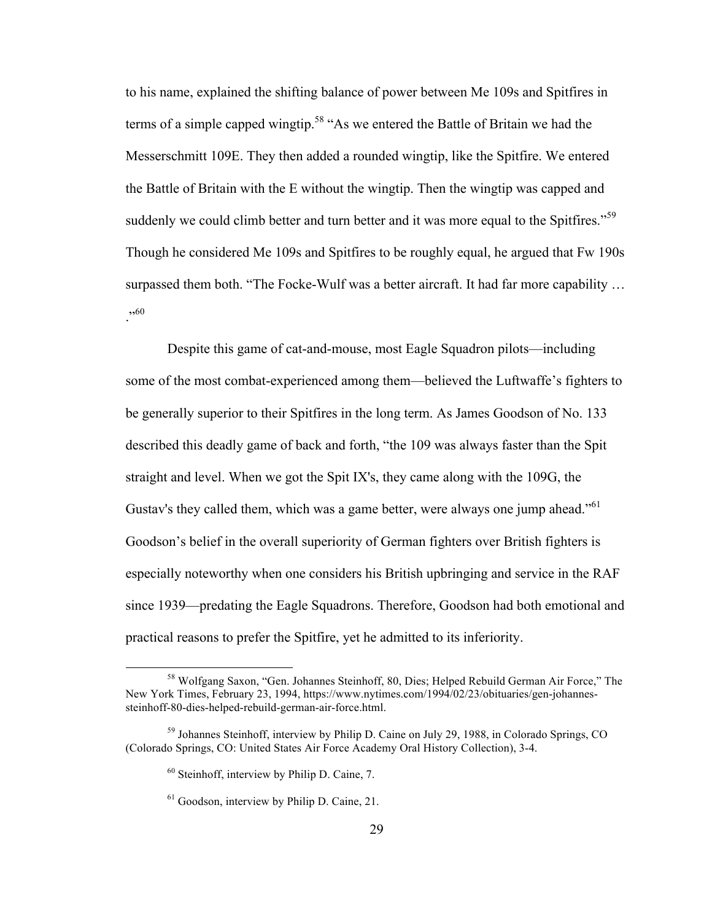to his name, explained the shifting balance of power between Me 109s and Spitfires in terms of a simple capped wingtip.<sup>58</sup> "As we entered the Battle of Britain we had the Messerschmitt 109E. They then added a rounded wingtip, like the Spitfire. We entered the Battle of Britain with the E without the wingtip. Then the wingtip was capped and suddenly we could climb better and turn better and it was more equal to the Spitfires."<sup>59</sup> Though he considered Me 109s and Spitfires to be roughly equal, he argued that Fw 190s surpassed them both. "The Focke-Wulf was a better aircraft. It had far more capability …  $, 60$ 

Despite this game of cat-and-mouse, most Eagle Squadron pilots—including some of the most combat-experienced among them—believed the Luftwaffe's fighters to be generally superior to their Spitfires in the long term. As James Goodson of No. 133 described this deadly game of back and forth, "the 109 was always faster than the Spit straight and level. When we got the Spit IX's, they came along with the 109G, the Gustav's they called them, which was a game better, were always one jump ahead."<sup>61</sup> Goodson's belief in the overall superiority of German fighters over British fighters is especially noteworthy when one considers his British upbringing and service in the RAF since 1939—predating the Eagle Squadrons. Therefore, Goodson had both emotional and practical reasons to prefer the Spitfire, yet he admitted to its inferiority.

 <sup>58</sup> Wolfgang Saxon, "Gen. Johannes Steinhoff, 80, Dies; Helped Rebuild German Air Force," The New York Times, February 23, 1994, https://www.nytimes.com/1994/02/23/obituaries/gen-johannessteinhoff-80-dies-helped-rebuild-german-air-force.html.

<sup>59</sup> Johannes Steinhoff, interview by Philip D. Caine on July 29, 1988, in Colorado Springs, CO (Colorado Springs, CO: United States Air Force Academy Oral History Collection), 3-4.

 $60$  Steinhoff, interview by Philip D. Caine, 7.

<sup>&</sup>lt;sup>61</sup> Goodson, interview by Philip D. Caine, 21.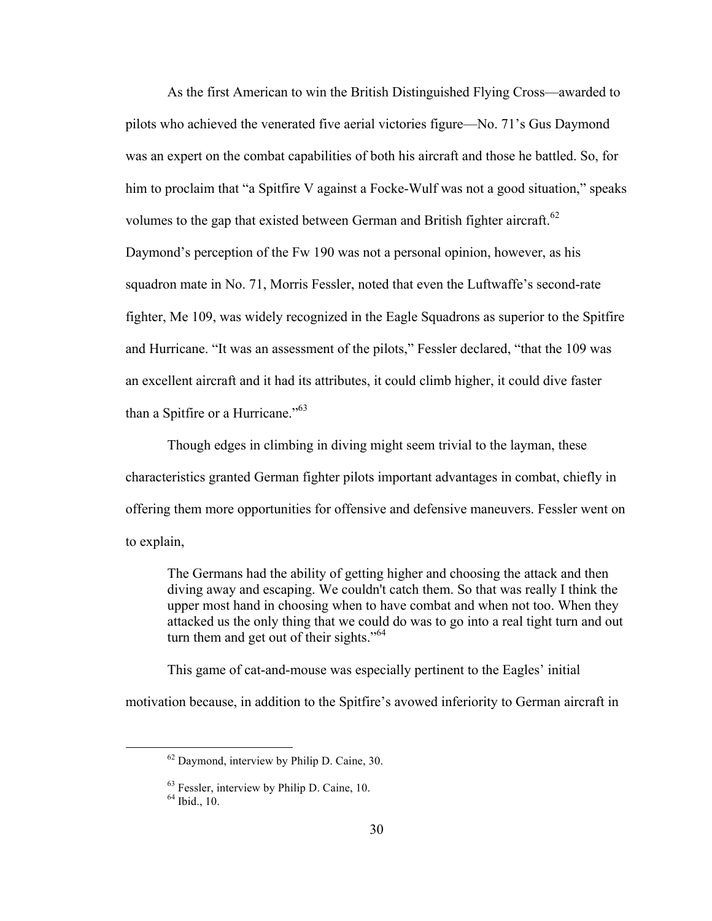As the first American to win the British Distinguished Flying Cross—awarded to pilots who achieved the venerated five aerial victories figure—No. 71's Gus Daymond was an expert on the combat capabilities of both his aircraft and those he battled. So, for him to proclaim that "a Spitfire V against a Focke-Wulf was not a good situation," speaks volumes to the gap that existed between German and British fighter aircraft.<sup>62</sup> Daymond's perception of the Fw 190 was not a personal opinion, however, as his squadron mate in No. 71, Morris Fessler, noted that even the Luftwaffe's second-rate fighter, Me 109, was widely recognized in the Eagle Squadrons as superior to the Spitfire and Hurricane. "It was an assessment of the pilots," Fessler declared, "that the 109 was an excellent aircraft and it had its attributes, it could climb higher, it could dive faster than a Spitfire or a Hurricane."63

Though edges in climbing in diving might seem trivial to the layman, these characteristics granted German fighter pilots important advantages in combat, chiefly in offering them more opportunities for offensive and defensive maneuvers. Fessler went on to explain,

The Germans had the ability of getting higher and choosing the attack and then diving away and escaping. We couldn't catch them. So that was really I think the upper most hand in choosing when to have combat and when not too. When they attacked us the only thing that we could do was to go into a real tight turn and out turn them and get out of their sights."<sup>64</sup>

This game of cat-and-mouse was especially pertinent to the Eagles' initial motivation because, in addition to the Spitfire's avowed inferiority to German aircraft in

 <sup>62</sup> Daymond, interview by Philip D. Caine, 30.

 $^{63}$  Fessler, interview by Philip D. Caine, 10.  $^{64}$  Ibid., 10.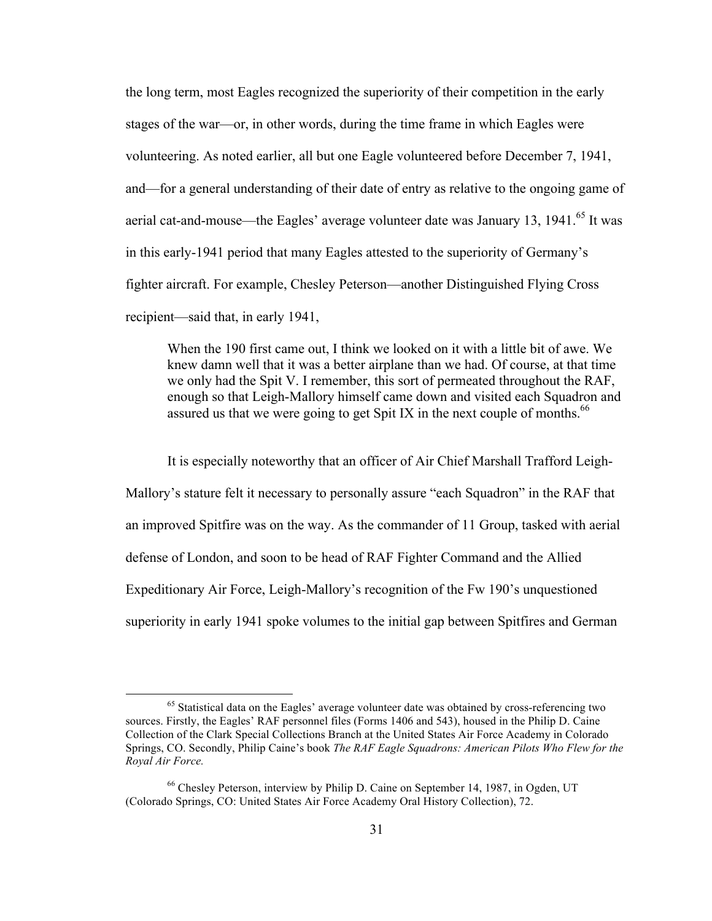the long term, most Eagles recognized the superiority of their competition in the early stages of the war—or, in other words, during the time frame in which Eagles were volunteering. As noted earlier, all but one Eagle volunteered before December 7, 1941, and—for a general understanding of their date of entry as relative to the ongoing game of aerial cat-and-mouse—the Eagles' average volunteer date was January 13, 1941.<sup>65</sup> It was in this early-1941 period that many Eagles attested to the superiority of Germany's fighter aircraft. For example, Chesley Peterson—another Distinguished Flying Cross recipient—said that, in early 1941,

When the 190 first came out, I think we looked on it with a little bit of awe. We knew damn well that it was a better airplane than we had. Of course, at that time we only had the Spit V. I remember, this sort of permeated throughout the RAF, enough so that Leigh-Mallory himself came down and visited each Squadron and assured us that we were going to get Spit IX in the next couple of months.<sup>66</sup>

It is especially noteworthy that an officer of Air Chief Marshall Trafford Leigh-Mallory's stature felt it necessary to personally assure "each Squadron" in the RAF that an improved Spitfire was on the way. As the commander of 11 Group, tasked with aerial defense of London, and soon to be head of RAF Fighter Command and the Allied Expeditionary Air Force, Leigh-Mallory's recognition of the Fw 190's unquestioned superiority in early 1941 spoke volumes to the initial gap between Spitfires and German

<sup>&</sup>lt;sup>65</sup> Statistical data on the Eagles' average volunteer date was obtained by cross-referencing two sources. Firstly, the Eagles' RAF personnel files (Forms 1406 and 543), housed in the Philip D. Caine Collection of the Clark Special Collections Branch at the United States Air Force Academy in Colorado Springs, CO. Secondly, Philip Caine's book *The RAF Eagle Squadrons: American Pilots Who Flew for the Royal Air Force.*

<sup>66</sup> Chesley Peterson, interview by Philip D. Caine on September 14, 1987, in Ogden, UT (Colorado Springs, CO: United States Air Force Academy Oral History Collection), 72.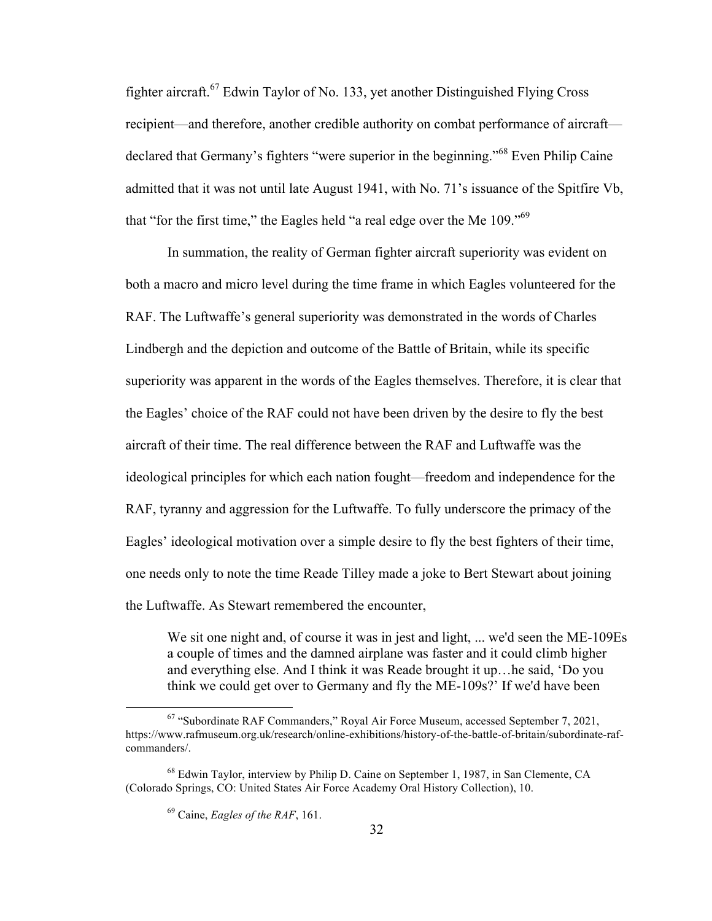fighter aircraft.<sup>67</sup> Edwin Taylor of No. 133, yet another Distinguished Flying Cross recipient—and therefore, another credible authority on combat performance of aircraft declared that Germany's fighters "were superior in the beginning."<sup>68</sup> Even Philip Caine admitted that it was not until late August 1941, with No. 71's issuance of the Spitfire Vb, that "for the first time," the Eagles held "a real edge over the Me  $109$ ."<sup>69</sup>

In summation, the reality of German fighter aircraft superiority was evident on both a macro and micro level during the time frame in which Eagles volunteered for the RAF. The Luftwaffe's general superiority was demonstrated in the words of Charles Lindbergh and the depiction and outcome of the Battle of Britain, while its specific superiority was apparent in the words of the Eagles themselves. Therefore, it is clear that the Eagles' choice of the RAF could not have been driven by the desire to fly the best aircraft of their time. The real difference between the RAF and Luftwaffe was the ideological principles for which each nation fought—freedom and independence for the RAF, tyranny and aggression for the Luftwaffe. To fully underscore the primacy of the Eagles' ideological motivation over a simple desire to fly the best fighters of their time, one needs only to note the time Reade Tilley made a joke to Bert Stewart about joining the Luftwaffe. As Stewart remembered the encounter,

We sit one night and, of course it was in jest and light, ... we'd seen the ME-109Es a couple of times and the damned airplane was faster and it could climb higher and everything else. And I think it was Reade brought it up…he said, 'Do you think we could get over to Germany and fly the ME-109s?' If we'd have been

 <sup>67</sup> "Subordinate RAF Commanders," Royal Air Force Museum, accessed September 7, 2021, https://www.rafmuseum.org.uk/research/online-exhibitions/history-of-the-battle-of-britain/subordinate-rafcommanders/.

<sup>68</sup> Edwin Taylor, interview by Philip D. Caine on September 1, 1987, in San Clemente, CA (Colorado Springs, CO: United States Air Force Academy Oral History Collection), 10.

<sup>69</sup> Caine, *Eagles of the RAF*, 161.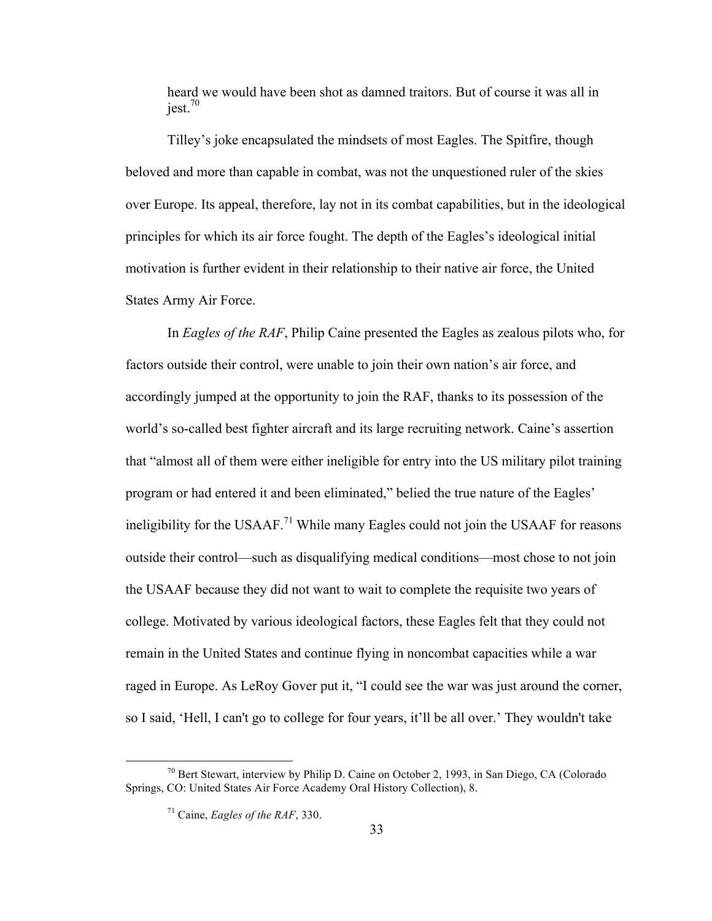heard we would have been shot as damned traitors. But of course it was all in  $iest.<sup>70</sup>$ 

Tilley's joke encapsulated the mindsets of most Eagles. The Spitfire, though beloved and more than capable in combat, was not the unquestioned ruler of the skies over Europe. Its appeal, therefore, lay not in its combat capabilities, but in the ideological principles for which its air force fought. The depth of the Eagles's ideological initial motivation is further evident in their relationship to their native air force, the United States Army Air Force.

In *Eagles of the RAF*, Philip Caine presented the Eagles as zealous pilots who, for factors outside their control, were unable to join their own nation's air force, and accordingly jumped at the opportunity to join the RAF, thanks to its possession of the world's so-called best fighter aircraft and its large recruiting network. Caine's assertion that "almost all of them were either ineligible for entry into the US military pilot training program or had entered it and been eliminated," belied the true nature of the Eagles' ineligibility for the USAAF.<sup>71</sup> While many Eagles could not join the USAAF for reasons outside their control—such as disqualifying medical conditions—most chose to not join the USAAF because they did not want to wait to complete the requisite two years of college. Motivated by various ideological factors, these Eagles felt that they could not remain in the United States and continue flying in noncombat capacities while a war raged in Europe. As LeRoy Gover put it, "I could see the war was just around the corner, so I said, 'Hell, I can't go to college for four years, it'll be all over.' They wouldn't take

 $^{70}$  Bert Stewart, interview by Philip D. Caine on October 2, 1993, in San Diego, CA (Colorado) Springs, CO: United States Air Force Academy Oral History Collection), 8.

<sup>71</sup> Caine, *Eagles of the RAF*, 330.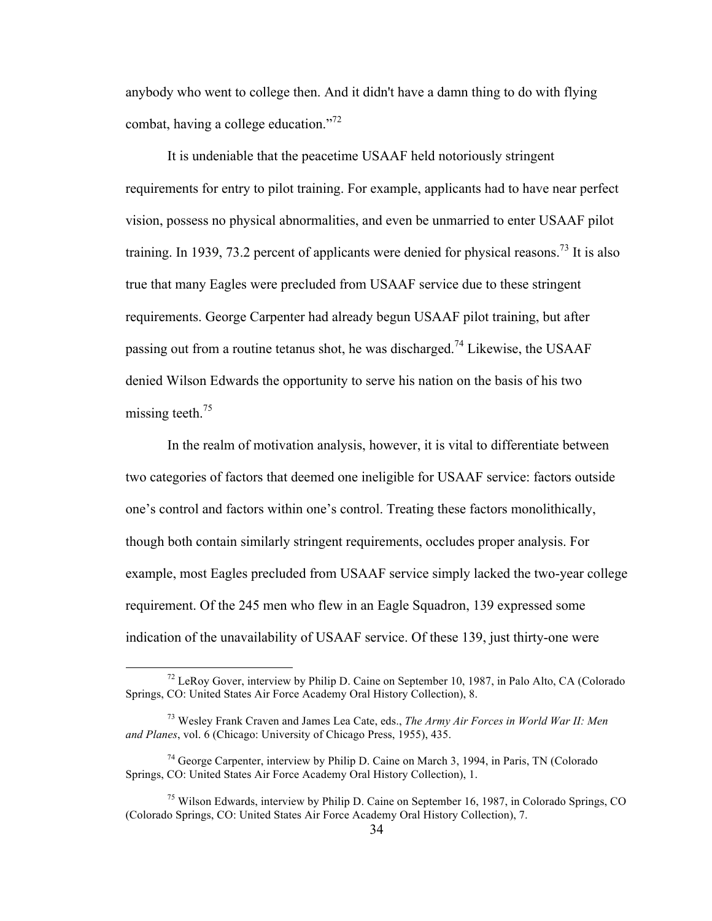anybody who went to college then. And it didn't have a damn thing to do with flying combat, having a college education."<sup>72</sup>

It is undeniable that the peacetime USAAF held notoriously stringent requirements for entry to pilot training. For example, applicants had to have near perfect vision, possess no physical abnormalities, and even be unmarried to enter USAAF pilot training. In 1939, 73.2 percent of applicants were denied for physical reasons.<sup>73</sup> It is also true that many Eagles were precluded from USAAF service due to these stringent requirements. George Carpenter had already begun USAAF pilot training, but after passing out from a routine tetanus shot, he was discharged.<sup>74</sup> Likewise, the USAAF denied Wilson Edwards the opportunity to serve his nation on the basis of his two missing teeth.<sup>75</sup>

In the realm of motivation analysis, however, it is vital to differentiate between two categories of factors that deemed one ineligible for USAAF service: factors outside one's control and factors within one's control. Treating these factors monolithically, though both contain similarly stringent requirements, occludes proper analysis. For example, most Eagles precluded from USAAF service simply lacked the two-year college requirement. Of the 245 men who flew in an Eagle Squadron, 139 expressed some indication of the unavailability of USAAF service. Of these 139, just thirty-one were

 $<sup>72</sup>$  LeRoy Gover, interview by Philip D. Caine on September 10, 1987, in Palo Alto, CA (Colorado</sup> Springs, CO: United States Air Force Academy Oral History Collection), 8.

<sup>73</sup> Wesley Frank Craven and James Lea Cate, eds., *The Army Air Forces in World War II: Men and Planes*, vol. 6 (Chicago: University of Chicago Press, 1955), 435.

<sup>&</sup>lt;sup>74</sup> George Carpenter, interview by Philip D. Caine on March 3, 1994, in Paris, TN (Colorado Springs, CO: United States Air Force Academy Oral History Collection), 1.

<sup>75</sup> Wilson Edwards, interview by Philip D. Caine on September 16, 1987, in Colorado Springs, CO (Colorado Springs, CO: United States Air Force Academy Oral History Collection), 7.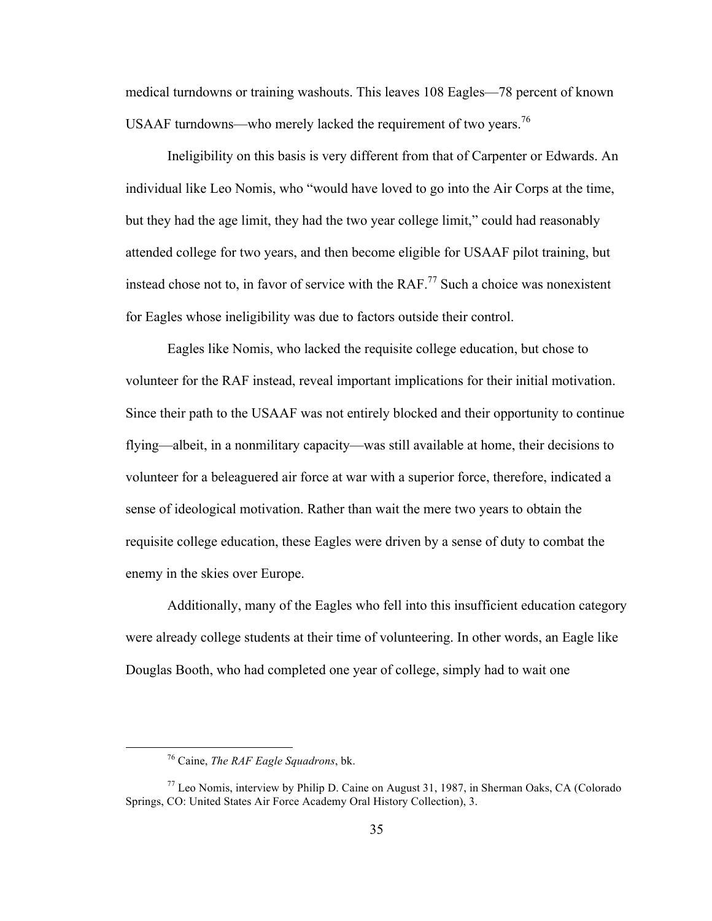medical turndowns or training washouts. This leaves 108 Eagles—78 percent of known USAAF turndowns—who merely lacked the requirement of two years.<sup>76</sup>

Ineligibility on this basis is very different from that of Carpenter or Edwards. An individual like Leo Nomis, who "would have loved to go into the Air Corps at the time, but they had the age limit, they had the two year college limit," could had reasonably attended college for two years, and then become eligible for USAAF pilot training, but instead chose not to, in favor of service with the  $RAF<sup>77</sup>$  Such a choice was nonexistent for Eagles whose ineligibility was due to factors outside their control.

Eagles like Nomis, who lacked the requisite college education, but chose to volunteer for the RAF instead, reveal important implications for their initial motivation. Since their path to the USAAF was not entirely blocked and their opportunity to continue flying—albeit, in a nonmilitary capacity—was still available at home, their decisions to volunteer for a beleaguered air force at war with a superior force, therefore, indicated a sense of ideological motivation. Rather than wait the mere two years to obtain the requisite college education, these Eagles were driven by a sense of duty to combat the enemy in the skies over Europe.

Additionally, many of the Eagles who fell into this insufficient education category were already college students at their time of volunteering. In other words, an Eagle like Douglas Booth, who had completed one year of college, simply had to wait one

 <sup>76</sup> Caine, *The RAF Eagle Squadrons*, bk.

 $77$  Leo Nomis, interview by Philip D. Caine on August 31, 1987, in Sherman Oaks, CA (Colorado Springs, CO: United States Air Force Academy Oral History Collection), 3.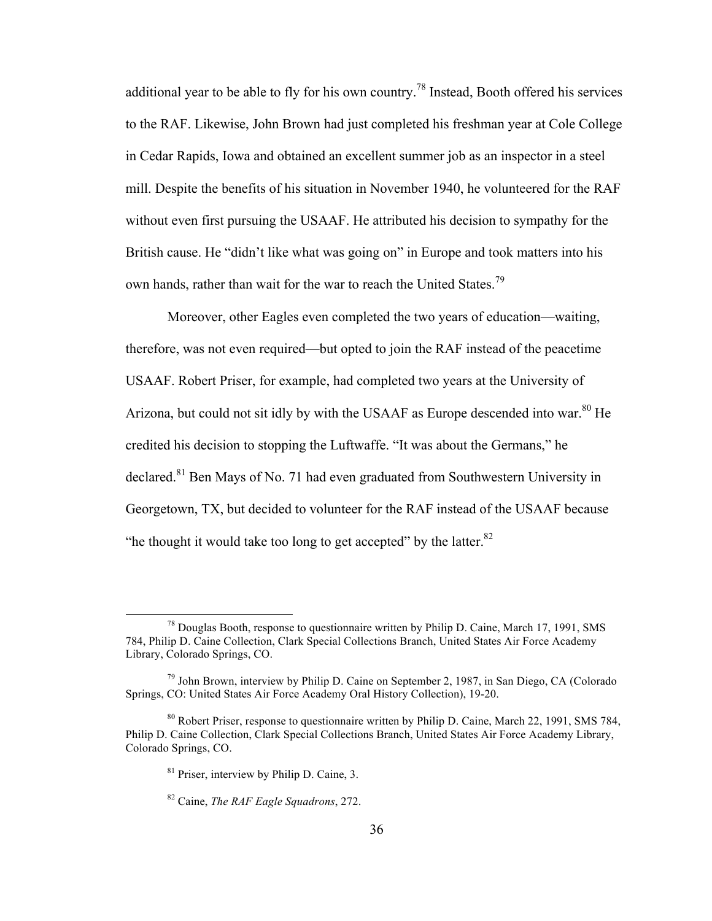additional year to be able to fly for his own country.<sup>78</sup> Instead, Booth offered his services to the RAF. Likewise, John Brown had just completed his freshman year at Cole College in Cedar Rapids, Iowa and obtained an excellent summer job as an inspector in a steel mill. Despite the benefits of his situation in November 1940, he volunteered for the RAF without even first pursuing the USAAF. He attributed his decision to sympathy for the British cause. He "didn't like what was going on" in Europe and took matters into his own hands, rather than wait for the war to reach the United States.<sup>79</sup>

Moreover, other Eagles even completed the two years of education—waiting, therefore, was not even required—but opted to join the RAF instead of the peacetime USAAF. Robert Priser, for example, had completed two years at the University of Arizona, but could not sit idly by with the USAAF as Europe descended into war.<sup>80</sup> He credited his decision to stopping the Luftwaffe. "It was about the Germans," he declared.<sup>81</sup> Ben Mays of No. 71 had even graduated from Southwestern University in Georgetown, TX, but decided to volunteer for the RAF instead of the USAAF because "he thought it would take too long to get accepted" by the latter. $82$ 

 <sup>78</sup> Douglas Booth, response to questionnaire written by Philip D. Caine, March 17, 1991, SMS 784, Philip D. Caine Collection, Clark Special Collections Branch, United States Air Force Academy Library, Colorado Springs, CO.

 $79$  John Brown, interview by Philip D. Caine on September 2, 1987, in San Diego, CA (Colorado Springs, CO: United States Air Force Academy Oral History Collection), 19-20.

<sup>80</sup> Robert Priser, response to questionnaire written by Philip D. Caine, March 22, 1991, SMS 784, Philip D. Caine Collection, Clark Special Collections Branch, United States Air Force Academy Library, Colorado Springs, CO.

<sup>81</sup> Priser, interview by Philip D. Caine, 3.

<sup>82</sup> Caine, *The RAF Eagle Squadrons*, 272.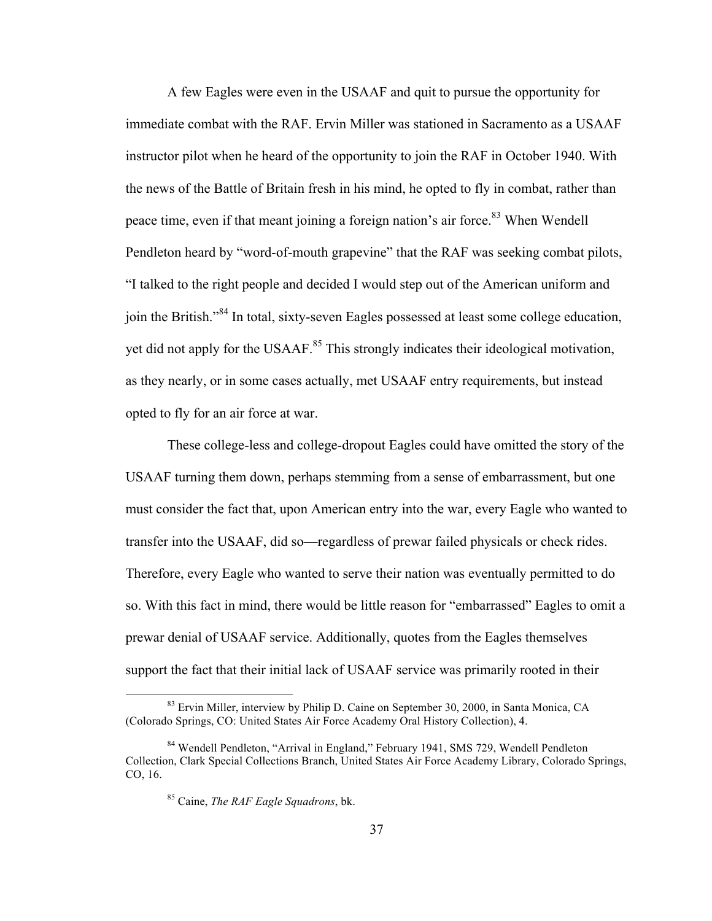A few Eagles were even in the USAAF and quit to pursue the opportunity for immediate combat with the RAF. Ervin Miller was stationed in Sacramento as a USAAF instructor pilot when he heard of the opportunity to join the RAF in October 1940. With the news of the Battle of Britain fresh in his mind, he opted to fly in combat, rather than peace time, even if that meant joining a foreign nation's air force.<sup>83</sup> When Wendell Pendleton heard by "word-of-mouth grapevine" that the RAF was seeking combat pilots, "I talked to the right people and decided I would step out of the American uniform and join the British."<sup>84</sup> In total, sixty-seven Eagles possessed at least some college education, yet did not apply for the USAAF.<sup>85</sup> This strongly indicates their ideological motivation, as they nearly, or in some cases actually, met USAAF entry requirements, but instead opted to fly for an air force at war.

These college-less and college-dropout Eagles could have omitted the story of the USAAF turning them down, perhaps stemming from a sense of embarrassment, but one must consider the fact that, upon American entry into the war, every Eagle who wanted to transfer into the USAAF, did so—regardless of prewar failed physicals or check rides. Therefore, every Eagle who wanted to serve their nation was eventually permitted to do so. With this fact in mind, there would be little reason for "embarrassed" Eagles to omit a prewar denial of USAAF service. Additionally, quotes from the Eagles themselves support the fact that their initial lack of USAAF service was primarily rooted in their

<sup>&</sup>lt;sup>83</sup> Ervin Miller, interview by Philip D. Caine on September 30, 2000, in Santa Monica, CA (Colorado Springs, CO: United States Air Force Academy Oral History Collection), 4.

<sup>&</sup>lt;sup>84</sup> Wendell Pendleton, "Arrival in England," February 1941, SMS 729, Wendell Pendleton Collection, Clark Special Collections Branch, United States Air Force Academy Library, Colorado Springs, CO, 16.

<sup>85</sup> Caine, *The RAF Eagle Squadrons*, bk.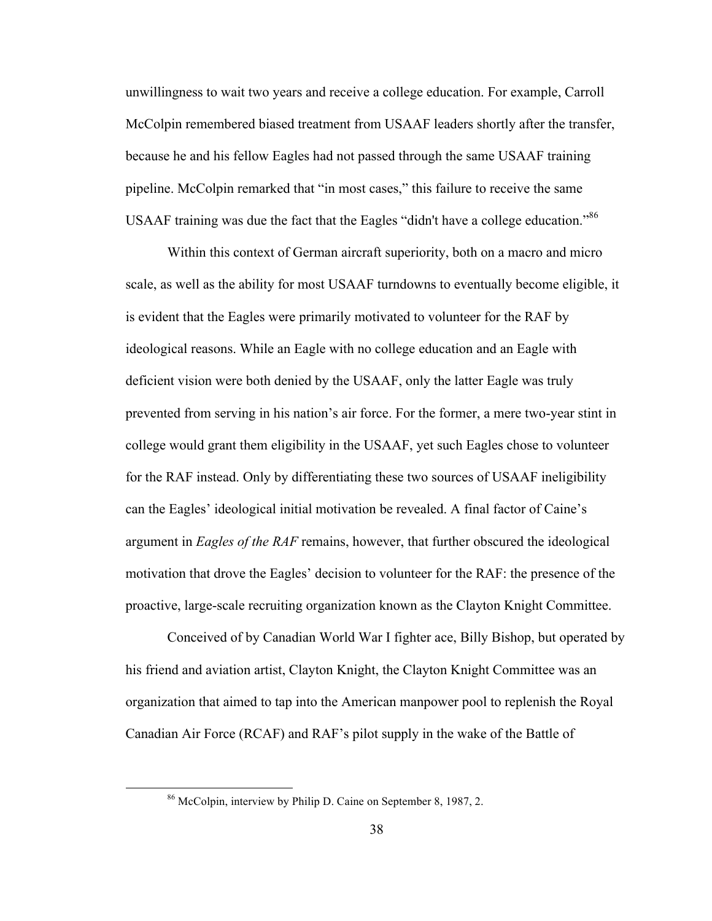unwillingness to wait two years and receive a college education. For example, Carroll McColpin remembered biased treatment from USAAF leaders shortly after the transfer, because he and his fellow Eagles had not passed through the same USAAF training pipeline. McColpin remarked that "in most cases," this failure to receive the same USAAF training was due the fact that the Eagles "didn't have a college education."<sup>86</sup>

Within this context of German aircraft superiority, both on a macro and micro scale, as well as the ability for most USAAF turndowns to eventually become eligible, it is evident that the Eagles were primarily motivated to volunteer for the RAF by ideological reasons. While an Eagle with no college education and an Eagle with deficient vision were both denied by the USAAF, only the latter Eagle was truly prevented from serving in his nation's air force. For the former, a mere two-year stint in college would grant them eligibility in the USAAF, yet such Eagles chose to volunteer for the RAF instead. Only by differentiating these two sources of USAAF ineligibility can the Eagles' ideological initial motivation be revealed. A final factor of Caine's argument in *Eagles of the RAF* remains, however, that further obscured the ideological motivation that drove the Eagles' decision to volunteer for the RAF: the presence of the proactive, large-scale recruiting organization known as the Clayton Knight Committee.

Conceived of by Canadian World War I fighter ace, Billy Bishop, but operated by his friend and aviation artist, Clayton Knight, the Clayton Knight Committee was an organization that aimed to tap into the American manpower pool to replenish the Royal Canadian Air Force (RCAF) and RAF's pilot supply in the wake of the Battle of

 <sup>86</sup> McColpin, interview by Philip D. Caine on September 8, 1987, 2.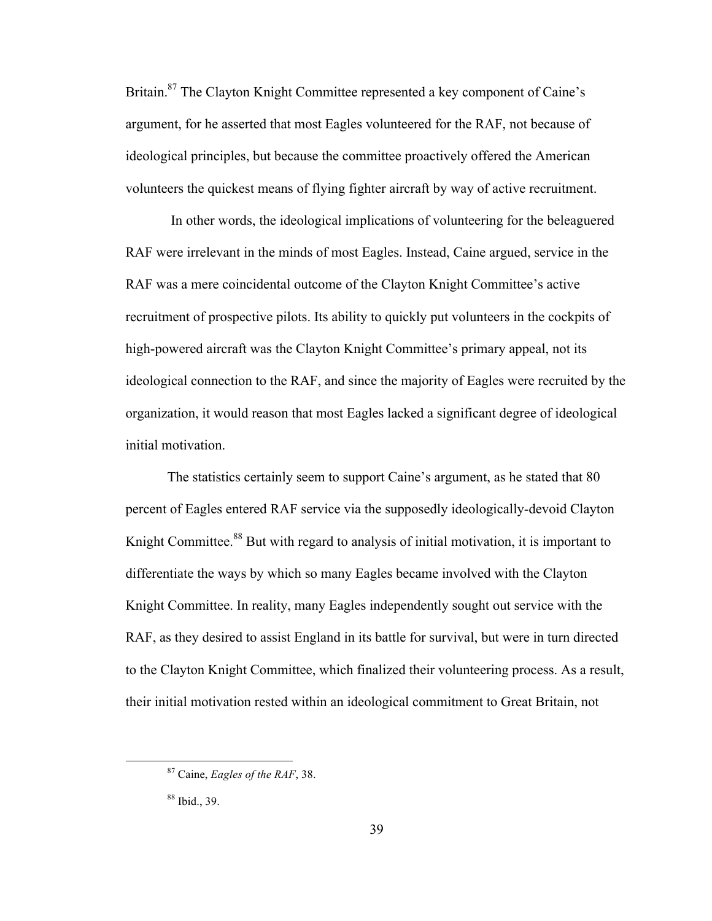Britain.<sup>87</sup> The Clayton Knight Committee represented a key component of Caine's argument, for he asserted that most Eagles volunteered for the RAF, not because of ideological principles, but because the committee proactively offered the American volunteers the quickest means of flying fighter aircraft by way of active recruitment.

In other words, the ideological implications of volunteering for the beleaguered RAF were irrelevant in the minds of most Eagles. Instead, Caine argued, service in the RAF was a mere coincidental outcome of the Clayton Knight Committee's active recruitment of prospective pilots. Its ability to quickly put volunteers in the cockpits of high-powered aircraft was the Clayton Knight Committee's primary appeal, not its ideological connection to the RAF, and since the majority of Eagles were recruited by the organization, it would reason that most Eagles lacked a significant degree of ideological initial motivation.

The statistics certainly seem to support Caine's argument, as he stated that 80 percent of Eagles entered RAF service via the supposedly ideologically-devoid Clayton Knight Committee.<sup>88</sup> But with regard to analysis of initial motivation, it is important to differentiate the ways by which so many Eagles became involved with the Clayton Knight Committee. In reality, many Eagles independently sought out service with the RAF, as they desired to assist England in its battle for survival, but were in turn directed to the Clayton Knight Committee, which finalized their volunteering process. As a result, their initial motivation rested within an ideological commitment to Great Britain, not

 <sup>87</sup> Caine, *Eagles of the RAF*, 38.

<sup>88</sup> Ibid., 39.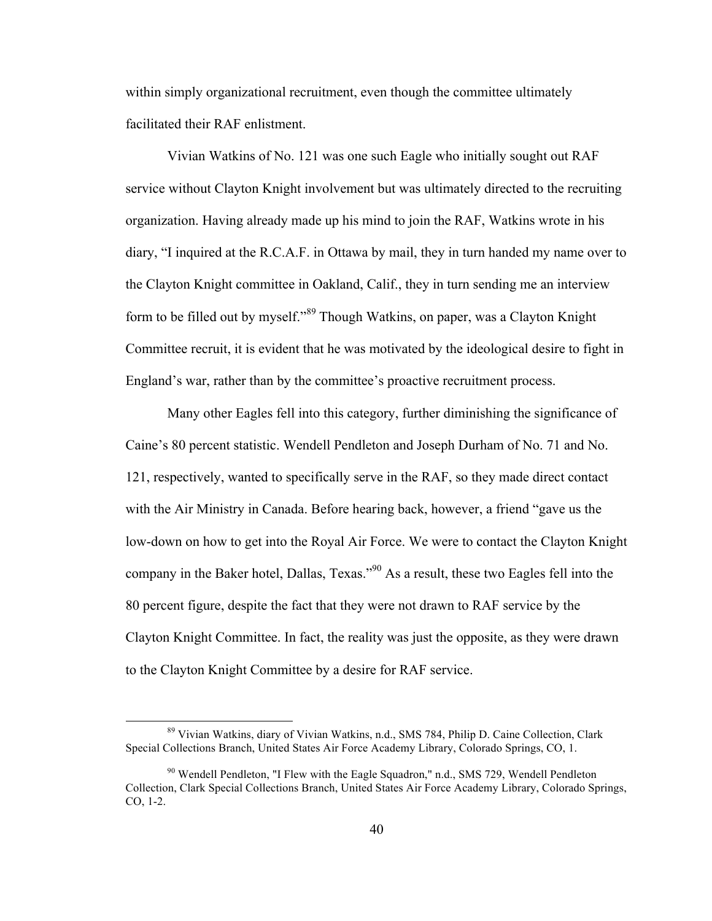within simply organizational recruitment, even though the committee ultimately facilitated their RAF enlistment.

Vivian Watkins of No. 121 was one such Eagle who initially sought out RAF service without Clayton Knight involvement but was ultimately directed to the recruiting organization. Having already made up his mind to join the RAF, Watkins wrote in his diary, "I inquired at the R.C.A.F. in Ottawa by mail, they in turn handed my name over to the Clayton Knight committee in Oakland, Calif., they in turn sending me an interview form to be filled out by myself."<sup>89</sup> Though Watkins, on paper, was a Clayton Knight Committee recruit, it is evident that he was motivated by the ideological desire to fight in England's war, rather than by the committee's proactive recruitment process.

Many other Eagles fell into this category, further diminishing the significance of Caine's 80 percent statistic. Wendell Pendleton and Joseph Durham of No. 71 and No. 121, respectively, wanted to specifically serve in the RAF, so they made direct contact with the Air Ministry in Canada. Before hearing back, however, a friend "gave us the low-down on how to get into the Royal Air Force. We were to contact the Clayton Knight company in the Baker hotel, Dallas, Texas."<sup>90</sup> As a result, these two Eagles fell into the 80 percent figure, despite the fact that they were not drawn to RAF service by the Clayton Knight Committee. In fact, the reality was just the opposite, as they were drawn to the Clayton Knight Committee by a desire for RAF service.

 <sup>89</sup> Vivian Watkins, diary of Vivian Watkins, n.d., SMS 784, Philip D. Caine Collection, Clark Special Collections Branch, United States Air Force Academy Library, Colorado Springs, CO, 1.

<sup>&</sup>lt;sup>90</sup> Wendell Pendleton, "I Flew with the Eagle Squadron," n.d., SMS 729, Wendell Pendleton Collection, Clark Special Collections Branch, United States Air Force Academy Library, Colorado Springs, CO, 1-2.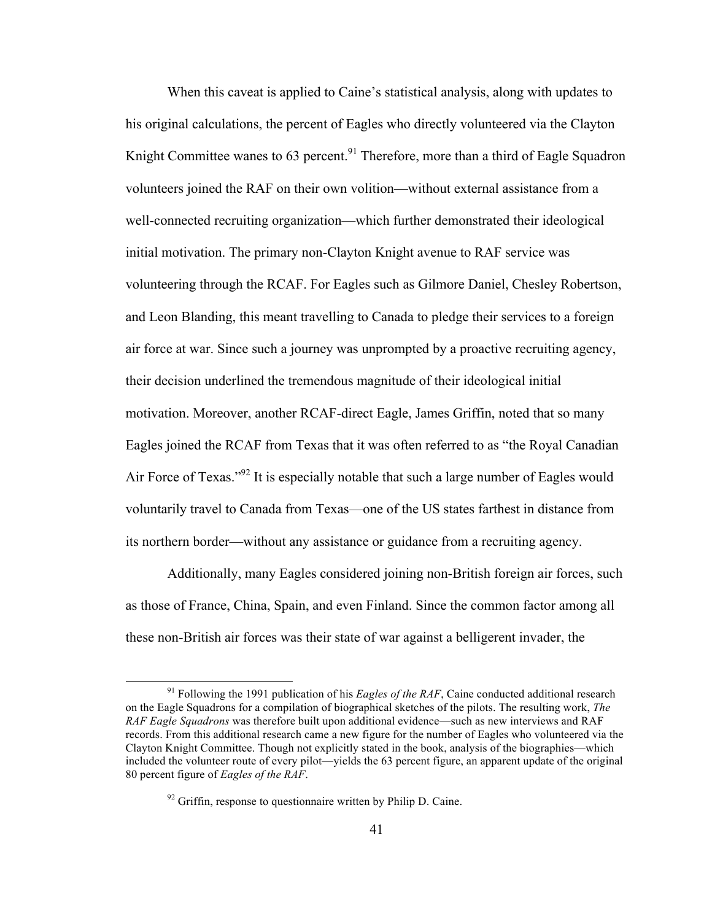When this caveat is applied to Caine's statistical analysis, along with updates to his original calculations, the percent of Eagles who directly volunteered via the Clayton Knight Committee wanes to 63 percent.<sup>91</sup> Therefore, more than a third of Eagle Squadron volunteers joined the RAF on their own volition—without external assistance from a well-connected recruiting organization—which further demonstrated their ideological initial motivation. The primary non-Clayton Knight avenue to RAF service was volunteering through the RCAF. For Eagles such as Gilmore Daniel, Chesley Robertson, and Leon Blanding, this meant travelling to Canada to pledge their services to a foreign air force at war. Since such a journey was unprompted by a proactive recruiting agency, their decision underlined the tremendous magnitude of their ideological initial motivation. Moreover, another RCAF-direct Eagle, James Griffin, noted that so many Eagles joined the RCAF from Texas that it was often referred to as "the Royal Canadian Air Force of Texas."<sup>92</sup> It is especially notable that such a large number of Eagles would voluntarily travel to Canada from Texas—one of the US states farthest in distance from its northern border—without any assistance or guidance from a recruiting agency.

Additionally, many Eagles considered joining non-British foreign air forces, such as those of France, China, Spain, and even Finland. Since the common factor among all these non-British air forces was their state of war against a belligerent invader, the

<sup>&</sup>lt;sup>91</sup> Following the 1991 publication of his *Eagles of the RAF*, Caine conducted additional research on the Eagle Squadrons for a compilation of biographical sketches of the pilots. The resulting work, *The RAF Eagle Squadrons* was therefore built upon additional evidence—such as new interviews and RAF records. From this additional research came a new figure for the number of Eagles who volunteered via the Clayton Knight Committee. Though not explicitly stated in the book, analysis of the biographies—which included the volunteer route of every pilot—yields the 63 percent figure, an apparent update of the original 80 percent figure of *Eagles of the RAF*.

 $92$  Griffin, response to questionnaire written by Philip D. Caine.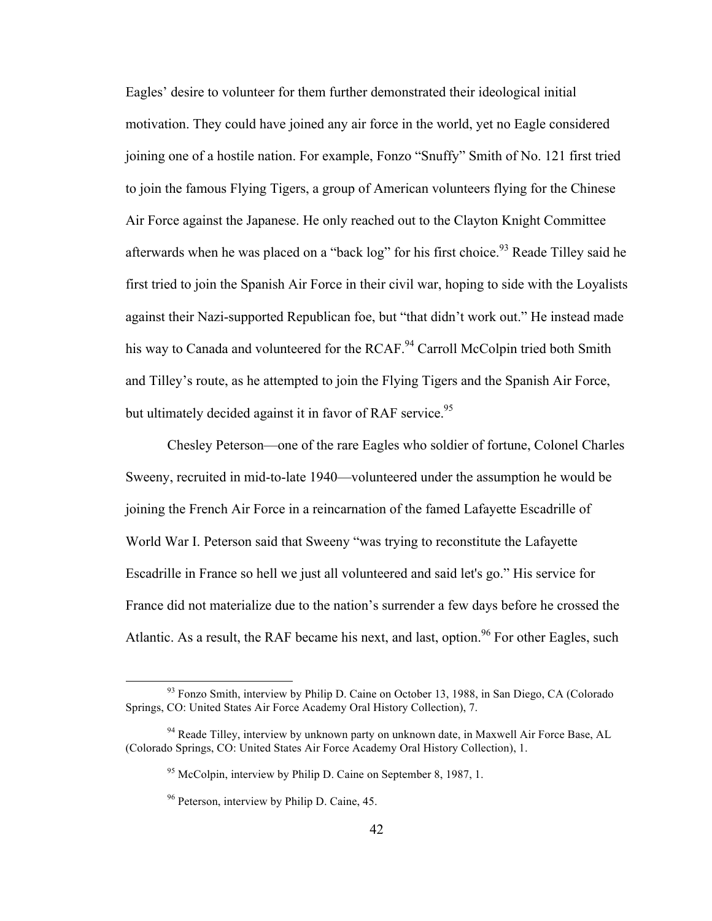Eagles' desire to volunteer for them further demonstrated their ideological initial motivation. They could have joined any air force in the world, yet no Eagle considered joining one of a hostile nation. For example, Fonzo "Snuffy" Smith of No. 121 first tried to join the famous Flying Tigers, a group of American volunteers flying for the Chinese Air Force against the Japanese. He only reached out to the Clayton Knight Committee afterwards when he was placed on a "back  $log$ " for his first choice.<sup>93</sup> Reade Tilley said he first tried to join the Spanish Air Force in their civil war, hoping to side with the Loyalists against their Nazi-supported Republican foe, but "that didn't work out." He instead made his way to Canada and volunteered for the RCAF.<sup>94</sup> Carroll McColpin tried both Smith and Tilley's route, as he attempted to join the Flying Tigers and the Spanish Air Force, but ultimately decided against it in favor of RAF service.<sup>95</sup>

Chesley Peterson—one of the rare Eagles who soldier of fortune, Colonel Charles Sweeny, recruited in mid-to-late 1940—volunteered under the assumption he would be joining the French Air Force in a reincarnation of the famed Lafayette Escadrille of World War I. Peterson said that Sweeny "was trying to reconstitute the Lafayette Escadrille in France so hell we just all volunteered and said let's go." His service for France did not materialize due to the nation's surrender a few days before he crossed the Atlantic. As a result, the RAF became his next, and last, option.<sup>96</sup> For other Eagles, such

<sup>&</sup>lt;sup>93</sup> Fonzo Smith, interview by Philip D. Caine on October 13, 1988, in San Diego, CA (Colorado Springs, CO: United States Air Force Academy Oral History Collection), 7.

<sup>&</sup>lt;sup>94</sup> Reade Tilley, interview by unknown party on unknown date, in Maxwell Air Force Base, AL (Colorado Springs, CO: United States Air Force Academy Oral History Collection), 1.

<sup>&</sup>lt;sup>95</sup> McColpin, interview by Philip D. Caine on September 8, 1987, 1.

<sup>96</sup> Peterson, interview by Philip D. Caine, 45.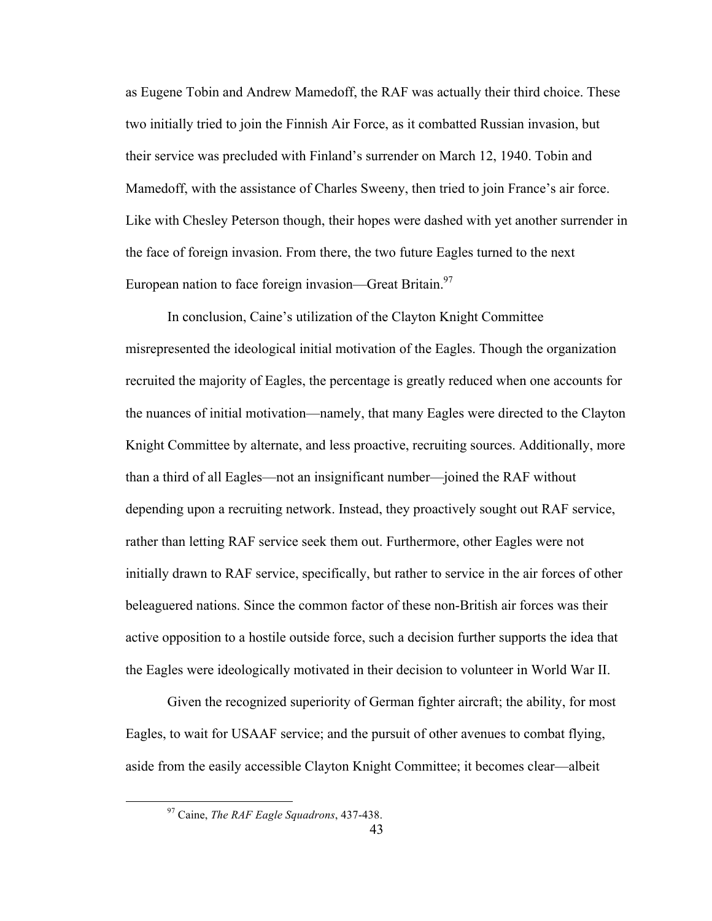as Eugene Tobin and Andrew Mamedoff, the RAF was actually their third choice. These two initially tried to join the Finnish Air Force, as it combatted Russian invasion, but their service was precluded with Finland's surrender on March 12, 1940. Tobin and Mamedoff, with the assistance of Charles Sweeny, then tried to join France's air force. Like with Chesley Peterson though, their hopes were dashed with yet another surrender in the face of foreign invasion. From there, the two future Eagles turned to the next European nation to face foreign invasion—Great Britain. $97$ 

In conclusion, Caine's utilization of the Clayton Knight Committee misrepresented the ideological initial motivation of the Eagles. Though the organization recruited the majority of Eagles, the percentage is greatly reduced when one accounts for the nuances of initial motivation—namely, that many Eagles were directed to the Clayton Knight Committee by alternate, and less proactive, recruiting sources. Additionally, more than a third of all Eagles—not an insignificant number—joined the RAF without depending upon a recruiting network. Instead, they proactively sought out RAF service, rather than letting RAF service seek them out. Furthermore, other Eagles were not initially drawn to RAF service, specifically, but rather to service in the air forces of other beleaguered nations. Since the common factor of these non-British air forces was their active opposition to a hostile outside force, such a decision further supports the idea that the Eagles were ideologically motivated in their decision to volunteer in World War II.

Given the recognized superiority of German fighter aircraft; the ability, for most Eagles, to wait for USAAF service; and the pursuit of other avenues to combat flying, aside from the easily accessible Clayton Knight Committee; it becomes clear—albeit

 <sup>97</sup> Caine, *The RAF Eagle Squadrons*, 437-438.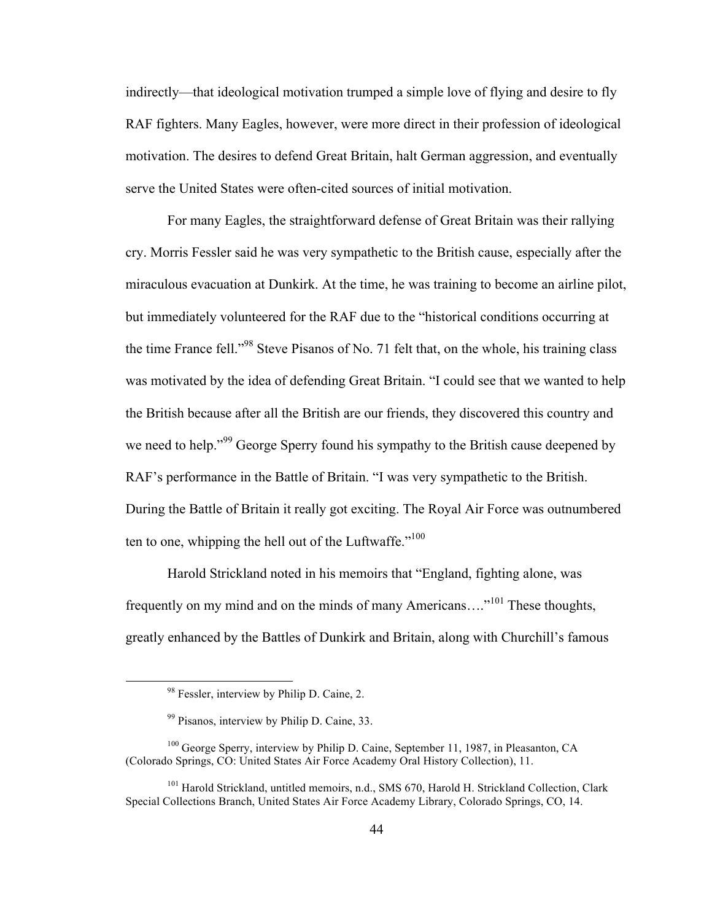indirectly—that ideological motivation trumped a simple love of flying and desire to fly RAF fighters. Many Eagles, however, were more direct in their profession of ideological motivation. The desires to defend Great Britain, halt German aggression, and eventually serve the United States were often-cited sources of initial motivation.

For many Eagles, the straightforward defense of Great Britain was their rallying cry. Morris Fessler said he was very sympathetic to the British cause, especially after the miraculous evacuation at Dunkirk. At the time, he was training to become an airline pilot, but immediately volunteered for the RAF due to the "historical conditions occurring at the time France fell."<sup>98</sup> Steve Pisanos of No. 71 felt that, on the whole, his training class was motivated by the idea of defending Great Britain. "I could see that we wanted to help the British because after all the British are our friends, they discovered this country and we need to help."<sup>99</sup> George Sperry found his sympathy to the British cause deepened by RAF's performance in the Battle of Britain. "I was very sympathetic to the British. During the Battle of Britain it really got exciting. The Royal Air Force was outnumbered ten to one, whipping the hell out of the Luftwaffe."<sup>100</sup>

Harold Strickland noted in his memoirs that "England, fighting alone, was frequently on my mind and on the minds of many Americans…."<sup>101</sup> These thoughts, greatly enhanced by the Battles of Dunkirk and Britain, along with Churchill's famous

<sup>&</sup>lt;sup>98</sup> Fessler, interview by Philip D. Caine, 2.

<sup>99</sup> Pisanos, interview by Philip D. Caine, 33.

<sup>&</sup>lt;sup>100</sup> George Sperry, interview by Philip D. Caine, September 11, 1987, in Pleasanton, CA (Colorado Springs, CO: United States Air Force Academy Oral History Collection), 11.

<sup>&</sup>lt;sup>101</sup> Harold Strickland, untitled memoirs, n.d., SMS 670, Harold H. Strickland Collection, Clark Special Collections Branch, United States Air Force Academy Library, Colorado Springs, CO, 14.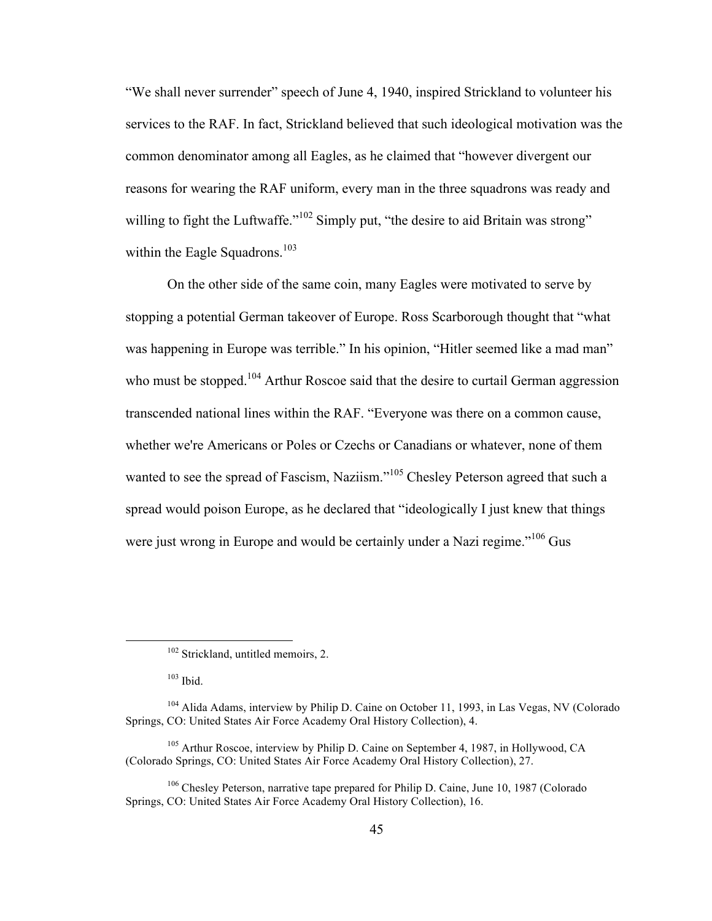"We shall never surrender" speech of June 4, 1940, inspired Strickland to volunteer his services to the RAF. In fact, Strickland believed that such ideological motivation was the common denominator among all Eagles, as he claimed that "however divergent our reasons for wearing the RAF uniform, every man in the three squadrons was ready and willing to fight the Luftwaffe."<sup>102</sup> Simply put, "the desire to aid Britain was strong" within the Eagle Squadrons.<sup>103</sup>

On the other side of the same coin, many Eagles were motivated to serve by stopping a potential German takeover of Europe. Ross Scarborough thought that "what was happening in Europe was terrible." In his opinion, "Hitler seemed like a mad man" who must be stopped.<sup>104</sup> Arthur Roscoe said that the desire to curtail German aggression transcended national lines within the RAF. "Everyone was there on a common cause, whether we're Americans or Poles or Czechs or Canadians or whatever, none of them wanted to see the spread of Fascism, Naziism."<sup>105</sup> Chesley Peterson agreed that such a spread would poison Europe, as he declared that "ideologically I just knew that things were just wrong in Europe and would be certainly under a Nazi regime."<sup>106</sup> Gus

 $103$  Ibid.

<sup>&</sup>lt;sup>102</sup> Strickland, untitled memoirs, 2.

<sup>&</sup>lt;sup>104</sup> Alida Adams, interview by Philip D. Caine on October 11, 1993, in Las Vegas, NV (Colorado Springs, CO: United States Air Force Academy Oral History Collection), 4.

<sup>&</sup>lt;sup>105</sup> Arthur Roscoe, interview by Philip D. Caine on September 4, 1987, in Hollywood, CA (Colorado Springs, CO: United States Air Force Academy Oral History Collection), 27.

<sup>106</sup> Chesley Peterson, narrative tape prepared for Philip D. Caine, June 10, 1987 (Colorado Springs, CO: United States Air Force Academy Oral History Collection), 16.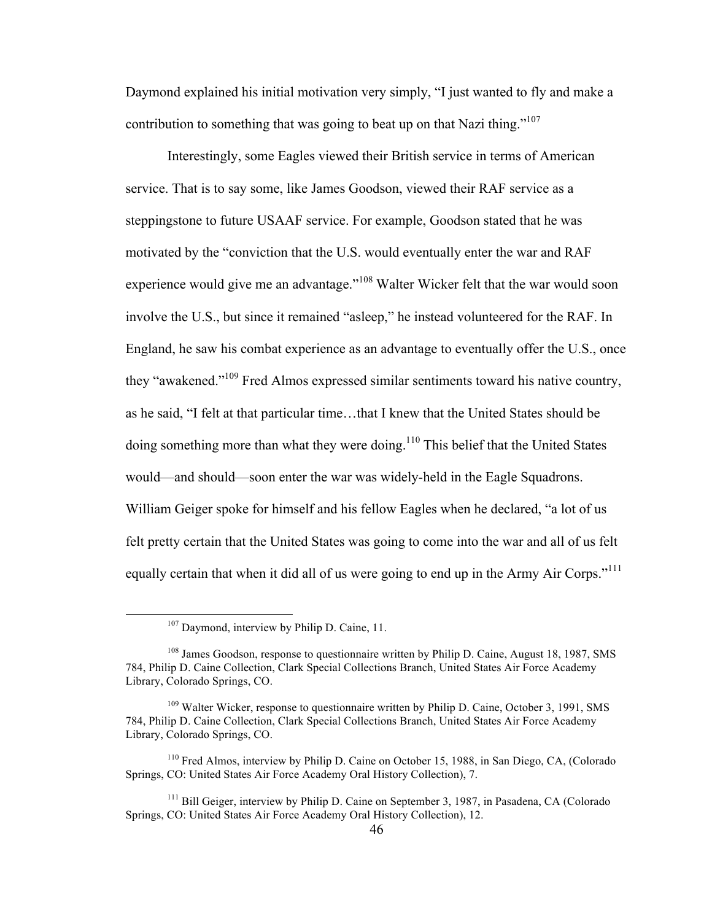Daymond explained his initial motivation very simply, "I just wanted to fly and make a contribution to something that was going to beat up on that Nazi thing."<sup>107</sup>

Interestingly, some Eagles viewed their British service in terms of American service. That is to say some, like James Goodson, viewed their RAF service as a steppingstone to future USAAF service. For example, Goodson stated that he was motivated by the "conviction that the U.S. would eventually enter the war and RAF experience would give me an advantage."<sup>108</sup> Walter Wicker felt that the war would soon involve the U.S., but since it remained "asleep," he instead volunteered for the RAF. In England, he saw his combat experience as an advantage to eventually offer the U.S., once they "awakened."109 Fred Almos expressed similar sentiments toward his native country, as he said, "I felt at that particular time…that I knew that the United States should be doing something more than what they were doing.<sup>110</sup> This belief that the United States would—and should—soon enter the war was widely-held in the Eagle Squadrons. William Geiger spoke for himself and his fellow Eagles when he declared, "a lot of us felt pretty certain that the United States was going to come into the war and all of us felt equally certain that when it did all of us were going to end up in the Army Air Corps."<sup>111</sup>

<sup>&</sup>lt;sup>107</sup> Daymond, interview by Philip D. Caine, 11.

<sup>&</sup>lt;sup>108</sup> James Goodson, response to questionnaire written by Philip D. Caine, August 18, 1987, SMS 784, Philip D. Caine Collection, Clark Special Collections Branch, United States Air Force Academy Library, Colorado Springs, CO.

<sup>&</sup>lt;sup>109</sup> Walter Wicker, response to questionnaire written by Philip D. Caine, October 3, 1991, SMS 784, Philip D. Caine Collection, Clark Special Collections Branch, United States Air Force Academy Library, Colorado Springs, CO.

<sup>110</sup> Fred Almos, interview by Philip D. Caine on October 15, 1988, in San Diego, CA, (Colorado Springs, CO: United States Air Force Academy Oral History Collection), 7.

<sup>&</sup>lt;sup>111</sup> Bill Geiger, interview by Philip D. Caine on September 3, 1987, in Pasadena, CA (Colorado Springs, CO: United States Air Force Academy Oral History Collection), 12.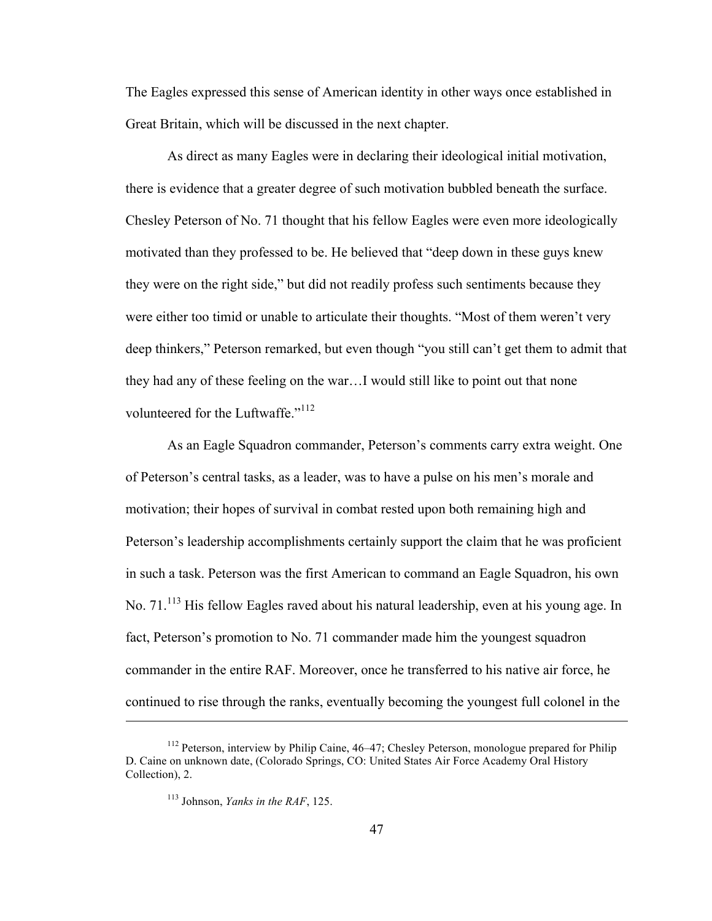The Eagles expressed this sense of American identity in other ways once established in Great Britain, which will be discussed in the next chapter.

As direct as many Eagles were in declaring their ideological initial motivation, there is evidence that a greater degree of such motivation bubbled beneath the surface. Chesley Peterson of No. 71 thought that his fellow Eagles were even more ideologically motivated than they professed to be. He believed that "deep down in these guys knew they were on the right side," but did not readily profess such sentiments because they were either too timid or unable to articulate their thoughts. "Most of them weren't very deep thinkers," Peterson remarked, but even though "you still can't get them to admit that they had any of these feeling on the war…I would still like to point out that none volunteered for the Luftwaffe."<sup>112</sup>

As an Eagle Squadron commander, Peterson's comments carry extra weight. One of Peterson's central tasks, as a leader, was to have a pulse on his men's morale and motivation; their hopes of survival in combat rested upon both remaining high and Peterson's leadership accomplishments certainly support the claim that he was proficient in such a task. Peterson was the first American to command an Eagle Squadron, his own No. 71.<sup>113</sup> His fellow Eagles raved about his natural leadership, even at his young age. In fact, Peterson's promotion to No. 71 commander made him the youngest squadron commander in the entire RAF. Moreover, once he transferred to his native air force, he continued to rise through the ranks, eventually becoming the youngest full colonel in the

 $\overline{a}$ 

<sup>&</sup>lt;sup>112</sup> Peterson, interview by Philip Caine, 46–47; Chesley Peterson, monologue prepared for Philip D. Caine on unknown date, (Colorado Springs, CO: United States Air Force Academy Oral History Collection), 2.

<sup>113</sup> Johnson, *Yanks in the RAF*, 125.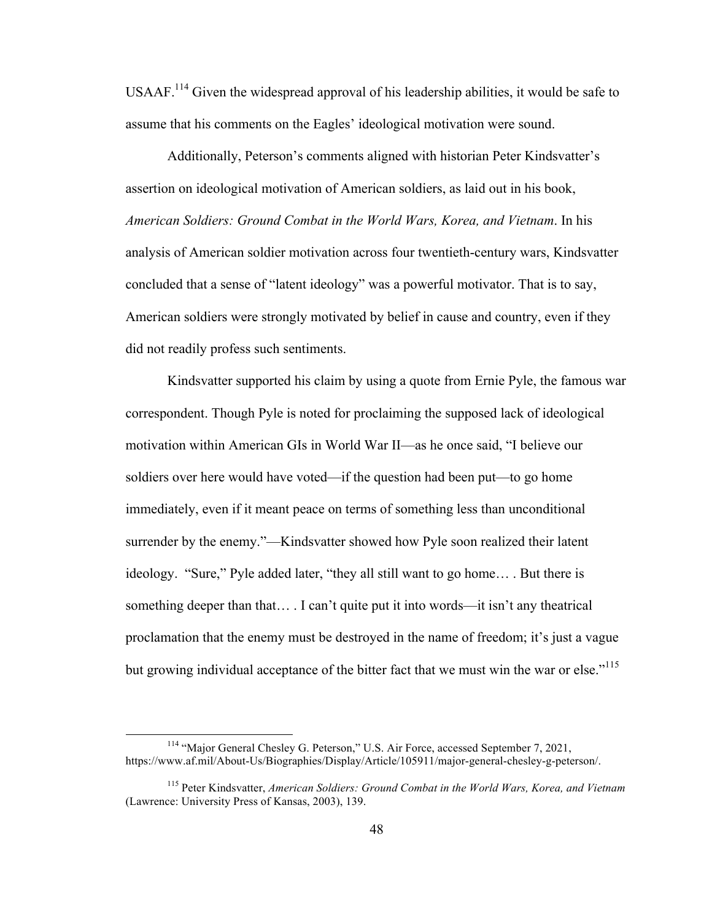USAAF.<sup>114</sup> Given the widespread approval of his leadership abilities, it would be safe to assume that his comments on the Eagles' ideological motivation were sound.

Additionally, Peterson's comments aligned with historian Peter Kindsvatter's assertion on ideological motivation of American soldiers, as laid out in his book, *American Soldiers: Ground Combat in the World Wars, Korea, and Vietnam*. In his analysis of American soldier motivation across four twentieth-century wars, Kindsvatter concluded that a sense of "latent ideology" was a powerful motivator. That is to say, American soldiers were strongly motivated by belief in cause and country, even if they did not readily profess such sentiments.

Kindsvatter supported his claim by using a quote from Ernie Pyle, the famous war correspondent. Though Pyle is noted for proclaiming the supposed lack of ideological motivation within American GIs in World War II—as he once said, "I believe our soldiers over here would have voted—if the question had been put—to go home immediately, even if it meant peace on terms of something less than unconditional surrender by the enemy."—Kindsvatter showed how Pyle soon realized their latent ideology. "Sure," Pyle added later, "they all still want to go home… . But there is something deeper than that… . I can't quite put it into words—it isn't any theatrical proclamation that the enemy must be destroyed in the name of freedom; it's just a vague but growing individual acceptance of the bitter fact that we must win the war or else."<sup>115</sup>

<sup>&</sup>lt;sup>114</sup> "Major General Chesley G. Peterson," U.S. Air Force, accessed September 7, 2021, https://www.af.mil/About-Us/Biographies/Display/Article/105911/major-general-chesley-g-peterson/.

<sup>115</sup> Peter Kindsvatter, *American Soldiers: Ground Combat in the World Wars, Korea, and Vietnam* (Lawrence: University Press of Kansas, 2003), 139.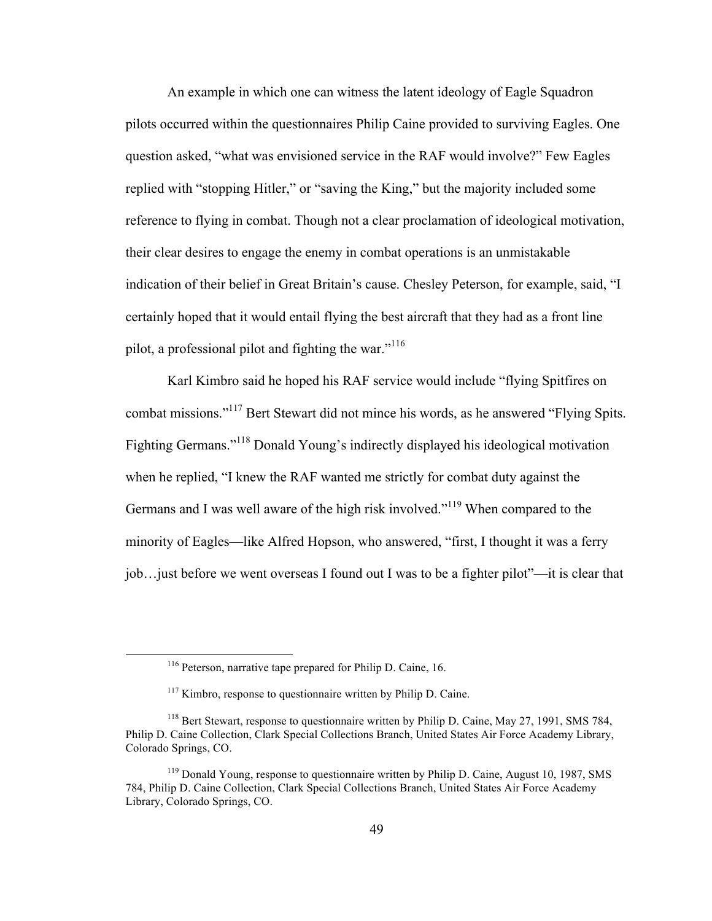An example in which one can witness the latent ideology of Eagle Squadron pilots occurred within the questionnaires Philip Caine provided to surviving Eagles. One question asked, "what was envisioned service in the RAF would involve?" Few Eagles replied with "stopping Hitler," or "saving the King," but the majority included some reference to flying in combat. Though not a clear proclamation of ideological motivation, their clear desires to engage the enemy in combat operations is an unmistakable indication of their belief in Great Britain's cause. Chesley Peterson, for example, said, "I certainly hoped that it would entail flying the best aircraft that they had as a front line pilot, a professional pilot and fighting the war." $116$ 

Karl Kimbro said he hoped his RAF service would include "flying Spitfires on combat missions."117 Bert Stewart did not mince his words, as he answered "Flying Spits. Fighting Germans."118 Donald Young's indirectly displayed his ideological motivation when he replied, "I knew the RAF wanted me strictly for combat duty against the Germans and I was well aware of the high risk involved."<sup>119</sup> When compared to the minority of Eagles—like Alfred Hopson, who answered, "first, I thought it was a ferry job…just before we went overseas I found out I was to be a fighter pilot"—it is clear that

 <sup>116</sup> Peterson, narrative tape prepared for Philip D. Caine, 16.

 $117$  Kimbro, response to questionnaire written by Philip D. Caine.

<sup>&</sup>lt;sup>118</sup> Bert Stewart, response to questionnaire written by Philip D. Caine, May 27, 1991, SMS 784, Philip D. Caine Collection, Clark Special Collections Branch, United States Air Force Academy Library, Colorado Springs, CO.

<sup>&</sup>lt;sup>119</sup> Donald Young, response to questionnaire written by Philip D. Caine, August 10, 1987, SMS 784, Philip D. Caine Collection, Clark Special Collections Branch, United States Air Force Academy Library, Colorado Springs, CO.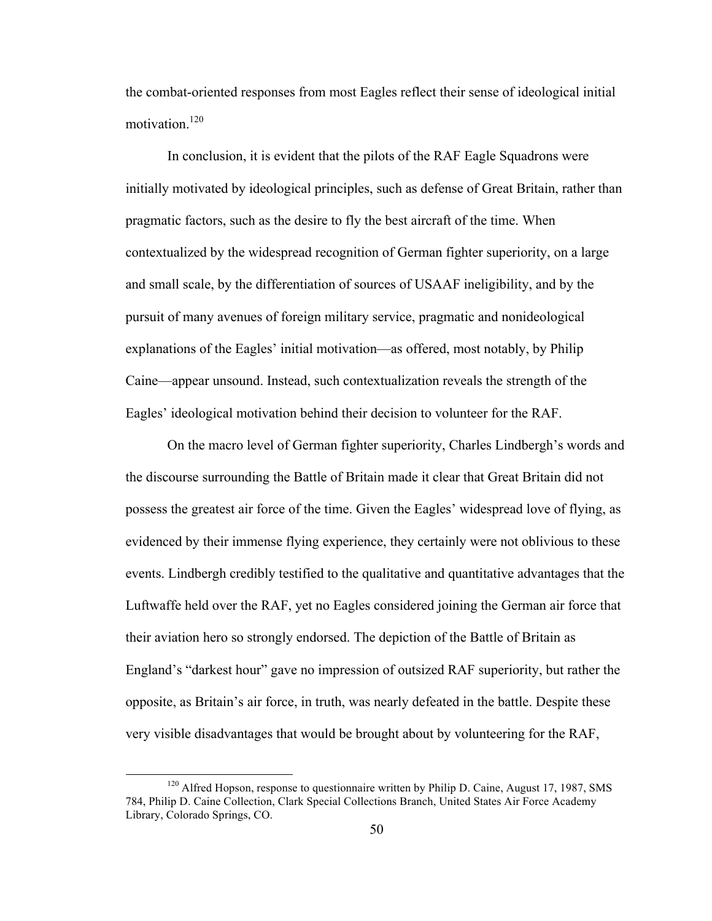the combat-oriented responses from most Eagles reflect their sense of ideological initial motivation.<sup>120</sup>

In conclusion, it is evident that the pilots of the RAF Eagle Squadrons were initially motivated by ideological principles, such as defense of Great Britain, rather than pragmatic factors, such as the desire to fly the best aircraft of the time. When contextualized by the widespread recognition of German fighter superiority, on a large and small scale, by the differentiation of sources of USAAF ineligibility, and by the pursuit of many avenues of foreign military service, pragmatic and nonideological explanations of the Eagles' initial motivation—as offered, most notably, by Philip Caine—appear unsound. Instead, such contextualization reveals the strength of the Eagles' ideological motivation behind their decision to volunteer for the RAF.

On the macro level of German fighter superiority, Charles Lindbergh's words and the discourse surrounding the Battle of Britain made it clear that Great Britain did not possess the greatest air force of the time. Given the Eagles' widespread love of flying, as evidenced by their immense flying experience, they certainly were not oblivious to these events. Lindbergh credibly testified to the qualitative and quantitative advantages that the Luftwaffe held over the RAF, yet no Eagles considered joining the German air force that their aviation hero so strongly endorsed. The depiction of the Battle of Britain as England's "darkest hour" gave no impression of outsized RAF superiority, but rather the opposite, as Britain's air force, in truth, was nearly defeated in the battle. Despite these very visible disadvantages that would be brought about by volunteering for the RAF,

 $120$  Alfred Hopson, response to questionnaire written by Philip D. Caine, August 17, 1987, SMS 784, Philip D. Caine Collection, Clark Special Collections Branch, United States Air Force Academy Library, Colorado Springs, CO.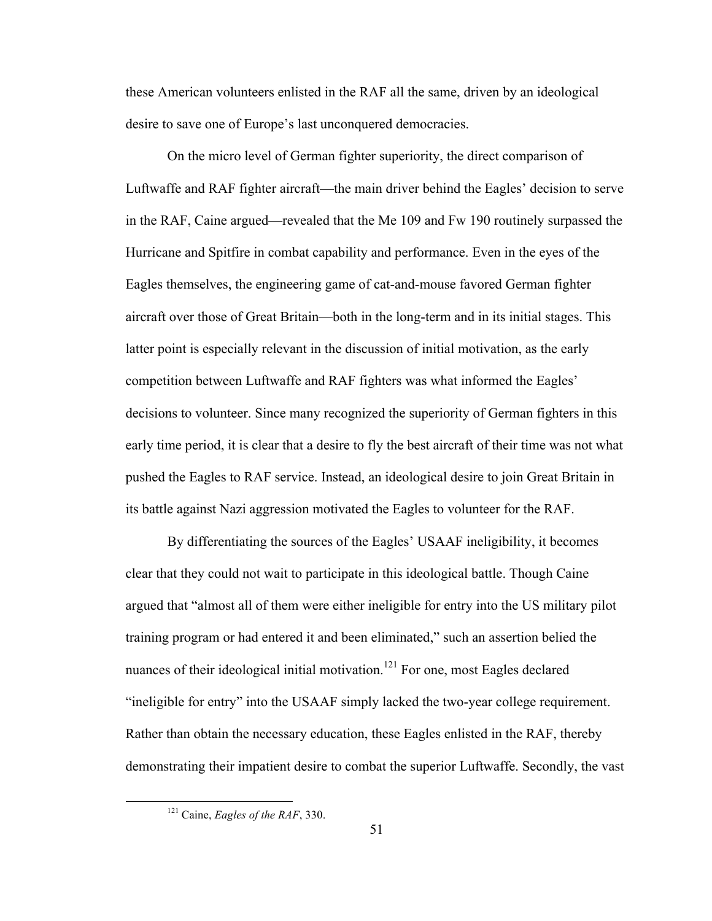these American volunteers enlisted in the RAF all the same, driven by an ideological desire to save one of Europe's last unconquered democracies.

On the micro level of German fighter superiority, the direct comparison of Luftwaffe and RAF fighter aircraft—the main driver behind the Eagles' decision to serve in the RAF, Caine argued—revealed that the Me 109 and Fw 190 routinely surpassed the Hurricane and Spitfire in combat capability and performance. Even in the eyes of the Eagles themselves, the engineering game of cat-and-mouse favored German fighter aircraft over those of Great Britain—both in the long-term and in its initial stages. This latter point is especially relevant in the discussion of initial motivation, as the early competition between Luftwaffe and RAF fighters was what informed the Eagles' decisions to volunteer. Since many recognized the superiority of German fighters in this early time period, it is clear that a desire to fly the best aircraft of their time was not what pushed the Eagles to RAF service. Instead, an ideological desire to join Great Britain in its battle against Nazi aggression motivated the Eagles to volunteer for the RAF.

By differentiating the sources of the Eagles' USAAF ineligibility, it becomes clear that they could not wait to participate in this ideological battle. Though Caine argued that "almost all of them were either ineligible for entry into the US military pilot training program or had entered it and been eliminated," such an assertion belied the nuances of their ideological initial motivation.<sup>121</sup> For one, most Eagles declared "ineligible for entry" into the USAAF simply lacked the two-year college requirement. Rather than obtain the necessary education, these Eagles enlisted in the RAF, thereby demonstrating their impatient desire to combat the superior Luftwaffe. Secondly, the vast

 <sup>121</sup> Caine, *Eagles of the RAF*, 330.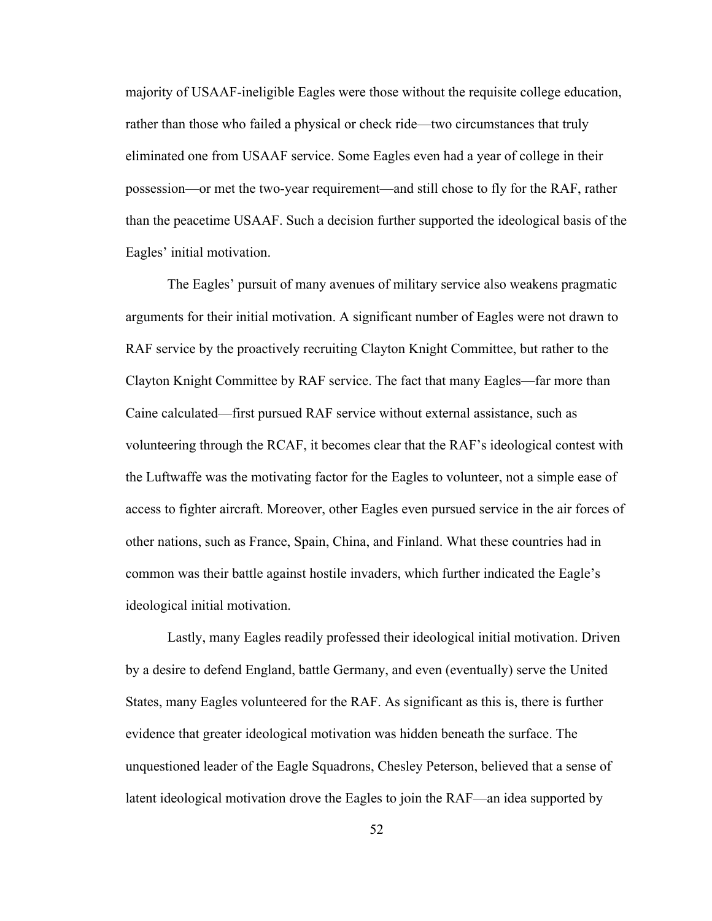majority of USAAF-ineligible Eagles were those without the requisite college education, rather than those who failed a physical or check ride—two circumstances that truly eliminated one from USAAF service. Some Eagles even had a year of college in their possession—or met the two-year requirement—and still chose to fly for the RAF, rather than the peacetime USAAF. Such a decision further supported the ideological basis of the Eagles' initial motivation.

The Eagles' pursuit of many avenues of military service also weakens pragmatic arguments for their initial motivation. A significant number of Eagles were not drawn to RAF service by the proactively recruiting Clayton Knight Committee, but rather to the Clayton Knight Committee by RAF service. The fact that many Eagles—far more than Caine calculated—first pursued RAF service without external assistance, such as volunteering through the RCAF, it becomes clear that the RAF's ideological contest with the Luftwaffe was the motivating factor for the Eagles to volunteer, not a simple ease of access to fighter aircraft. Moreover, other Eagles even pursued service in the air forces of other nations, such as France, Spain, China, and Finland. What these countries had in common was their battle against hostile invaders, which further indicated the Eagle's ideological initial motivation.

Lastly, many Eagles readily professed their ideological initial motivation. Driven by a desire to defend England, battle Germany, and even (eventually) serve the United States, many Eagles volunteered for the RAF. As significant as this is, there is further evidence that greater ideological motivation was hidden beneath the surface. The unquestioned leader of the Eagle Squadrons, Chesley Peterson, believed that a sense of latent ideological motivation drove the Eagles to join the RAF—an idea supported by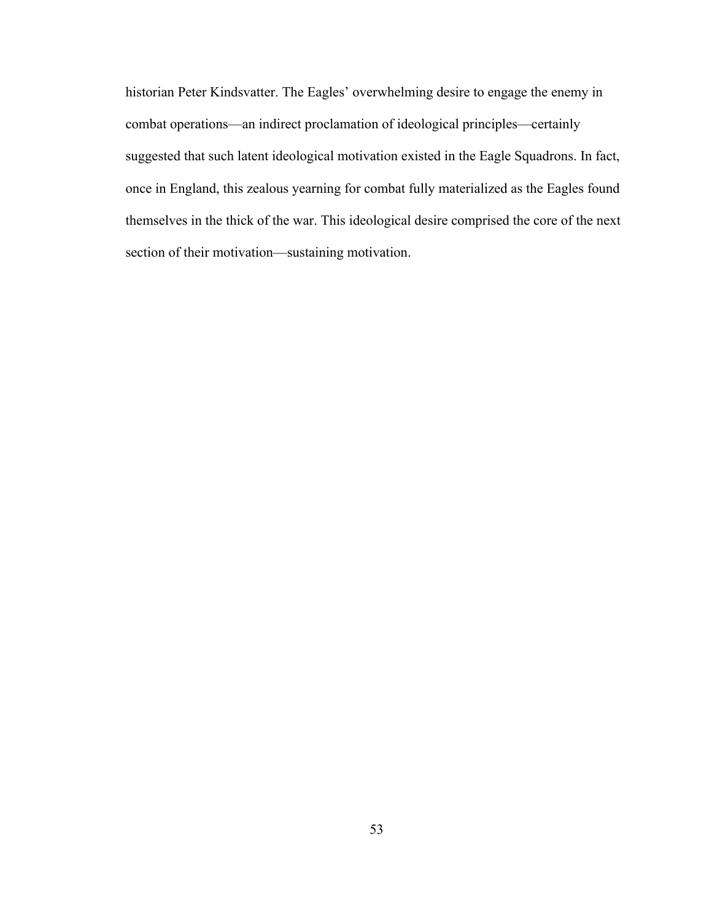historian Peter Kindsvatter. The Eagles' overwhelming desire to engage the enemy in combat operations—an indirect proclamation of ideological principles—certainly suggested that such latent ideological motivation existed in the Eagle Squadrons. In fact, once in England, this zealous yearning for combat fully materialized as the Eagles found themselves in the thick of the war. This ideological desire comprised the core of the next section of their motivation—sustaining motivation.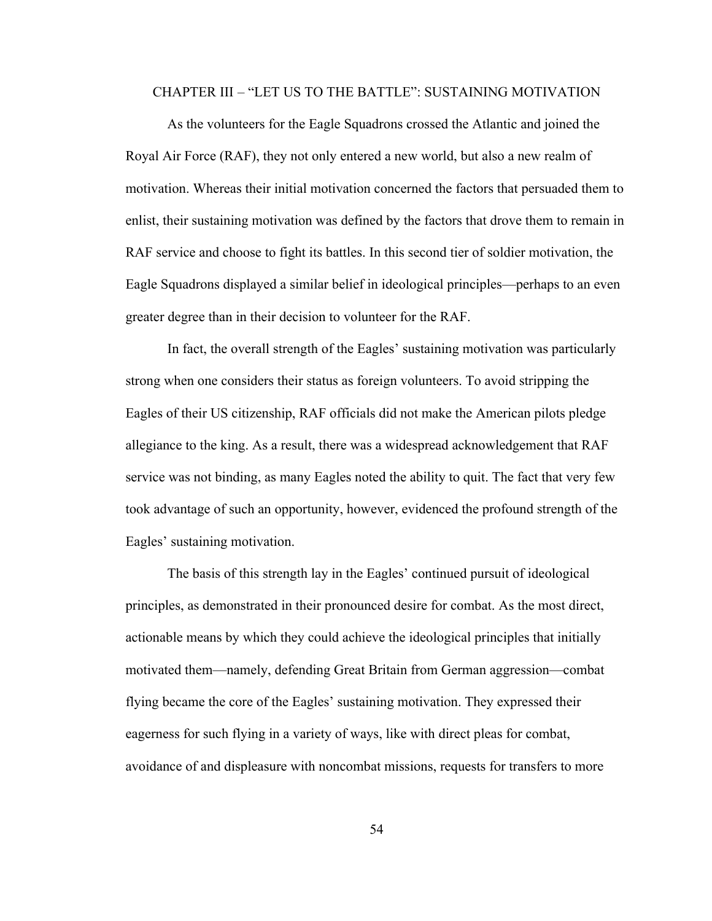## CHAPTER III – "LET US TO THE BATTLE": SUSTAINING MOTIVATION

As the volunteers for the Eagle Squadrons crossed the Atlantic and joined the Royal Air Force (RAF), they not only entered a new world, but also a new realm of motivation. Whereas their initial motivation concerned the factors that persuaded them to enlist, their sustaining motivation was defined by the factors that drove them to remain in RAF service and choose to fight its battles. In this second tier of soldier motivation, the Eagle Squadrons displayed a similar belief in ideological principles—perhaps to an even greater degree than in their decision to volunteer for the RAF.

In fact, the overall strength of the Eagles' sustaining motivation was particularly strong when one considers their status as foreign volunteers. To avoid stripping the Eagles of their US citizenship, RAF officials did not make the American pilots pledge allegiance to the king. As a result, there was a widespread acknowledgement that RAF service was not binding, as many Eagles noted the ability to quit. The fact that very few took advantage of such an opportunity, however, evidenced the profound strength of the Eagles' sustaining motivation.

The basis of this strength lay in the Eagles' continued pursuit of ideological principles, as demonstrated in their pronounced desire for combat. As the most direct, actionable means by which they could achieve the ideological principles that initially motivated them—namely, defending Great Britain from German aggression—combat flying became the core of the Eagles' sustaining motivation. They expressed their eagerness for such flying in a variety of ways, like with direct pleas for combat, avoidance of and displeasure with noncombat missions, requests for transfers to more

54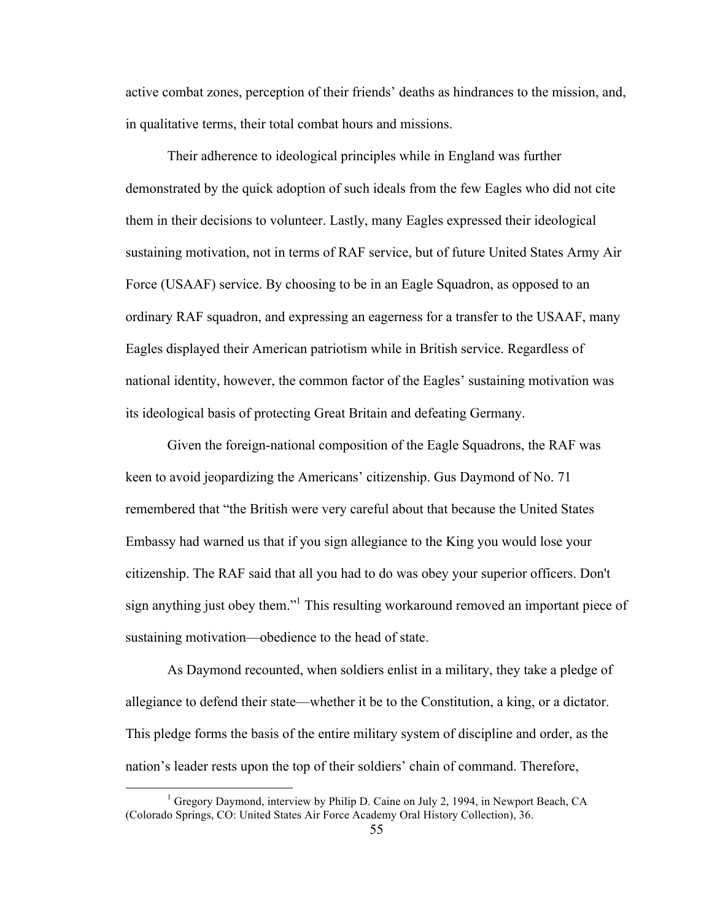active combat zones, perception of their friends' deaths as hindrances to the mission, and, in qualitative terms, their total combat hours and missions.

Their adherence to ideological principles while in England was further demonstrated by the quick adoption of such ideals from the few Eagles who did not cite them in their decisions to volunteer. Lastly, many Eagles expressed their ideological sustaining motivation, not in terms of RAF service, but of future United States Army Air Force (USAAF) service. By choosing to be in an Eagle Squadron, as opposed to an ordinary RAF squadron, and expressing an eagerness for a transfer to the USAAF, many Eagles displayed their American patriotism while in British service. Regardless of national identity, however, the common factor of the Eagles' sustaining motivation was its ideological basis of protecting Great Britain and defeating Germany.

Given the foreign-national composition of the Eagle Squadrons, the RAF was keen to avoid jeopardizing the Americans' citizenship. Gus Daymond of No. 71 remembered that "the British were very careful about that because the United States Embassy had warned us that if you sign allegiance to the King you would lose your citizenship. The RAF said that all you had to do was obey your superior officers. Don't sign anything just obey them."<sup>1</sup> This resulting workaround removed an important piece of sustaining motivation—obedience to the head of state.

As Daymond recounted, when soldiers enlist in a military, they take a pledge of allegiance to defend their state—whether it be to the Constitution, a king, or a dictator. This pledge forms the basis of the entire military system of discipline and order, as the nation's leader rests upon the top of their soldiers' chain of command. Therefore,

 $<sup>1</sup>$  Gregory Daymond, interview by Philip D. Caine on July 2, 1994, in Newport Beach, CA</sup> (Colorado Springs, CO: United States Air Force Academy Oral History Collection), 36.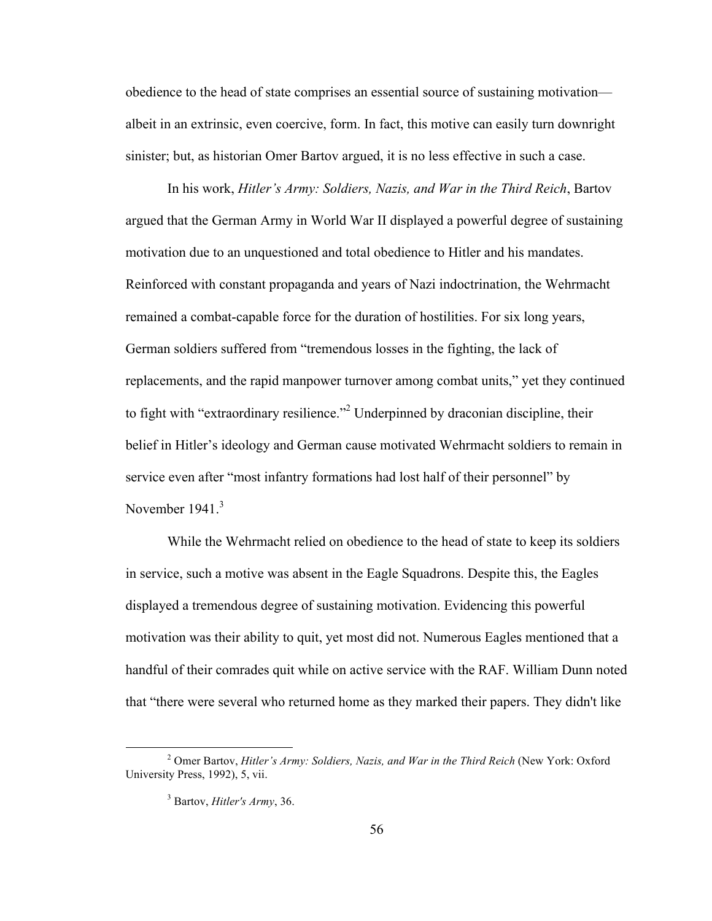obedience to the head of state comprises an essential source of sustaining motivation albeit in an extrinsic, even coercive, form. In fact, this motive can easily turn downright sinister; but, as historian Omer Bartov argued, it is no less effective in such a case.

In his work, *Hitler's Army: Soldiers, Nazis, and War in the Third Reich*, Bartov argued that the German Army in World War II displayed a powerful degree of sustaining motivation due to an unquestioned and total obedience to Hitler and his mandates. Reinforced with constant propaganda and years of Nazi indoctrination, the Wehrmacht remained a combat-capable force for the duration of hostilities. For six long years, German soldiers suffered from "tremendous losses in the fighting, the lack of replacements, and the rapid manpower turnover among combat units," yet they continued to fight with "extraordinary resilience."<sup>2</sup> Underpinned by draconian discipline, their belief in Hitler's ideology and German cause motivated Wehrmacht soldiers to remain in service even after "most infantry formations had lost half of their personnel" by November 1941.<sup>3</sup>

While the Wehrmacht relied on obedience to the head of state to keep its soldiers in service, such a motive was absent in the Eagle Squadrons. Despite this, the Eagles displayed a tremendous degree of sustaining motivation. Evidencing this powerful motivation was their ability to quit, yet most did not. Numerous Eagles mentioned that a handful of their comrades quit while on active service with the RAF. William Dunn noted that "there were several who returned home as they marked their papers. They didn't like

 <sup>2</sup> Omer Bartov, *Hitler's Army: Soldiers, Nazis, and War in the Third Reich* (New York: Oxford University Press, 1992), 5, vii.

<sup>3</sup> Bartov, *Hitler's Army*, 36.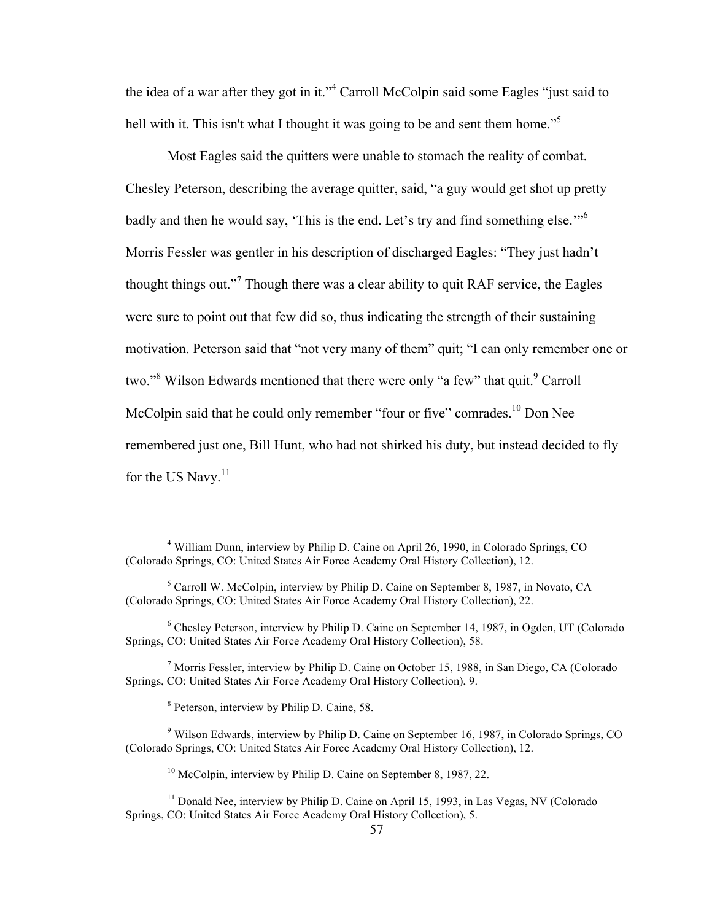the idea of a war after they got in it."<sup>4</sup> Carroll McColpin said some Eagles "just said to hell with it. This isn't what I thought it was going to be and sent them home.<sup>"5</sup>

Most Eagles said the quitters were unable to stomach the reality of combat. Chesley Peterson, describing the average quitter, said, "a guy would get shot up pretty badly and then he would say, 'This is the end. Let's try and find something else."<sup>56</sup> Morris Fessler was gentler in his description of discharged Eagles: "They just hadn't thought things out."<sup>7</sup> Though there was a clear ability to quit RAF service, the Eagles were sure to point out that few did so, thus indicating the strength of their sustaining motivation. Peterson said that "not very many of them" quit; "I can only remember one or two."<sup>8</sup> Wilson Edwards mentioned that there were only "a few" that quit.<sup>9</sup> Carroll McColpin said that he could only remember "four or five" comrades.<sup>10</sup> Don Nee remembered just one, Bill Hunt, who had not shirked his duty, but instead decided to fly for the US Navy.<sup>11</sup>

 <sup>4</sup> William Dunn, interview by Philip D. Caine on April 26, 1990, in Colorado Springs, CO (Colorado Springs, CO: United States Air Force Academy Oral History Collection), 12.

<sup>5</sup> Carroll W. McColpin, interview by Philip D. Caine on September 8, 1987, in Novato, CA (Colorado Springs, CO: United States Air Force Academy Oral History Collection), 22.

<sup>6</sup> Chesley Peterson, interview by Philip D. Caine on September 14, 1987, in Ogden, UT (Colorado Springs, CO: United States Air Force Academy Oral History Collection), 58.

<sup>7</sup> Morris Fessler, interview by Philip D. Caine on October 15, 1988, in San Diego, CA (Colorado Springs, CO: United States Air Force Academy Oral History Collection), 9.

<sup>8</sup> Peterson, interview by Philip D. Caine, 58.

<sup>9</sup> Wilson Edwards, interview by Philip D. Caine on September 16, 1987, in Colorado Springs, CO (Colorado Springs, CO: United States Air Force Academy Oral History Collection), 12.

<sup>&</sup>lt;sup>10</sup> McColpin, interview by Philip D. Caine on September 8, 1987, 22.

<sup>&</sup>lt;sup>11</sup> Donald Nee, interview by Philip D. Caine on April 15, 1993, in Las Vegas, NV (Colorado Springs, CO: United States Air Force Academy Oral History Collection), 5.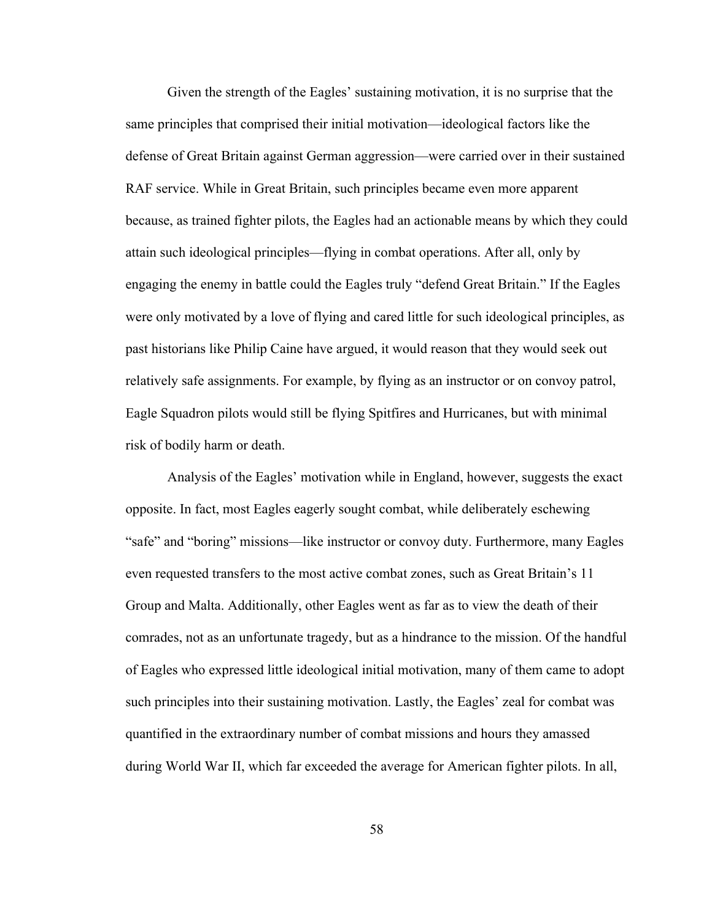Given the strength of the Eagles' sustaining motivation, it is no surprise that the same principles that comprised their initial motivation—ideological factors like the defense of Great Britain against German aggression—were carried over in their sustained RAF service. While in Great Britain, such principles became even more apparent because, as trained fighter pilots, the Eagles had an actionable means by which they could attain such ideological principles—flying in combat operations. After all, only by engaging the enemy in battle could the Eagles truly "defend Great Britain." If the Eagles were only motivated by a love of flying and cared little for such ideological principles, as past historians like Philip Caine have argued, it would reason that they would seek out relatively safe assignments. For example, by flying as an instructor or on convoy patrol, Eagle Squadron pilots would still be flying Spitfires and Hurricanes, but with minimal risk of bodily harm or death.

Analysis of the Eagles' motivation while in England, however, suggests the exact opposite. In fact, most Eagles eagerly sought combat, while deliberately eschewing "safe" and "boring" missions—like instructor or convoy duty. Furthermore, many Eagles even requested transfers to the most active combat zones, such as Great Britain's 11 Group and Malta. Additionally, other Eagles went as far as to view the death of their comrades, not as an unfortunate tragedy, but as a hindrance to the mission. Of the handful of Eagles who expressed little ideological initial motivation, many of them came to adopt such principles into their sustaining motivation. Lastly, the Eagles' zeal for combat was quantified in the extraordinary number of combat missions and hours they amassed during World War II, which far exceeded the average for American fighter pilots. In all,

58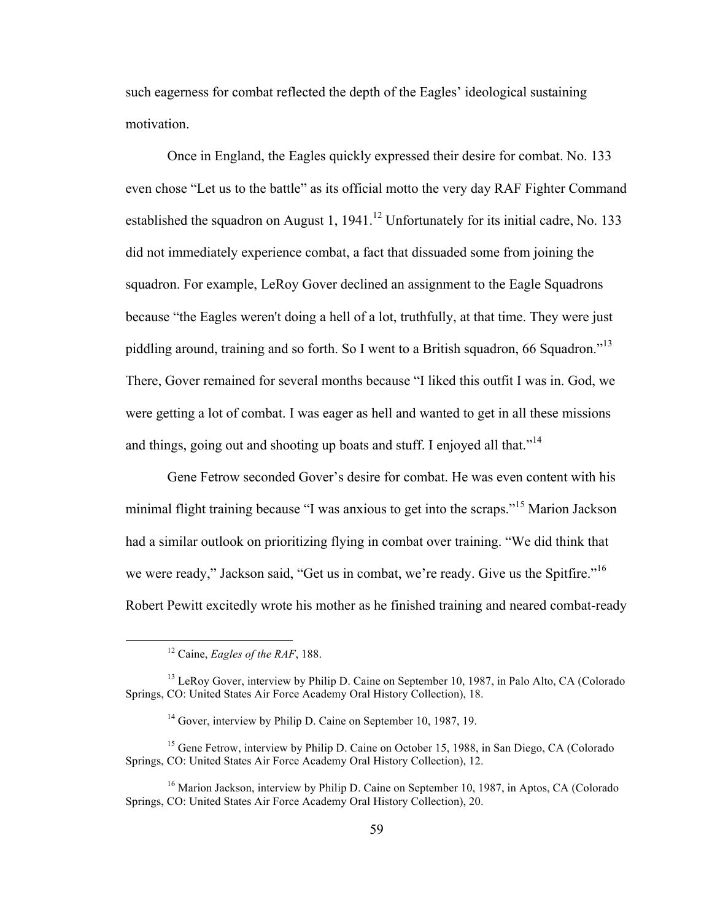such eagerness for combat reflected the depth of the Eagles' ideological sustaining motivation.

Once in England, the Eagles quickly expressed their desire for combat. No. 133 even chose "Let us to the battle" as its official motto the very day RAF Fighter Command established the squadron on August 1,  $1941$ <sup>12</sup> Unfortunately for its initial cadre, No. 133 did not immediately experience combat, a fact that dissuaded some from joining the squadron. For example, LeRoy Gover declined an assignment to the Eagle Squadrons because "the Eagles weren't doing a hell of a lot, truthfully, at that time. They were just piddling around, training and so forth. So I went to a British squadron, 66 Squadron."<sup>13</sup> There, Gover remained for several months because "I liked this outfit I was in. God, we were getting a lot of combat. I was eager as hell and wanted to get in all these missions and things, going out and shooting up boats and stuff. I enjoyed all that."<sup>14</sup>

Gene Fetrow seconded Gover's desire for combat. He was even content with his minimal flight training because "I was anxious to get into the scraps."<sup>15</sup> Marion Jackson had a similar outlook on prioritizing flying in combat over training. "We did think that we were ready," Jackson said, "Get us in combat, we're ready. Give us the Spitfire."<sup>16</sup> Robert Pewitt excitedly wrote his mother as he finished training and neared combat-ready

 <sup>12</sup> Caine, *Eagles of the RAF*, 188.

<sup>&</sup>lt;sup>13</sup> LeRoy Gover, interview by Philip D. Caine on September 10, 1987, in Palo Alto, CA (Colorado Springs, CO: United States Air Force Academy Oral History Collection), 18.

<sup>&</sup>lt;sup>14</sup> Gover, interview by Philip D. Caine on September 10, 1987, 19.

<sup>&</sup>lt;sup>15</sup> Gene Fetrow, interview by Philip D. Caine on October 15, 1988, in San Diego, CA (Colorado Springs, CO: United States Air Force Academy Oral History Collection), 12.

<sup>&</sup>lt;sup>16</sup> Marion Jackson, interview by Philip D. Caine on September 10, 1987, in Aptos, CA (Colorado Springs, CO: United States Air Force Academy Oral History Collection), 20.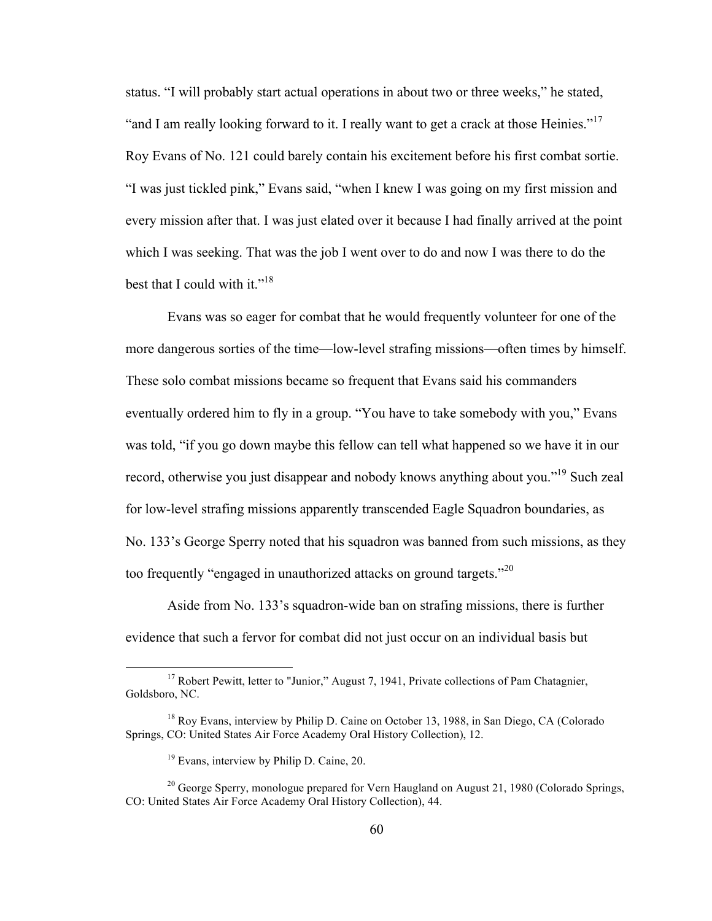status. "I will probably start actual operations in about two or three weeks," he stated, "and I am really looking forward to it. I really want to get a crack at those Heinies."<sup>17</sup> Roy Evans of No. 121 could barely contain his excitement before his first combat sortie. "I was just tickled pink," Evans said, "when I knew I was going on my first mission and every mission after that. I was just elated over it because I had finally arrived at the point which I was seeking. That was the job I went over to do and now I was there to do the best that I could with it." $18$ 

Evans was so eager for combat that he would frequently volunteer for one of the more dangerous sorties of the time—low-level strafing missions—often times by himself. These solo combat missions became so frequent that Evans said his commanders eventually ordered him to fly in a group. "You have to take somebody with you," Evans was told, "if you go down maybe this fellow can tell what happened so we have it in our record, otherwise you just disappear and nobody knows anything about you."<sup>19</sup> Such zeal for low-level strafing missions apparently transcended Eagle Squadron boundaries, as No. 133's George Sperry noted that his squadron was banned from such missions, as they too frequently "engaged in unauthorized attacks on ground targets."<sup>20</sup>

Aside from No. 133's squadron-wide ban on strafing missions, there is further evidence that such a fervor for combat did not just occur on an individual basis but

 $17$  Robert Pewitt, letter to "Junior," August 7, 1941, Private collections of Pam Chatagnier, Goldsboro, NC.

<sup>&</sup>lt;sup>18</sup> Roy Evans, interview by Philip D. Caine on October 13, 1988, in San Diego, CA (Colorado Springs, CO: United States Air Force Academy Oral History Collection), 12.

<sup>19</sup> Evans, interview by Philip D. Caine, 20.

 $20$  George Sperry, monologue prepared for Vern Haugland on August 21, 1980 (Colorado Springs, CO: United States Air Force Academy Oral History Collection), 44.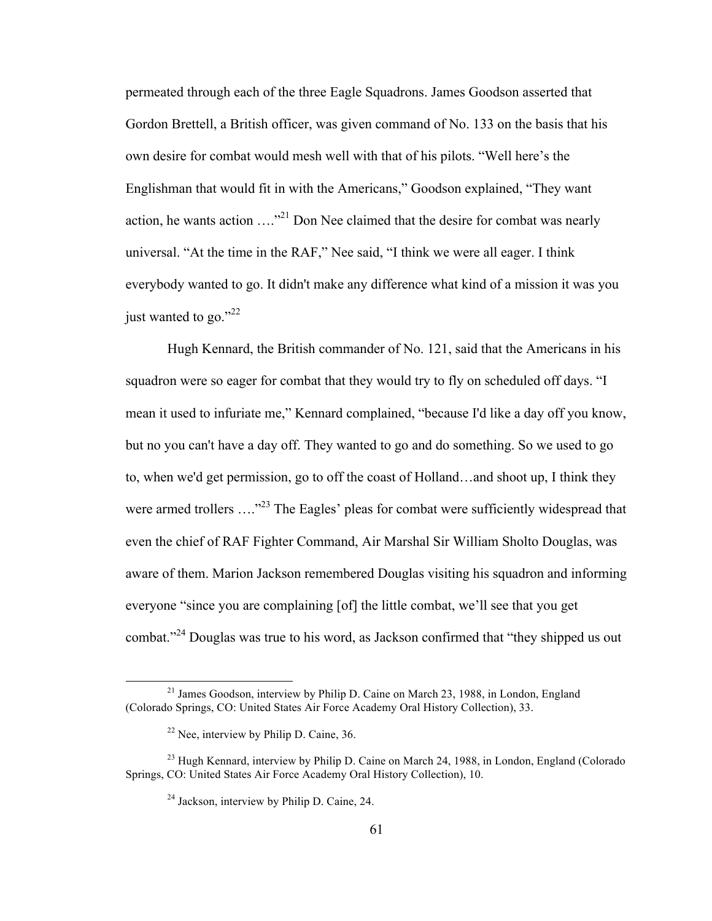permeated through each of the three Eagle Squadrons. James Goodson asserted that Gordon Brettell, a British officer, was given command of No. 133 on the basis that his own desire for combat would mesh well with that of his pilots. "Well here's the Englishman that would fit in with the Americans," Goodson explained, "They want action, he wants action  $\dots$ <sup>21</sup> Don Nee claimed that the desire for combat was nearly universal. "At the time in the RAF," Nee said, "I think we were all eager. I think everybody wanted to go. It didn't make any difference what kind of a mission it was you just wanted to go." $^{22}$ 

Hugh Kennard, the British commander of No. 121, said that the Americans in his squadron were so eager for combat that they would try to fly on scheduled off days. "I mean it used to infuriate me," Kennard complained, "because I'd like a day off you know, but no you can't have a day off. They wanted to go and do something. So we used to go to, when we'd get permission, go to off the coast of Holland…and shoot up, I think they were armed trollers ...."<sup>23</sup> The Eagles' pleas for combat were sufficiently widespread that even the chief of RAF Fighter Command, Air Marshal Sir William Sholto Douglas, was aware of them. Marion Jackson remembered Douglas visiting his squadron and informing everyone "since you are complaining [of] the little combat, we'll see that you get combat."<sup>24</sup> Douglas was true to his word, as Jackson confirmed that "they shipped us out

 $21$  James Goodson, interview by Philip D. Caine on March 23, 1988, in London, England (Colorado Springs, CO: United States Air Force Academy Oral History Collection), 33.

 $22$  Nee, interview by Philip D. Caine, 36.

 $^{23}$  Hugh Kennard, interview by Philip D. Caine on March 24, 1988, in London, England (Colorado) Springs, CO: United States Air Force Academy Oral History Collection), 10.

<sup>24</sup> Jackson, interview by Philip D. Caine, 24.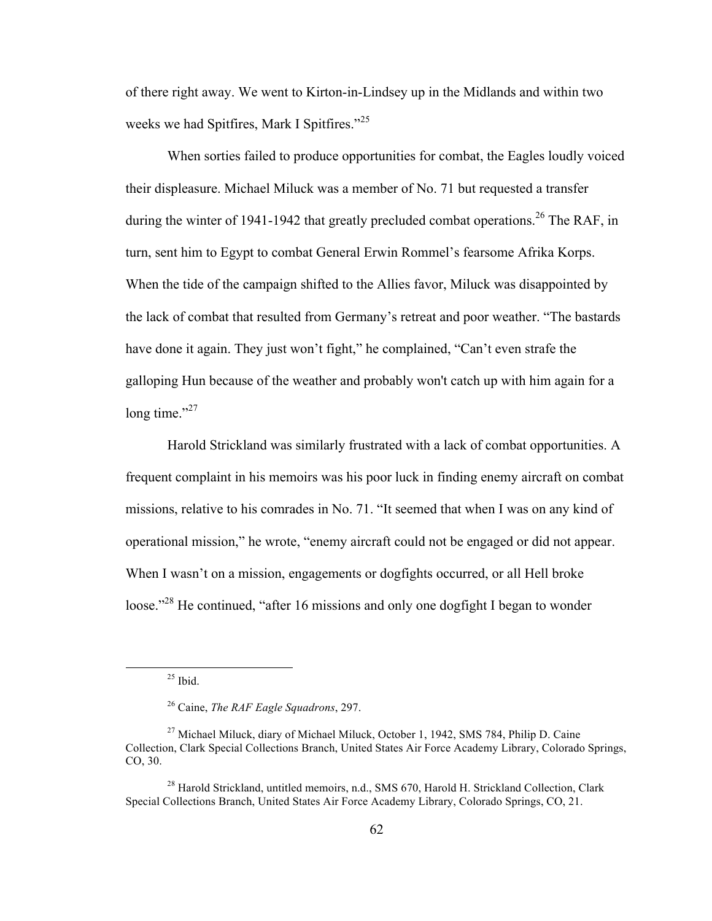of there right away. We went to Kirton-in-Lindsey up in the Midlands and within two weeks we had Spitfires, Mark I Spitfires."<sup>25</sup>

When sorties failed to produce opportunities for combat, the Eagles loudly voiced their displeasure. Michael Miluck was a member of No. 71 but requested a transfer during the winter of 1941-1942 that greatly precluded combat operations.<sup>26</sup> The RAF, in turn, sent him to Egypt to combat General Erwin Rommel's fearsome Afrika Korps. When the tide of the campaign shifted to the Allies favor, Miluck was disappointed by the lack of combat that resulted from Germany's retreat and poor weather. "The bastards have done it again. They just won't fight," he complained, "Can't even strafe the galloping Hun because of the weather and probably won't catch up with him again for a long time."<sup>27</sup>

Harold Strickland was similarly frustrated with a lack of combat opportunities. A frequent complaint in his memoirs was his poor luck in finding enemy aircraft on combat missions, relative to his comrades in No. 71. "It seemed that when I was on any kind of operational mission," he wrote, "enemy aircraft could not be engaged or did not appear. When I wasn't on a mission, engagements or dogfights occurred, or all Hell broke loose."<sup>28</sup> He continued, "after 16 missions and only one dogfight I began to wonder

 $^{25}$  Ibid.

<sup>26</sup> Caine, *The RAF Eagle Squadrons*, 297.

<sup>27</sup> Michael Miluck, diary of Michael Miluck, October 1, 1942, SMS 784, Philip D. Caine Collection, Clark Special Collections Branch, United States Air Force Academy Library, Colorado Springs, CO, 30.

<sup>&</sup>lt;sup>28</sup> Harold Strickland, untitled memoirs, n.d., SMS 670, Harold H. Strickland Collection, Clark Special Collections Branch, United States Air Force Academy Library, Colorado Springs, CO, 21.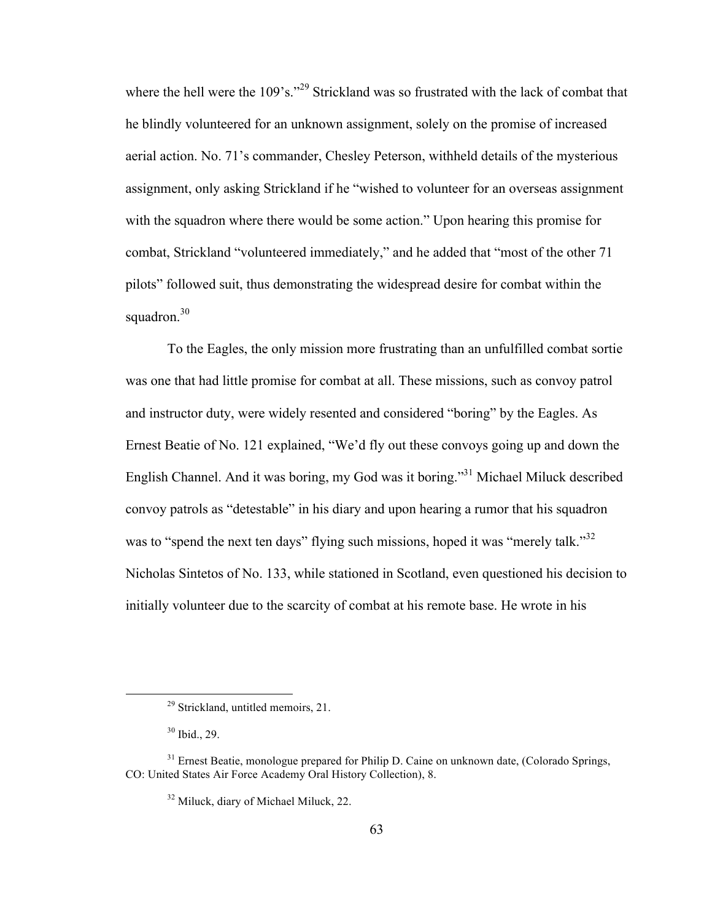where the hell were the 109's."<sup>29</sup> Strickland was so frustrated with the lack of combat that he blindly volunteered for an unknown assignment, solely on the promise of increased aerial action. No. 71's commander, Chesley Peterson, withheld details of the mysterious assignment, only asking Strickland if he "wished to volunteer for an overseas assignment with the squadron where there would be some action." Upon hearing this promise for combat, Strickland "volunteered immediately," and he added that "most of the other 71 pilots" followed suit, thus demonstrating the widespread desire for combat within the squadron.<sup>30</sup>

To the Eagles, the only mission more frustrating than an unfulfilled combat sortie was one that had little promise for combat at all. These missions, such as convoy patrol and instructor duty, were widely resented and considered "boring" by the Eagles. As Ernest Beatie of No. 121 explained, "We'd fly out these convoys going up and down the English Channel. And it was boring, my God was it boring."31 Michael Miluck described convoy patrols as "detestable" in his diary and upon hearing a rumor that his squadron was to "spend the next ten days" flying such missions, hoped it was "merely talk."<sup>32</sup> Nicholas Sintetos of No. 133, while stationed in Scotland, even questioned his decision to initially volunteer due to the scarcity of combat at his remote base. He wrote in his

<sup>&</sup>lt;sup>29</sup> Strickland, untitled memoirs, 21.

<sup>30</sup> Ibid., 29.

 $31$  Ernest Beatie, monologue prepared for Philip D. Caine on unknown date, (Colorado Springs, CO: United States Air Force Academy Oral History Collection), 8.

<sup>32</sup> Miluck, diary of Michael Miluck, 22.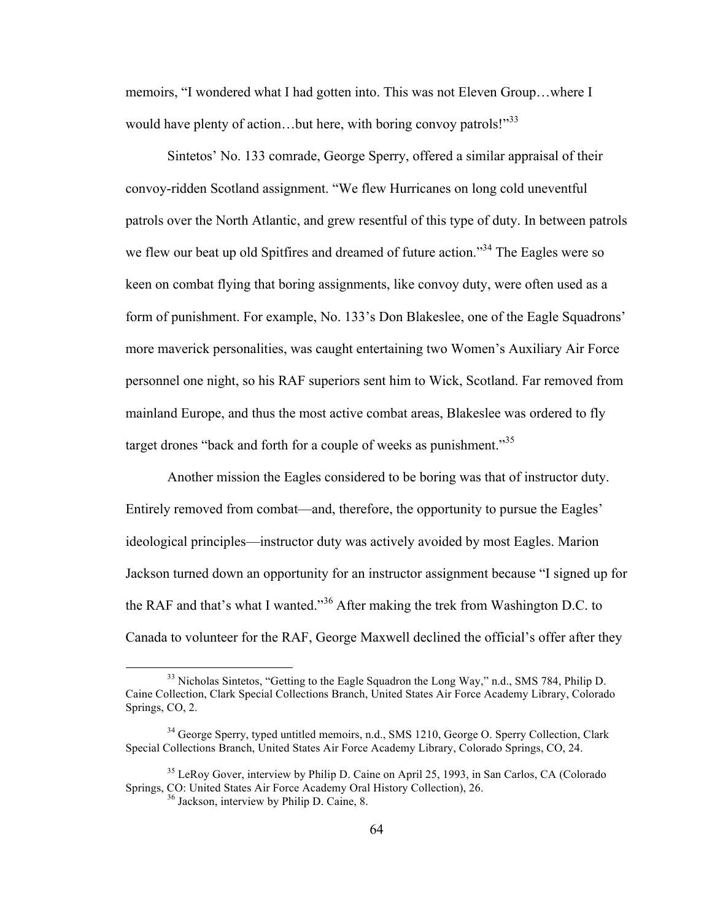memoirs, "I wondered what I had gotten into. This was not Eleven Group…where I would have plenty of action...but here, with boring convoy patrols!"<sup>33</sup>

Sintetos' No. 133 comrade, George Sperry, offered a similar appraisal of their convoy-ridden Scotland assignment. "We flew Hurricanes on long cold uneventful patrols over the North Atlantic, and grew resentful of this type of duty. In between patrols we flew our beat up old Spitfires and dreamed of future action."<sup>34</sup> The Eagles were so keen on combat flying that boring assignments, like convoy duty, were often used as a form of punishment. For example, No. 133's Don Blakeslee, one of the Eagle Squadrons' more maverick personalities, was caught entertaining two Women's Auxiliary Air Force personnel one night, so his RAF superiors sent him to Wick, Scotland. Far removed from mainland Europe, and thus the most active combat areas, Blakeslee was ordered to fly target drones "back and forth for a couple of weeks as punishment."<sup>35</sup>

Another mission the Eagles considered to be boring was that of instructor duty. Entirely removed from combat—and, therefore, the opportunity to pursue the Eagles' ideological principles—instructor duty was actively avoided by most Eagles. Marion Jackson turned down an opportunity for an instructor assignment because "I signed up for the RAF and that's what I wanted."<sup>36</sup> After making the trek from Washington D.C. to Canada to volunteer for the RAF, George Maxwell declined the official's offer after they

<sup>&</sup>lt;sup>33</sup> Nicholas Sintetos, "Getting to the Eagle Squadron the Long Way," n.d., SMS 784, Philip D. Caine Collection, Clark Special Collections Branch, United States Air Force Academy Library, Colorado Springs, CO, 2.

<sup>&</sup>lt;sup>34</sup> George Sperry, typed untitled memoirs, n.d., SMS 1210, George O. Sperry Collection, Clark Special Collections Branch, United States Air Force Academy Library, Colorado Springs, CO, 24.

<sup>&</sup>lt;sup>35</sup> LeRoy Gover, interview by Philip D. Caine on April 25, 1993, in San Carlos, CA (Colorado) Springs, CO: United States Air Force Academy Oral History Collection), 26. <sup>36</sup> Jackson, interview by Philip D. Caine, 8.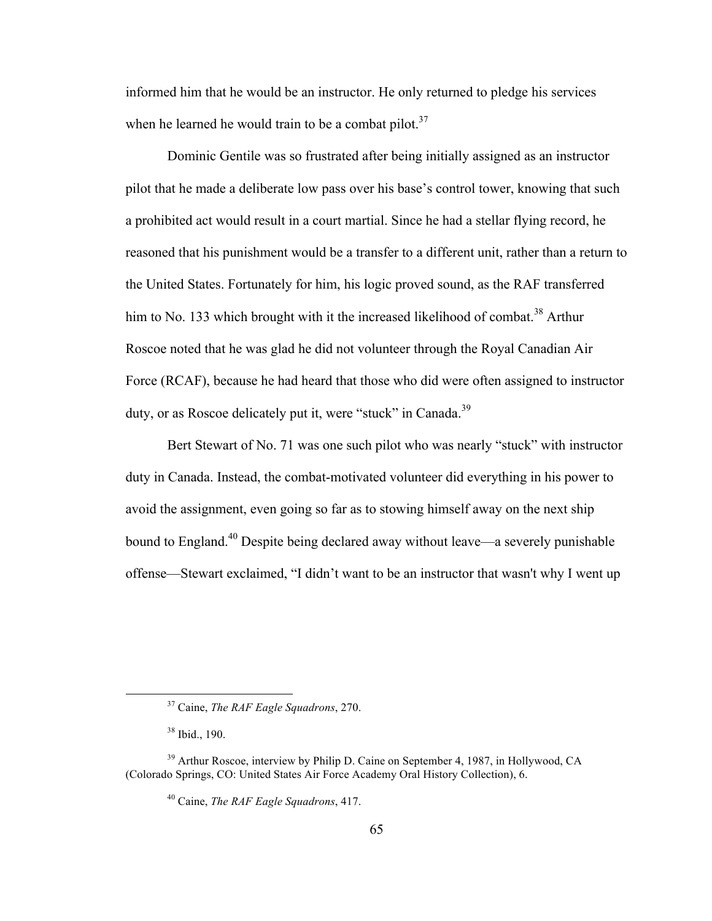informed him that he would be an instructor. He only returned to pledge his services when he learned he would train to be a combat pilot. $37$ 

Dominic Gentile was so frustrated after being initially assigned as an instructor pilot that he made a deliberate low pass over his base's control tower, knowing that such a prohibited act would result in a court martial. Since he had a stellar flying record, he reasoned that his punishment would be a transfer to a different unit, rather than a return to the United States. Fortunately for him, his logic proved sound, as the RAF transferred him to No. 133 which brought with it the increased likelihood of combat.<sup>38</sup> Arthur Roscoe noted that he was glad he did not volunteer through the Royal Canadian Air Force (RCAF), because he had heard that those who did were often assigned to instructor duty, or as Roscoe delicately put it, were "stuck" in Canada.<sup>39</sup>

Bert Stewart of No. 71 was one such pilot who was nearly "stuck" with instructor duty in Canada. Instead, the combat-motivated volunteer did everything in his power to avoid the assignment, even going so far as to stowing himself away on the next ship bound to England.<sup>40</sup> Despite being declared away without leave—a severely punishable offense—Stewart exclaimed, "I didn't want to be an instructor that wasn't why I went up

 <sup>37</sup> Caine, *The RAF Eagle Squadrons*, 270.

<sup>38</sup> Ibid., 190.

<sup>&</sup>lt;sup>39</sup> Arthur Roscoe, interview by Philip D. Caine on September 4, 1987, in Hollywood, CA (Colorado Springs, CO: United States Air Force Academy Oral History Collection), 6.

<sup>40</sup> Caine, *The RAF Eagle Squadrons*, 417.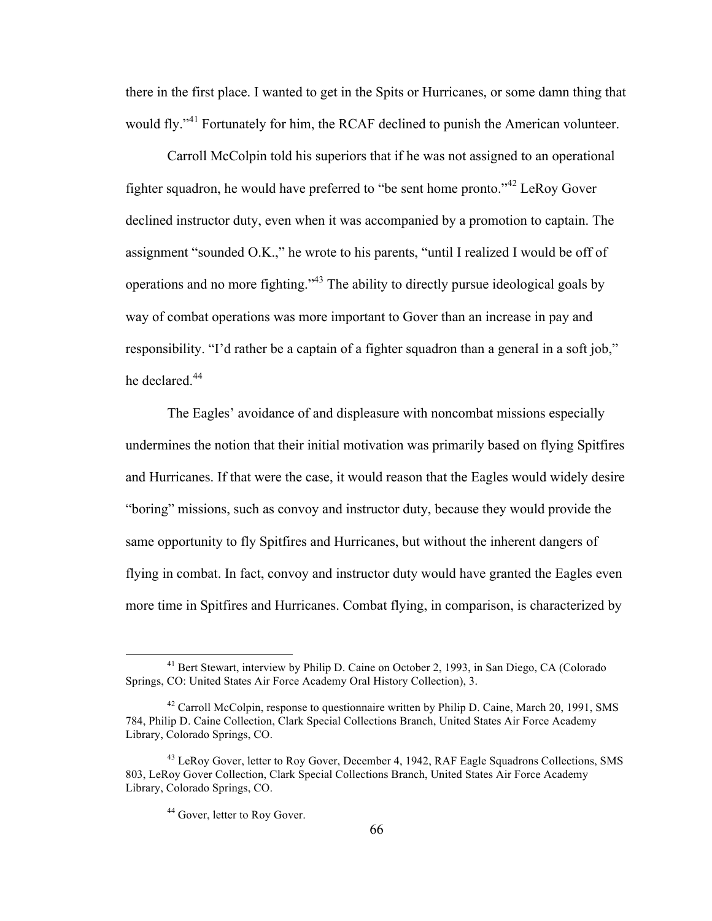there in the first place. I wanted to get in the Spits or Hurricanes, or some damn thing that would fly."<sup>41</sup> Fortunately for him, the RCAF declined to punish the American volunteer.

Carroll McColpin told his superiors that if he was not assigned to an operational fighter squadron, he would have preferred to "be sent home pronto."42 LeRoy Gover declined instructor duty, even when it was accompanied by a promotion to captain. The assignment "sounded O.K.," he wrote to his parents, "until I realized I would be off of operations and no more fighting."43 The ability to directly pursue ideological goals by way of combat operations was more important to Gover than an increase in pay and responsibility. "I'd rather be a captain of a fighter squadron than a general in a soft job," he declared.<sup>44</sup>

The Eagles' avoidance of and displeasure with noncombat missions especially undermines the notion that their initial motivation was primarily based on flying Spitfires and Hurricanes. If that were the case, it would reason that the Eagles would widely desire "boring" missions, such as convoy and instructor duty, because they would provide the same opportunity to fly Spitfires and Hurricanes, but without the inherent dangers of flying in combat. In fact, convoy and instructor duty would have granted the Eagles even more time in Spitfires and Hurricanes. Combat flying, in comparison, is characterized by

<sup>&</sup>lt;sup>41</sup> Bert Stewart, interview by Philip D. Caine on October 2, 1993, in San Diego, CA (Colorado Springs, CO: United States Air Force Academy Oral History Collection), 3.

 $42$  Carroll McColpin, response to questionnaire written by Philip D. Caine, March 20, 1991, SMS 784, Philip D. Caine Collection, Clark Special Collections Branch, United States Air Force Academy Library, Colorado Springs, CO.

<sup>&</sup>lt;sup>43</sup> LeRoy Gover, letter to Roy Gover, December 4, 1942, RAF Eagle Squadrons Collections, SMS 803, LeRoy Gover Collection, Clark Special Collections Branch, United States Air Force Academy Library, Colorado Springs, CO.

<sup>&</sup>lt;sup>44</sup> Gover, letter to Roy Gover.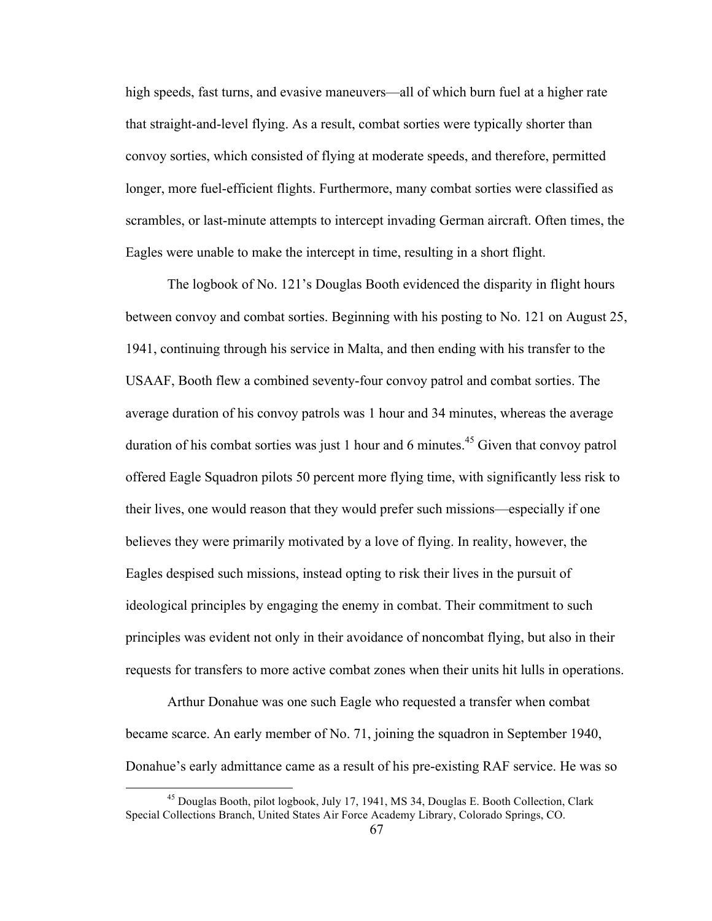high speeds, fast turns, and evasive maneuvers—all of which burn fuel at a higher rate that straight-and-level flying. As a result, combat sorties were typically shorter than convoy sorties, which consisted of flying at moderate speeds, and therefore, permitted longer, more fuel-efficient flights. Furthermore, many combat sorties were classified as scrambles, or last-minute attempts to intercept invading German aircraft. Often times, the Eagles were unable to make the intercept in time, resulting in a short flight.

The logbook of No. 121's Douglas Booth evidenced the disparity in flight hours between convoy and combat sorties. Beginning with his posting to No. 121 on August 25, 1941, continuing through his service in Malta, and then ending with his transfer to the USAAF, Booth flew a combined seventy-four convoy patrol and combat sorties. The average duration of his convoy patrols was 1 hour and 34 minutes, whereas the average duration of his combat sorties was just 1 hour and 6 minutes.<sup>45</sup> Given that convoy patrol offered Eagle Squadron pilots 50 percent more flying time, with significantly less risk to their lives, one would reason that they would prefer such missions—especially if one believes they were primarily motivated by a love of flying. In reality, however, the Eagles despised such missions, instead opting to risk their lives in the pursuit of ideological principles by engaging the enemy in combat. Their commitment to such principles was evident not only in their avoidance of noncombat flying, but also in their requests for transfers to more active combat zones when their units hit lulls in operations.

Arthur Donahue was one such Eagle who requested a transfer when combat became scarce. An early member of No. 71, joining the squadron in September 1940, Donahue's early admittance came as a result of his pre-existing RAF service. He was so

 <sup>45</sup> Douglas Booth, pilot logbook, July 17, 1941, MS 34, Douglas E. Booth Collection, Clark Special Collections Branch, United States Air Force Academy Library, Colorado Springs, CO.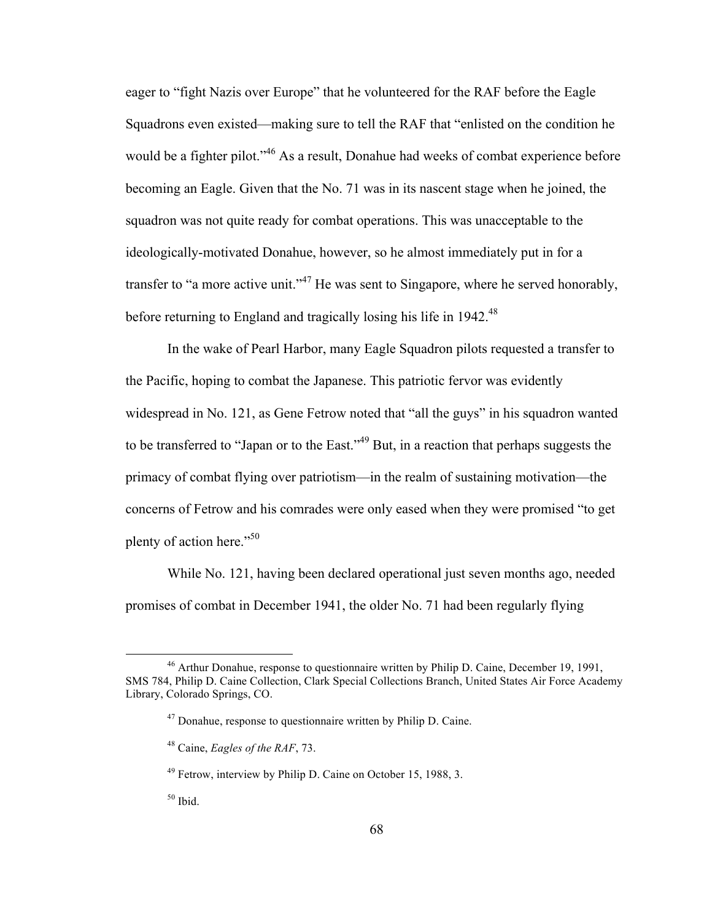eager to "fight Nazis over Europe" that he volunteered for the RAF before the Eagle Squadrons even existed—making sure to tell the RAF that "enlisted on the condition he would be a fighter pilot."<sup>46</sup> As a result, Donahue had weeks of combat experience before becoming an Eagle. Given that the No. 71 was in its nascent stage when he joined, the squadron was not quite ready for combat operations. This was unacceptable to the ideologically-motivated Donahue, however, so he almost immediately put in for a transfer to "a more active unit."<sup>47</sup> He was sent to Singapore, where he served honorably, before returning to England and tragically losing his life in 1942.<sup>48</sup>

In the wake of Pearl Harbor, many Eagle Squadron pilots requested a transfer to the Pacific, hoping to combat the Japanese. This patriotic fervor was evidently widespread in No. 121, as Gene Fetrow noted that "all the guys" in his squadron wanted to be transferred to "Japan or to the East."<sup>49</sup> But, in a reaction that perhaps suggests the primacy of combat flying over patriotism—in the realm of sustaining motivation—the concerns of Fetrow and his comrades were only eased when they were promised "to get plenty of action here." $50$ 

While No. 121, having been declared operational just seven months ago, needed promises of combat in December 1941, the older No. 71 had been regularly flying

 <sup>46</sup> Arthur Donahue, response to questionnaire written by Philip D. Caine, December 19, 1991, SMS 784, Philip D. Caine Collection, Clark Special Collections Branch, United States Air Force Academy Library, Colorado Springs, CO.

<sup>47</sup> Donahue, response to questionnaire written by Philip D. Caine.

<sup>48</sup> Caine, *Eagles of the RAF*, 73.

<sup>49</sup> Fetrow, interview by Philip D. Caine on October 15, 1988, 3.

 $^{50}$  Ibid.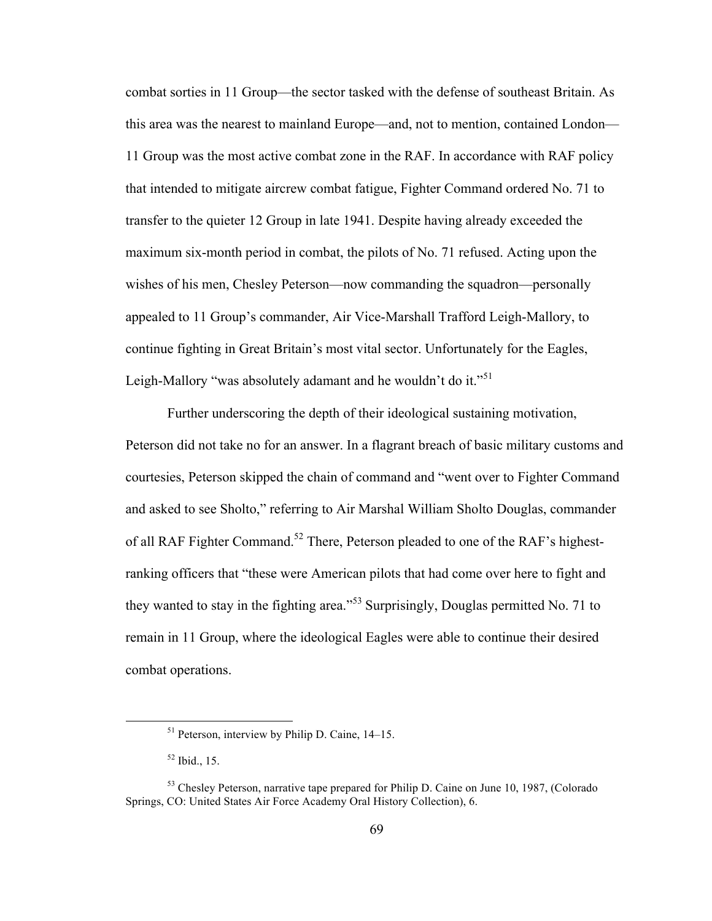combat sorties in 11 Group—the sector tasked with the defense of southeast Britain. As this area was the nearest to mainland Europe—and, not to mention, contained London— 11 Group was the most active combat zone in the RAF. In accordance with RAF policy that intended to mitigate aircrew combat fatigue, Fighter Command ordered No. 71 to transfer to the quieter 12 Group in late 1941. Despite having already exceeded the maximum six-month period in combat, the pilots of No. 71 refused. Acting upon the wishes of his men, Chesley Peterson—now commanding the squadron—personally appealed to 11 Group's commander, Air Vice-Marshall Trafford Leigh-Mallory, to continue fighting in Great Britain's most vital sector. Unfortunately for the Eagles, Leigh-Mallory "was absolutely adamant and he wouldn't do it."<sup>51</sup>

Further underscoring the depth of their ideological sustaining motivation, Peterson did not take no for an answer. In a flagrant breach of basic military customs and courtesies, Peterson skipped the chain of command and "went over to Fighter Command and asked to see Sholto," referring to Air Marshal William Sholto Douglas, commander of all RAF Fighter Command.<sup>52</sup> There, Peterson pleaded to one of the RAF's highestranking officers that "these were American pilots that had come over here to fight and they wanted to stay in the fighting area."<sup>53</sup> Surprisingly, Douglas permitted No. 71 to remain in 11 Group, where the ideological Eagles were able to continue their desired combat operations.

 <sup>51</sup> Peterson, interview by Philip D. Caine, 14–15.

 $52$  Ibid., 15.

<sup>&</sup>lt;sup>53</sup> Chesley Peterson, narrative tape prepared for Philip D. Caine on June 10, 1987, (Colorado Springs, CO: United States Air Force Academy Oral History Collection), 6.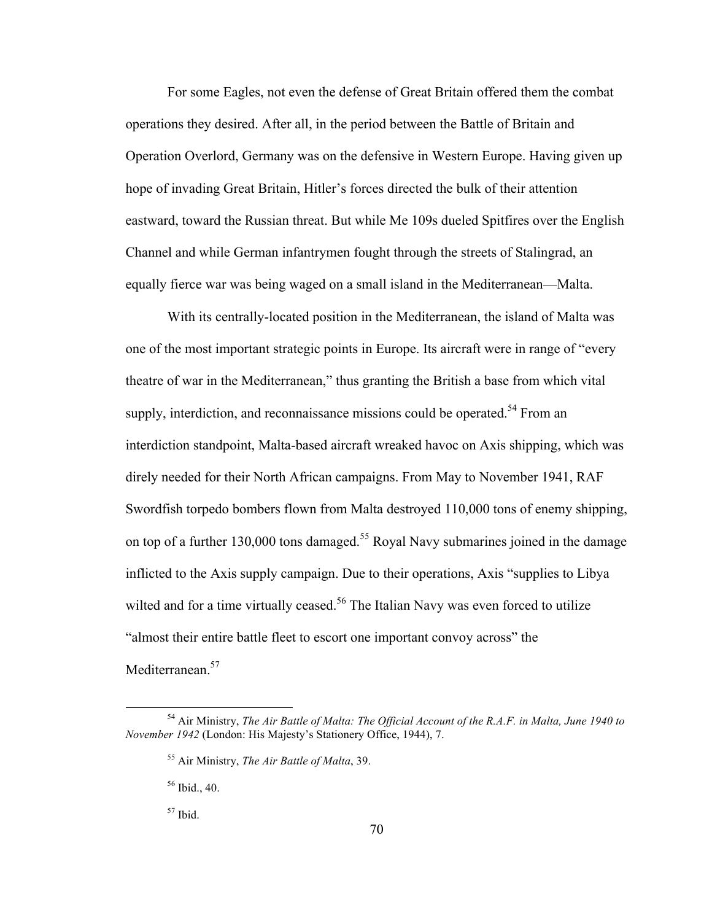For some Eagles, not even the defense of Great Britain offered them the combat operations they desired. After all, in the period between the Battle of Britain and Operation Overlord, Germany was on the defensive in Western Europe. Having given up hope of invading Great Britain, Hitler's forces directed the bulk of their attention eastward, toward the Russian threat. But while Me 109s dueled Spitfires over the English Channel and while German infantrymen fought through the streets of Stalingrad, an equally fierce war was being waged on a small island in the Mediterranean—Malta.

With its centrally-located position in the Mediterranean, the island of Malta was one of the most important strategic points in Europe. Its aircraft were in range of "every theatre of war in the Mediterranean," thus granting the British a base from which vital supply, interdiction, and reconnaissance missions could be operated.<sup>54</sup> From an interdiction standpoint, Malta-based aircraft wreaked havoc on Axis shipping, which was direly needed for their North African campaigns. From May to November 1941, RAF Swordfish torpedo bombers flown from Malta destroyed 110,000 tons of enemy shipping, on top of a further 130,000 tons damaged.<sup>55</sup> Royal Navy submarines joined in the damage inflicted to the Axis supply campaign. Due to their operations, Axis "supplies to Libya wilted and for a time virtually ceased.<sup>56</sup> The Italian Navy was even forced to utilize "almost their entire battle fleet to escort one important convoy across" the Mediterranean.<sup>57</sup>

 <sup>54</sup> Air Ministry, *The Air Battle of Malta: The Official Account of the R.A.F. in Malta, June 1940 to November 1942* (London: His Majesty's Stationery Office, 1944), 7.

<sup>55</sup> Air Ministry, *The Air Battle of Malta*, 39.

<sup>56</sup> Ibid., 40.

 $57$  Ibid.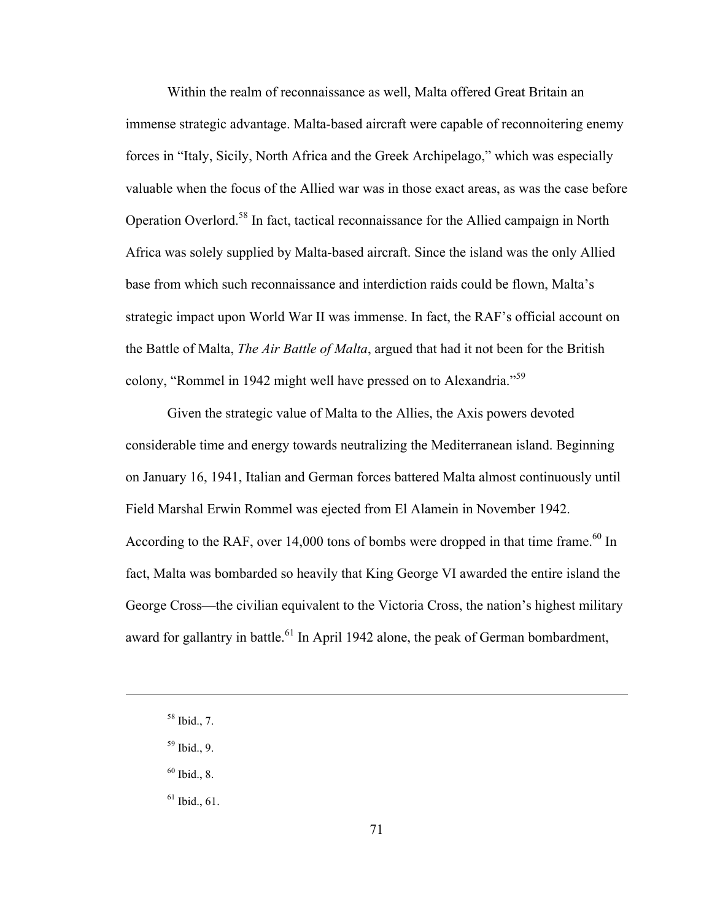Within the realm of reconnaissance as well, Malta offered Great Britain an immense strategic advantage. Malta-based aircraft were capable of reconnoitering enemy forces in "Italy, Sicily, North Africa and the Greek Archipelago," which was especially valuable when the focus of the Allied war was in those exact areas, as was the case before Operation Overlord.<sup>58</sup> In fact, tactical reconnaissance for the Allied campaign in North Africa was solely supplied by Malta-based aircraft. Since the island was the only Allied base from which such reconnaissance and interdiction raids could be flown, Malta's strategic impact upon World War II was immense. In fact, the RAF's official account on the Battle of Malta, *The Air Battle of Malta*, argued that had it not been for the British colony, "Rommel in 1942 might well have pressed on to Alexandria."<sup>59</sup>

Given the strategic value of Malta to the Allies, the Axis powers devoted considerable time and energy towards neutralizing the Mediterranean island. Beginning on January 16, 1941, Italian and German forces battered Malta almost continuously until Field Marshal Erwin Rommel was ejected from El Alamein in November 1942. According to the RAF, over 14,000 tons of bombs were dropped in that time frame.<sup>60</sup> In fact, Malta was bombarded so heavily that King George VI awarded the entire island the George Cross—the civilian equivalent to the Victoria Cross, the nation's highest military award for gallantry in battle.<sup>61</sup> In April 1942 alone, the peak of German bombardment,

 $\overline{a}$ 

 $60$  Ibid., 8.

 $61$  Ibid., 61.

<sup>58</sup> Ibid., 7.

 $59$  Ibid., 9.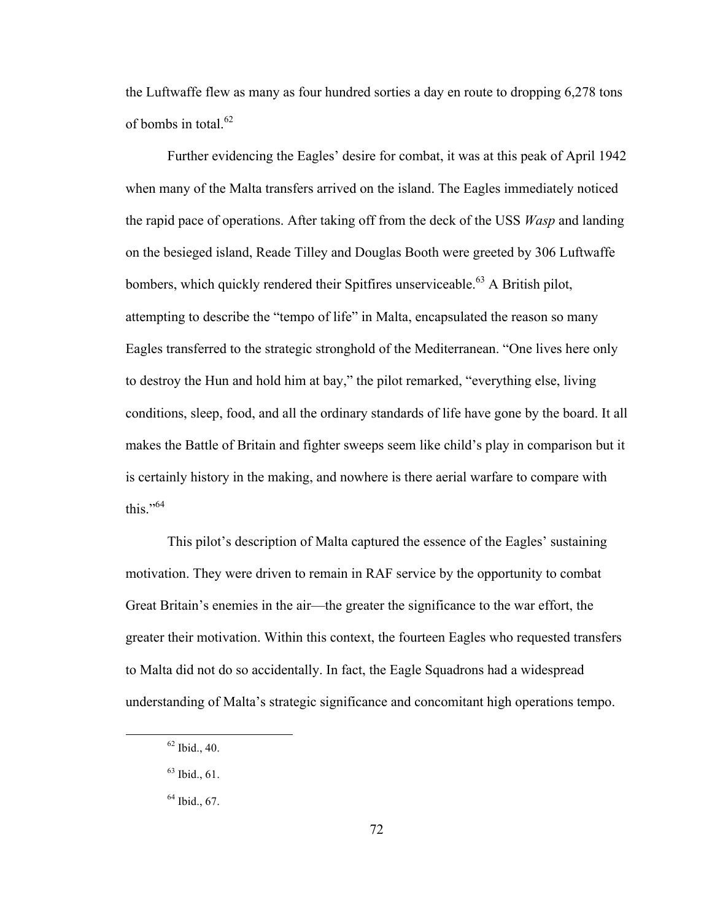the Luftwaffe flew as many as four hundred sorties a day en route to dropping 6,278 tons of bombs in total. 62

Further evidencing the Eagles' desire for combat, it was at this peak of April 1942 when many of the Malta transfers arrived on the island. The Eagles immediately noticed the rapid pace of operations. After taking off from the deck of the USS *Wasp* and landing on the besieged island, Reade Tilley and Douglas Booth were greeted by 306 Luftwaffe bombers, which quickly rendered their Spitfires unserviceable.<sup>63</sup> A British pilot, attempting to describe the "tempo of life" in Malta, encapsulated the reason so many Eagles transferred to the strategic stronghold of the Mediterranean. "One lives here only to destroy the Hun and hold him at bay," the pilot remarked, "everything else, living conditions, sleep, food, and all the ordinary standards of life have gone by the board. It all makes the Battle of Britain and fighter sweeps seem like child's play in comparison but it is certainly history in the making, and nowhere is there aerial warfare to compare with this." $64$ 

This pilot's description of Malta captured the essence of the Eagles' sustaining motivation. They were driven to remain in RAF service by the opportunity to combat Great Britain's enemies in the air—the greater the significance to the war effort, the greater their motivation. Within this context, the fourteen Eagles who requested transfers to Malta did not do so accidentally. In fact, the Eagle Squadrons had a widespread understanding of Malta's strategic significance and concomitant high operations tempo.

 $62$  Ibid., 40.

 $63$  Ibid., 61.

 $64$  Ibid., 67.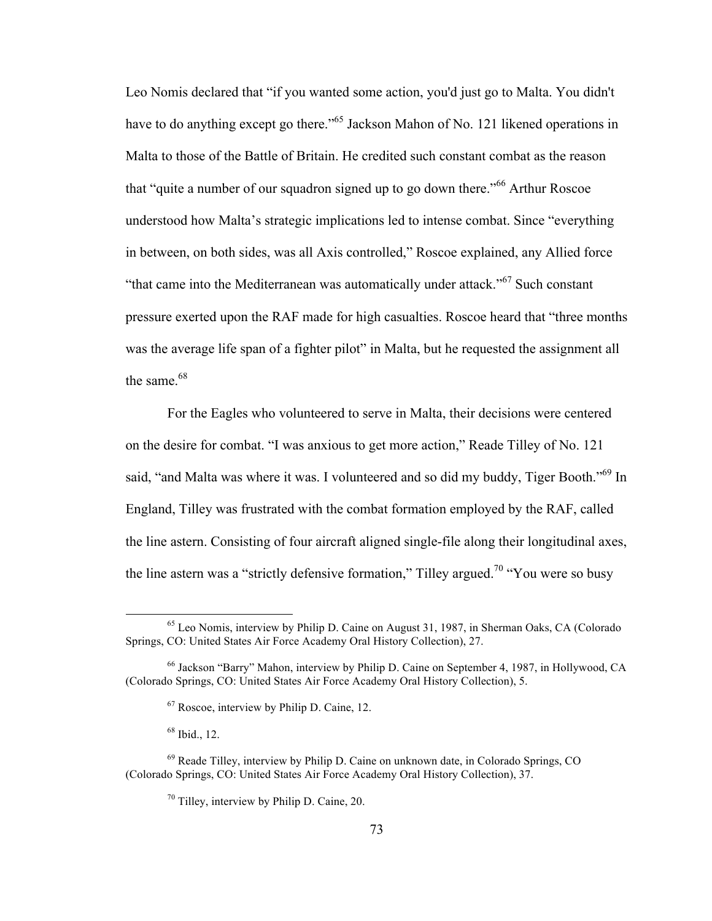Leo Nomis declared that "if you wanted some action, you'd just go to Malta. You didn't have to do anything except go there."<sup>65</sup> Jackson Mahon of No. 121 likened operations in Malta to those of the Battle of Britain. He credited such constant combat as the reason that "quite a number of our squadron signed up to go down there."<sup>66</sup> Arthur Roscoe understood how Malta's strategic implications led to intense combat. Since "everything in between, on both sides, was all Axis controlled," Roscoe explained, any Allied force "that came into the Mediterranean was automatically under attack."<sup>67</sup> Such constant pressure exerted upon the RAF made for high casualties. Roscoe heard that "three months was the average life span of a fighter pilot" in Malta, but he requested the assignment all the same.<sup>68</sup>

For the Eagles who volunteered to serve in Malta, their decisions were centered on the desire for combat. "I was anxious to get more action," Reade Tilley of No. 121 said, "and Malta was where it was. I volunteered and so did my buddy, Tiger Booth."<sup>69</sup> In England, Tilley was frustrated with the combat formation employed by the RAF, called the line astern. Consisting of four aircraft aligned single-file along their longitudinal axes, the line astern was a "strictly defensive formation," Tilley argued.<sup>70</sup> "You were so busy"

<sup>&</sup>lt;sup>65</sup> Leo Nomis, interview by Philip D. Caine on August 31, 1987, in Sherman Oaks, CA (Colorado Springs, CO: United States Air Force Academy Oral History Collection), 27.

<sup>66</sup> Jackson "Barry" Mahon, interview by Philip D. Caine on September 4, 1987, in Hollywood, CA (Colorado Springs, CO: United States Air Force Academy Oral History Collection), 5.

<sup>67</sup> Roscoe, interview by Philip D. Caine, 12.

 $68$  Ibid., 12.

 $69$  Reade Tilley, interview by Philip D. Caine on unknown date, in Colorado Springs, CO (Colorado Springs, CO: United States Air Force Academy Oral History Collection), 37.

 $70$  Tilley, interview by Philip D. Caine, 20.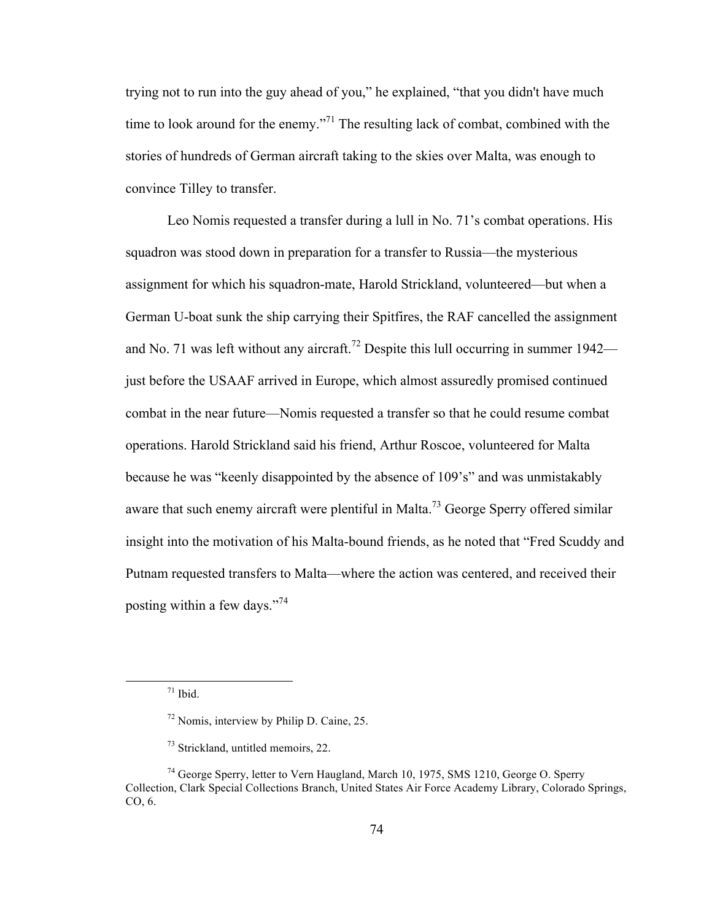trying not to run into the guy ahead of you," he explained, "that you didn't have much time to look around for the enemy."<sup>71</sup> The resulting lack of combat, combined with the stories of hundreds of German aircraft taking to the skies over Malta, was enough to convince Tilley to transfer.

Leo Nomis requested a transfer during a lull in No. 71's combat operations. His squadron was stood down in preparation for a transfer to Russia—the mysterious assignment for which his squadron-mate, Harold Strickland, volunteered—but when a German U-boat sunk the ship carrying their Spitfires, the RAF cancelled the assignment and No. 71 was left without any aircraft.<sup>72</sup> Despite this lull occurring in summer  $1942$ just before the USAAF arrived in Europe, which almost assuredly promised continued combat in the near future—Nomis requested a transfer so that he could resume combat operations. Harold Strickland said his friend, Arthur Roscoe, volunteered for Malta because he was "keenly disappointed by the absence of 109's" and was unmistakably aware that such enemy aircraft were plentiful in Malta.<sup>73</sup> George Sperry offered similar insight into the motivation of his Malta-bound friends, as he noted that "Fred Scuddy and Putnam requested transfers to Malta—where the action was centered, and received their posting within a few days."<sup>74</sup>

 $71$  Ibid.

<sup>72</sup> Nomis, interview by Philip D. Caine, 25.

<sup>&</sup>lt;sup>73</sup> Strickland, untitled memoirs, 22.

<sup>74</sup> George Sperry, letter to Vern Haugland, March 10, 1975, SMS 1210, George O. Sperry Collection, Clark Special Collections Branch, United States Air Force Academy Library, Colorado Springs, CO, 6.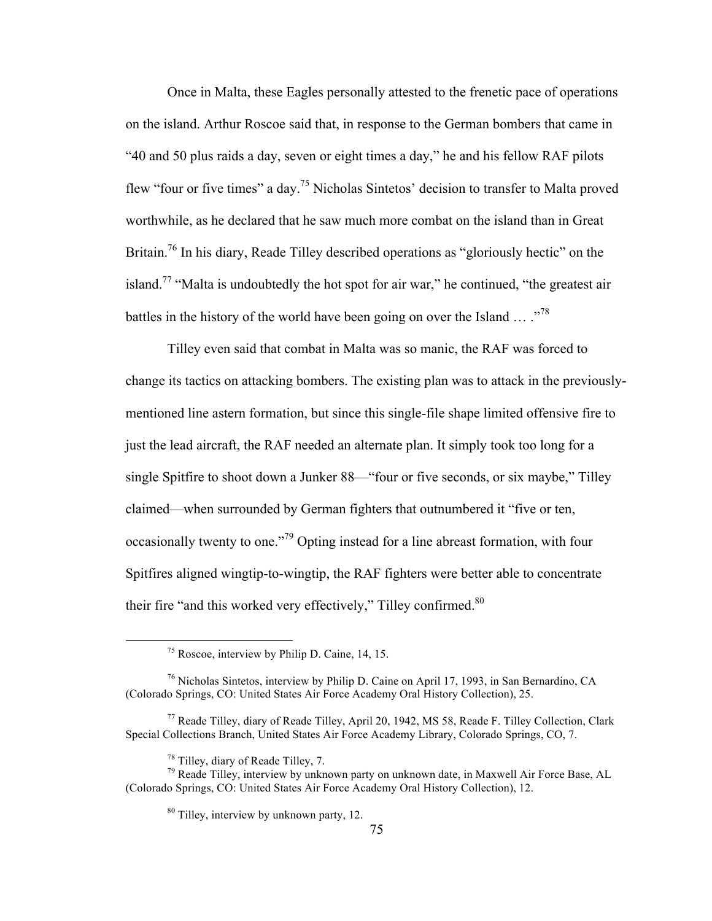Once in Malta, these Eagles personally attested to the frenetic pace of operations on the island. Arthur Roscoe said that, in response to the German bombers that came in "40 and 50 plus raids a day, seven or eight times a day," he and his fellow RAF pilots flew "four or five times" a day.75 Nicholas Sintetos' decision to transfer to Malta proved worthwhile, as he declared that he saw much more combat on the island than in Great Britain.<sup>76</sup> In his diary, Reade Tilley described operations as "gloriously hectic" on the island.<sup>77</sup> "Malta is undoubtedly the hot spot for air war," he continued, "the greatest air battles in the history of the world have been going on over the Island  $\ldots$  .<sup>78</sup>

Tilley even said that combat in Malta was so manic, the RAF was forced to change its tactics on attacking bombers. The existing plan was to attack in the previouslymentioned line astern formation, but since this single-file shape limited offensive fire to just the lead aircraft, the RAF needed an alternate plan. It simply took too long for a single Spitfire to shoot down a Junker 88—"four or five seconds, or six maybe," Tilley claimed—when surrounded by German fighters that outnumbered it "five or ten, occasionally twenty to one."79 Opting instead for a line abreast formation, with four Spitfires aligned wingtip-to-wingtip, the RAF fighters were better able to concentrate their fire "and this worked very effectively," Tilley confirmed.<sup>80</sup>

 <sup>75</sup> Roscoe, interview by Philip D. Caine, 14, 15.

<sup>76</sup> Nicholas Sintetos, interview by Philip D. Caine on April 17, 1993, in San Bernardino, CA (Colorado Springs, CO: United States Air Force Academy Oral History Collection), 25.

<sup>77</sup> Reade Tilley, diary of Reade Tilley, April 20, 1942, MS 58, Reade F. Tilley Collection, Clark Special Collections Branch, United States Air Force Academy Library, Colorado Springs, CO, 7.

<sup>&</sup>lt;sup>78</sup> Tilley, diary of Reade Tilley, 7.<br><sup>79</sup> Reade Tilley, interview by unknown party on unknown date, in Maxwell Air Force Base, AL (Colorado Springs, CO: United States Air Force Academy Oral History Collection), 12.

<sup>80</sup> Tilley, interview by unknown party, 12.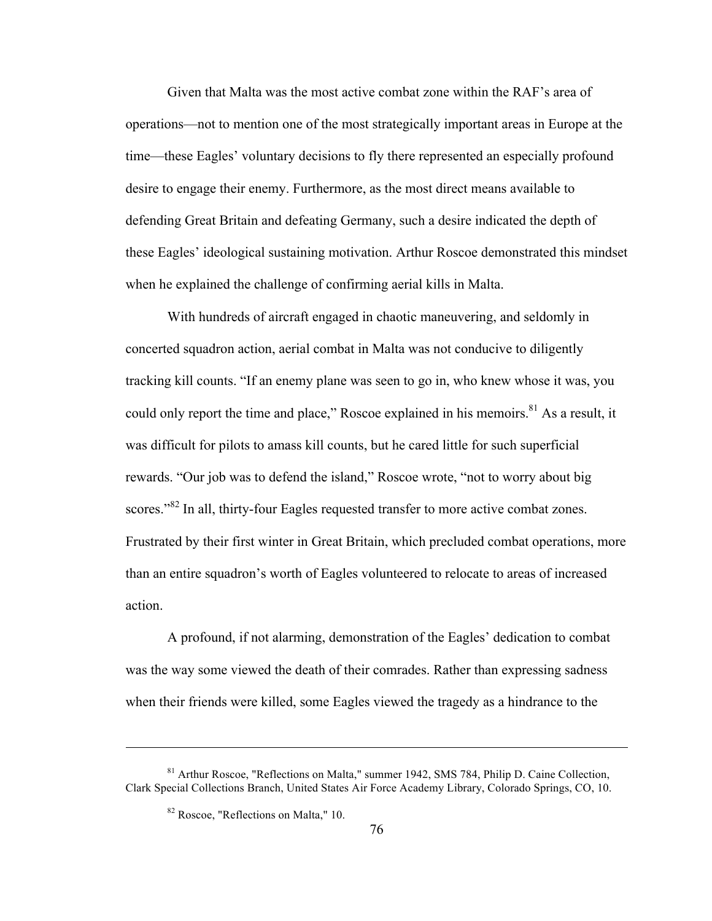Given that Malta was the most active combat zone within the RAF's area of operations—not to mention one of the most strategically important areas in Europe at the time—these Eagles' voluntary decisions to fly there represented an especially profound desire to engage their enemy. Furthermore, as the most direct means available to defending Great Britain and defeating Germany, such a desire indicated the depth of these Eagles' ideological sustaining motivation. Arthur Roscoe demonstrated this mindset when he explained the challenge of confirming aerial kills in Malta.

With hundreds of aircraft engaged in chaotic maneuvering, and seldomly in concerted squadron action, aerial combat in Malta was not conducive to diligently tracking kill counts. "If an enemy plane was seen to go in, who knew whose it was, you could only report the time and place," Roscoe explained in his memoirs.<sup>81</sup> As a result, it was difficult for pilots to amass kill counts, but he cared little for such superficial rewards. "Our job was to defend the island," Roscoe wrote, "not to worry about big scores."<sup>82</sup> In all, thirty-four Eagles requested transfer to more active combat zones. Frustrated by their first winter in Great Britain, which precluded combat operations, more than an entire squadron's worth of Eagles volunteered to relocate to areas of increased action.

A profound, if not alarming, demonstration of the Eagles' dedication to combat was the way some viewed the death of their comrades. Rather than expressing sadness when their friends were killed, some Eagles viewed the tragedy as a hindrance to the

 $\overline{a}$ 

<sup>81</sup> Arthur Roscoe, "Reflections on Malta," summer 1942, SMS 784, Philip D. Caine Collection, Clark Special Collections Branch, United States Air Force Academy Library, Colorado Springs, CO, 10.

<sup>82</sup> Roscoe, "Reflections on Malta," 10.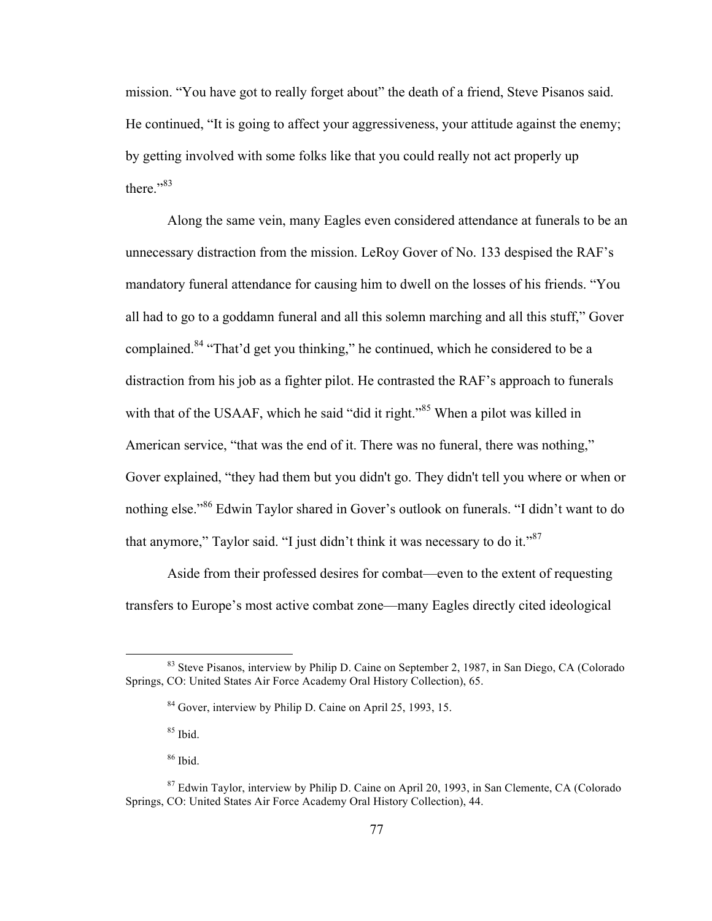mission. "You have got to really forget about" the death of a friend, Steve Pisanos said. He continued, "It is going to affect your aggressiveness, your attitude against the enemy; by getting involved with some folks like that you could really not act properly up there $"3$ 

Along the same vein, many Eagles even considered attendance at funerals to be an unnecessary distraction from the mission. LeRoy Gover of No. 133 despised the RAF's mandatory funeral attendance for causing him to dwell on the losses of his friends. "You all had to go to a goddamn funeral and all this solemn marching and all this stuff," Gover complained.<sup>84</sup> "That'd get you thinking," he continued, which he considered to be a distraction from his job as a fighter pilot. He contrasted the RAF's approach to funerals with that of the USAAF, which he said "did it right."<sup>85</sup> When a pilot was killed in American service, "that was the end of it. There was no funeral, there was nothing," Gover explained, "they had them but you didn't go. They didn't tell you where or when or nothing else."<sup>86</sup> Edwin Taylor shared in Gover's outlook on funerals. "I didn't want to do that anymore," Taylor said. "I just didn't think it was necessary to do it." $87$ 

Aside from their professed desires for combat—even to the extent of requesting transfers to Europe's most active combat zone—many Eagles directly cited ideological

<sup>&</sup>lt;sup>83</sup> Steve Pisanos, interview by Philip D. Caine on September 2, 1987, in San Diego, CA (Colorado Springs, CO: United States Air Force Academy Oral History Collection), 65.

<sup>&</sup>lt;sup>84</sup> Gover, interview by Philip D. Caine on April 25, 1993, 15.

<sup>85</sup> Ibid.

<sup>86</sup> Ibid.

<sup>&</sup>lt;sup>87</sup> Edwin Taylor, interview by Philip D. Caine on April 20, 1993, in San Clemente, CA (Colorado Springs, CO: United States Air Force Academy Oral History Collection), 44.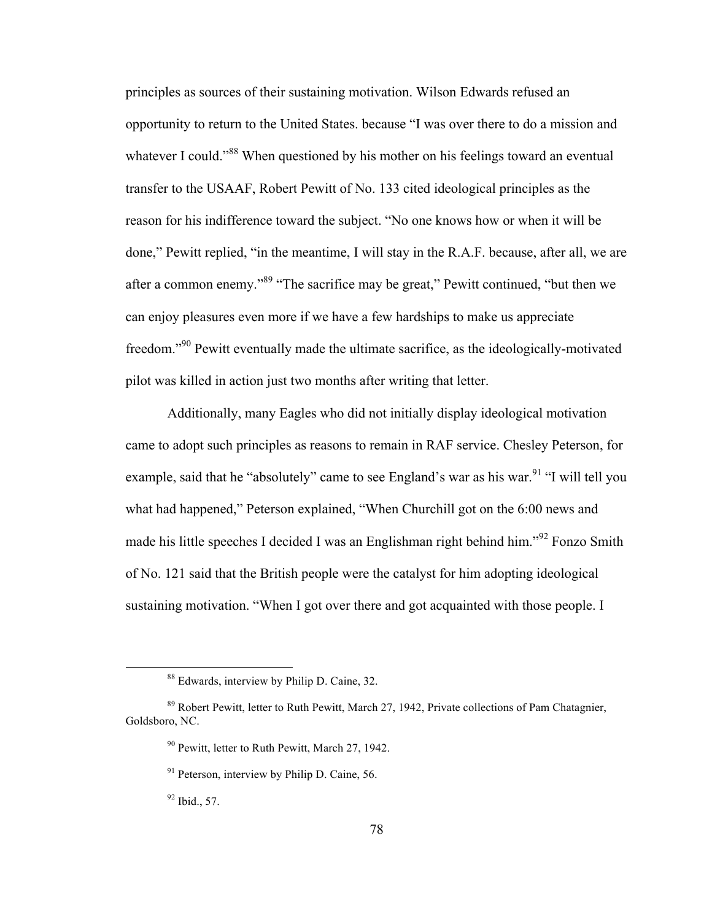principles as sources of their sustaining motivation. Wilson Edwards refused an opportunity to return to the United States. because "I was over there to do a mission and whatever I could."<sup>88</sup> When questioned by his mother on his feelings toward an eventual transfer to the USAAF, Robert Pewitt of No. 133 cited ideological principles as the reason for his indifference toward the subject. "No one knows how or when it will be done," Pewitt replied, "in the meantime, I will stay in the R.A.F. because, after all, we are after a common enemy."<sup>89</sup> "The sacrifice may be great," Pewitt continued, "but then we can enjoy pleasures even more if we have a few hardships to make us appreciate freedom."90 Pewitt eventually made the ultimate sacrifice, as the ideologically-motivated pilot was killed in action just two months after writing that letter.

Additionally, many Eagles who did not initially display ideological motivation came to adopt such principles as reasons to remain in RAF service. Chesley Peterson, for example, said that he "absolutely" came to see England's war as his war.<sup>91</sup> "I will tell you what had happened," Peterson explained, "When Churchill got on the 6:00 news and made his little speeches I decided I was an Englishman right behind him."<sup>92</sup> Fonzo Smith of No. 121 said that the British people were the catalyst for him adopting ideological sustaining motivation. "When I got over there and got acquainted with those people. I

 <sup>88</sup> Edwards, interview by Philip D. Caine, 32.

<sup>&</sup>lt;sup>89</sup> Robert Pewitt, letter to Ruth Pewitt, March 27, 1942, Private collections of Pam Chatagnier, Goldsboro, NC.

<sup>&</sup>lt;sup>90</sup> Pewitt, letter to Ruth Pewitt, March 27, 1942.

 $91$  Peterson, interview by Philip D. Caine, 56.

<sup>92</sup> Ibid., 57.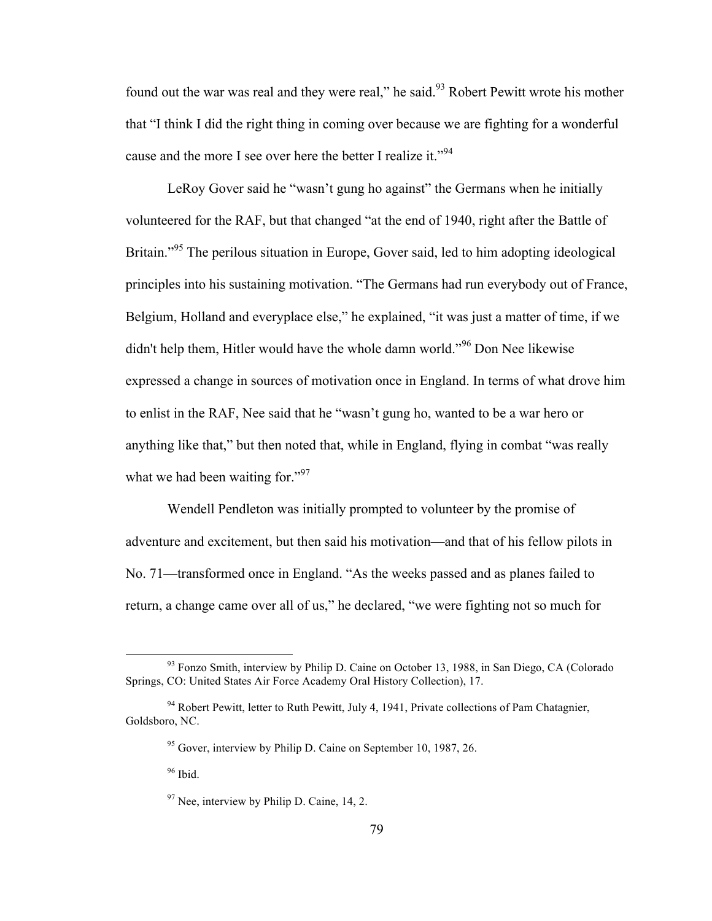found out the war was real and they were real," he said.<sup>93</sup> Robert Pewitt wrote his mother that "I think I did the right thing in coming over because we are fighting for a wonderful cause and the more I see over here the better I realize it."<sup>94</sup>

LeRoy Gover said he "wasn't gung ho against" the Germans when he initially volunteered for the RAF, but that changed "at the end of 1940, right after the Battle of Britain."<sup>95</sup> The perilous situation in Europe, Gover said, led to him adopting ideological principles into his sustaining motivation. "The Germans had run everybody out of France, Belgium, Holland and everyplace else," he explained, "it was just a matter of time, if we didn't help them, Hitler would have the whole damn world."<sup>96</sup> Don Nee likewise expressed a change in sources of motivation once in England. In terms of what drove him to enlist in the RAF, Nee said that he "wasn't gung ho, wanted to be a war hero or anything like that," but then noted that, while in England, flying in combat "was really what we had been waiting for."<sup>97</sup>

Wendell Pendleton was initially prompted to volunteer by the promise of adventure and excitement, but then said his motivation—and that of his fellow pilots in No. 71—transformed once in England. "As the weeks passed and as planes failed to return, a change came over all of us," he declared, "we were fighting not so much for

<sup>&</sup>lt;sup>93</sup> Fonzo Smith, interview by Philip D. Caine on October 13, 1988, in San Diego, CA (Colorado Springs, CO: United States Air Force Academy Oral History Collection), 17.

 $94$  Robert Pewitt, letter to Ruth Pewitt, July 4, 1941, Private collections of Pam Chatagnier, Goldsboro, NC.

<sup>&</sup>lt;sup>95</sup> Gover, interview by Philip D. Caine on September 10, 1987, 26.

<sup>&</sup>lt;sup>96</sup> Ibid.

 $97$  Nee, interview by Philip D. Caine, 14, 2.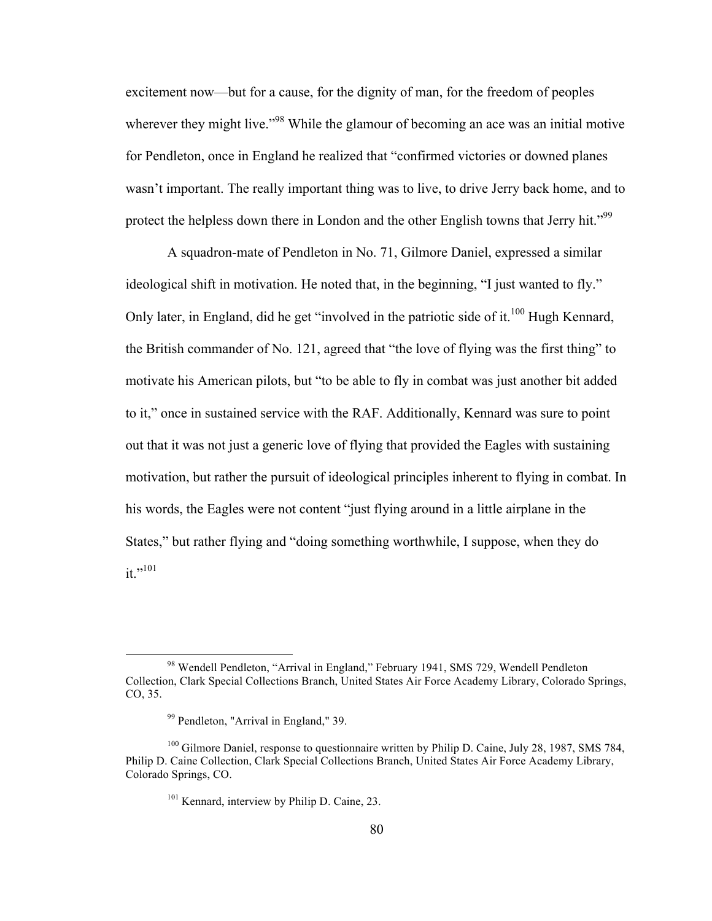excitement now—but for a cause, for the dignity of man, for the freedom of peoples wherever they might live."<sup>98</sup> While the glamour of becoming an ace was an initial motive for Pendleton, once in England he realized that "confirmed victories or downed planes wasn't important. The really important thing was to live, to drive Jerry back home, and to protect the helpless down there in London and the other English towns that Jerry hit."<sup>99</sup>

A squadron-mate of Pendleton in No. 71, Gilmore Daniel, expressed a similar ideological shift in motivation. He noted that, in the beginning, "I just wanted to fly." Only later, in England, did he get "involved in the patriotic side of it.<sup>100</sup> Hugh Kennard, the British commander of No. 121, agreed that "the love of flying was the first thing" to motivate his American pilots, but "to be able to fly in combat was just another bit added to it," once in sustained service with the RAF. Additionally, Kennard was sure to point out that it was not just a generic love of flying that provided the Eagles with sustaining motivation, but rather the pursuit of ideological principles inherent to flying in combat. In his words, the Eagles were not content "just flying around in a little airplane in the States," but rather flying and "doing something worthwhile, I suppose, when they do it."<sup>101</sup>

 <sup>98</sup> Wendell Pendleton, "Arrival in England," February 1941, SMS 729, Wendell Pendleton Collection, Clark Special Collections Branch, United States Air Force Academy Library, Colorado Springs, CO, 35.

<sup>99</sup> Pendleton, "Arrival in England," 39.

<sup>&</sup>lt;sup>100</sup> Gilmore Daniel, response to questionnaire written by Philip D. Caine, July 28, 1987, SMS 784, Philip D. Caine Collection, Clark Special Collections Branch, United States Air Force Academy Library, Colorado Springs, CO.

<sup>&</sup>lt;sup>101</sup> Kennard, interview by Philip D. Caine, 23.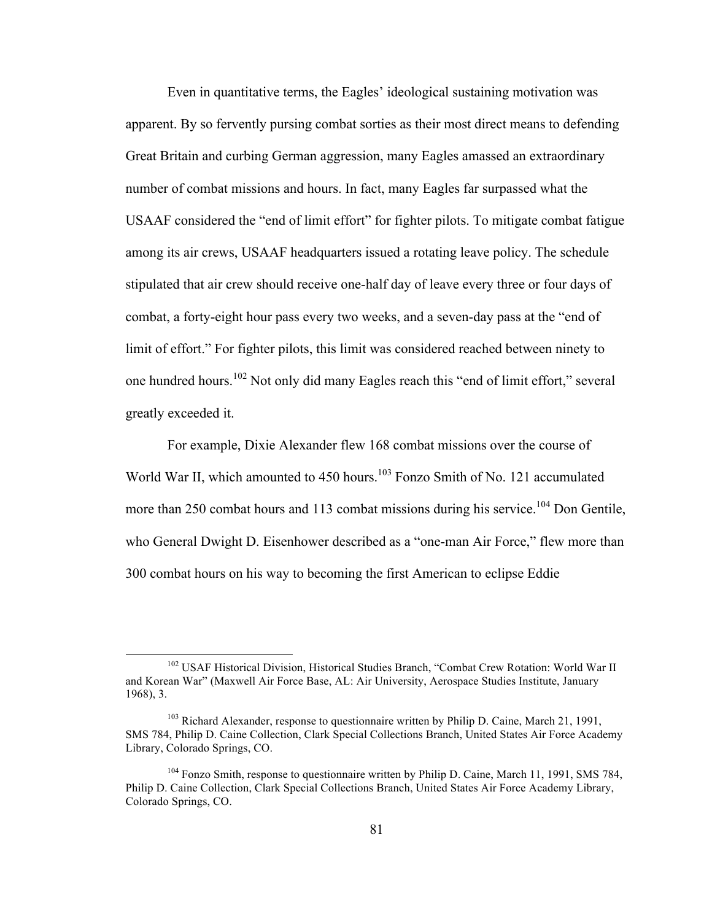Even in quantitative terms, the Eagles' ideological sustaining motivation was apparent. By so fervently pursing combat sorties as their most direct means to defending Great Britain and curbing German aggression, many Eagles amassed an extraordinary number of combat missions and hours. In fact, many Eagles far surpassed what the USAAF considered the "end of limit effort" for fighter pilots. To mitigate combat fatigue among its air crews, USAAF headquarters issued a rotating leave policy. The schedule stipulated that air crew should receive one-half day of leave every three or four days of combat, a forty-eight hour pass every two weeks, and a seven-day pass at the "end of limit of effort." For fighter pilots, this limit was considered reached between ninety to one hundred hours.<sup>102</sup> Not only did many Eagles reach this "end of limit effort," several greatly exceeded it.

For example, Dixie Alexander flew 168 combat missions over the course of World War II, which amounted to  $450$  hours.<sup>103</sup> Fonzo Smith of No. 121 accumulated more than 250 combat hours and 113 combat missions during his service.<sup>104</sup> Don Gentile, who General Dwight D. Eisenhower described as a "one-man Air Force," flew more than 300 combat hours on his way to becoming the first American to eclipse Eddie

<sup>&</sup>lt;sup>102</sup> USAF Historical Division, Historical Studies Branch, "Combat Crew Rotation: World War II and Korean War" (Maxwell Air Force Base, AL: Air University, Aerospace Studies Institute, January 1968), 3.

 $103$  Richard Alexander, response to questionnaire written by Philip D. Caine, March 21, 1991, SMS 784, Philip D. Caine Collection, Clark Special Collections Branch, United States Air Force Academy Library, Colorado Springs, CO.

<sup>&</sup>lt;sup>104</sup> Fonzo Smith, response to questionnaire written by Philip D. Caine, March 11, 1991, SMS 784, Philip D. Caine Collection, Clark Special Collections Branch, United States Air Force Academy Library, Colorado Springs, CO.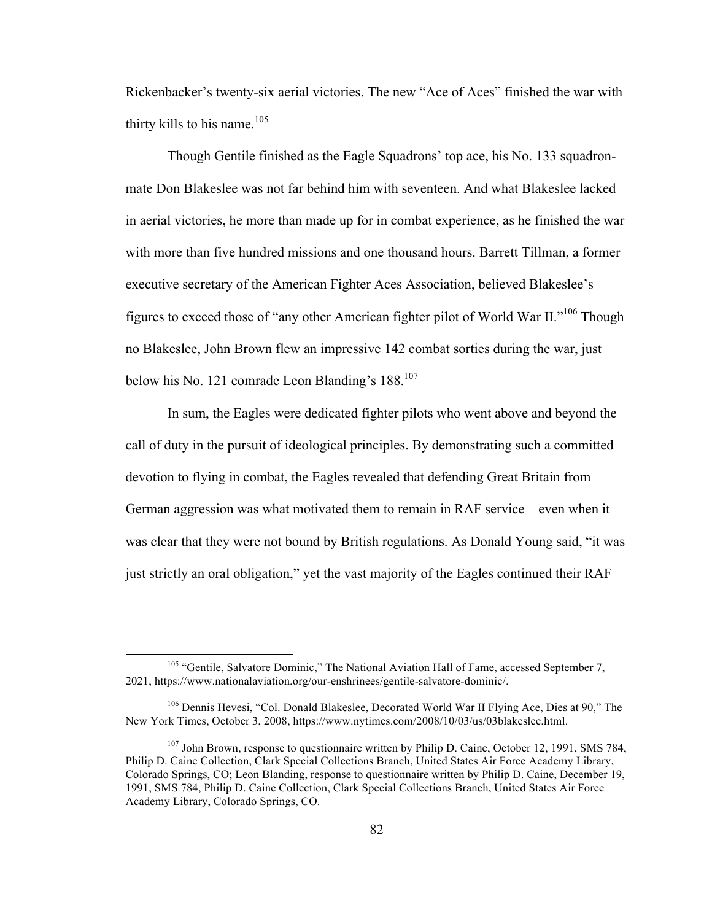Rickenbacker's twenty-six aerial victories. The new "Ace of Aces" finished the war with thirty kills to his name.<sup>105</sup>

Though Gentile finished as the Eagle Squadrons' top ace, his No. 133 squadronmate Don Blakeslee was not far behind him with seventeen. And what Blakeslee lacked in aerial victories, he more than made up for in combat experience, as he finished the war with more than five hundred missions and one thousand hours. Barrett Tillman, a former executive secretary of the American Fighter Aces Association, believed Blakeslee's figures to exceed those of "any other American fighter pilot of World War II."<sup>106</sup> Though no Blakeslee, John Brown flew an impressive 142 combat sorties during the war, just below his No. 121 comrade Leon Blanding's 188.<sup>107</sup>

In sum, the Eagles were dedicated fighter pilots who went above and beyond the call of duty in the pursuit of ideological principles. By demonstrating such a committed devotion to flying in combat, the Eagles revealed that defending Great Britain from German aggression was what motivated them to remain in RAF service—even when it was clear that they were not bound by British regulations. As Donald Young said, "it was just strictly an oral obligation," yet the vast majority of the Eagles continued their RAF

<sup>&</sup>lt;sup>105</sup> "Gentile, Salvatore Dominic," The National Aviation Hall of Fame, accessed September 7, 2021, https://www.nationalaviation.org/our-enshrinees/gentile-salvatore-dominic/.

<sup>&</sup>lt;sup>106</sup> Dennis Hevesi, "Col. Donald Blakeslee, Decorated World War II Flying Ace, Dies at 90," The New York Times, October 3, 2008, https://www.nytimes.com/2008/10/03/us/03blakeslee.html.

 $107$  John Brown, response to questionnaire written by Philip D. Caine, October 12, 1991, SMS 784, Philip D. Caine Collection, Clark Special Collections Branch, United States Air Force Academy Library, Colorado Springs, CO; Leon Blanding, response to questionnaire written by Philip D. Caine, December 19, 1991, SMS 784, Philip D. Caine Collection, Clark Special Collections Branch, United States Air Force Academy Library, Colorado Springs, CO.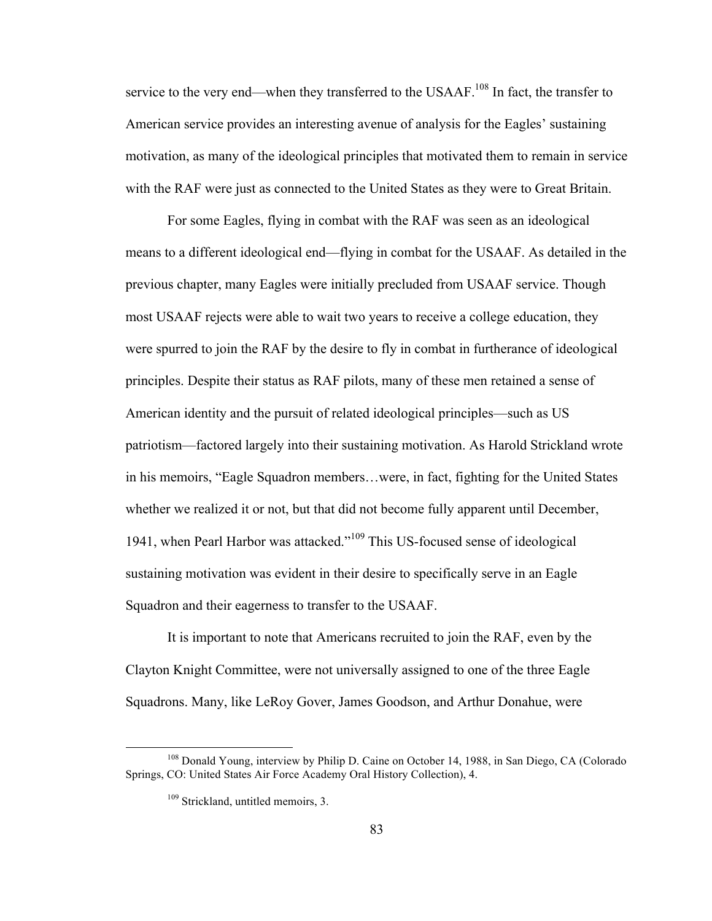service to the very end—when they transferred to the USAAF.<sup>108</sup> In fact, the transfer to American service provides an interesting avenue of analysis for the Eagles' sustaining motivation, as many of the ideological principles that motivated them to remain in service with the RAF were just as connected to the United States as they were to Great Britain.

For some Eagles, flying in combat with the RAF was seen as an ideological means to a different ideological end—flying in combat for the USAAF. As detailed in the previous chapter, many Eagles were initially precluded from USAAF service. Though most USAAF rejects were able to wait two years to receive a college education, they were spurred to join the RAF by the desire to fly in combat in furtherance of ideological principles. Despite their status as RAF pilots, many of these men retained a sense of American identity and the pursuit of related ideological principles—such as US patriotism—factored largely into their sustaining motivation. As Harold Strickland wrote in his memoirs, "Eagle Squadron members…were, in fact, fighting for the United States whether we realized it or not, but that did not become fully apparent until December, 1941, when Pearl Harbor was attacked."<sup>109</sup> This US-focused sense of ideological sustaining motivation was evident in their desire to specifically serve in an Eagle Squadron and their eagerness to transfer to the USAAF.

It is important to note that Americans recruited to join the RAF, even by the Clayton Knight Committee, were not universally assigned to one of the three Eagle Squadrons. Many, like LeRoy Gover, James Goodson, and Arthur Donahue, were

<sup>&</sup>lt;sup>108</sup> Donald Young, interview by Philip D. Caine on October 14, 1988, in San Diego, CA (Colorado Springs, CO: United States Air Force Academy Oral History Collection), 4.

<sup>&</sup>lt;sup>109</sup> Strickland, untitled memoirs, 3.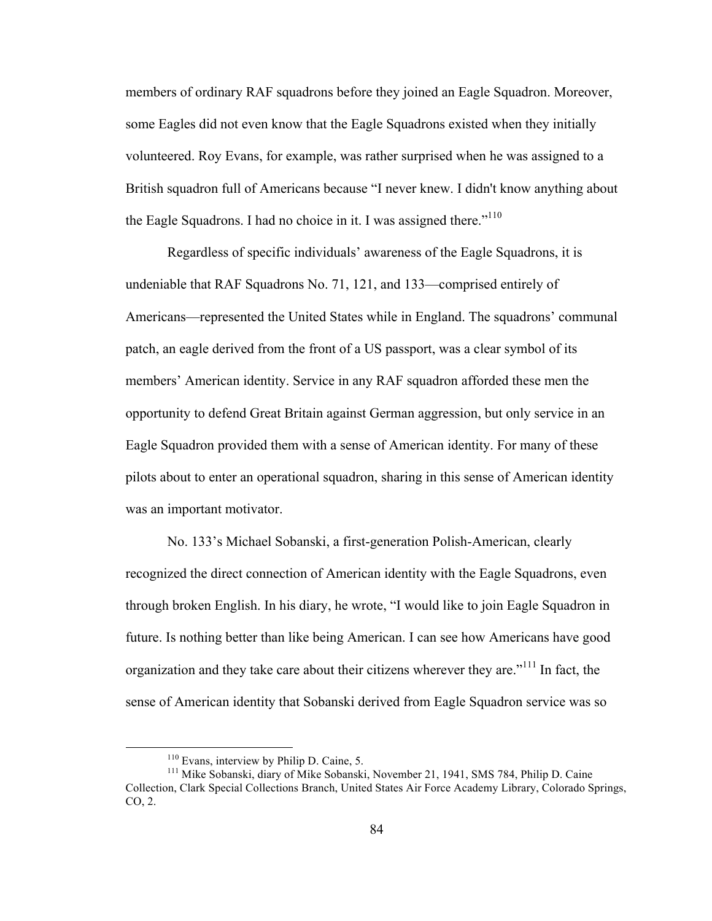members of ordinary RAF squadrons before they joined an Eagle Squadron. Moreover, some Eagles did not even know that the Eagle Squadrons existed when they initially volunteered. Roy Evans, for example, was rather surprised when he was assigned to a British squadron full of Americans because "I never knew. I didn't know anything about the Eagle Squadrons. I had no choice in it. I was assigned there."<sup>110</sup>

Regardless of specific individuals' awareness of the Eagle Squadrons, it is undeniable that RAF Squadrons No. 71, 121, and 133—comprised entirely of Americans—represented the United States while in England. The squadrons' communal patch, an eagle derived from the front of a US passport, was a clear symbol of its members' American identity. Service in any RAF squadron afforded these men the opportunity to defend Great Britain against German aggression, but only service in an Eagle Squadron provided them with a sense of American identity. For many of these pilots about to enter an operational squadron, sharing in this sense of American identity was an important motivator.

No. 133's Michael Sobanski, a first-generation Polish-American, clearly recognized the direct connection of American identity with the Eagle Squadrons, even through broken English. In his diary, he wrote, "I would like to join Eagle Squadron in future. Is nothing better than like being American. I can see how Americans have good organization and they take care about their citizens wherever they are."<sup>111</sup> In fact, the sense of American identity that Sobanski derived from Eagle Squadron service was so

<sup>&</sup>lt;sup>110</sup> Evans, interview by Philip D. Caine, 5.<br><sup>111</sup> Mike Sobanski, diary of Mike Sobanski, November 21, 1941, SMS 784, Philip D. Caine Collection, Clark Special Collections Branch, United States Air Force Academy Library, Colorado Springs, CO, 2.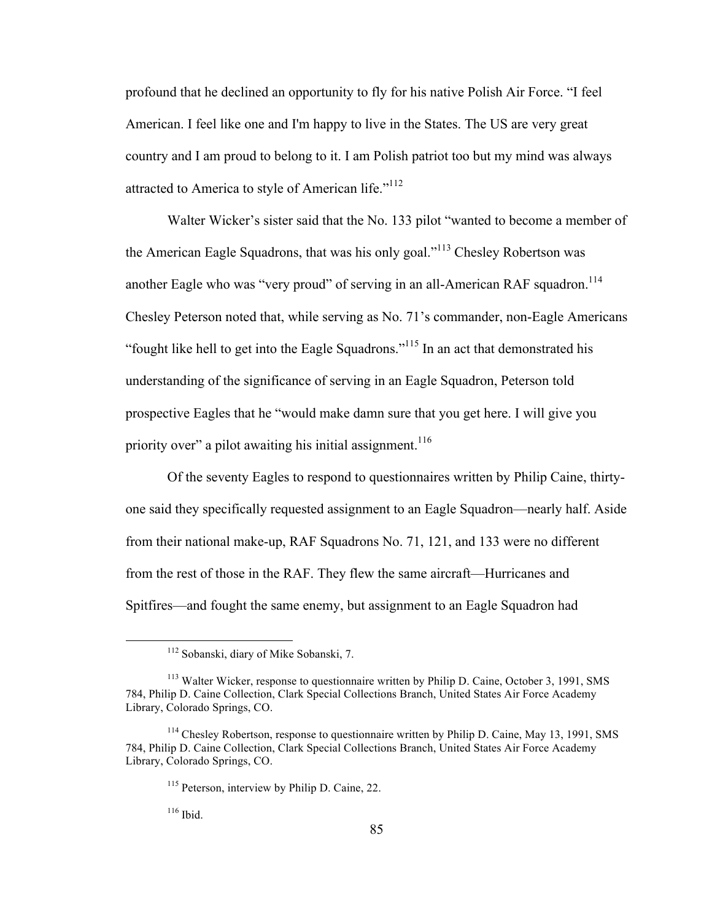profound that he declined an opportunity to fly for his native Polish Air Force. "I feel American. I feel like one and I'm happy to live in the States. The US are very great country and I am proud to belong to it. I am Polish patriot too but my mind was always attracted to America to style of American life."<sup>112</sup>

Walter Wicker's sister said that the No. 133 pilot "wanted to become a member of the American Eagle Squadrons, that was his only goal."113 Chesley Robertson was another Eagle who was "very proud" of serving in an all-American RAF squadron.<sup>114</sup> Chesley Peterson noted that, while serving as No. 71's commander, non-Eagle Americans "fought like hell to get into the Eagle Squadrons."<sup>115</sup> In an act that demonstrated his understanding of the significance of serving in an Eagle Squadron, Peterson told prospective Eagles that he "would make damn sure that you get here. I will give you priority over" a pilot awaiting his initial assignment.<sup>116</sup>

Of the seventy Eagles to respond to questionnaires written by Philip Caine, thirtyone said they specifically requested assignment to an Eagle Squadron—nearly half. Aside from their national make-up, RAF Squadrons No. 71, 121, and 133 were no different from the rest of those in the RAF. They flew the same aircraft—Hurricanes and Spitfires—and fought the same enemy, but assignment to an Eagle Squadron had

 $116$  Ibid.

 <sup>112</sup> Sobanski, diary of Mike Sobanski, 7.

<sup>113</sup> Walter Wicker, response to questionnaire written by Philip D. Caine, October 3, 1991, SMS 784, Philip D. Caine Collection, Clark Special Collections Branch, United States Air Force Academy Library, Colorado Springs, CO.

<sup>&</sup>lt;sup>114</sup> Chesley Robertson, response to questionnaire written by Philip D. Caine, May 13, 1991, SMS 784, Philip D. Caine Collection, Clark Special Collections Branch, United States Air Force Academy Library, Colorado Springs, CO.

<sup>115</sup> Peterson, interview by Philip D. Caine, 22.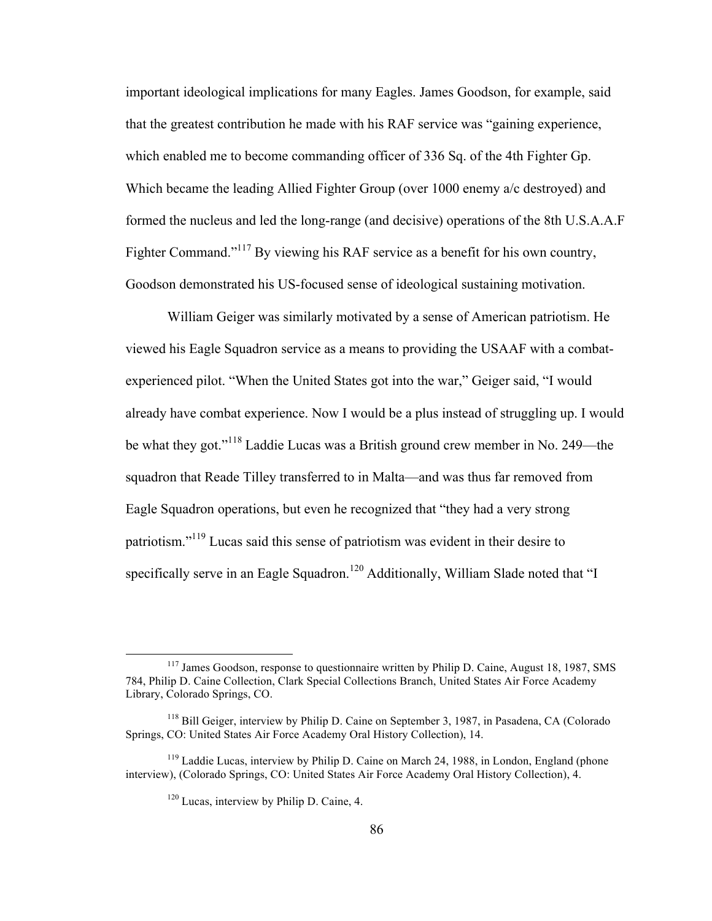important ideological implications for many Eagles. James Goodson, for example, said that the greatest contribution he made with his RAF service was "gaining experience, which enabled me to become commanding officer of 336 Sq. of the 4th Fighter Gp. Which became the leading Allied Fighter Group (over 1000 enemy a/c destroyed) and formed the nucleus and led the long-range (and decisive) operations of the 8th U.S.A.A.F Fighter Command."<sup>117</sup> By viewing his RAF service as a benefit for his own country, Goodson demonstrated his US-focused sense of ideological sustaining motivation.

William Geiger was similarly motivated by a sense of American patriotism. He viewed his Eagle Squadron service as a means to providing the USAAF with a combatexperienced pilot. "When the United States got into the war," Geiger said, "I would already have combat experience. Now I would be a plus instead of struggling up. I would be what they got."<sup>118</sup> Laddie Lucas was a British ground crew member in No. 249—the squadron that Reade Tilley transferred to in Malta—and was thus far removed from Eagle Squadron operations, but even he recognized that "they had a very strong patriotism."<sup>119</sup> Lucas said this sense of patriotism was evident in their desire to specifically serve in an Eagle Squadron.<sup>120</sup> Additionally, William Slade noted that "I

<sup>&</sup>lt;sup>117</sup> James Goodson, response to questionnaire written by Philip D. Caine, August 18, 1987, SMS 784, Philip D. Caine Collection, Clark Special Collections Branch, United States Air Force Academy Library, Colorado Springs, CO.

<sup>&</sup>lt;sup>118</sup> Bill Geiger, interview by Philip D. Caine on September 3, 1987, in Pasadena, CA (Colorado Springs, CO: United States Air Force Academy Oral History Collection), 14.

<sup>&</sup>lt;sup>119</sup> Laddie Lucas, interview by Philip D. Caine on March 24, 1988, in London, England (phone interview), (Colorado Springs, CO: United States Air Force Academy Oral History Collection), 4.

 $120$  Lucas, interview by Philip D. Caine, 4.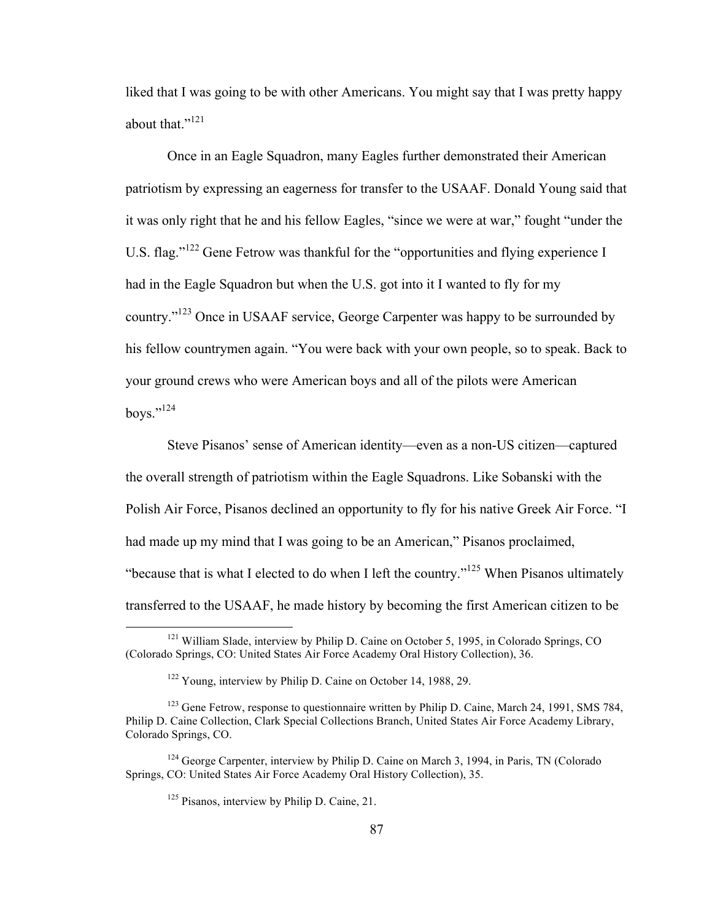liked that I was going to be with other Americans. You might say that I was pretty happy about that."<sup>121</sup>

Once in an Eagle Squadron, many Eagles further demonstrated their American patriotism by expressing an eagerness for transfer to the USAAF. Donald Young said that it was only right that he and his fellow Eagles, "since we were at war," fought "under the U.S. flag."<sup>122</sup> Gene Fetrow was thankful for the "opportunities and flying experience I had in the Eagle Squadron but when the U.S. got into it I wanted to fly for my country."<sup>123</sup> Once in USAAF service, George Carpenter was happy to be surrounded by his fellow countrymen again. "You were back with your own people, so to speak. Back to your ground crews who were American boys and all of the pilots were American boys."124

Steve Pisanos' sense of American identity—even as a non-US citizen—captured the overall strength of patriotism within the Eagle Squadrons. Like Sobanski with the Polish Air Force, Pisanos declined an opportunity to fly for his native Greek Air Force. "I had made up my mind that I was going to be an American," Pisanos proclaimed, "because that is what I elected to do when I left the country."<sup>125</sup> When Pisanos ultimately transferred to the USAAF, he made history by becoming the first American citizen to be

<sup>&</sup>lt;sup>121</sup> William Slade, interview by Philip D. Caine on October 5, 1995, in Colorado Springs, CO (Colorado Springs, CO: United States Air Force Academy Oral History Collection), 36.

<sup>122</sup> Young, interview by Philip D. Caine on October 14, 1988, 29.

<sup>&</sup>lt;sup>123</sup> Gene Fetrow, response to questionnaire written by Philip D. Caine, March 24, 1991, SMS 784, Philip D. Caine Collection, Clark Special Collections Branch, United States Air Force Academy Library, Colorado Springs, CO.

 $124$  George Carpenter, interview by Philip D. Caine on March 3, 1994, in Paris, TN (Colorado) Springs, CO: United States Air Force Academy Oral History Collection), 35.

 $125$  Pisanos, interview by Philip D. Caine, 21.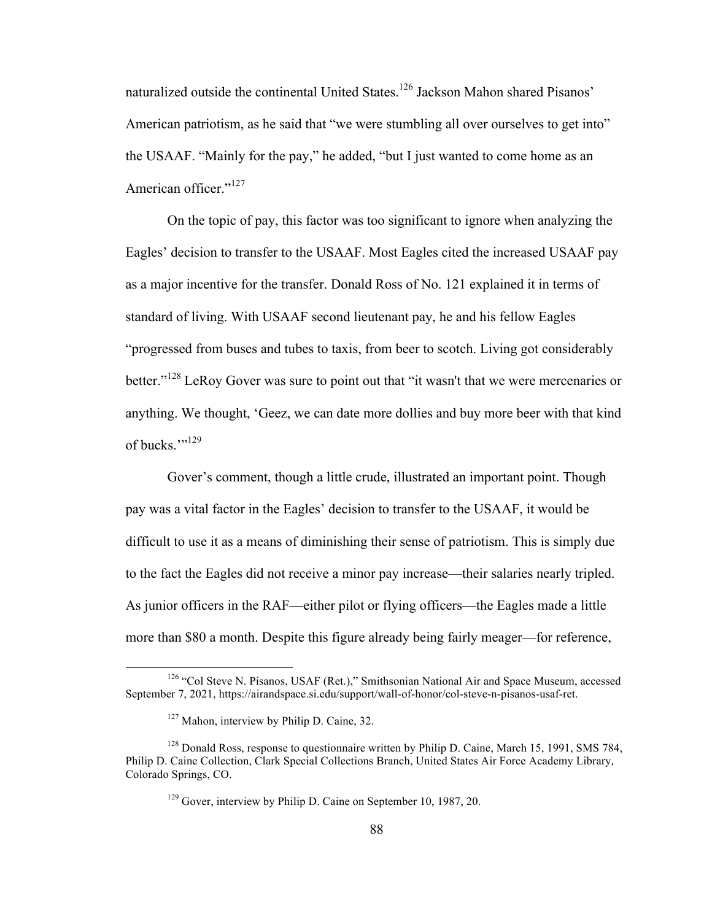naturalized outside the continental United States.<sup>126</sup> Jackson Mahon shared Pisanos' American patriotism, as he said that "we were stumbling all over ourselves to get into" the USAAF. "Mainly for the pay," he added, "but I just wanted to come home as an American officer."<sup>127</sup>

On the topic of pay, this factor was too significant to ignore when analyzing the Eagles' decision to transfer to the USAAF. Most Eagles cited the increased USAAF pay as a major incentive for the transfer. Donald Ross of No. 121 explained it in terms of standard of living. With USAAF second lieutenant pay, he and his fellow Eagles "progressed from buses and tubes to taxis, from beer to scotch. Living got considerably better."<sup>128</sup> LeRoy Gover was sure to point out that "it wasn't that we were mercenaries or anything. We thought, 'Geez, we can date more dollies and buy more beer with that kind of bucks."<sup>129</sup>

Gover's comment, though a little crude, illustrated an important point. Though pay was a vital factor in the Eagles' decision to transfer to the USAAF, it would be difficult to use it as a means of diminishing their sense of patriotism. This is simply due to the fact the Eagles did not receive a minor pay increase—their salaries nearly tripled. As junior officers in the RAF—either pilot or flying officers—the Eagles made a little more than \$80 a month. Despite this figure already being fairly meager—for reference,

<sup>&</sup>lt;sup>126</sup> "Col Steve N. Pisanos, USAF (Ret.)," Smithsonian National Air and Space Museum, accessed September 7, 2021, https://airandspace.si.edu/support/wall-of-honor/col-steve-n-pisanos-usaf-ret.

 $127$  Mahon, interview by Philip D. Caine, 32.

<sup>&</sup>lt;sup>128</sup> Donald Ross, response to questionnaire written by Philip D. Caine, March 15, 1991, SMS 784, Philip D. Caine Collection, Clark Special Collections Branch, United States Air Force Academy Library, Colorado Springs, CO.

<sup>&</sup>lt;sup>129</sup> Gover, interview by Philip D. Caine on September 10, 1987, 20.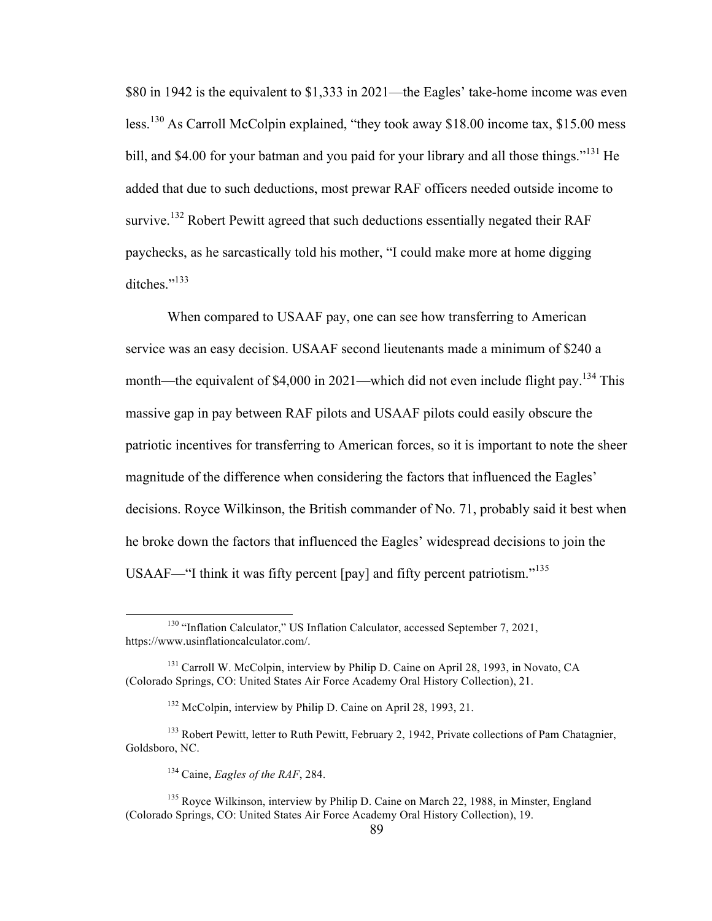\$80 in 1942 is the equivalent to \$1,333 in 2021—the Eagles' take-home income was even less.<sup>130</sup> As Carroll McColpin explained, "they took away \$18.00 income tax, \$15.00 mess bill, and \$4.00 for your batman and you paid for your library and all those things."<sup>131</sup> He added that due to such deductions, most prewar RAF officers needed outside income to survive.<sup>132</sup> Robert Pewitt agreed that such deductions essentially negated their RAF paychecks, as he sarcastically told his mother, "I could make more at home digging ditches."<sup>133</sup>

When compared to USAAF pay, one can see how transferring to American service was an easy decision. USAAF second lieutenants made a minimum of \$240 a month—the equivalent of \$4,000 in 2021—which did not even include flight pay.<sup>134</sup> This massive gap in pay between RAF pilots and USAAF pilots could easily obscure the patriotic incentives for transferring to American forces, so it is important to note the sheer magnitude of the difference when considering the factors that influenced the Eagles' decisions. Royce Wilkinson, the British commander of No. 71, probably said it best when he broke down the factors that influenced the Eagles' widespread decisions to join the USAAF—"I think it was fifty percent [pay] and fifty percent patriotism."<sup>135</sup>

<sup>&</sup>lt;sup>130</sup> "Inflation Calculator," US Inflation Calculator, accessed September 7, 2021, https://www.usinflationcalculator.com/.

<sup>&</sup>lt;sup>131</sup> Carroll W. McColpin, interview by Philip D. Caine on April 28, 1993, in Novato, CA (Colorado Springs, CO: United States Air Force Academy Oral History Collection), 21.

<sup>132</sup> McColpin, interview by Philip D. Caine on April 28, 1993, 21.

<sup>&</sup>lt;sup>133</sup> Robert Pewitt, letter to Ruth Pewitt, February 2, 1942, Private collections of Pam Chatagnier, Goldsboro, NC.

<sup>134</sup> Caine, *Eagles of the RAF*, 284.

<sup>&</sup>lt;sup>135</sup> Royce Wilkinson, interview by Philip D. Caine on March 22, 1988, in Minster, England (Colorado Springs, CO: United States Air Force Academy Oral History Collection), 19.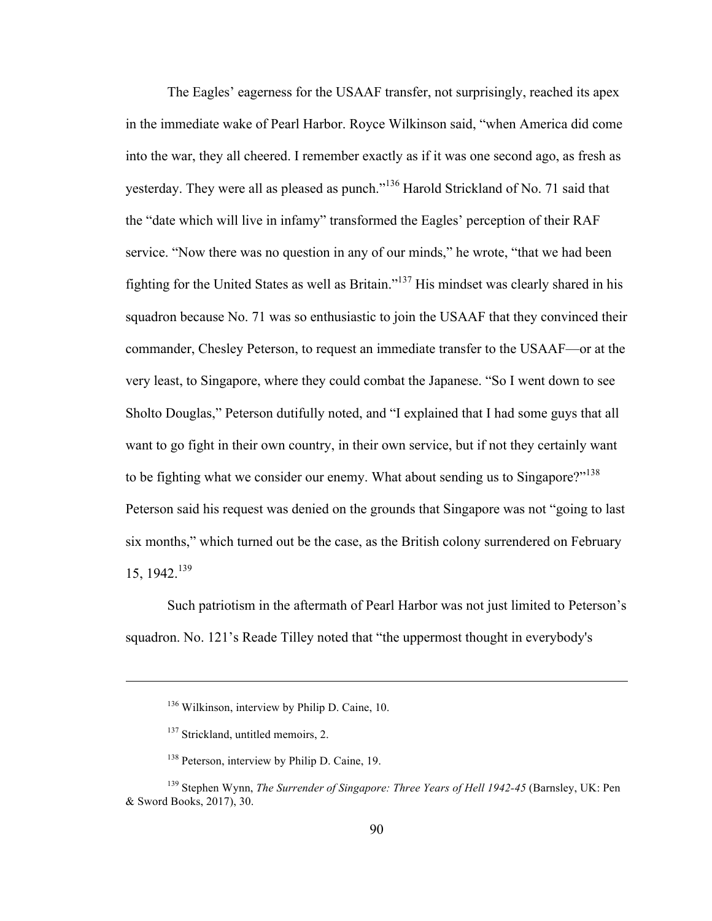The Eagles' eagerness for the USAAF transfer, not surprisingly, reached its apex in the immediate wake of Pearl Harbor. Royce Wilkinson said, "when America did come into the war, they all cheered. I remember exactly as if it was one second ago, as fresh as yesterday. They were all as pleased as punch."<sup>136</sup> Harold Strickland of No. 71 said that the "date which will live in infamy" transformed the Eagles' perception of their RAF service. "Now there was no question in any of our minds," he wrote, "that we had been fighting for the United States as well as Britain."137 His mindset was clearly shared in his squadron because No. 71 was so enthusiastic to join the USAAF that they convinced their commander, Chesley Peterson, to request an immediate transfer to the USAAF—or at the very least, to Singapore, where they could combat the Japanese. "So I went down to see Sholto Douglas," Peterson dutifully noted, and "I explained that I had some guys that all want to go fight in their own country, in their own service, but if not they certainly want to be fighting what we consider our enemy. What about sending us to Singapore?"<sup>138</sup> Peterson said his request was denied on the grounds that Singapore was not "going to last six months," which turned out be the case, as the British colony surrendered on February 15, 1942. 139

Such patriotism in the aftermath of Pearl Harbor was not just limited to Peterson's squadron. No. 121's Reade Tilley noted that "the uppermost thought in everybody's

 $\overline{a}$ 

<sup>&</sup>lt;sup>136</sup> Wilkinson, interview by Philip D. Caine, 10.

<sup>&</sup>lt;sup>137</sup> Strickland, untitled memoirs, 2.

<sup>&</sup>lt;sup>138</sup> Peterson, interview by Philip D. Caine, 19.

<sup>139</sup> Stephen Wynn, *The Surrender of Singapore: Three Years of Hell 1942-45* (Barnsley, UK: Pen & Sword Books, 2017), 30.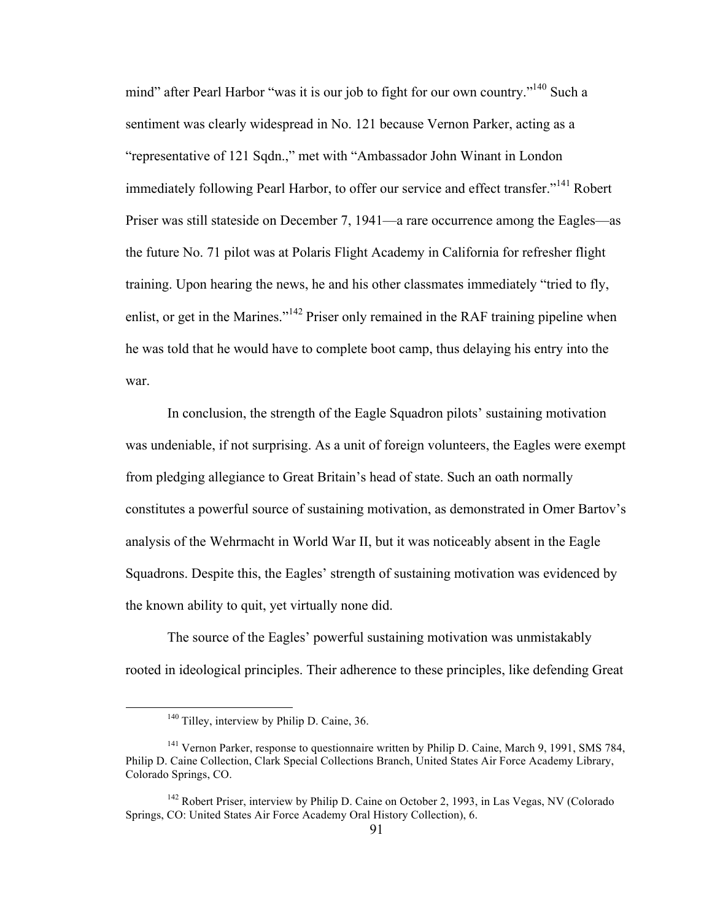mind" after Pearl Harbor "was it is our job to fight for our own country."140 Such a sentiment was clearly widespread in No. 121 because Vernon Parker, acting as a "representative of 121 Sqdn.," met with "Ambassador John Winant in London immediately following Pearl Harbor, to offer our service and effect transfer."<sup>141</sup> Robert Priser was still stateside on December 7, 1941—a rare occurrence among the Eagles—as the future No. 71 pilot was at Polaris Flight Academy in California for refresher flight training. Upon hearing the news, he and his other classmates immediately "tried to fly, enlist, or get in the Marines."<sup>142</sup> Priser only remained in the RAF training pipeline when he was told that he would have to complete boot camp, thus delaying his entry into the war.

In conclusion, the strength of the Eagle Squadron pilots' sustaining motivation was undeniable, if not surprising. As a unit of foreign volunteers, the Eagles were exempt from pledging allegiance to Great Britain's head of state. Such an oath normally constitutes a powerful source of sustaining motivation, as demonstrated in Omer Bartov's analysis of the Wehrmacht in World War II, but it was noticeably absent in the Eagle Squadrons. Despite this, the Eagles' strength of sustaining motivation was evidenced by the known ability to quit, yet virtually none did.

The source of the Eagles' powerful sustaining motivation was unmistakably rooted in ideological principles. Their adherence to these principles, like defending Great

<sup>&</sup>lt;sup>140</sup> Tilley, interview by Philip D. Caine, 36.

<sup>141</sup> Vernon Parker, response to questionnaire written by Philip D. Caine, March 9, 1991, SMS 784, Philip D. Caine Collection, Clark Special Collections Branch, United States Air Force Academy Library, Colorado Springs, CO.

<sup>&</sup>lt;sup>142</sup> Robert Priser, interview by Philip D. Caine on October 2, 1993, in Las Vegas, NV (Colorado Springs, CO: United States Air Force Academy Oral History Collection), 6.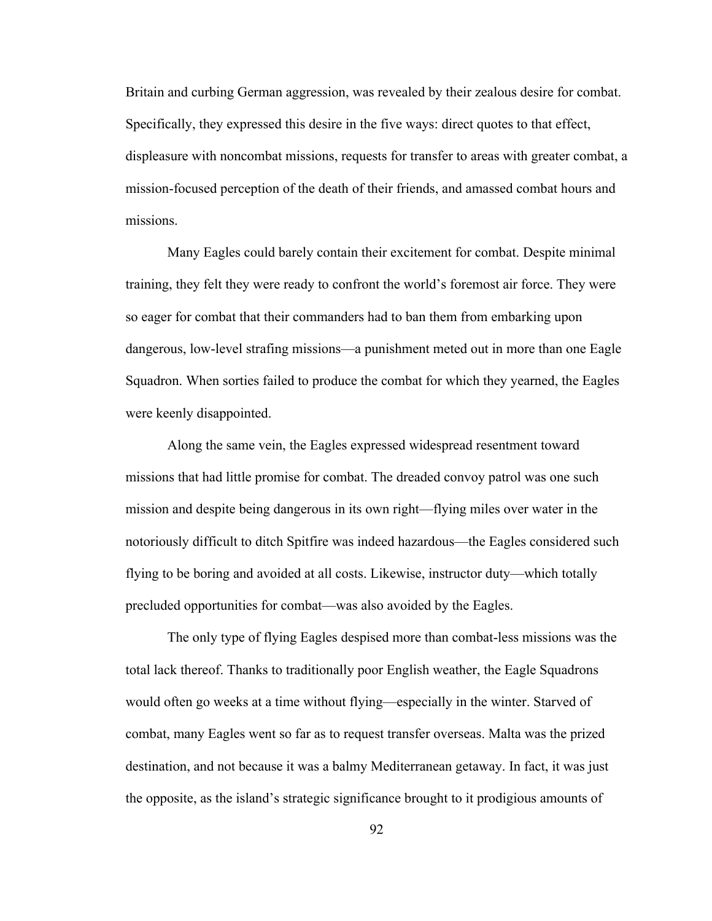Britain and curbing German aggression, was revealed by their zealous desire for combat. Specifically, they expressed this desire in the five ways: direct quotes to that effect, displeasure with noncombat missions, requests for transfer to areas with greater combat, a mission-focused perception of the death of their friends, and amassed combat hours and missions.

Many Eagles could barely contain their excitement for combat. Despite minimal training, they felt they were ready to confront the world's foremost air force. They were so eager for combat that their commanders had to ban them from embarking upon dangerous, low-level strafing missions—a punishment meted out in more than one Eagle Squadron. When sorties failed to produce the combat for which they yearned, the Eagles were keenly disappointed.

Along the same vein, the Eagles expressed widespread resentment toward missions that had little promise for combat. The dreaded convoy patrol was one such mission and despite being dangerous in its own right—flying miles over water in the notoriously difficult to ditch Spitfire was indeed hazardous—the Eagles considered such flying to be boring and avoided at all costs. Likewise, instructor duty—which totally precluded opportunities for combat—was also avoided by the Eagles.

The only type of flying Eagles despised more than combat-less missions was the total lack thereof. Thanks to traditionally poor English weather, the Eagle Squadrons would often go weeks at a time without flying—especially in the winter. Starved of combat, many Eagles went so far as to request transfer overseas. Malta was the prized destination, and not because it was a balmy Mediterranean getaway. In fact, it was just the opposite, as the island's strategic significance brought to it prodigious amounts of

92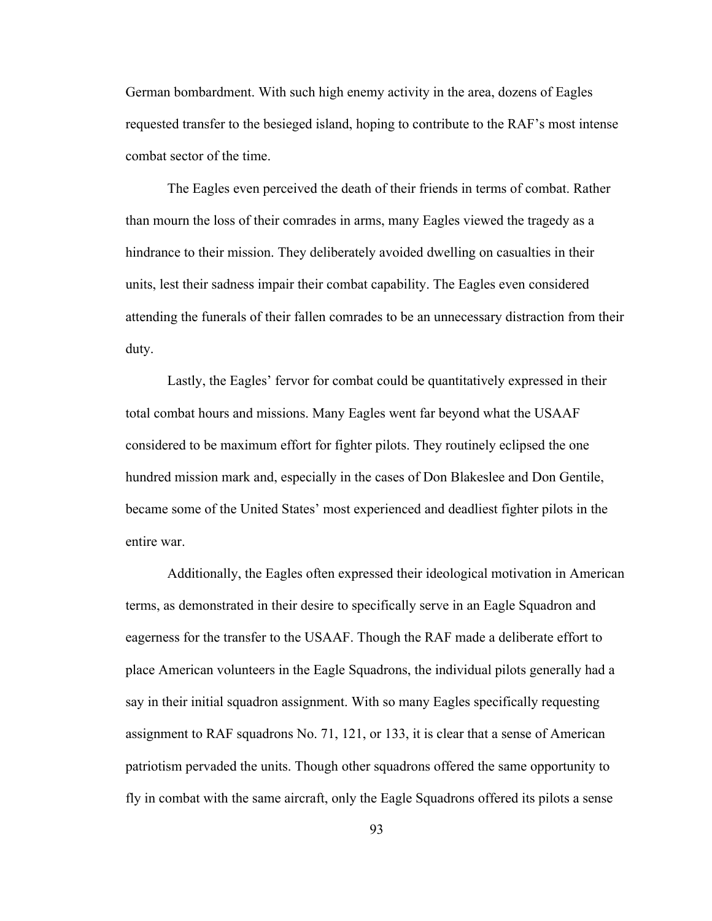German bombardment. With such high enemy activity in the area, dozens of Eagles requested transfer to the besieged island, hoping to contribute to the RAF's most intense combat sector of the time.

The Eagles even perceived the death of their friends in terms of combat. Rather than mourn the loss of their comrades in arms, many Eagles viewed the tragedy as a hindrance to their mission. They deliberately avoided dwelling on casualties in their units, lest their sadness impair their combat capability. The Eagles even considered attending the funerals of their fallen comrades to be an unnecessary distraction from their duty.

Lastly, the Eagles' fervor for combat could be quantitatively expressed in their total combat hours and missions. Many Eagles went far beyond what the USAAF considered to be maximum effort for fighter pilots. They routinely eclipsed the one hundred mission mark and, especially in the cases of Don Blakeslee and Don Gentile, became some of the United States' most experienced and deadliest fighter pilots in the entire war.

Additionally, the Eagles often expressed their ideological motivation in American terms, as demonstrated in their desire to specifically serve in an Eagle Squadron and eagerness for the transfer to the USAAF. Though the RAF made a deliberate effort to place American volunteers in the Eagle Squadrons, the individual pilots generally had a say in their initial squadron assignment. With so many Eagles specifically requesting assignment to RAF squadrons No. 71, 121, or 133, it is clear that a sense of American patriotism pervaded the units. Though other squadrons offered the same opportunity to fly in combat with the same aircraft, only the Eagle Squadrons offered its pilots a sense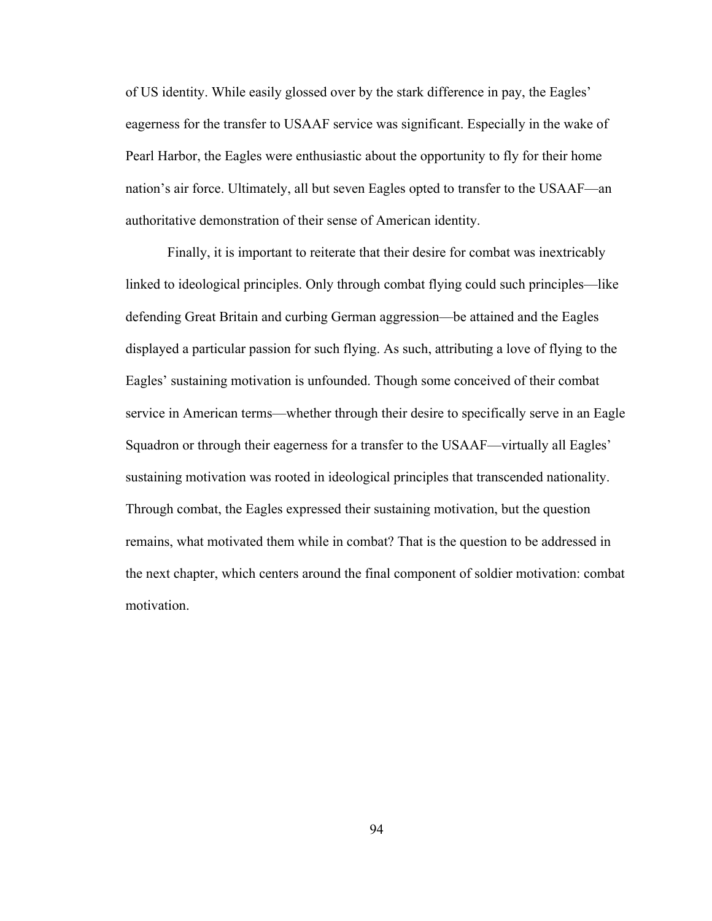of US identity. While easily glossed over by the stark difference in pay, the Eagles' eagerness for the transfer to USAAF service was significant. Especially in the wake of Pearl Harbor, the Eagles were enthusiastic about the opportunity to fly for their home nation's air force. Ultimately, all but seven Eagles opted to transfer to the USAAF—an authoritative demonstration of their sense of American identity.

Finally, it is important to reiterate that their desire for combat was inextricably linked to ideological principles. Only through combat flying could such principles—like defending Great Britain and curbing German aggression—be attained and the Eagles displayed a particular passion for such flying. As such, attributing a love of flying to the Eagles' sustaining motivation is unfounded. Though some conceived of their combat service in American terms—whether through their desire to specifically serve in an Eagle Squadron or through their eagerness for a transfer to the USAAF—virtually all Eagles' sustaining motivation was rooted in ideological principles that transcended nationality. Through combat, the Eagles expressed their sustaining motivation, but the question remains, what motivated them while in combat? That is the question to be addressed in the next chapter, which centers around the final component of soldier motivation: combat motivation.

94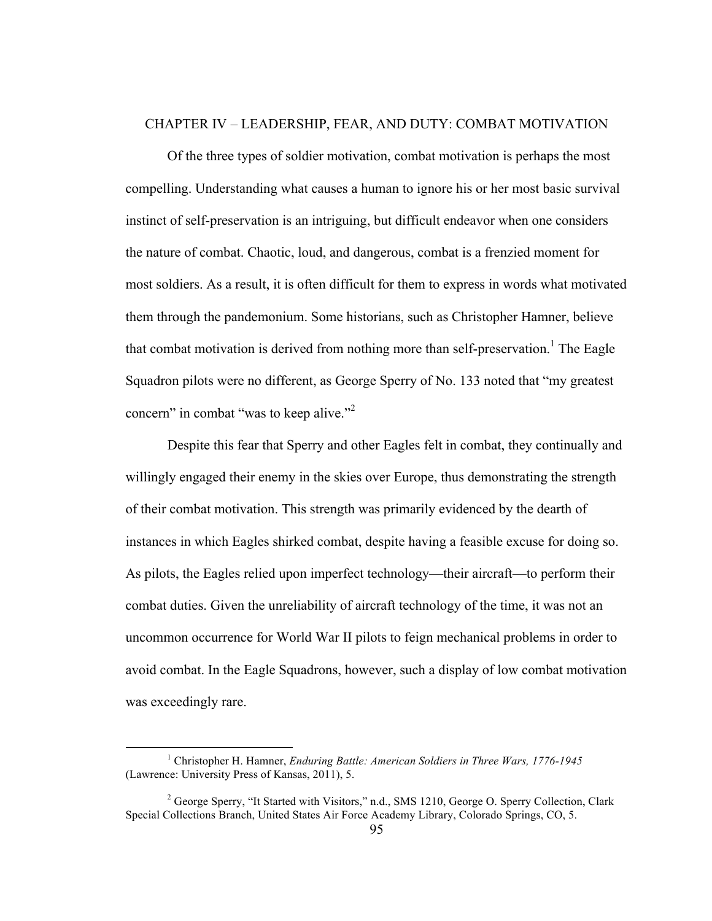## CHAPTER IV – LEADERSHIP, FEAR, AND DUTY: COMBAT MOTIVATION

Of the three types of soldier motivation, combat motivation is perhaps the most compelling. Understanding what causes a human to ignore his or her most basic survival instinct of self-preservation is an intriguing, but difficult endeavor when one considers the nature of combat. Chaotic, loud, and dangerous, combat is a frenzied moment for most soldiers. As a result, it is often difficult for them to express in words what motivated them through the pandemonium. Some historians, such as Christopher Hamner, believe that combat motivation is derived from nothing more than self-preservation.<sup>1</sup> The Eagle Squadron pilots were no different, as George Sperry of No. 133 noted that "my greatest concern" in combat "was to keep alive."<sup>2</sup>

Despite this fear that Sperry and other Eagles felt in combat, they continually and willingly engaged their enemy in the skies over Europe, thus demonstrating the strength of their combat motivation. This strength was primarily evidenced by the dearth of instances in which Eagles shirked combat, despite having a feasible excuse for doing so. As pilots, the Eagles relied upon imperfect technology—their aircraft—to perform their combat duties. Given the unreliability of aircraft technology of the time, it was not an uncommon occurrence for World War II pilots to feign mechanical problems in order to avoid combat. In the Eagle Squadrons, however, such a display of low combat motivation was exceedingly rare.

 <sup>1</sup> Christopher H. Hamner, *Enduring Battle: American Soldiers in Three Wars, 1776-1945* (Lawrence: University Press of Kansas, 2011), 5.

<sup>&</sup>lt;sup>2</sup> George Sperry, "It Started with Visitors," n.d., SMS 1210, George O. Sperry Collection, Clark Special Collections Branch, United States Air Force Academy Library, Colorado Springs, CO, 5.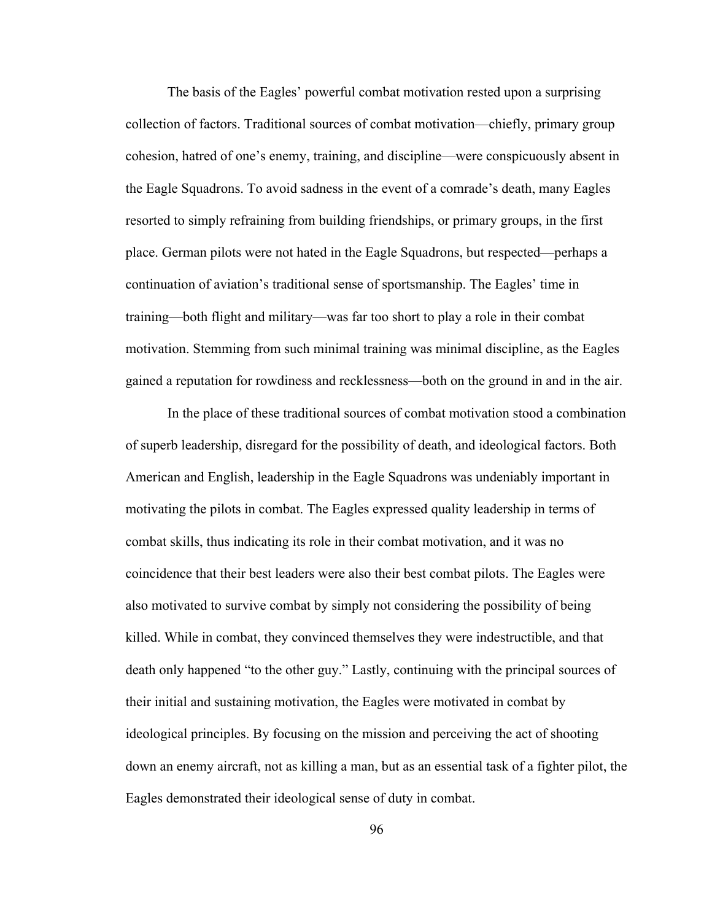The basis of the Eagles' powerful combat motivation rested upon a surprising collection of factors. Traditional sources of combat motivation—chiefly, primary group cohesion, hatred of one's enemy, training, and discipline—were conspicuously absent in the Eagle Squadrons. To avoid sadness in the event of a comrade's death, many Eagles resorted to simply refraining from building friendships, or primary groups, in the first place. German pilots were not hated in the Eagle Squadrons, but respected—perhaps a continuation of aviation's traditional sense of sportsmanship. The Eagles' time in training—both flight and military—was far too short to play a role in their combat motivation. Stemming from such minimal training was minimal discipline, as the Eagles gained a reputation for rowdiness and recklessness—both on the ground in and in the air.

In the place of these traditional sources of combat motivation stood a combination of superb leadership, disregard for the possibility of death, and ideological factors. Both American and English, leadership in the Eagle Squadrons was undeniably important in motivating the pilots in combat. The Eagles expressed quality leadership in terms of combat skills, thus indicating its role in their combat motivation, and it was no coincidence that their best leaders were also their best combat pilots. The Eagles were also motivated to survive combat by simply not considering the possibility of being killed. While in combat, they convinced themselves they were indestructible, and that death only happened "to the other guy." Lastly, continuing with the principal sources of their initial and sustaining motivation, the Eagles were motivated in combat by ideological principles. By focusing on the mission and perceiving the act of shooting down an enemy aircraft, not as killing a man, but as an essential task of a fighter pilot, the Eagles demonstrated their ideological sense of duty in combat.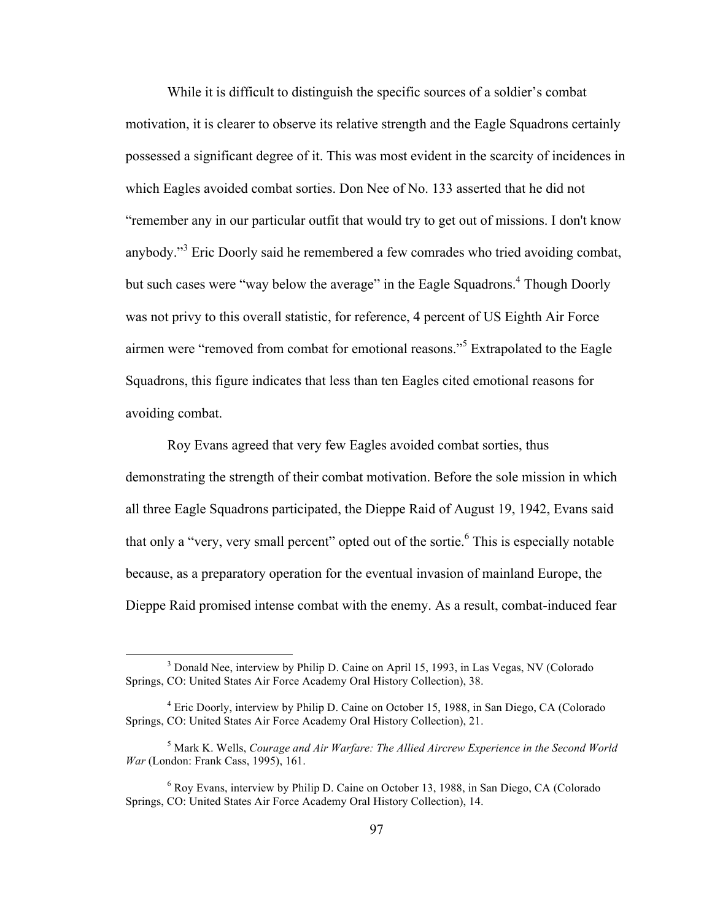While it is difficult to distinguish the specific sources of a soldier's combat motivation, it is clearer to observe its relative strength and the Eagle Squadrons certainly possessed a significant degree of it. This was most evident in the scarcity of incidences in which Eagles avoided combat sorties. Don Nee of No. 133 asserted that he did not "remember any in our particular outfit that would try to get out of missions. I don't know anybody."<sup>3</sup> Eric Doorly said he remembered a few comrades who tried avoiding combat, but such cases were "way below the average" in the Eagle Squadrons.<sup>4</sup> Though Doorly was not privy to this overall statistic, for reference, 4 percent of US Eighth Air Force airmen were "removed from combat for emotional reasons."<sup>5</sup> Extrapolated to the Eagle Squadrons, this figure indicates that less than ten Eagles cited emotional reasons for avoiding combat.

Roy Evans agreed that very few Eagles avoided combat sorties, thus demonstrating the strength of their combat motivation. Before the sole mission in which all three Eagle Squadrons participated, the Dieppe Raid of August 19, 1942, Evans said that only a "very, very small percent" opted out of the sortie.<sup>6</sup> This is especially notable because, as a preparatory operation for the eventual invasion of mainland Europe, the Dieppe Raid promised intense combat with the enemy. As a result, combat-induced fear

<sup>&</sup>lt;sup>3</sup> Donald Nee, interview by Philip D. Caine on April 15, 1993, in Las Vegas, NV (Colorado Springs, CO: United States Air Force Academy Oral History Collection), 38.

<sup>4</sup> Eric Doorly, interview by Philip D. Caine on October 15, 1988, in San Diego, CA (Colorado Springs, CO: United States Air Force Academy Oral History Collection), 21.

<sup>5</sup> Mark K. Wells, *Courage and Air Warfare: The Allied Aircrew Experience in the Second World War* (London: Frank Cass, 1995), 161.

<sup>6</sup> Roy Evans, interview by Philip D. Caine on October 13, 1988, in San Diego, CA (Colorado Springs, CO: United States Air Force Academy Oral History Collection), 14.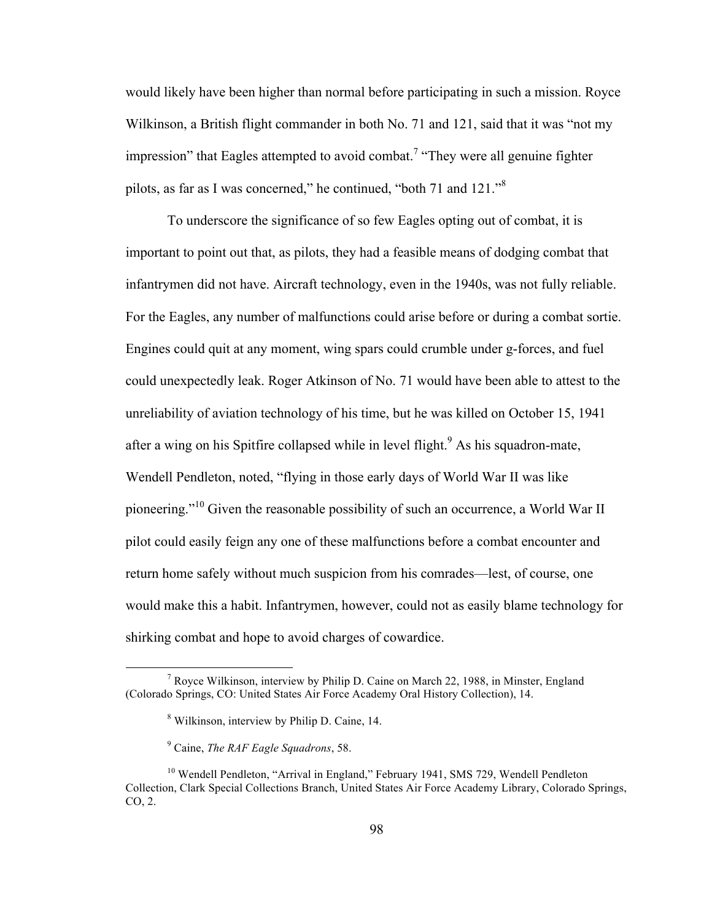would likely have been higher than normal before participating in such a mission. Royce Wilkinson, a British flight commander in both No. 71 and 121, said that it was "not my impression" that Eagles attempted to avoid combat.<sup>7</sup> "They were all genuine fighter pilots, as far as I was concerned," he continued, "both 71 and 121."<sup>8</sup>

To underscore the significance of so few Eagles opting out of combat, it is important to point out that, as pilots, they had a feasible means of dodging combat that infantrymen did not have. Aircraft technology, even in the 1940s, was not fully reliable. For the Eagles, any number of malfunctions could arise before or during a combat sortie. Engines could quit at any moment, wing spars could crumble under g-forces, and fuel could unexpectedly leak. Roger Atkinson of No. 71 would have been able to attest to the unreliability of aviation technology of his time, but he was killed on October 15, 1941 after a wing on his Spitfire collapsed while in level flight.<sup>9</sup> As his squadron-mate, Wendell Pendleton, noted, "flying in those early days of World War II was like pioneering."<sup>10</sup> Given the reasonable possibility of such an occurrence, a World War II pilot could easily feign any one of these malfunctions before a combat encounter and return home safely without much suspicion from his comrades—lest, of course, one would make this a habit. Infantrymen, however, could not as easily blame technology for shirking combat and hope to avoid charges of cowardice.

 $<sup>7</sup>$  Royce Wilkinson, interview by Philip D. Caine on March 22, 1988, in Minster, England</sup> (Colorado Springs, CO: United States Air Force Academy Oral History Collection), 14.

<sup>8</sup> Wilkinson, interview by Philip D. Caine, 14.

<sup>9</sup> Caine, *The RAF Eagle Squadrons*, 58.

<sup>&</sup>lt;sup>10</sup> Wendell Pendleton, "Arrival in England," February 1941, SMS 729, Wendell Pendleton Collection, Clark Special Collections Branch, United States Air Force Academy Library, Colorado Springs, CO, 2.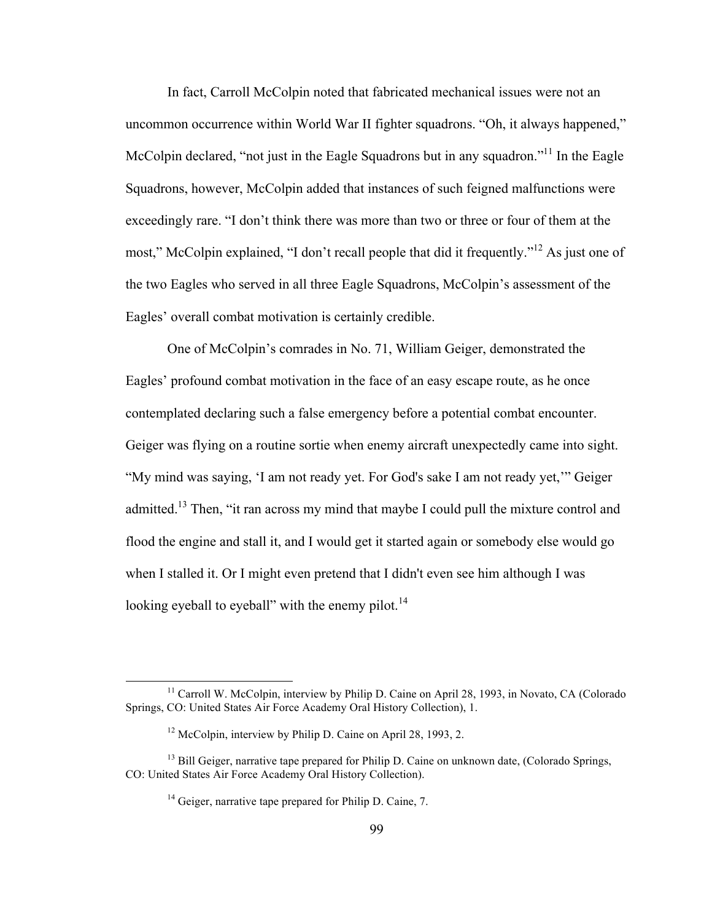In fact, Carroll McColpin noted that fabricated mechanical issues were not an uncommon occurrence within World War II fighter squadrons. "Oh, it always happened," McColpin declared, "not just in the Eagle Squadrons but in any squadron."<sup>11</sup> In the Eagle Squadrons, however, McColpin added that instances of such feigned malfunctions were exceedingly rare. "I don't think there was more than two or three or four of them at the most," McColpin explained, "I don't recall people that did it frequently."<sup>12</sup> As just one of the two Eagles who served in all three Eagle Squadrons, McColpin's assessment of the Eagles' overall combat motivation is certainly credible.

One of McColpin's comrades in No. 71, William Geiger, demonstrated the Eagles' profound combat motivation in the face of an easy escape route, as he once contemplated declaring such a false emergency before a potential combat encounter. Geiger was flying on a routine sortie when enemy aircraft unexpectedly came into sight. "My mind was saying, 'I am not ready yet. For God's sake I am not ready yet,'" Geiger admitted.<sup>13</sup> Then, "it ran across my mind that maybe I could pull the mixture control and flood the engine and stall it, and I would get it started again or somebody else would go when I stalled it. Or I might even pretend that I didn't even see him although I was looking eyeball to eyeball" with the enemy pilot. $^{14}$ 

<sup>&</sup>lt;sup>11</sup> Carroll W. McColpin, interview by Philip D. Caine on April 28, 1993, in Novato, CA (Colorado, Springs, CO: United States Air Force Academy Oral History Collection), 1.

<sup>&</sup>lt;sup>12</sup> McColpin, interview by Philip D. Caine on April 28, 1993, 2.

<sup>&</sup>lt;sup>13</sup> Bill Geiger, narrative tape prepared for Philip D. Caine on unknown date, (Colorado Springs, CO: United States Air Force Academy Oral History Collection).

<sup>&</sup>lt;sup>14</sup> Geiger, narrative tape prepared for Philip D. Caine, 7.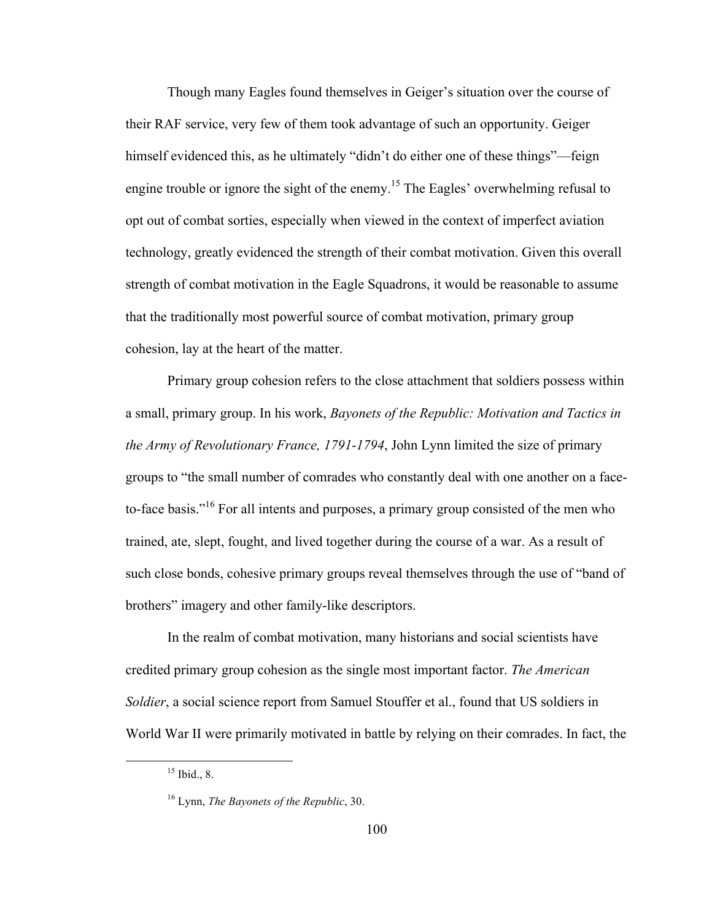Though many Eagles found themselves in Geiger's situation over the course of their RAF service, very few of them took advantage of such an opportunity. Geiger himself evidenced this, as he ultimately "didn't do either one of these things"—feign engine trouble or ignore the sight of the enemy.<sup>15</sup> The Eagles' overwhelming refusal to opt out of combat sorties, especially when viewed in the context of imperfect aviation technology, greatly evidenced the strength of their combat motivation. Given this overall strength of combat motivation in the Eagle Squadrons, it would be reasonable to assume that the traditionally most powerful source of combat motivation, primary group cohesion, lay at the heart of the matter.

Primary group cohesion refers to the close attachment that soldiers possess within a small, primary group. In his work, *Bayonets of the Republic: Motivation and Tactics in the Army of Revolutionary France, 1791-1794*, John Lynn limited the size of primary groups to "the small number of comrades who constantly deal with one another on a faceto-face basis."<sup>16</sup> For all intents and purposes, a primary group consisted of the men who trained, ate, slept, fought, and lived together during the course of a war. As a result of such close bonds, cohesive primary groups reveal themselves through the use of "band of brothers" imagery and other family-like descriptors.

In the realm of combat motivation, many historians and social scientists have credited primary group cohesion as the single most important factor. *The American Soldier*, a social science report from Samuel Stouffer et al., found that US soldiers in World War II were primarily motivated in battle by relying on their comrades. In fact, the

 $15$  Ibid., 8.

<sup>16</sup> Lynn, *The Bayonets of the Republic*, 30.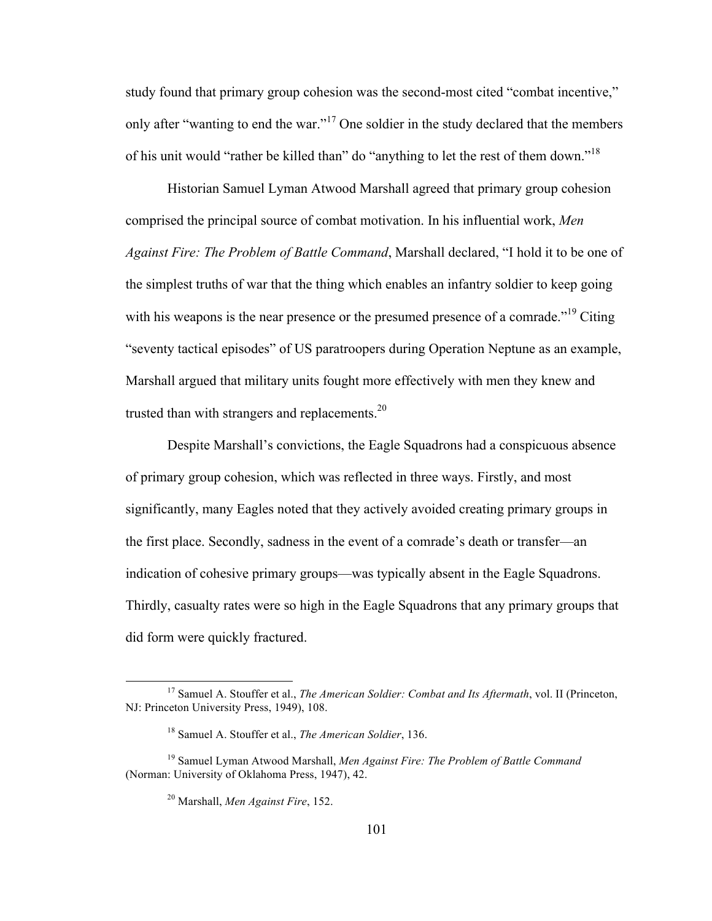study found that primary group cohesion was the second-most cited "combat incentive," only after "wanting to end the war."<sup>17</sup> One soldier in the study declared that the members of his unit would "rather be killed than" do "anything to let the rest of them down."<sup>18</sup>

Historian Samuel Lyman Atwood Marshall agreed that primary group cohesion comprised the principal source of combat motivation. In his influential work, *Men Against Fire: The Problem of Battle Command*, Marshall declared, "I hold it to be one of the simplest truths of war that the thing which enables an infantry soldier to keep going with his weapons is the near presence or the presumed presence of a comrade.<sup> $19$ </sup> Citing "seventy tactical episodes" of US paratroopers during Operation Neptune as an example, Marshall argued that military units fought more effectively with men they knew and trusted than with strangers and replacements.<sup>20</sup>

Despite Marshall's convictions, the Eagle Squadrons had a conspicuous absence of primary group cohesion, which was reflected in three ways. Firstly, and most significantly, many Eagles noted that they actively avoided creating primary groups in the first place. Secondly, sadness in the event of a comrade's death or transfer—an indication of cohesive primary groups—was typically absent in the Eagle Squadrons. Thirdly, casualty rates were so high in the Eagle Squadrons that any primary groups that did form were quickly fractured.

 <sup>17</sup> Samuel A. Stouffer et al., *The American Soldier: Combat and Its Aftermath*, vol. II (Princeton, NJ: Princeton University Press, 1949), 108.

<sup>18</sup> Samuel A. Stouffer et al., *The American Soldier*, 136.

<sup>19</sup> Samuel Lyman Atwood Marshall, *Men Against Fire: The Problem of Battle Command* (Norman: University of Oklahoma Press, 1947), 42.

<sup>20</sup> Marshall, *Men Against Fire*, 152.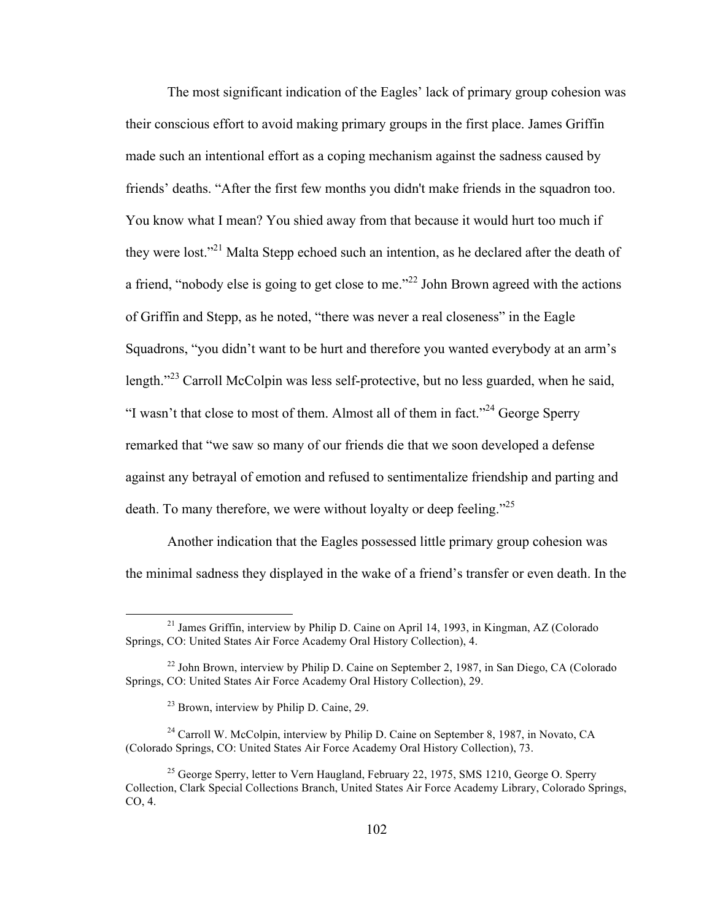The most significant indication of the Eagles' lack of primary group cohesion was their conscious effort to avoid making primary groups in the first place. James Griffin made such an intentional effort as a coping mechanism against the sadness caused by friends' deaths. "After the first few months you didn't make friends in the squadron too. You know what I mean? You shied away from that because it would hurt too much if they were lost."21 Malta Stepp echoed such an intention, as he declared after the death of a friend, "nobody else is going to get close to me."<sup>22</sup> John Brown agreed with the actions of Griffin and Stepp, as he noted, "there was never a real closeness" in the Eagle Squadrons, "you didn't want to be hurt and therefore you wanted everybody at an arm's length."<sup>23</sup> Carroll McColpin was less self-protective, but no less guarded, when he said, "I wasn't that close to most of them. Almost all of them in fact."<sup>24</sup> George Sperry remarked that "we saw so many of our friends die that we soon developed a defense against any betrayal of emotion and refused to sentimentalize friendship and parting and death. To many therefore, we were without loyalty or deep feeling."<sup>25</sup>

Another indication that the Eagles possessed little primary group cohesion was the minimal sadness they displayed in the wake of a friend's transfer or even death. In the

<sup>&</sup>lt;sup>21</sup> James Griffin, interview by Philip D. Caine on April 14, 1993, in Kingman, AZ (Colorado Springs, CO: United States Air Force Academy Oral History Collection), 4.

 $22$  John Brown, interview by Philip D. Caine on September 2, 1987, in San Diego, CA (Colorado Springs, CO: United States Air Force Academy Oral History Collection), 29.

<sup>&</sup>lt;sup>23</sup> Brown, interview by Philip D. Caine, 29.

<sup>&</sup>lt;sup>24</sup> Carroll W. McColpin, interview by Philip D. Caine on September 8, 1987, in Novato, CA (Colorado Springs, CO: United States Air Force Academy Oral History Collection), 73.

 $25$  George Sperry, letter to Vern Haugland, February 22, 1975, SMS 1210, George O. Sperry Collection, Clark Special Collections Branch, United States Air Force Academy Library, Colorado Springs, CO, 4.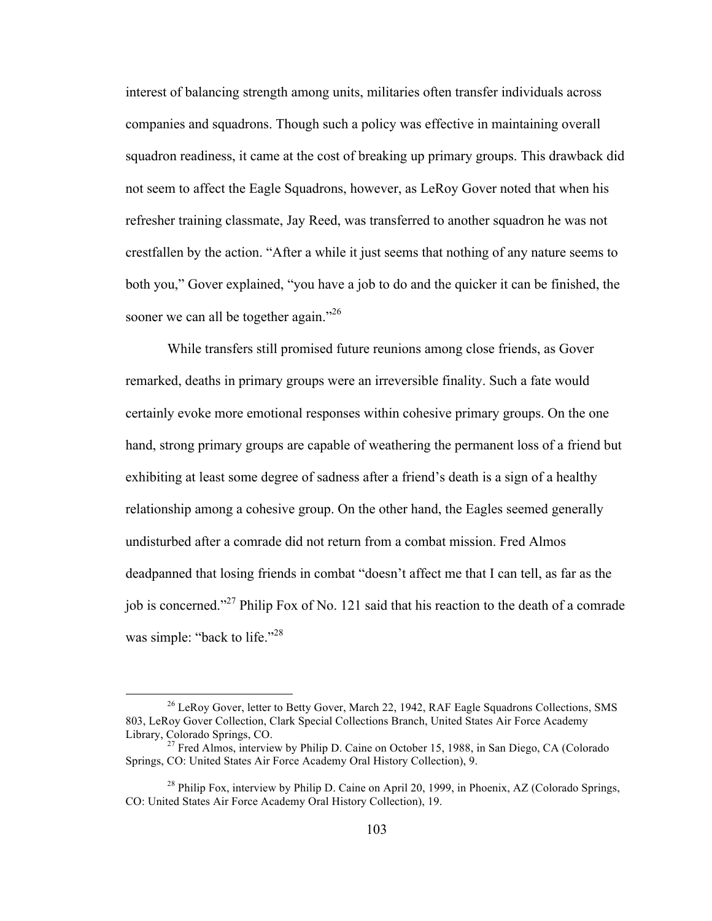interest of balancing strength among units, militaries often transfer individuals across companies and squadrons. Though such a policy was effective in maintaining overall squadron readiness, it came at the cost of breaking up primary groups. This drawback did not seem to affect the Eagle Squadrons, however, as LeRoy Gover noted that when his refresher training classmate, Jay Reed, was transferred to another squadron he was not crestfallen by the action. "After a while it just seems that nothing of any nature seems to both you," Gover explained, "you have a job to do and the quicker it can be finished, the sooner we can all be together again."<sup>26</sup>

While transfers still promised future reunions among close friends, as Gover remarked, deaths in primary groups were an irreversible finality. Such a fate would certainly evoke more emotional responses within cohesive primary groups. On the one hand, strong primary groups are capable of weathering the permanent loss of a friend but exhibiting at least some degree of sadness after a friend's death is a sign of a healthy relationship among a cohesive group. On the other hand, the Eagles seemed generally undisturbed after a comrade did not return from a combat mission. Fred Almos deadpanned that losing friends in combat "doesn't affect me that I can tell, as far as the job is concerned."27 Philip Fox of No. 121 said that his reaction to the death of a comrade was simple: "back to life."<sup>28</sup>

<sup>&</sup>lt;sup>26</sup> LeRoy Gover, letter to Betty Gover, March 22, 1942, RAF Eagle Squadrons Collections, SMS 803, LeRoy Gover Collection, Clark Special Collections Branch, United States Air Force Academy

<sup>&</sup>lt;sup>27</sup> Fred Almos, interview by Philip D. Caine on October 15, 1988, in San Diego, CA (Colorado Springs, CO: United States Air Force Academy Oral History Collection), 9.

<sup>&</sup>lt;sup>28</sup> Philip Fox, interview by Philip D. Caine on April 20, 1999, in Phoenix, AZ (Colorado Springs, CO: United States Air Force Academy Oral History Collection), 19.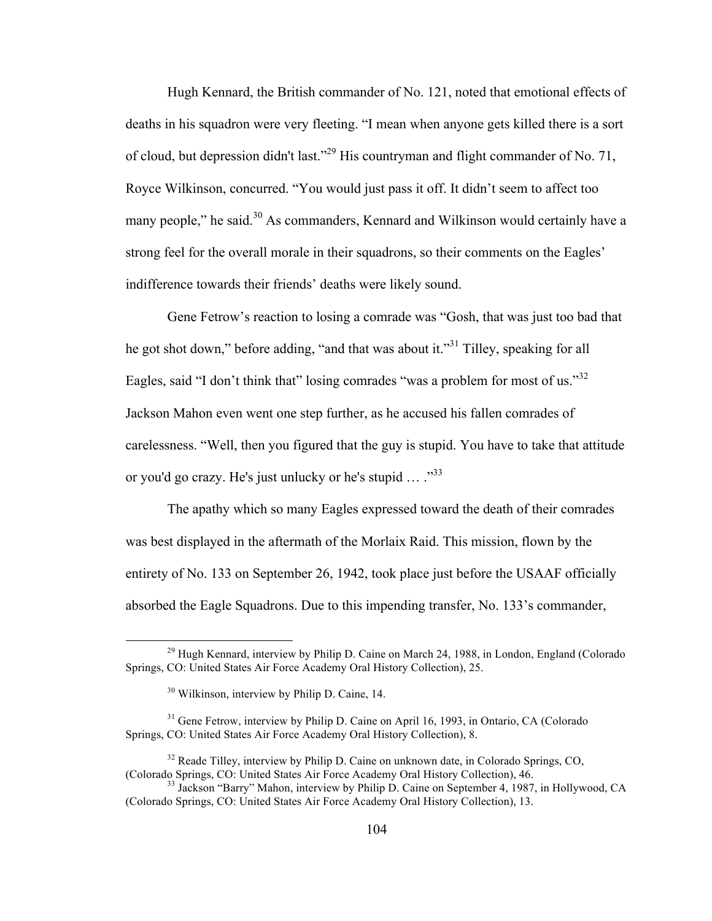Hugh Kennard, the British commander of No. 121, noted that emotional effects of deaths in his squadron were very fleeting. "I mean when anyone gets killed there is a sort of cloud, but depression didn't last."29 His countryman and flight commander of No. 71, Royce Wilkinson, concurred. "You would just pass it off. It didn't seem to affect too many people," he said.<sup>30</sup> As commanders, Kennard and Wilkinson would certainly have a strong feel for the overall morale in their squadrons, so their comments on the Eagles' indifference towards their friends' deaths were likely sound.

Gene Fetrow's reaction to losing a comrade was "Gosh, that was just too bad that he got shot down," before adding, "and that was about it."<sup>31</sup> Tilley, speaking for all Eagles, said "I don't think that" losing comrades "was a problem for most of us." $32$ Jackson Mahon even went one step further, as he accused his fallen comrades of carelessness. "Well, then you figured that the guy is stupid. You have to take that attitude or you'd go crazy. He's just unlucky or he's stupid  $\ldots$  .<sup>33</sup>

The apathy which so many Eagles expressed toward the death of their comrades was best displayed in the aftermath of the Morlaix Raid. This mission, flown by the entirety of No. 133 on September 26, 1942, took place just before the USAAF officially absorbed the Eagle Squadrons. Due to this impending transfer, No. 133's commander,

 $^{29}$  Hugh Kennard, interview by Philip D. Caine on March 24, 1988, in London, England (Colorado) Springs, CO: United States Air Force Academy Oral History Collection), 25.

<sup>30</sup> Wilkinson, interview by Philip D. Caine, 14.

<sup>&</sup>lt;sup>31</sup> Gene Fetrow, interview by Philip D. Caine on April 16, 1993, in Ontario, CA (Colorado Springs, CO: United States Air Force Academy Oral History Collection), 8.

 $32$  Reade Tilley, interview by Philip D. Caine on unknown date, in Colorado Springs, CO, (Colorado Springs, CO: United States Air Force Academy Oral History Collection), 46.

 $^{33}$  Jackson "Barry" Mahon, interview by Philip D. Caine on September 4, 1987, in Hollywood, CA (Colorado Springs, CO: United States Air Force Academy Oral History Collection), 13.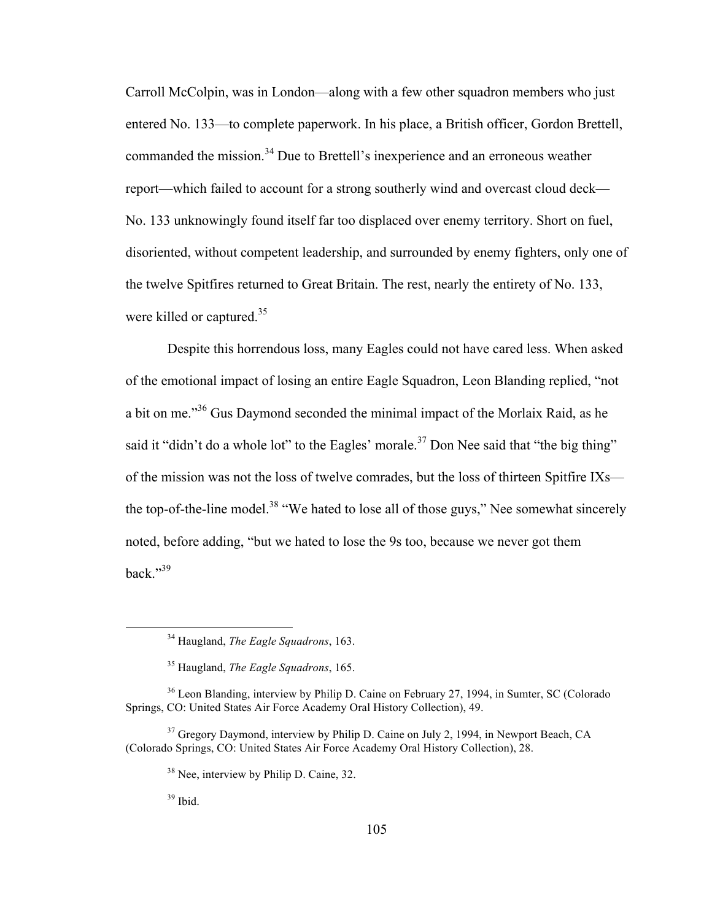Carroll McColpin, was in London—along with a few other squadron members who just entered No. 133—to complete paperwork. In his place, a British officer, Gordon Brettell, commanded the mission.<sup>34</sup> Due to Brettell's inexperience and an erroneous weather report—which failed to account for a strong southerly wind and overcast cloud deck— No. 133 unknowingly found itself far too displaced over enemy territory. Short on fuel, disoriented, without competent leadership, and surrounded by enemy fighters, only one of the twelve Spitfires returned to Great Britain. The rest, nearly the entirety of No. 133, were killed or captured.<sup>35</sup>

Despite this horrendous loss, many Eagles could not have cared less. When asked of the emotional impact of losing an entire Eagle Squadron, Leon Blanding replied, "not a bit on me."36 Gus Daymond seconded the minimal impact of the Morlaix Raid, as he said it "didn't do a whole lot" to the Eagles' morale.<sup>37</sup> Don Nee said that "the big thing" of the mission was not the loss of twelve comrades, but the loss of thirteen Spitfire IXs the top-of-the-line model.<sup>38</sup> "We hated to lose all of those guys," Nee somewhat sincerely noted, before adding, "but we hated to lose the 9s too, because we never got them back."39

 $39$  Ibid.

 <sup>34</sup> Haugland, *The Eagle Squadrons*, 163.

<sup>35</sup> Haugland, *The Eagle Squadrons*, 165.

<sup>&</sup>lt;sup>36</sup> Leon Blanding, interview by Philip D. Caine on February 27, 1994, in Sumter, SC (Colorado Springs, CO: United States Air Force Academy Oral History Collection), 49.

<sup>&</sup>lt;sup>37</sup> Gregory Daymond, interview by Philip D. Caine on July 2, 1994, in Newport Beach, CA (Colorado Springs, CO: United States Air Force Academy Oral History Collection), 28.

<sup>&</sup>lt;sup>38</sup> Nee, interview by Philip D. Caine, 32.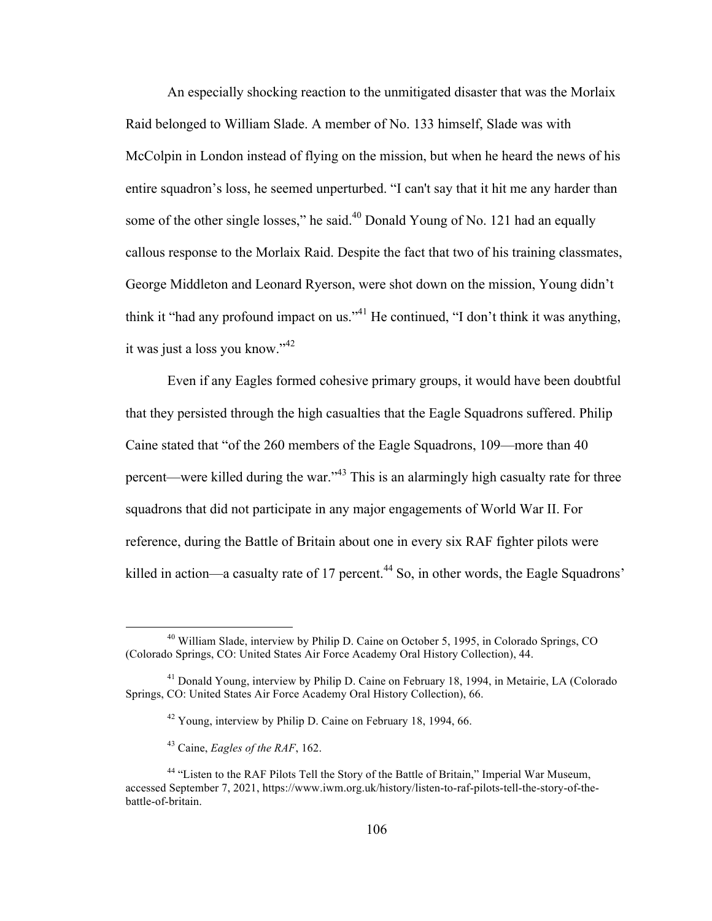An especially shocking reaction to the unmitigated disaster that was the Morlaix Raid belonged to William Slade. A member of No. 133 himself, Slade was with McColpin in London instead of flying on the mission, but when he heard the news of his entire squadron's loss, he seemed unperturbed. "I can't say that it hit me any harder than some of the other single losses," he said.<sup>40</sup> Donald Young of No. 121 had an equally callous response to the Morlaix Raid. Despite the fact that two of his training classmates, George Middleton and Leonard Ryerson, were shot down on the mission, Young didn't think it "had any profound impact on us."<sup>41</sup> He continued, "I don't think it was anything, it was just a loss you know."<sup>42</sup>

Even if any Eagles formed cohesive primary groups, it would have been doubtful that they persisted through the high casualties that the Eagle Squadrons suffered. Philip Caine stated that "of the 260 members of the Eagle Squadrons, 109—more than 40 percent—were killed during the war."43 This is an alarmingly high casualty rate for three squadrons that did not participate in any major engagements of World War II. For reference, during the Battle of Britain about one in every six RAF fighter pilots were killed in action—a casualty rate of 17 percent.<sup>44</sup> So, in other words, the Eagle Squadrons'

 <sup>40</sup> William Slade, interview by Philip D. Caine on October 5, 1995, in Colorado Springs, CO (Colorado Springs, CO: United States Air Force Academy Oral History Collection), 44.

<sup>&</sup>lt;sup>41</sup> Donald Young, interview by Philip D. Caine on February 18, 1994, in Metairie, LA (Colorado Springs, CO: United States Air Force Academy Oral History Collection), 66.

<sup>42</sup> Young, interview by Philip D. Caine on February 18, 1994, 66.

<sup>43</sup> Caine, *Eagles of the RAF*, 162.

<sup>&</sup>lt;sup>44</sup> "Listen to the RAF Pilots Tell the Story of the Battle of Britain," Imperial War Museum, accessed September 7, 2021, https://www.iwm.org.uk/history/listen-to-raf-pilots-tell-the-story-of-thebattle-of-britain.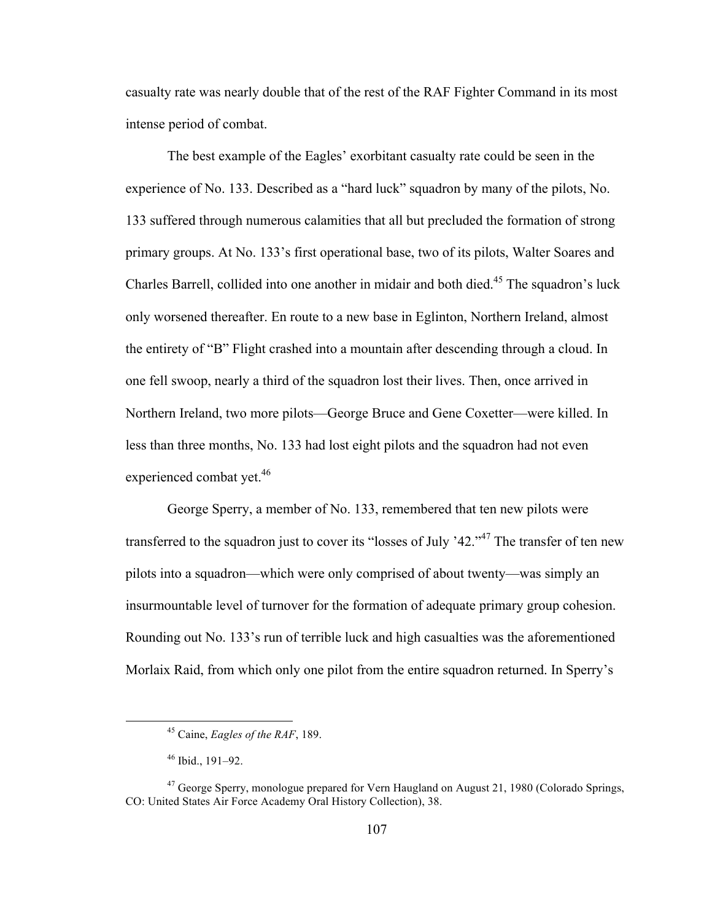casualty rate was nearly double that of the rest of the RAF Fighter Command in its most intense period of combat.

The best example of the Eagles' exorbitant casualty rate could be seen in the experience of No. 133. Described as a "hard luck" squadron by many of the pilots, No. 133 suffered through numerous calamities that all but precluded the formation of strong primary groups. At No. 133's first operational base, two of its pilots, Walter Soares and Charles Barrell, collided into one another in midair and both died.<sup>45</sup> The squadron's luck only worsened thereafter. En route to a new base in Eglinton, Northern Ireland, almost the entirety of "B" Flight crashed into a mountain after descending through a cloud. In one fell swoop, nearly a third of the squadron lost their lives. Then, once arrived in Northern Ireland, two more pilots—George Bruce and Gene Coxetter—were killed. In less than three months, No. 133 had lost eight pilots and the squadron had not even experienced combat yet.<sup>46</sup>

George Sperry, a member of No. 133, remembered that ten new pilots were transferred to the squadron just to cover its "losses of July '42."<sup>47</sup> The transfer of ten new pilots into a squadron—which were only comprised of about twenty—was simply an insurmountable level of turnover for the formation of adequate primary group cohesion. Rounding out No. 133's run of terrible luck and high casualties was the aforementioned Morlaix Raid, from which only one pilot from the entire squadron returned. In Sperry's

 <sup>45</sup> Caine, *Eagles of the RAF*, 189.

 $46$  Ibid., 191–92.

 $47$  George Sperry, monologue prepared for Vern Haugland on August 21, 1980 (Colorado Springs, CO: United States Air Force Academy Oral History Collection), 38.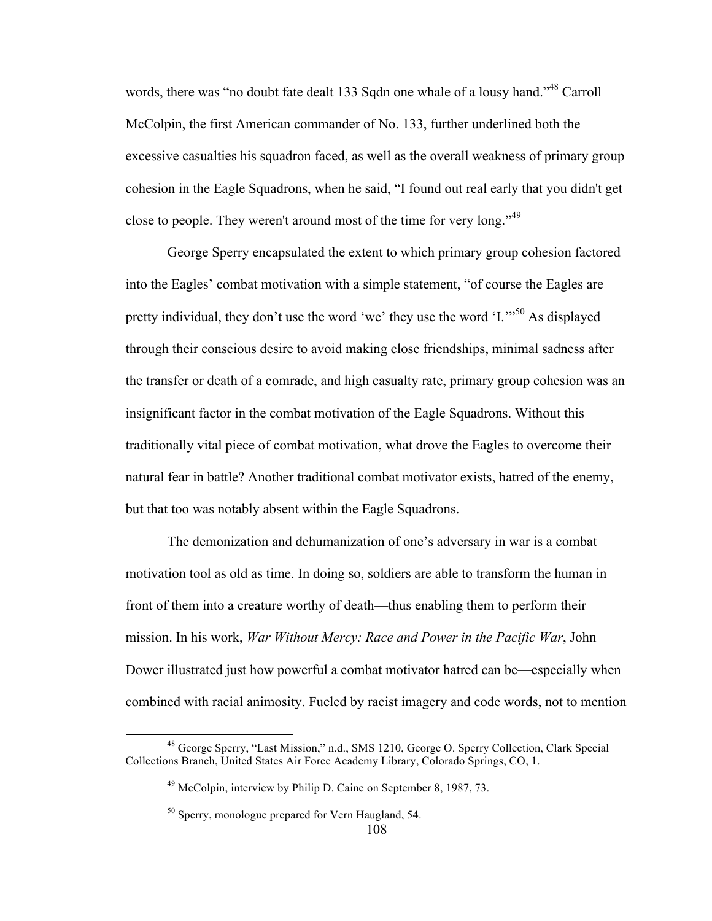words, there was "no doubt fate dealt 133 Sqdn one whale of a lousy hand."<sup>48</sup> Carroll McColpin, the first American commander of No. 133, further underlined both the excessive casualties his squadron faced, as well as the overall weakness of primary group cohesion in the Eagle Squadrons, when he said, "I found out real early that you didn't get close to people. They weren't around most of the time for very long."<sup>49</sup>

George Sperry encapsulated the extent to which primary group cohesion factored into the Eagles' combat motivation with a simple statement, "of course the Eagles are pretty individual, they don't use the word 'we' they use the word  $I$ ."<sup>50</sup> As displayed through their conscious desire to avoid making close friendships, minimal sadness after the transfer or death of a comrade, and high casualty rate, primary group cohesion was an insignificant factor in the combat motivation of the Eagle Squadrons. Without this traditionally vital piece of combat motivation, what drove the Eagles to overcome their natural fear in battle? Another traditional combat motivator exists, hatred of the enemy, but that too was notably absent within the Eagle Squadrons.

The demonization and dehumanization of one's adversary in war is a combat motivation tool as old as time. In doing so, soldiers are able to transform the human in front of them into a creature worthy of death—thus enabling them to perform their mission. In his work, *War Without Mercy: Race and Power in the Pacific War*, John Dower illustrated just how powerful a combat motivator hatred can be—especially when combined with racial animosity. Fueled by racist imagery and code words, not to mention

 <sup>48</sup> George Sperry, "Last Mission," n.d., SMS 1210, George O. Sperry Collection, Clark Special Collections Branch, United States Air Force Academy Library, Colorado Springs, CO, 1.

<sup>49</sup> McColpin, interview by Philip D. Caine on September 8, 1987, 73.

<sup>&</sup>lt;sup>50</sup> Sperry, monologue prepared for Vern Haugland, 54.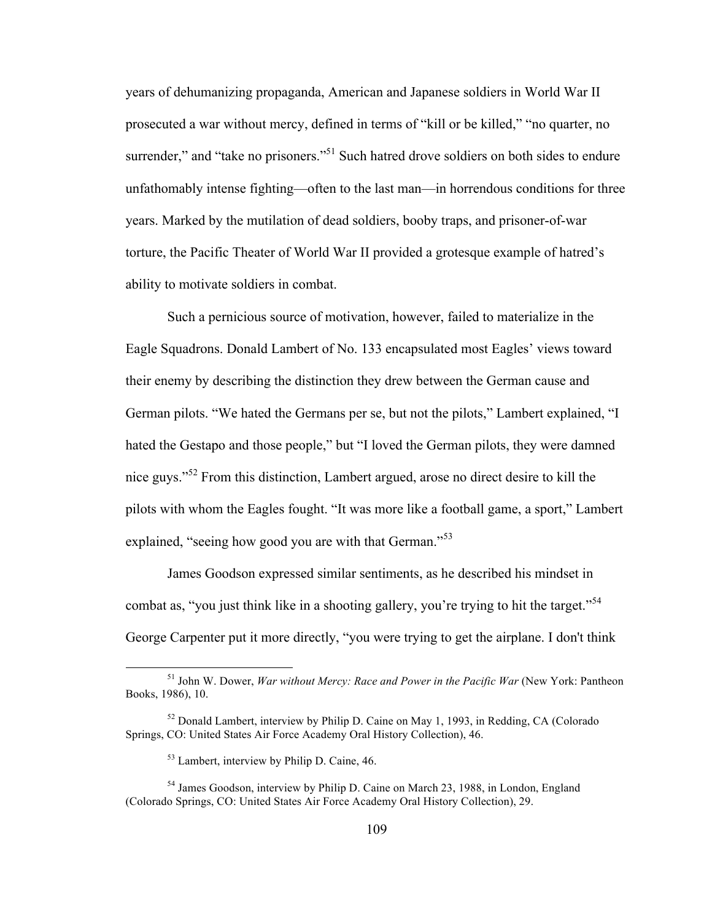years of dehumanizing propaganda, American and Japanese soldiers in World War II prosecuted a war without mercy, defined in terms of "kill or be killed," "no quarter, no surrender," and "take no prisoners."<sup>51</sup> Such hatred drove soldiers on both sides to endure unfathomably intense fighting—often to the last man—in horrendous conditions for three years. Marked by the mutilation of dead soldiers, booby traps, and prisoner-of-war torture, the Pacific Theater of World War II provided a grotesque example of hatred's ability to motivate soldiers in combat.

Such a pernicious source of motivation, however, failed to materialize in the Eagle Squadrons. Donald Lambert of No. 133 encapsulated most Eagles' views toward their enemy by describing the distinction they drew between the German cause and German pilots. "We hated the Germans per se, but not the pilots," Lambert explained, "I hated the Gestapo and those people," but "I loved the German pilots, they were damned nice guys."<sup>52</sup> From this distinction, Lambert argued, arose no direct desire to kill the pilots with whom the Eagles fought. "It was more like a football game, a sport," Lambert explained, "seeing how good you are with that German."<sup>53</sup>

James Goodson expressed similar sentiments, as he described his mindset in combat as, "you just think like in a shooting gallery, you're trying to hit the target."<sup>54</sup> George Carpenter put it more directly, "you were trying to get the airplane. I don't think

 <sup>51</sup> John W. Dower, *War without Mercy: Race and Power in the Pacific War* (New York: Pantheon Books, 1986), 10.

 $52$  Donald Lambert, interview by Philip D. Caine on May 1, 1993, in Redding, CA (Colorado Springs, CO: United States Air Force Academy Oral History Collection), 46.

<sup>53</sup> Lambert, interview by Philip D. Caine, 46.

<sup>54</sup> James Goodson, interview by Philip D. Caine on March 23, 1988, in London, England (Colorado Springs, CO: United States Air Force Academy Oral History Collection), 29.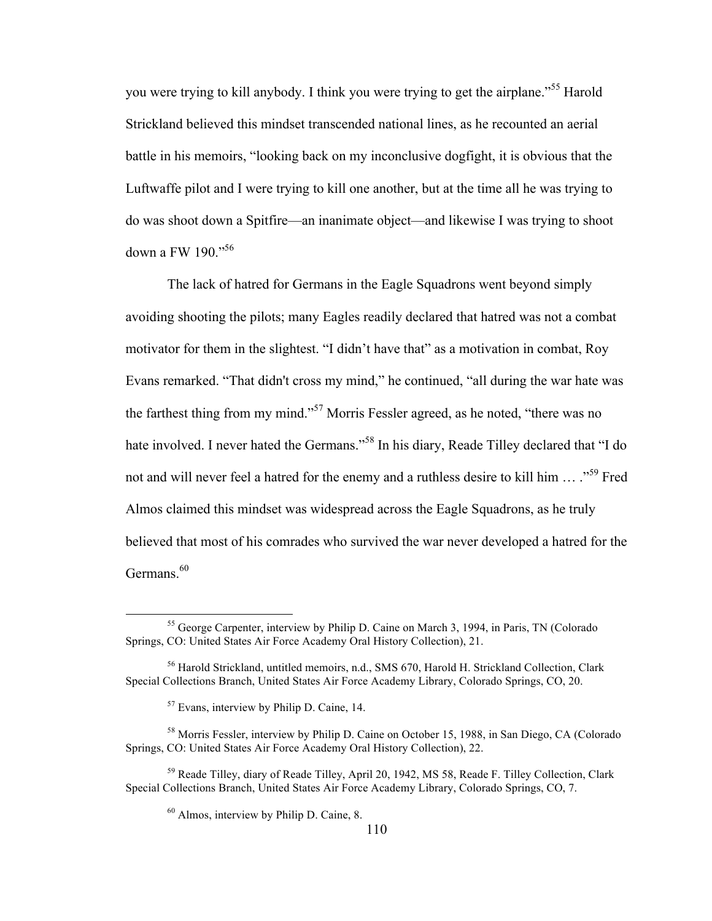you were trying to kill anybody. I think you were trying to get the airplane."<sup>55</sup> Harold Strickland believed this mindset transcended national lines, as he recounted an aerial battle in his memoirs, "looking back on my inconclusive dogfight, it is obvious that the Luftwaffe pilot and I were trying to kill one another, but at the time all he was trying to do was shoot down a Spitfire—an inanimate object—and likewise I was trying to shoot down a FW 190."<sup>56</sup>

The lack of hatred for Germans in the Eagle Squadrons went beyond simply avoiding shooting the pilots; many Eagles readily declared that hatred was not a combat motivator for them in the slightest. "I didn't have that" as a motivation in combat, Roy Evans remarked. "That didn't cross my mind," he continued, "all during the war hate was the farthest thing from my mind."<sup>57</sup> Morris Fessler agreed, as he noted, "there was no hate involved. I never hated the Germans."<sup>58</sup> In his diary, Reade Tilley declared that "I do not and will never feel a hatred for the enemy and a ruthless desire to kill him ... ..<sup>59</sup> Fred Almos claimed this mindset was widespread across the Eagle Squadrons, as he truly believed that most of his comrades who survived the war never developed a hatred for the Germans.<sup>60</sup>

<sup>&</sup>lt;sup>55</sup> George Carpenter, interview by Philip D. Caine on March 3, 1994, in Paris, TN (Colorado Springs, CO: United States Air Force Academy Oral History Collection), 21.

<sup>56</sup> Harold Strickland, untitled memoirs, n.d., SMS 670, Harold H. Strickland Collection, Clark Special Collections Branch, United States Air Force Academy Library, Colorado Springs, CO, 20.

<sup>57</sup> Evans, interview by Philip D. Caine, 14.

<sup>58</sup> Morris Fessler, interview by Philip D. Caine on October 15, 1988, in San Diego, CA (Colorado Springs, CO: United States Air Force Academy Oral History Collection), 22.

<sup>&</sup>lt;sup>59</sup> Reade Tilley, diary of Reade Tilley, April 20, 1942, MS 58, Reade F. Tilley Collection, Clark Special Collections Branch, United States Air Force Academy Library, Colorado Springs, CO, 7.

 $60$  Almos, interview by Philip D. Caine, 8.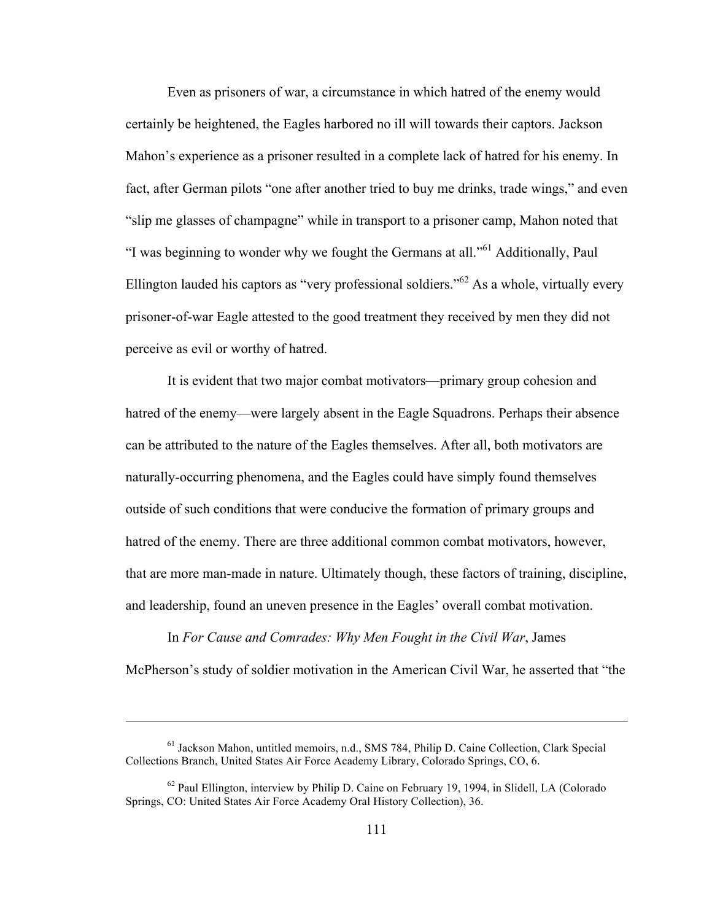Even as prisoners of war, a circumstance in which hatred of the enemy would certainly be heightened, the Eagles harbored no ill will towards their captors. Jackson Mahon's experience as a prisoner resulted in a complete lack of hatred for his enemy. In fact, after German pilots "one after another tried to buy me drinks, trade wings," and even "slip me glasses of champagne" while in transport to a prisoner camp, Mahon noted that "I was beginning to wonder why we fought the Germans at all."61 Additionally, Paul Ellington lauded his captors as "very professional soldiers."<sup>62</sup> As a whole, virtually every prisoner-of-war Eagle attested to the good treatment they received by men they did not perceive as evil or worthy of hatred.

It is evident that two major combat motivators—primary group cohesion and hatred of the enemy—were largely absent in the Eagle Squadrons. Perhaps their absence can be attributed to the nature of the Eagles themselves. After all, both motivators are naturally-occurring phenomena, and the Eagles could have simply found themselves outside of such conditions that were conducive the formation of primary groups and hatred of the enemy. There are three additional common combat motivators, however, that are more man-made in nature. Ultimately though, these factors of training, discipline, and leadership, found an uneven presence in the Eagles' overall combat motivation.

In *For Cause and Comrades: Why Men Fought in the Civil War*, James McPherson's study of soldier motivation in the American Civil War, he asserted that "the

 $\overline{a}$ 

<sup>61</sup> Jackson Mahon, untitled memoirs, n.d., SMS 784, Philip D. Caine Collection, Clark Special Collections Branch, United States Air Force Academy Library, Colorado Springs, CO, 6.

 $62$  Paul Ellington, interview by Philip D. Caine on February 19, 1994, in Slidell, LA (Colorado Springs, CO: United States Air Force Academy Oral History Collection), 36.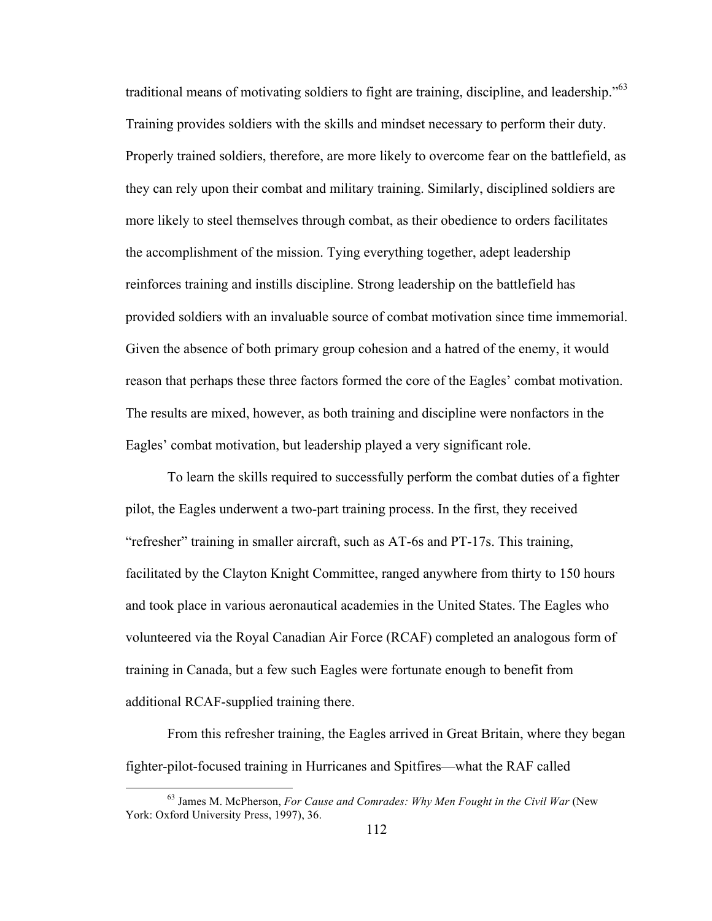traditional means of motivating soldiers to fight are training, discipline, and leadership."<sup>63</sup> Training provides soldiers with the skills and mindset necessary to perform their duty. Properly trained soldiers, therefore, are more likely to overcome fear on the battlefield, as they can rely upon their combat and military training. Similarly, disciplined soldiers are more likely to steel themselves through combat, as their obedience to orders facilitates the accomplishment of the mission. Tying everything together, adept leadership reinforces training and instills discipline. Strong leadership on the battlefield has provided soldiers with an invaluable source of combat motivation since time immemorial. Given the absence of both primary group cohesion and a hatred of the enemy, it would reason that perhaps these three factors formed the core of the Eagles' combat motivation. The results are mixed, however, as both training and discipline were nonfactors in the Eagles' combat motivation, but leadership played a very significant role.

To learn the skills required to successfully perform the combat duties of a fighter pilot, the Eagles underwent a two-part training process. In the first, they received "refresher" training in smaller aircraft, such as AT-6s and PT-17s. This training, facilitated by the Clayton Knight Committee, ranged anywhere from thirty to 150 hours and took place in various aeronautical academies in the United States. The Eagles who volunteered via the Royal Canadian Air Force (RCAF) completed an analogous form of training in Canada, but a few such Eagles were fortunate enough to benefit from additional RCAF-supplied training there.

From this refresher training, the Eagles arrived in Great Britain, where they began fighter-pilot-focused training in Hurricanes and Spitfires—what the RAF called

 <sup>63</sup> James M. McPherson, *For Cause and Comrades: Why Men Fought in the Civil War* (New York: Oxford University Press, 1997), 36.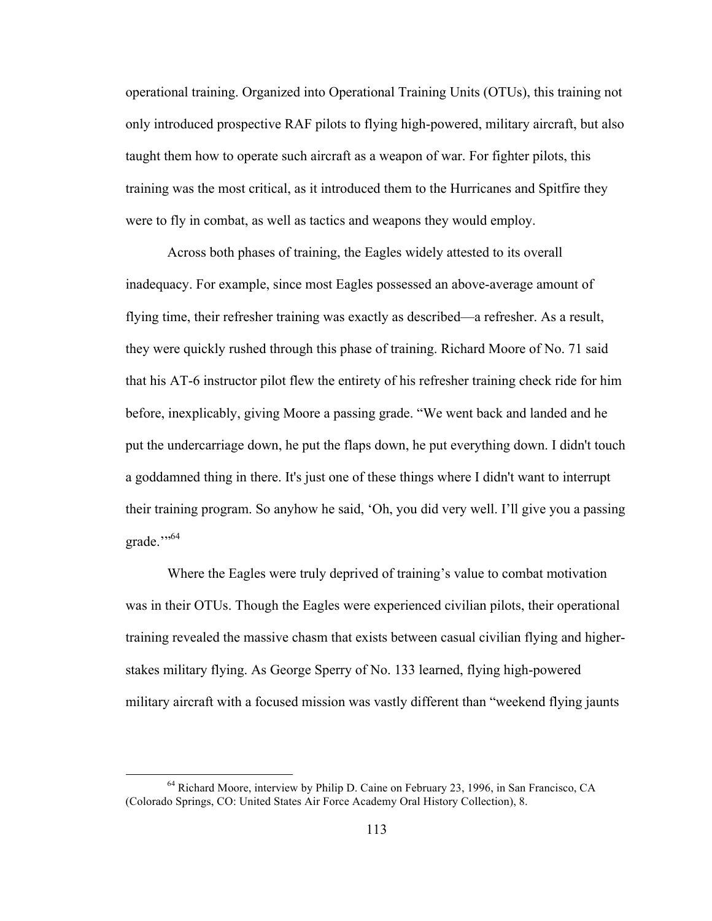operational training. Organized into Operational Training Units (OTUs), this training not only introduced prospective RAF pilots to flying high-powered, military aircraft, but also taught them how to operate such aircraft as a weapon of war. For fighter pilots, this training was the most critical, as it introduced them to the Hurricanes and Spitfire they were to fly in combat, as well as tactics and weapons they would employ.

Across both phases of training, the Eagles widely attested to its overall inadequacy. For example, since most Eagles possessed an above-average amount of flying time, their refresher training was exactly as described—a refresher. As a result, they were quickly rushed through this phase of training. Richard Moore of No. 71 said that his AT-6 instructor pilot flew the entirety of his refresher training check ride for him before, inexplicably, giving Moore a passing grade. "We went back and landed and he put the undercarriage down, he put the flaps down, he put everything down. I didn't touch a goddamned thing in there. It's just one of these things where I didn't want to interrupt their training program. So anyhow he said, 'Oh, you did very well. I'll give you a passing grade."<sup>564</sup>

Where the Eagles were truly deprived of training's value to combat motivation was in their OTUs. Though the Eagles were experienced civilian pilots, their operational training revealed the massive chasm that exists between casual civilian flying and higherstakes military flying. As George Sperry of No. 133 learned, flying high-powered military aircraft with a focused mission was vastly different than "weekend flying jaunts

<sup>&</sup>lt;sup>64</sup> Richard Moore, interview by Philip D. Caine on February 23, 1996, in San Francisco, CA (Colorado Springs, CO: United States Air Force Academy Oral History Collection), 8.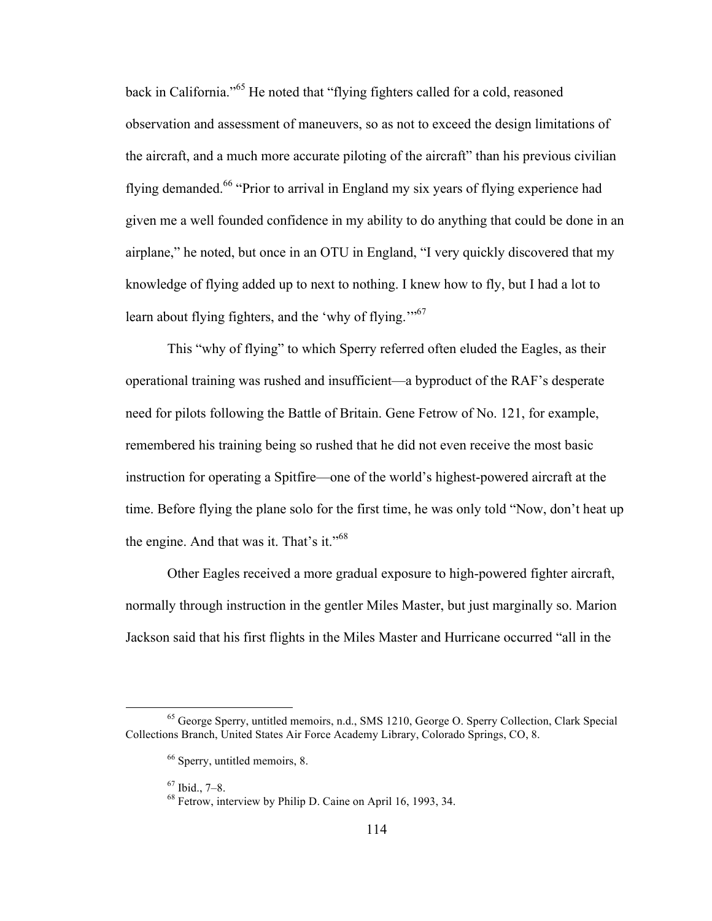back in California."<sup>65</sup> He noted that "flying fighters called for a cold, reasoned observation and assessment of maneuvers, so as not to exceed the design limitations of the aircraft, and a much more accurate piloting of the aircraft" than his previous civilian flying demanded.<sup>66</sup> "Prior to arrival in England my six years of flying experience had given me a well founded confidence in my ability to do anything that could be done in an airplane," he noted, but once in an OTU in England, "I very quickly discovered that my knowledge of flying added up to next to nothing. I knew how to fly, but I had a lot to learn about flying fighters, and the 'why of flying.'"<sup>67</sup>

This "why of flying" to which Sperry referred often eluded the Eagles, as their operational training was rushed and insufficient—a byproduct of the RAF's desperate need for pilots following the Battle of Britain. Gene Fetrow of No. 121, for example, remembered his training being so rushed that he did not even receive the most basic instruction for operating a Spitfire—one of the world's highest-powered aircraft at the time. Before flying the plane solo for the first time, he was only told "Now, don't heat up the engine. And that was it. That's it."<sup>68</sup>

Other Eagles received a more gradual exposure to high-powered fighter aircraft, normally through instruction in the gentler Miles Master, but just marginally so. Marion Jackson said that his first flights in the Miles Master and Hurricane occurred "all in the

 <sup>65</sup> George Sperry, untitled memoirs, n.d., SMS 1210, George O. Sperry Collection, Clark Special Collections Branch, United States Air Force Academy Library, Colorado Springs, CO, 8.

<sup>66</sup> Sperry, untitled memoirs, 8.

 $67$  Ibid., 7–8.<br> $68$  Fetrow, interview by Philip D. Caine on April 16, 1993, 34.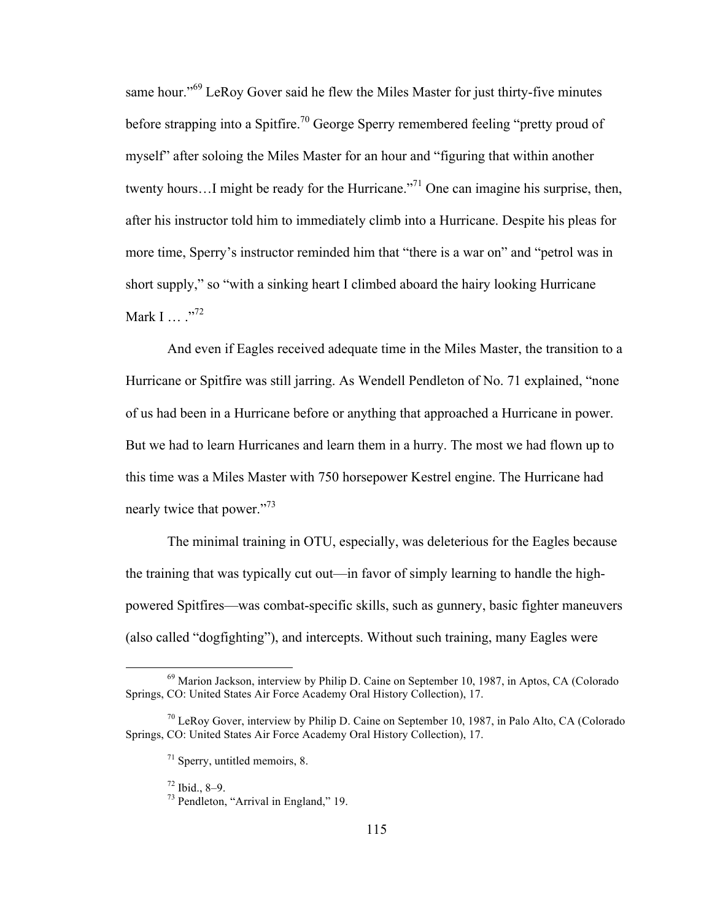same hour."<sup>69</sup> LeRoy Gover said he flew the Miles Master for just thirty-five minutes before strapping into a Spitfire.<sup>70</sup> George Sperry remembered feeling "pretty proud of myself" after soloing the Miles Master for an hour and "figuring that within another twenty hours...I might be ready for the Hurricane.<sup>"71</sup> One can imagine his surprise, then, after his instructor told him to immediately climb into a Hurricane. Despite his pleas for more time, Sperry's instructor reminded him that "there is a war on" and "petrol was in short supply," so "with a sinking heart I climbed aboard the hairy looking Hurricane Mark I  $\cdots$   $\cdots$   $\cdots$   $\cdots$   $\cdots$   $\cdots$   $\cdots$ 

And even if Eagles received adequate time in the Miles Master, the transition to a Hurricane or Spitfire was still jarring. As Wendell Pendleton of No. 71 explained, "none of us had been in a Hurricane before or anything that approached a Hurricane in power. But we had to learn Hurricanes and learn them in a hurry. The most we had flown up to this time was a Miles Master with 750 horsepower Kestrel engine. The Hurricane had nearly twice that power."<sup>73</sup>

The minimal training in OTU, especially, was deleterious for the Eagles because the training that was typically cut out—in favor of simply learning to handle the highpowered Spitfires—was combat-specific skills, such as gunnery, basic fighter maneuvers (also called "dogfighting"), and intercepts. Without such training, many Eagles were

<sup>&</sup>lt;sup>69</sup> Marion Jackson, interview by Philip D. Caine on September 10, 1987, in Aptos, CA (Colorado Springs, CO: United States Air Force Academy Oral History Collection), 17.

 $70$  LeRoy Gover, interview by Philip D. Caine on September 10, 1987, in Palo Alto, CA (Colorado) Springs, CO: United States Air Force Academy Oral History Collection), 17.

 $71$  Sperry, untitled memoirs, 8.

 $^{72}$  Ibid., 8–9.<br> $^{73}$  Pendleton, "Arrival in England," 19.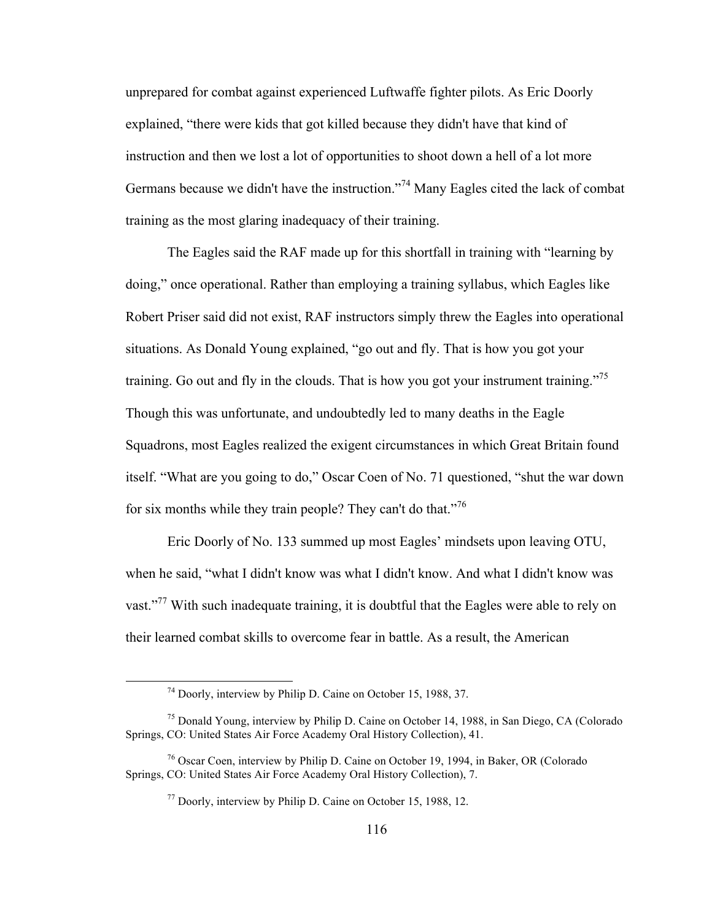unprepared for combat against experienced Luftwaffe fighter pilots. As Eric Doorly explained, "there were kids that got killed because they didn't have that kind of instruction and then we lost a lot of opportunities to shoot down a hell of a lot more Germans because we didn't have the instruction."<sup>74</sup> Many Eagles cited the lack of combat training as the most glaring inadequacy of their training.

The Eagles said the RAF made up for this shortfall in training with "learning by doing," once operational. Rather than employing a training syllabus, which Eagles like Robert Priser said did not exist, RAF instructors simply threw the Eagles into operational situations. As Donald Young explained, "go out and fly. That is how you got your training. Go out and fly in the clouds. That is how you got your instrument training."<sup>75</sup> Though this was unfortunate, and undoubtedly led to many deaths in the Eagle Squadrons, most Eagles realized the exigent circumstances in which Great Britain found itself. "What are you going to do," Oscar Coen of No. 71 questioned, "shut the war down for six months while they train people? They can't do that."<sup>76</sup>

Eric Doorly of No. 133 summed up most Eagles' mindsets upon leaving OTU, when he said, "what I didn't know was what I didn't know. And what I didn't know was vast."<sup>77</sup> With such inadequate training, it is doubtful that the Eagles were able to rely on their learned combat skills to overcome fear in battle. As a result, the American

 <sup>74</sup> Doorly, interview by Philip D. Caine on October 15, 1988, 37.

<sup>75</sup> Donald Young, interview by Philip D. Caine on October 14, 1988, in San Diego, CA (Colorado Springs, CO: United States Air Force Academy Oral History Collection), 41.

<sup>76</sup> Oscar Coen, interview by Philip D. Caine on October 19, 1994, in Baker, OR (Colorado Springs, CO: United States Air Force Academy Oral History Collection), 7.

<sup>77</sup> Doorly, interview by Philip D. Caine on October 15, 1988, 12.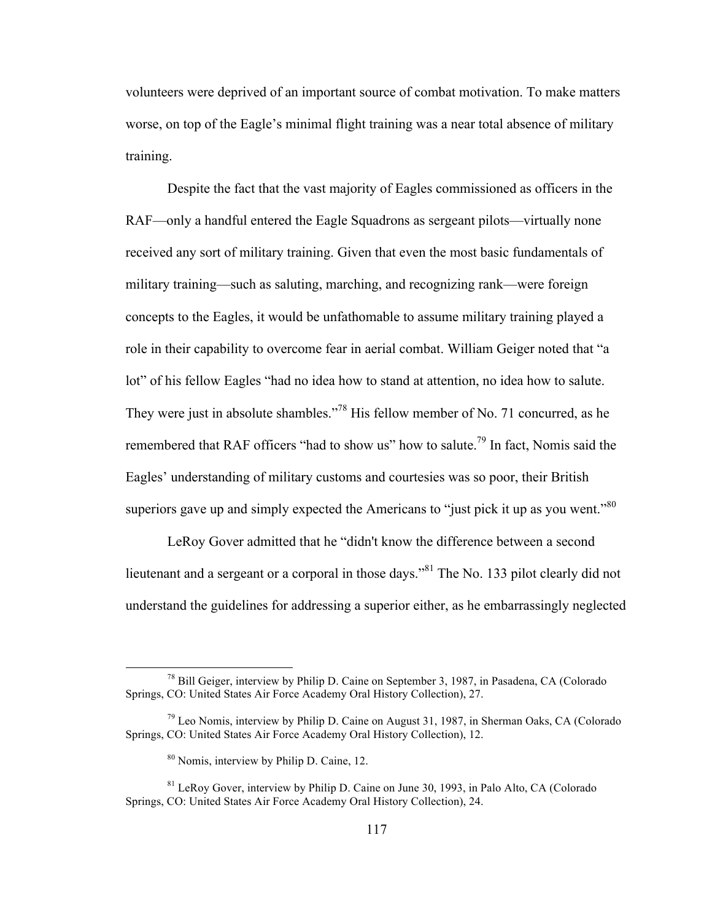volunteers were deprived of an important source of combat motivation. To make matters worse, on top of the Eagle's minimal flight training was a near total absence of military training.

Despite the fact that the vast majority of Eagles commissioned as officers in the RAF—only a handful entered the Eagle Squadrons as sergeant pilots—virtually none received any sort of military training. Given that even the most basic fundamentals of military training—such as saluting, marching, and recognizing rank—were foreign concepts to the Eagles, it would be unfathomable to assume military training played a role in their capability to overcome fear in aerial combat. William Geiger noted that "a lot" of his fellow Eagles "had no idea how to stand at attention, no idea how to salute. They were just in absolute shambles."<sup>78</sup> His fellow member of No. 71 concurred, as he remembered that RAF officers "had to show us" how to salute.<sup>79</sup> In fact, Nomis said the Eagles' understanding of military customs and courtesies was so poor, their British superiors gave up and simply expected the Americans to "just pick it up as you went."<sup>80</sup>

LeRoy Gover admitted that he "didn't know the difference between a second lieutenant and a sergeant or a corporal in those days."<sup>81</sup> The No. 133 pilot clearly did not understand the guidelines for addressing a superior either, as he embarrassingly neglected

 <sup>78</sup> Bill Geiger, interview by Philip D. Caine on September 3, 1987, in Pasadena, CA (Colorado Springs, CO: United States Air Force Academy Oral History Collection), 27.

 $79$  Leo Nomis, interview by Philip D. Caine on August 31, 1987, in Sherman Oaks, CA (Colorado Springs, CO: United States Air Force Academy Oral History Collection), 12.

<sup>80</sup> Nomis, interview by Philip D. Caine, 12.

<sup>&</sup>lt;sup>81</sup> LeRoy Gover, interview by Philip D. Caine on June 30, 1993, in Palo Alto, CA (Colorado Springs, CO: United States Air Force Academy Oral History Collection), 24.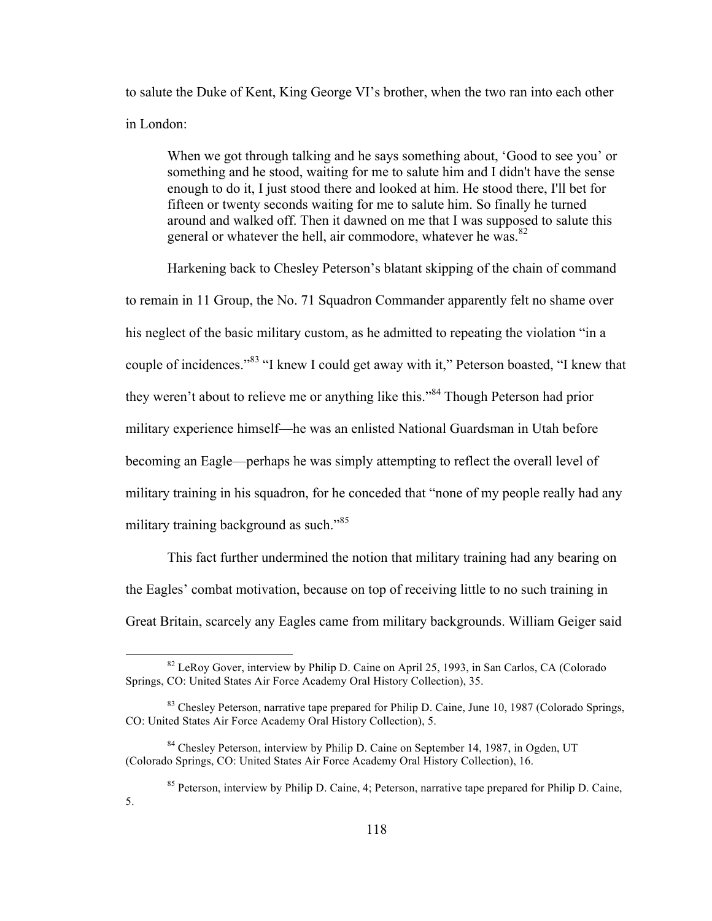to salute the Duke of Kent, King George VI's brother, when the two ran into each other in London:

When we got through talking and he says something about, 'Good to see you' or something and he stood, waiting for me to salute him and I didn't have the sense enough to do it, I just stood there and looked at him. He stood there, I'll bet for fifteen or twenty seconds waiting for me to salute him. So finally he turned around and walked off. Then it dawned on me that I was supposed to salute this general or whatever the hell, air commodore, whatever he was.<sup>82</sup>

Harkening back to Chesley Peterson's blatant skipping of the chain of command to remain in 11 Group, the No. 71 Squadron Commander apparently felt no shame over his neglect of the basic military custom, as he admitted to repeating the violation "in a couple of incidences."<sup>83</sup> "I knew I could get away with it," Peterson boasted, "I knew that they weren't about to relieve me or anything like this."<sup>84</sup> Though Peterson had prior military experience himself—he was an enlisted National Guardsman in Utah before becoming an Eagle—perhaps he was simply attempting to reflect the overall level of military training in his squadron, for he conceded that "none of my people really had any military training background as such."<sup>85</sup>

This fact further undermined the notion that military training had any bearing on the Eagles' combat motivation, because on top of receiving little to no such training in Great Britain, scarcely any Eagles came from military backgrounds. William Geiger said

5.

<sup>&</sup>lt;sup>82</sup> LeRoy Gover, interview by Philip D. Caine on April 25, 1993, in San Carlos, CA (Colorado Springs, CO: United States Air Force Academy Oral History Collection), 35.

<sup>&</sup>lt;sup>83</sup> Chesley Peterson, narrative tape prepared for Philip D. Caine, June 10, 1987 (Colorado Springs, CO: United States Air Force Academy Oral History Collection), 5.

<sup>&</sup>lt;sup>84</sup> Chesley Peterson, interview by Philip D. Caine on September 14, 1987, in Ogden, UT (Colorado Springs, CO: United States Air Force Academy Oral History Collection), 16.

<sup>&</sup>lt;sup>85</sup> Peterson, interview by Philip D. Caine, 4; Peterson, narrative tape prepared for Philip D. Caine,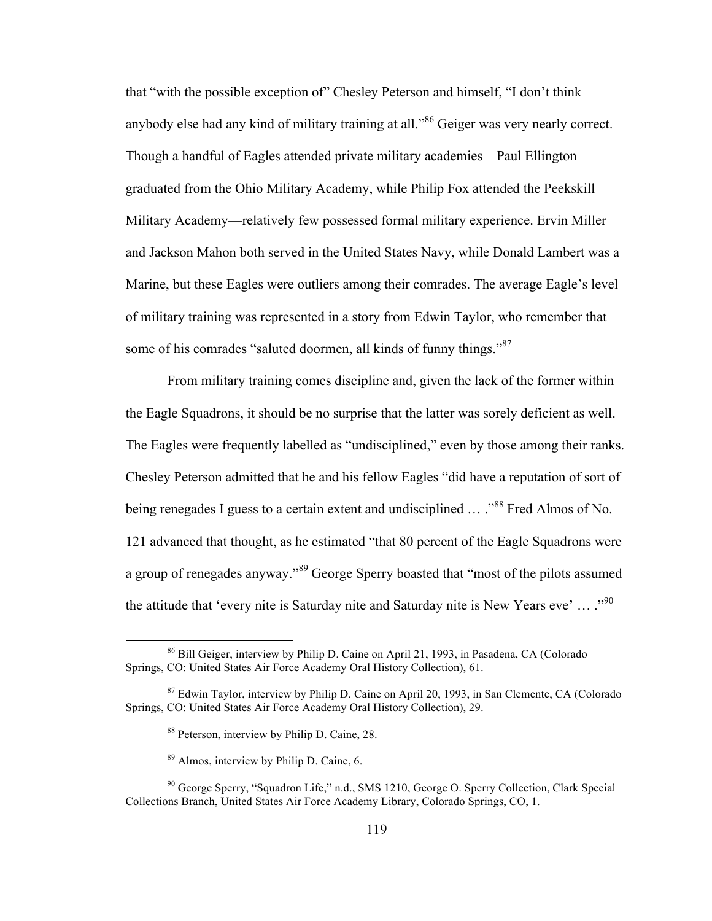that "with the possible exception of" Chesley Peterson and himself, "I don't think anybody else had any kind of military training at all."<sup>86</sup> Geiger was very nearly correct. Though a handful of Eagles attended private military academies—Paul Ellington graduated from the Ohio Military Academy, while Philip Fox attended the Peekskill Military Academy—relatively few possessed formal military experience. Ervin Miller and Jackson Mahon both served in the United States Navy, while Donald Lambert was a Marine, but these Eagles were outliers among their comrades. The average Eagle's level of military training was represented in a story from Edwin Taylor, who remember that some of his comrades "saluted doormen, all kinds of funny things."<sup>87</sup>

From military training comes discipline and, given the lack of the former within the Eagle Squadrons, it should be no surprise that the latter was sorely deficient as well. The Eagles were frequently labelled as "undisciplined," even by those among their ranks. Chesley Peterson admitted that he and his fellow Eagles "did have a reputation of sort of being renegades I guess to a certain extent and undisciplined ... .<sup>888</sup> Fred Almos of No. 121 advanced that thought, as he estimated "that 80 percent of the Eagle Squadrons were a group of renegades anyway."<sup>89</sup> George Sperry boasted that "most of the pilots assumed the attitude that 'every nite is Saturday nite and Saturday nite is New Years eve' ...  $\cdot$ <sup>90</sup>

 <sup>86</sup> Bill Geiger, interview by Philip D. Caine on April 21, 1993, in Pasadena, CA (Colorado Springs, CO: United States Air Force Academy Oral History Collection), 61.

<sup>&</sup>lt;sup>87</sup> Edwin Taylor, interview by Philip D. Caine on April 20, 1993, in San Clemente, CA (Colorado Springs, CO: United States Air Force Academy Oral History Collection), 29.

<sup>88</sup> Peterson, interview by Philip D. Caine, 28.

<sup>89</sup> Almos, interview by Philip D. Caine, 6.

<sup>90</sup> George Sperry, "Squadron Life," n.d., SMS 1210, George O. Sperry Collection, Clark Special Collections Branch, United States Air Force Academy Library, Colorado Springs, CO, 1.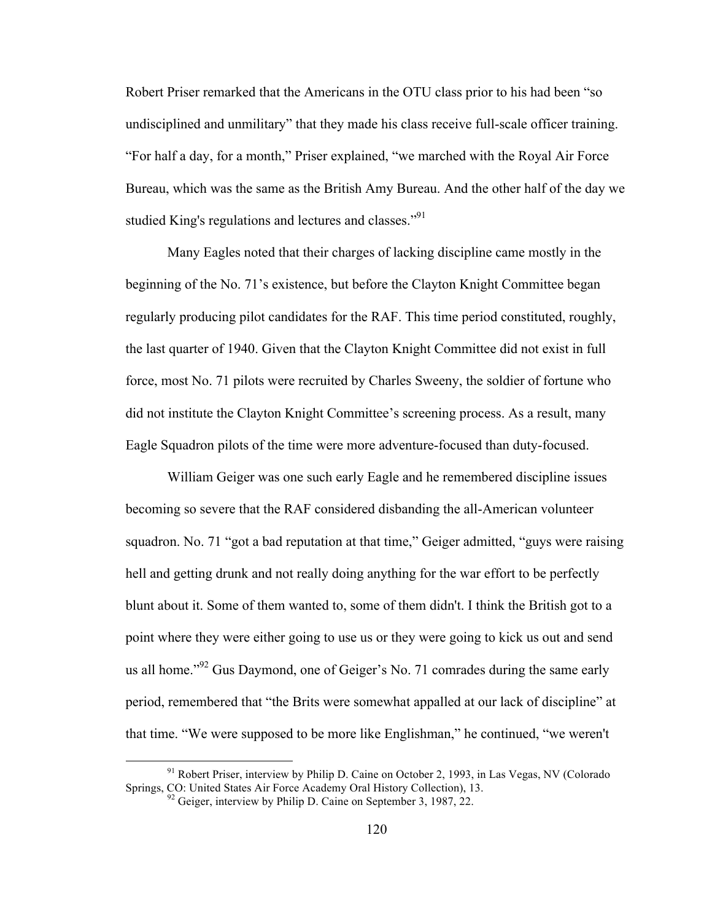Robert Priser remarked that the Americans in the OTU class prior to his had been "so undisciplined and unmilitary" that they made his class receive full-scale officer training. "For half a day, for a month," Priser explained, "we marched with the Royal Air Force Bureau, which was the same as the British Amy Bureau. And the other half of the day we studied King's regulations and lectures and classes."<sup>91</sup>

Many Eagles noted that their charges of lacking discipline came mostly in the beginning of the No. 71's existence, but before the Clayton Knight Committee began regularly producing pilot candidates for the RAF. This time period constituted, roughly, the last quarter of 1940. Given that the Clayton Knight Committee did not exist in full force, most No. 71 pilots were recruited by Charles Sweeny, the soldier of fortune who did not institute the Clayton Knight Committee's screening process. As a result, many Eagle Squadron pilots of the time were more adventure-focused than duty-focused.

William Geiger was one such early Eagle and he remembered discipline issues becoming so severe that the RAF considered disbanding the all-American volunteer squadron. No. 71 "got a bad reputation at that time," Geiger admitted, "guys were raising hell and getting drunk and not really doing anything for the war effort to be perfectly blunt about it. Some of them wanted to, some of them didn't. I think the British got to a point where they were either going to use us or they were going to kick us out and send us all home."<sup>92</sup> Gus Daymond, one of Geiger's No. 71 comrades during the same early period, remembered that "the Brits were somewhat appalled at our lack of discipline" at that time. "We were supposed to be more like Englishman," he continued, "we weren't

<sup>&</sup>lt;sup>91</sup> Robert Priser, interview by Philip D. Caine on October 2, 1993, in Las Vegas, NV (Colorado Springs, CO: United States Air Force Academy Oral History Collection), 13.

 $^{92}$  Geiger, interview by Philip D. Caine on September 3, 1987, 22.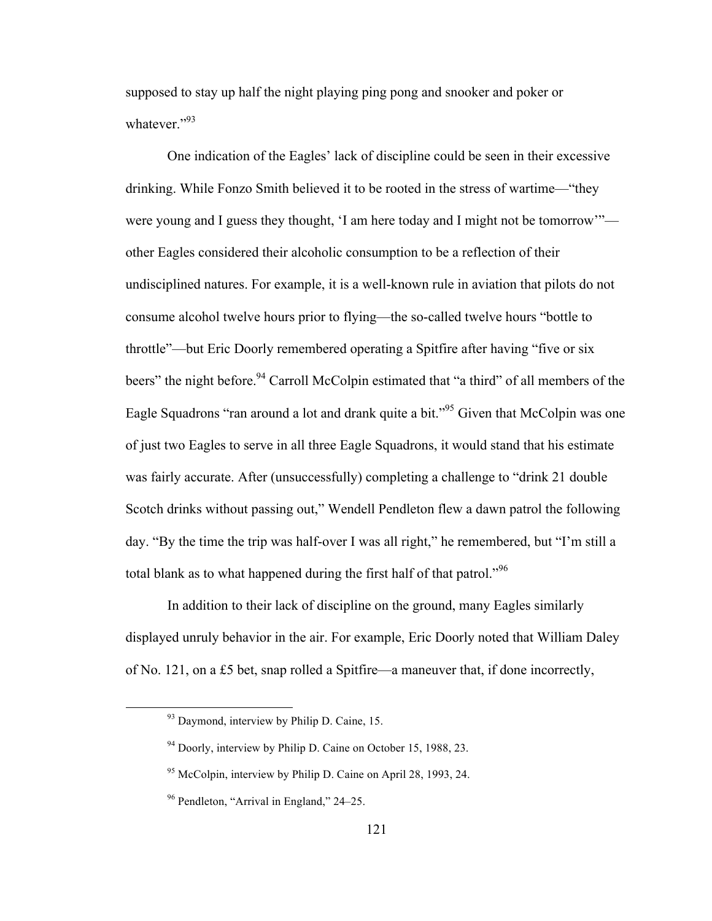supposed to stay up half the night playing ping pong and snooker and poker or whatever."<sup>93</sup>

One indication of the Eagles' lack of discipline could be seen in their excessive drinking. While Fonzo Smith believed it to be rooted in the stress of wartime—"they were young and I guess they thought, 'I am here today and I might not be tomorrow'" other Eagles considered their alcoholic consumption to be a reflection of their undisciplined natures. For example, it is a well-known rule in aviation that pilots do not consume alcohol twelve hours prior to flying—the so-called twelve hours "bottle to throttle"—but Eric Doorly remembered operating a Spitfire after having "five or six beers" the night before.<sup>94</sup> Carroll McColpin estimated that "a third" of all members of the Eagle Squadrons "ran around a lot and drank quite a bit."<sup>95</sup> Given that McColpin was one of just two Eagles to serve in all three Eagle Squadrons, it would stand that his estimate was fairly accurate. After (unsuccessfully) completing a challenge to "drink 21 double Scotch drinks without passing out," Wendell Pendleton flew a dawn patrol the following day. "By the time the trip was half-over I was all right," he remembered, but "I'm still a total blank as to what happened during the first half of that patrol."<sup>96</sup>

In addition to their lack of discipline on the ground, many Eagles similarly displayed unruly behavior in the air. For example, Eric Doorly noted that William Daley of No. 121, on a £5 bet, snap rolled a Spitfire—a maneuver that, if done incorrectly,

 $93$  Daymond, interview by Philip D. Caine, 15.

 $94$  Doorly, interview by Philip D. Caine on October 15, 1988, 23.

<sup>95</sup> McColpin, interview by Philip D. Caine on April 28, 1993, 24.

<sup>96</sup> Pendleton, "Arrival in England," 24–25.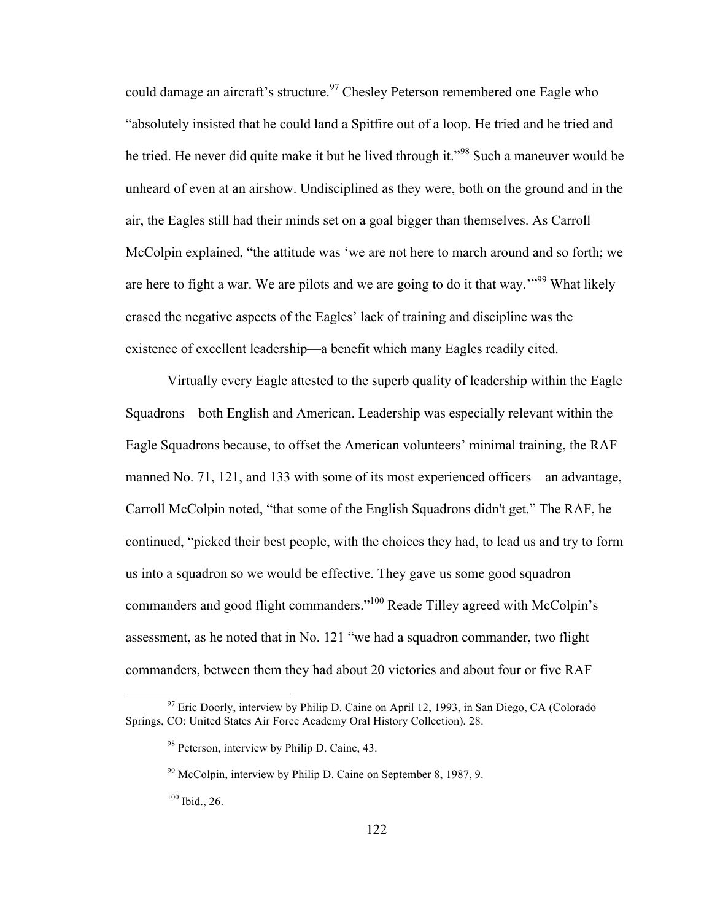could damage an aircraft's structure.<sup>97</sup> Chesley Peterson remembered one Eagle who "absolutely insisted that he could land a Spitfire out of a loop. He tried and he tried and he tried. He never did quite make it but he lived through it."<sup>98</sup> Such a maneuver would be unheard of even at an airshow. Undisciplined as they were, both on the ground and in the air, the Eagles still had their minds set on a goal bigger than themselves. As Carroll McColpin explained, "the attitude was 'we are not here to march around and so forth; we are here to fight a war. We are pilots and we are going to do it that way.<sup>"99</sup> What likely erased the negative aspects of the Eagles' lack of training and discipline was the existence of excellent leadership—a benefit which many Eagles readily cited.

Virtually every Eagle attested to the superb quality of leadership within the Eagle Squadrons—both English and American. Leadership was especially relevant within the Eagle Squadrons because, to offset the American volunteers' minimal training, the RAF manned No. 71, 121, and 133 with some of its most experienced officers—an advantage, Carroll McColpin noted, "that some of the English Squadrons didn't get." The RAF, he continued, "picked their best people, with the choices they had, to lead us and try to form us into a squadron so we would be effective. They gave us some good squadron commanders and good flight commanders."100 Reade Tilley agreed with McColpin's assessment, as he noted that in No. 121 "we had a squadron commander, two flight commanders, between them they had about 20 victories and about four or five RAF

 $97$  Eric Doorly, interview by Philip D. Caine on April 12, 1993, in San Diego, CA (Colorado Springs, CO: United States Air Force Academy Oral History Collection), 28.

<sup>&</sup>lt;sup>98</sup> Peterson, interview by Philip D. Caine, 43.

 $99$  McColpin, interview by Philip D. Caine on September 8, 1987, 9.

<sup>100</sup> Ibid., 26.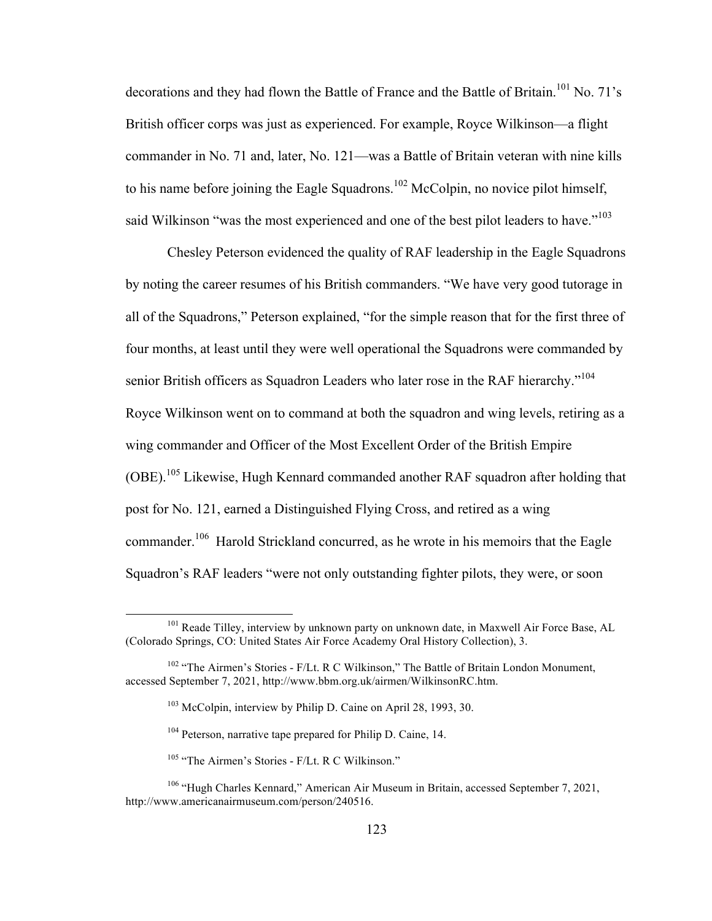decorations and they had flown the Battle of France and the Battle of Britain.<sup>101</sup> No. 71's British officer corps was just as experienced. For example, Royce Wilkinson—a flight commander in No. 71 and, later, No. 121—was a Battle of Britain veteran with nine kills to his name before joining the Eagle Squadrons.<sup>102</sup> McColpin, no novice pilot himself, said Wilkinson "was the most experienced and one of the best pilot leaders to have."<sup>103</sup>

Chesley Peterson evidenced the quality of RAF leadership in the Eagle Squadrons by noting the career resumes of his British commanders. "We have very good tutorage in all of the Squadrons," Peterson explained, "for the simple reason that for the first three of four months, at least until they were well operational the Squadrons were commanded by senior British officers as Squadron Leaders who later rose in the RAF hierarchy."<sup>104</sup> Royce Wilkinson went on to command at both the squadron and wing levels, retiring as a wing commander and Officer of the Most Excellent Order of the British Empire (OBE).<sup>105</sup> Likewise, Hugh Kennard commanded another RAF squadron after holding that post for No. 121, earned a Distinguished Flying Cross, and retired as a wing commander.<sup>106</sup> Harold Strickland concurred, as he wrote in his memoirs that the Eagle Squadron's RAF leaders "were not only outstanding fighter pilots, they were, or soon

<sup>&</sup>lt;sup>101</sup> Reade Tilley, interview by unknown party on unknown date, in Maxwell Air Force Base, AL (Colorado Springs, CO: United States Air Force Academy Oral History Collection), 3.

<sup>&</sup>lt;sup>102</sup> "The Airmen's Stories - F/Lt. R C Wilkinson," The Battle of Britain London Monument, accessed September 7, 2021, http://www.bbm.org.uk/airmen/WilkinsonRC.htm.

<sup>&</sup>lt;sup>103</sup> McColpin, interview by Philip D. Caine on April 28, 1993, 30.

<sup>&</sup>lt;sup>104</sup> Peterson, narrative tape prepared for Philip D. Caine, 14.

<sup>&</sup>lt;sup>105</sup> "The Airmen's Stories - F/Lt. R C Wilkinson."

<sup>106</sup> "Hugh Charles Kennard," American Air Museum in Britain, accessed September 7, 2021, http://www.americanairmuseum.com/person/240516.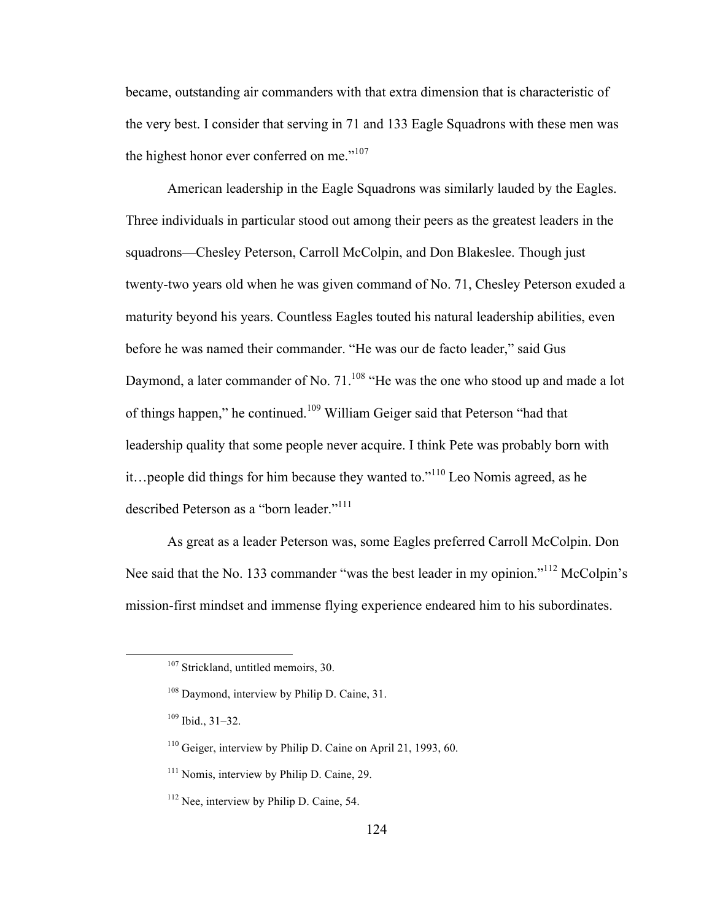became, outstanding air commanders with that extra dimension that is characteristic of the very best. I consider that serving in 71 and 133 Eagle Squadrons with these men was the highest honor ever conferred on me." $107$ 

American leadership in the Eagle Squadrons was similarly lauded by the Eagles. Three individuals in particular stood out among their peers as the greatest leaders in the squadrons—Chesley Peterson, Carroll McColpin, and Don Blakeslee. Though just twenty-two years old when he was given command of No. 71, Chesley Peterson exuded a maturity beyond his years. Countless Eagles touted his natural leadership abilities, even before he was named their commander. "He was our de facto leader," said Gus Daymond, a later commander of No.  $71^{108}$  "He was the one who stood up and made a lot of things happen," he continued.<sup>109</sup> William Geiger said that Peterson "had that leadership quality that some people never acquire. I think Pete was probably born with it…people did things for him because they wanted to."<sup>110</sup> Leo Nomis agreed, as he described Peterson as a "born leader."<sup>111</sup>

As great as a leader Peterson was, some Eagles preferred Carroll McColpin. Don Nee said that the No. 133 commander "was the best leader in my opinion."<sup>112</sup> McColpin's mission-first mindset and immense flying experience endeared him to his subordinates.

<sup>&</sup>lt;sup>107</sup> Strickland, untitled memoirs, 30.

<sup>&</sup>lt;sup>108</sup> Daymond, interview by Philip D. Caine, 31.

 $109$  Ibid.,  $31-32$ .

 $110$  Geiger, interview by Philip D. Caine on April 21, 1993, 60.

<sup>&</sup>lt;sup>111</sup> Nomis, interview by Philip D. Caine, 29.

 $112$  Nee, interview by Philip D. Caine, 54.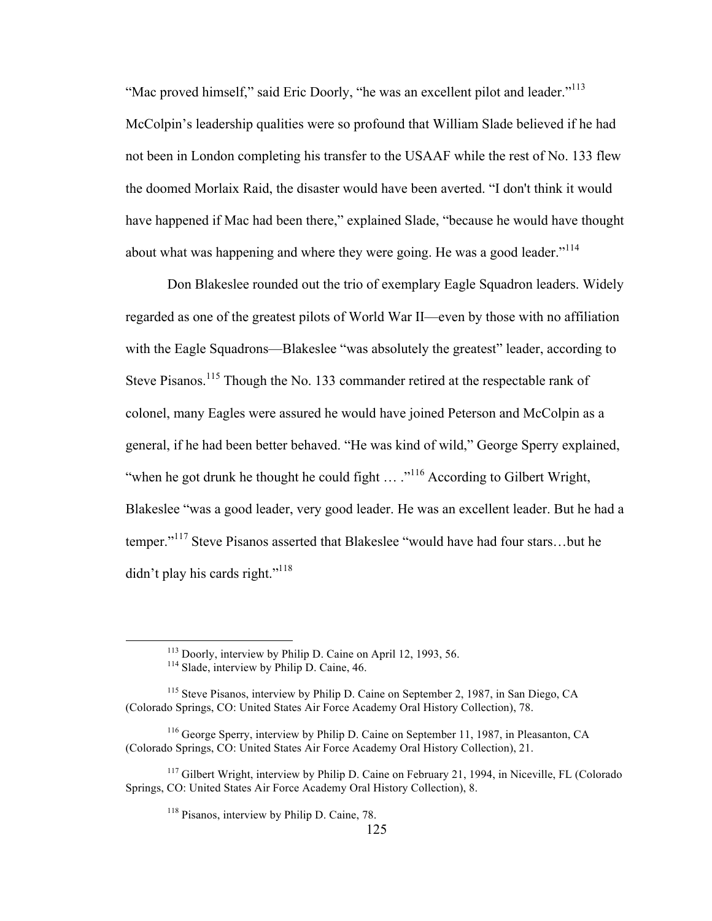"Mac proved himself," said Eric Doorly, "he was an excellent pilot and leader."<sup>113</sup> McColpin's leadership qualities were so profound that William Slade believed if he had not been in London completing his transfer to the USAAF while the rest of No. 133 flew the doomed Morlaix Raid, the disaster would have been averted. "I don't think it would have happened if Mac had been there," explained Slade, "because he would have thought about what was happening and where they were going. He was a good leader."<sup>114</sup>

Don Blakeslee rounded out the trio of exemplary Eagle Squadron leaders. Widely regarded as one of the greatest pilots of World War II—even by those with no affiliation with the Eagle Squadrons—Blakeslee "was absolutely the greatest" leader, according to Steve Pisanos.<sup>115</sup> Though the No. 133 commander retired at the respectable rank of colonel, many Eagles were assured he would have joined Peterson and McColpin as a general, if he had been better behaved. "He was kind of wild," George Sperry explained, "when he got drunk he thought he could fight  $\ldots$  ..."<sup>116</sup> According to Gilbert Wright, Blakeslee "was a good leader, very good leader. He was an excellent leader. But he had a temper."<sup>117</sup> Steve Pisanos asserted that Blakeslee "would have had four stars…but he didn't play his cards right."<sup>118</sup>

<sup>113</sup> Doorly, interview by Philip D. Caine on April 12, 1993, 56. <sup>114</sup> Slade, interview by Philip D. Caine, 46.

<sup>115</sup> Steve Pisanos, interview by Philip D. Caine on September 2, 1987, in San Diego, CA (Colorado Springs, CO: United States Air Force Academy Oral History Collection), 78.

<sup>116</sup> George Sperry, interview by Philip D. Caine on September 11, 1987, in Pleasanton, CA (Colorado Springs, CO: United States Air Force Academy Oral History Collection), 21.

<sup>&</sup>lt;sup>117</sup> Gilbert Wright, interview by Philip D. Caine on February 21, 1994, in Niceville, FL (Colorado Springs, CO: United States Air Force Academy Oral History Collection), 8.

<sup>118</sup> Pisanos, interview by Philip D. Caine, 78.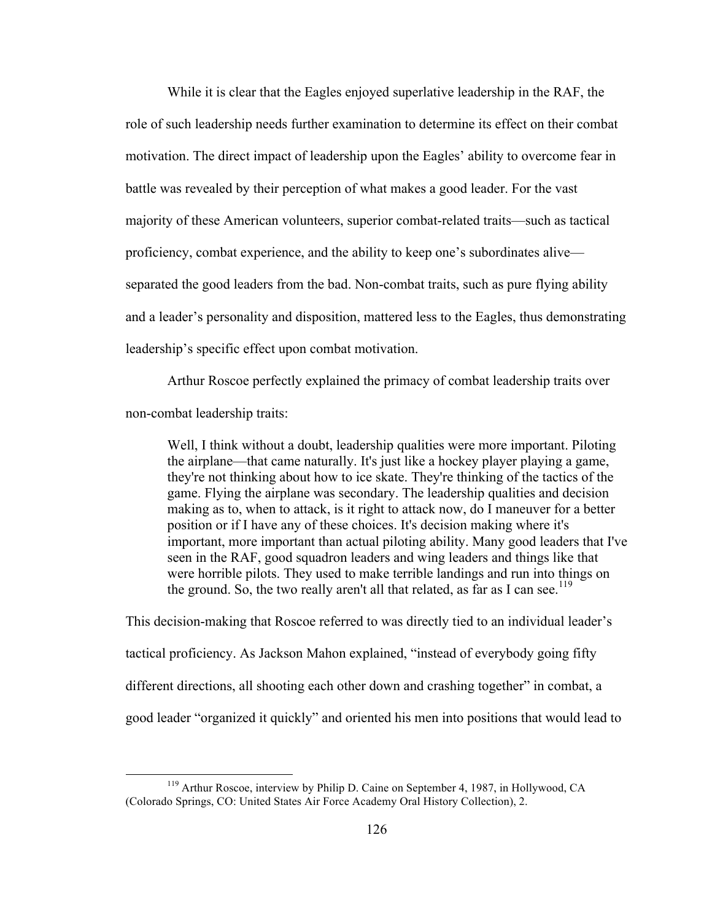While it is clear that the Eagles enjoyed superlative leadership in the RAF, the role of such leadership needs further examination to determine its effect on their combat motivation. The direct impact of leadership upon the Eagles' ability to overcome fear in battle was revealed by their perception of what makes a good leader. For the vast majority of these American volunteers, superior combat-related traits—such as tactical proficiency, combat experience, and the ability to keep one's subordinates alive separated the good leaders from the bad. Non-combat traits, such as pure flying ability and a leader's personality and disposition, mattered less to the Eagles, thus demonstrating leadership's specific effect upon combat motivation.

Arthur Roscoe perfectly explained the primacy of combat leadership traits over non-combat leadership traits:

Well, I think without a doubt, leadership qualities were more important. Piloting the airplane—that came naturally. It's just like a hockey player playing a game, they're not thinking about how to ice skate. They're thinking of the tactics of the game. Flying the airplane was secondary. The leadership qualities and decision making as to, when to attack, is it right to attack now, do I maneuver for a better position or if I have any of these choices. It's decision making where it's important, more important than actual piloting ability. Many good leaders that I've seen in the RAF, good squadron leaders and wing leaders and things like that were horrible pilots. They used to make terrible landings and run into things on the ground. So, the two really aren't all that related, as far as I can see.<sup>119</sup>

This decision-making that Roscoe referred to was directly tied to an individual leader's tactical proficiency. As Jackson Mahon explained, "instead of everybody going fifty different directions, all shooting each other down and crashing together" in combat, a good leader "organized it quickly" and oriented his men into positions that would lead to

 <sup>119</sup> Arthur Roscoe, interview by Philip D. Caine on September 4, 1987, in Hollywood, CA (Colorado Springs, CO: United States Air Force Academy Oral History Collection), 2.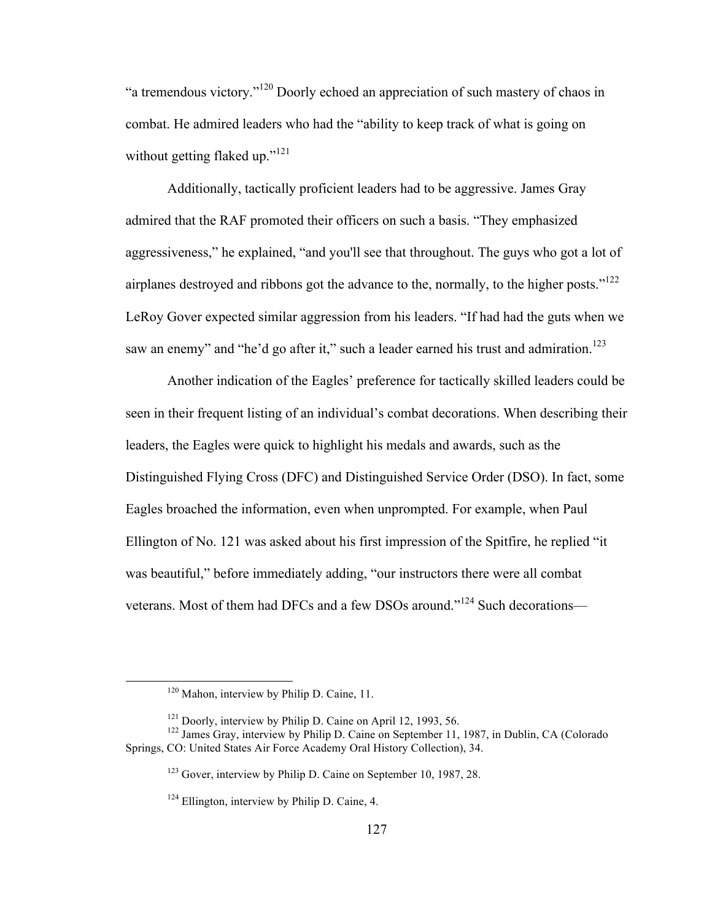"a tremendous victory."<sup>120</sup> Doorly echoed an appreciation of such mastery of chaos in combat. He admired leaders who had the "ability to keep track of what is going on without getting flaked up." $121$ 

Additionally, tactically proficient leaders had to be aggressive. James Gray admired that the RAF promoted their officers on such a basis. "They emphasized aggressiveness," he explained, "and you'll see that throughout. The guys who got a lot of airplanes destroyed and ribbons got the advance to the, normally, to the higher posts."<sup>122</sup> LeRoy Gover expected similar aggression from his leaders. "If had had the guts when we saw an enemy" and "he'd go after it," such a leader earned his trust and admiration.<sup>123</sup>

Another indication of the Eagles' preference for tactically skilled leaders could be seen in their frequent listing of an individual's combat decorations. When describing their leaders, the Eagles were quick to highlight his medals and awards, such as the Distinguished Flying Cross (DFC) and Distinguished Service Order (DSO). In fact, some Eagles broached the information, even when unprompted. For example, when Paul Ellington of No. 121 was asked about his first impression of the Spitfire, he replied "it was beautiful," before immediately adding, "our instructors there were all combat veterans. Most of them had DFCs and a few DSOs around."<sup>124</sup> Such decorations—

<sup>&</sup>lt;sup>120</sup> Mahon, interview by Philip D. Caine, 11.

<sup>&</sup>lt;sup>121</sup> Doorly, interview by Philip D. Caine on April 12, 1993, 56. <sup>122</sup> James Gray, interview by Philip D. Caine on September 11, 1987, in Dublin, CA (Colorado Springs, CO: United States Air Force Academy Oral History Collection), 34.

<sup>123</sup> Gover, interview by Philip D. Caine on September 10, 1987, 28.

 $124$  Ellington, interview by Philip D. Caine, 4.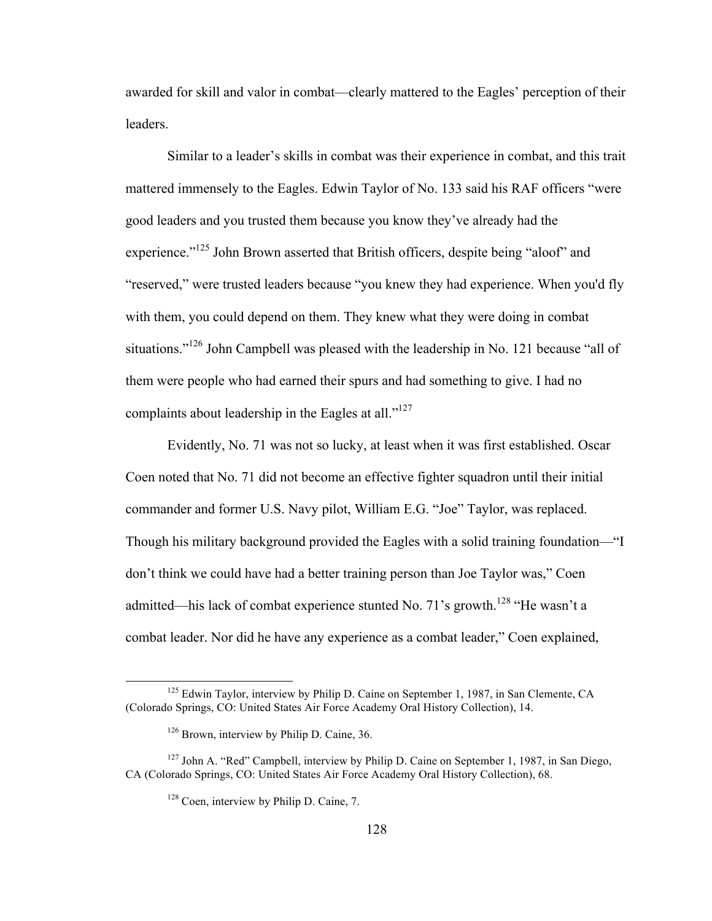awarded for skill and valor in combat—clearly mattered to the Eagles' perception of their leaders.

Similar to a leader's skills in combat was their experience in combat, and this trait mattered immensely to the Eagles. Edwin Taylor of No. 133 said his RAF officers "were good leaders and you trusted them because you know they've already had the experience."<sup>125</sup> John Brown asserted that British officers, despite being "aloof" and "reserved," were trusted leaders because "you knew they had experience. When you'd fly with them, you could depend on them. They knew what they were doing in combat situations."<sup>126</sup> John Campbell was pleased with the leadership in No. 121 because "all of them were people who had earned their spurs and had something to give. I had no complaints about leadership in the Eagles at all."<sup>127</sup>

Evidently, No. 71 was not so lucky, at least when it was first established. Oscar Coen noted that No. 71 did not become an effective fighter squadron until their initial commander and former U.S. Navy pilot, William E.G. "Joe" Taylor, was replaced. Though his military background provided the Eagles with a solid training foundation—"I don't think we could have had a better training person than Joe Taylor was," Coen admitted—his lack of combat experience stunted No. 71's growth.<sup>128</sup> "He wasn't a combat leader. Nor did he have any experience as a combat leader," Coen explained,

<sup>&</sup>lt;sup>125</sup> Edwin Taylor, interview by Philip D. Caine on September 1, 1987, in San Clemente. CA (Colorado Springs, CO: United States Air Force Academy Oral History Collection), 14.

<sup>&</sup>lt;sup>126</sup> Brown, interview by Philip D. Caine, 36.

<sup>&</sup>lt;sup>127</sup> John A. "Red" Campbell, interview by Philip D. Caine on September 1, 1987, in San Diego, CA (Colorado Springs, CO: United States Air Force Academy Oral History Collection), 68.

<sup>&</sup>lt;sup>128</sup> Coen, interview by Philip D. Caine, 7.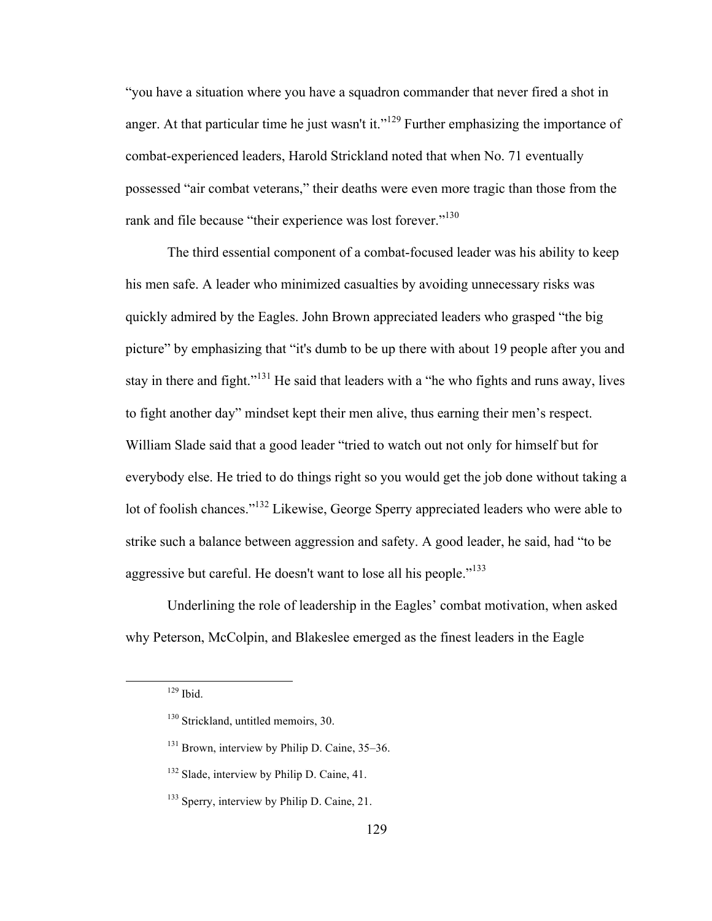"you have a situation where you have a squadron commander that never fired a shot in anger. At that particular time he just wasn't it."<sup>129</sup> Further emphasizing the importance of combat-experienced leaders, Harold Strickland noted that when No. 71 eventually possessed "air combat veterans," their deaths were even more tragic than those from the rank and file because "their experience was lost forever."<sup>130</sup>

The third essential component of a combat-focused leader was his ability to keep his men safe. A leader who minimized casualties by avoiding unnecessary risks was quickly admired by the Eagles. John Brown appreciated leaders who grasped "the big picture" by emphasizing that "it's dumb to be up there with about 19 people after you and stay in there and fight."<sup>131</sup> He said that leaders with a "he who fights and runs away, lives to fight another day" mindset kept their men alive, thus earning their men's respect. William Slade said that a good leader "tried to watch out not only for himself but for everybody else. He tried to do things right so you would get the job done without taking a lot of foolish chances."<sup>132</sup> Likewise, George Sperry appreciated leaders who were able to strike such a balance between aggression and safety. A good leader, he said, had "to be aggressive but careful. He doesn't want to lose all his people."<sup>133</sup>

Underlining the role of leadership in the Eagles' combat motivation, when asked why Peterson, McColpin, and Blakeslee emerged as the finest leaders in the Eagle

 $129$  Ibid.

<sup>&</sup>lt;sup>130</sup> Strickland, untitled memoirs, 30.

 $131$  Brown, interview by Philip D. Caine, 35–36.

<sup>&</sup>lt;sup>132</sup> Slade, interview by Philip D. Caine, 41.

<sup>&</sup>lt;sup>133</sup> Sperry, interview by Philip D. Caine, 21.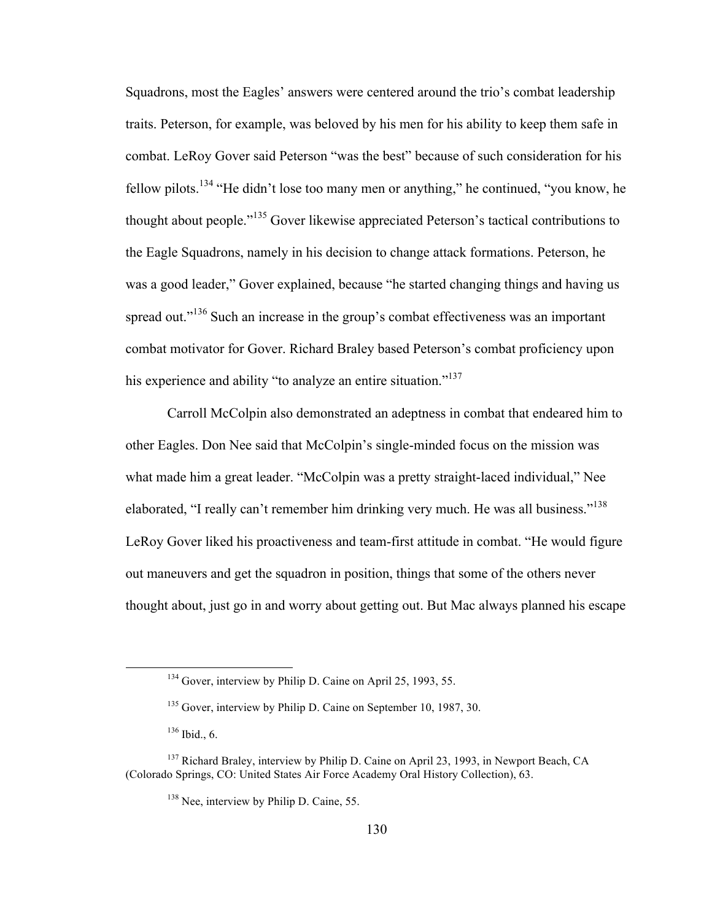Squadrons, most the Eagles' answers were centered around the trio's combat leadership traits. Peterson, for example, was beloved by his men for his ability to keep them safe in combat. LeRoy Gover said Peterson "was the best" because of such consideration for his fellow pilots.<sup>134</sup> "He didn't lose too many men or anything," he continued, "you know, he thought about people."<sup>135</sup> Gover likewise appreciated Peterson's tactical contributions to the Eagle Squadrons, namely in his decision to change attack formations. Peterson, he was a good leader," Gover explained, because "he started changing things and having us spread out."<sup>136</sup> Such an increase in the group's combat effectiveness was an important combat motivator for Gover. Richard Braley based Peterson's combat proficiency upon his experience and ability "to analyze an entire situation."<sup>137</sup>

Carroll McColpin also demonstrated an adeptness in combat that endeared him to other Eagles. Don Nee said that McColpin's single-minded focus on the mission was what made him a great leader. "McColpin was a pretty straight-laced individual," Nee elaborated, "I really can't remember him drinking very much. He was all business."<sup>138</sup> LeRoy Gover liked his proactiveness and team-first attitude in combat. "He would figure out maneuvers and get the squadron in position, things that some of the others never thought about, just go in and worry about getting out. But Mac always planned his escape

<sup>&</sup>lt;sup>134</sup> Gover, interview by Philip D. Caine on April 25, 1993, 55.

<sup>&</sup>lt;sup>135</sup> Gover, interview by Philip D. Caine on September 10, 1987, 30.

<sup>136</sup> Ibid., 6.

<sup>&</sup>lt;sup>137</sup> Richard Braley, interview by Philip D. Caine on April 23, 1993, in Newport Beach, CA (Colorado Springs, CO: United States Air Force Academy Oral History Collection), 63.

<sup>&</sup>lt;sup>138</sup> Nee, interview by Philip D. Caine, 55.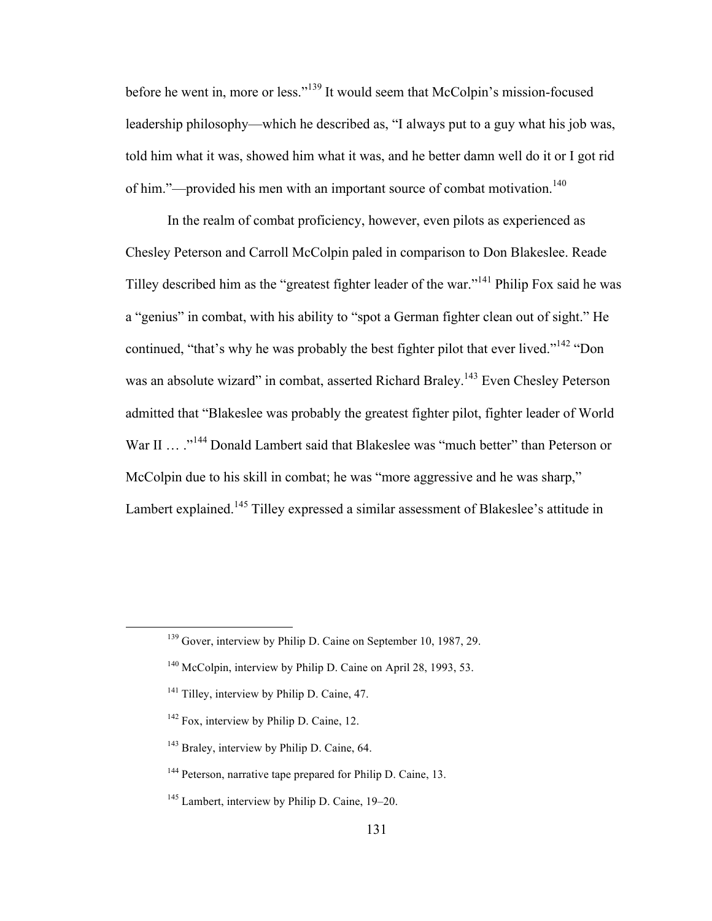before he went in, more or less."<sup>139</sup> It would seem that McColpin's mission-focused leadership philosophy—which he described as, "I always put to a guy what his job was, told him what it was, showed him what it was, and he better damn well do it or I got rid of him."—provided his men with an important source of combat motivation.<sup>140</sup>

In the realm of combat proficiency, however, even pilots as experienced as Chesley Peterson and Carroll McColpin paled in comparison to Don Blakeslee. Reade Tilley described him as the "greatest fighter leader of the war."<sup>141</sup> Philip Fox said he was a "genius" in combat, with his ability to "spot a German fighter clean out of sight." He continued, "that's why he was probably the best fighter pilot that ever lived."<sup>142</sup> "Don was an absolute wizard" in combat, asserted Richard Braley.<sup>143</sup> Even Chesley Peterson admitted that "Blakeslee was probably the greatest fighter pilot, fighter leader of World War II ... .<sup>"144</sup> Donald Lambert said that Blakeslee was "much better" than Peterson or McColpin due to his skill in combat; he was "more aggressive and he was sharp," Lambert explained.<sup>145</sup> Tilley expressed a similar assessment of Blakeslee's attitude in

<sup>&</sup>lt;sup>139</sup> Gover, interview by Philip D. Caine on September 10, 1987, 29.

<sup>&</sup>lt;sup>140</sup> McColpin, interview by Philip D. Caine on April 28, 1993, 53.

<sup>&</sup>lt;sup>141</sup> Tilley, interview by Philip D. Caine, 47.

 $142$  Fox, interview by Philip D. Caine, 12.

<sup>&</sup>lt;sup>143</sup> Braley, interview by Philip D. Caine, 64.

<sup>&</sup>lt;sup>144</sup> Peterson, narrative tape prepared for Philip D. Caine, 13.

<sup>145</sup> Lambert, interview by Philip D. Caine, 19–20.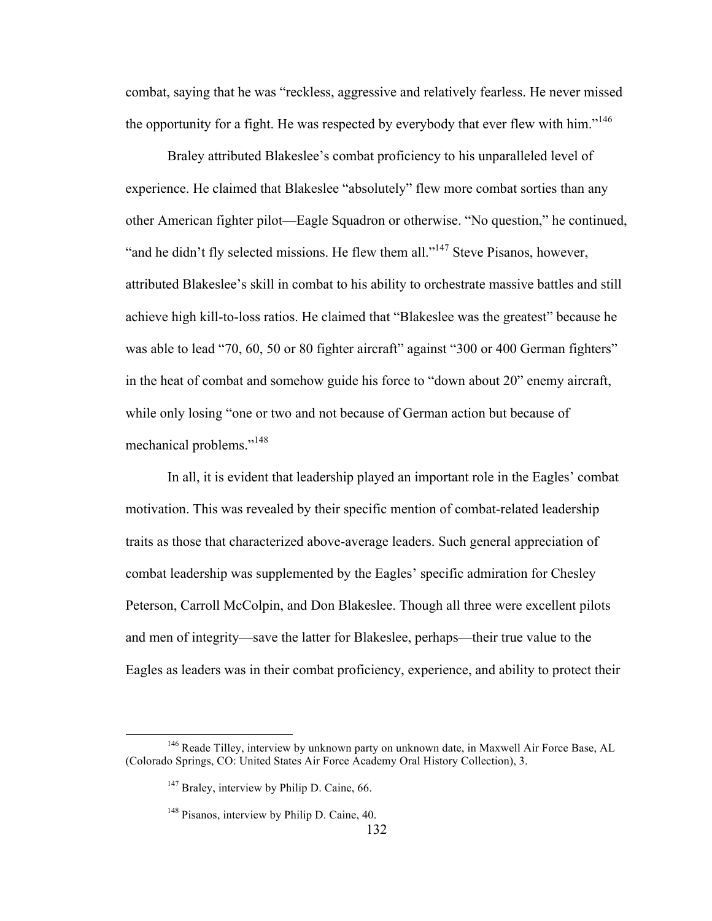combat, saying that he was "reckless, aggressive and relatively fearless. He never missed the opportunity for a fight. He was respected by everybody that ever flew with him."<sup>146</sup>

Braley attributed Blakeslee's combat proficiency to his unparalleled level of experience. He claimed that Blakeslee "absolutely" flew more combat sorties than any other American fighter pilot—Eagle Squadron or otherwise. "No question," he continued, "and he didn't fly selected missions. He flew them all."<sup>147</sup> Steve Pisanos, however, attributed Blakeslee's skill in combat to his ability to orchestrate massive battles and still achieve high kill-to-loss ratios. He claimed that "Blakeslee was the greatest" because he was able to lead "70, 60, 50 or 80 fighter aircraft" against "300 or 400 German fighters" in the heat of combat and somehow guide his force to "down about 20" enemy aircraft, while only losing "one or two and not because of German action but because of mechanical problems."<sup>148</sup>

In all, it is evident that leadership played an important role in the Eagles' combat motivation. This was revealed by their specific mention of combat-related leadership traits as those that characterized above-average leaders. Such general appreciation of combat leadership was supplemented by the Eagles' specific admiration for Chesley Peterson, Carroll McColpin, and Don Blakeslee. Though all three were excellent pilots and men of integrity—save the latter for Blakeslee, perhaps—their true value to the Eagles as leaders was in their combat proficiency, experience, and ability to protect their

<sup>&</sup>lt;sup>146</sup> Reade Tilley, interview by unknown party on unknown date, in Maxwell Air Force Base, AL (Colorado Springs, CO: United States Air Force Academy Oral History Collection), 3.

<sup>&</sup>lt;sup>147</sup> Braley, interview by Philip D. Caine, 66.

<sup>148</sup> Pisanos, interview by Philip D. Caine, 40.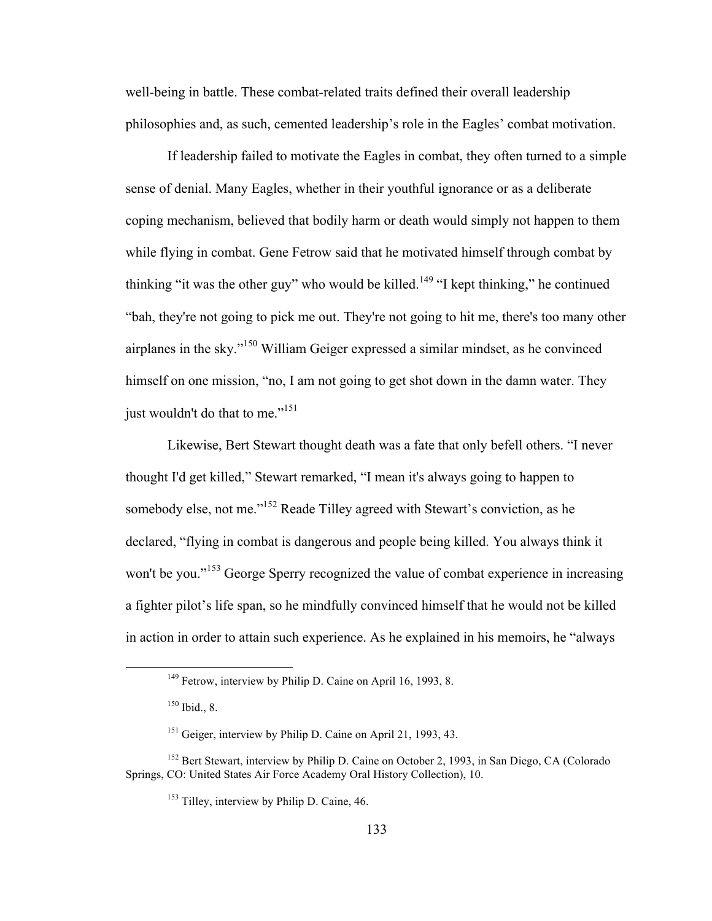well-being in battle. These combat-related traits defined their overall leadership philosophies and, as such, cemented leadership's role in the Eagles' combat motivation.

If leadership failed to motivate the Eagles in combat, they often turned to a simple sense of denial. Many Eagles, whether in their youthful ignorance or as a deliberate coping mechanism, believed that bodily harm or death would simply not happen to them while flying in combat. Gene Fetrow said that he motivated himself through combat by thinking "it was the other guy" who would be killed.<sup>149</sup> "I kept thinking," he continued "bah, they're not going to pick me out. They're not going to hit me, there's too many other airplanes in the sky."150 William Geiger expressed a similar mindset, as he convinced himself on one mission, "no, I am not going to get shot down in the damn water. They just wouldn't do that to me."<sup>151</sup>

Likewise, Bert Stewart thought death was a fate that only befell others. "I never thought I'd get killed," Stewart remarked, "I mean it's always going to happen to somebody else, not me."<sup>152</sup> Reade Tilley agreed with Stewart's conviction, as he declared, "flying in combat is dangerous and people being killed. You always think it won't be you."<sup>153</sup> George Sperry recognized the value of combat experience in increasing a fighter pilot's life span, so he mindfully convinced himself that he would not be killed in action in order to attain such experience. As he explained in his memoirs, he "always

<sup>&</sup>lt;sup>149</sup> Fetrow, interview by Philip D. Caine on April 16, 1993, 8.

 $150$  Ibid., 8.

<sup>&</sup>lt;sup>151</sup> Geiger, interview by Philip D. Caine on April 21, 1993, 43.

<sup>&</sup>lt;sup>152</sup> Bert Stewart, interview by Philip D. Caine on October 2, 1993, in San Diego, CA (Colorado Springs, CO: United States Air Force Academy Oral History Collection), 10.

<sup>&</sup>lt;sup>153</sup> Tilley, interview by Philip D. Caine, 46.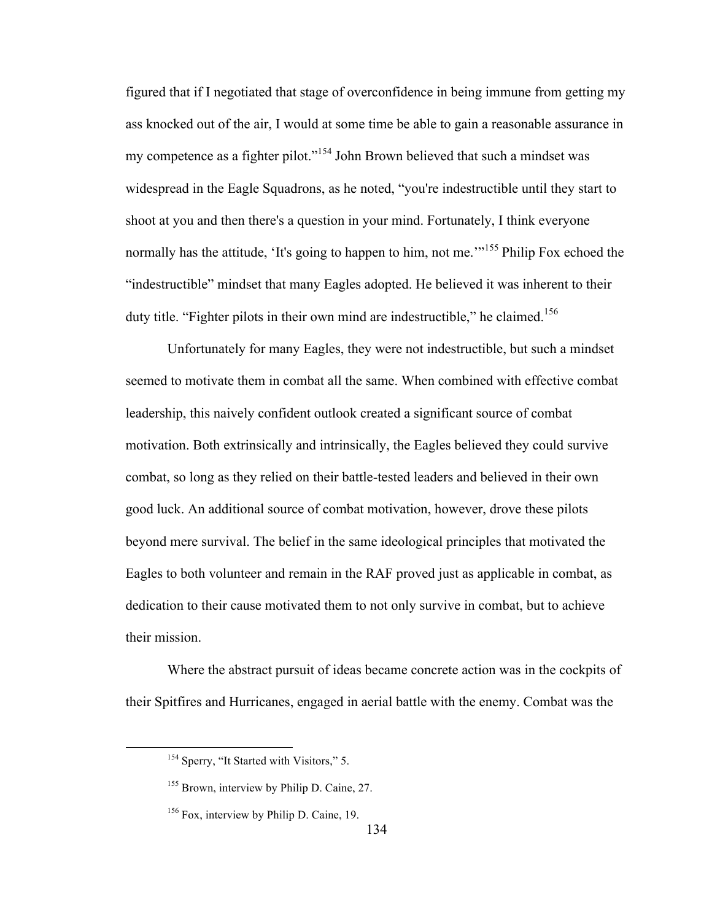figured that if I negotiated that stage of overconfidence in being immune from getting my ass knocked out of the air, I would at some time be able to gain a reasonable assurance in my competence as a fighter pilot."<sup>154</sup> John Brown believed that such a mindset was widespread in the Eagle Squadrons, as he noted, "you're indestructible until they start to shoot at you and then there's a question in your mind. Fortunately, I think everyone normally has the attitude, 'It's going to happen to him, not me.'<sup>155</sup> Philip Fox echoed the "indestructible" mindset that many Eagles adopted. He believed it was inherent to their duty title. "Fighter pilots in their own mind are indestructible," he claimed.<sup>156</sup>

Unfortunately for many Eagles, they were not indestructible, but such a mindset seemed to motivate them in combat all the same. When combined with effective combat leadership, this naively confident outlook created a significant source of combat motivation. Both extrinsically and intrinsically, the Eagles believed they could survive combat, so long as they relied on their battle-tested leaders and believed in their own good luck. An additional source of combat motivation, however, drove these pilots beyond mere survival. The belief in the same ideological principles that motivated the Eagles to both volunteer and remain in the RAF proved just as applicable in combat, as dedication to their cause motivated them to not only survive in combat, but to achieve their mission.

Where the abstract pursuit of ideas became concrete action was in the cockpits of their Spitfires and Hurricanes, engaged in aerial battle with the enemy. Combat was the

<sup>&</sup>lt;sup>154</sup> Sperry, "It Started with Visitors," 5.

<sup>&</sup>lt;sup>155</sup> Brown, interview by Philip D. Caine, 27.

<sup>&</sup>lt;sup>156</sup> Fox, interview by Philip D. Caine, 19.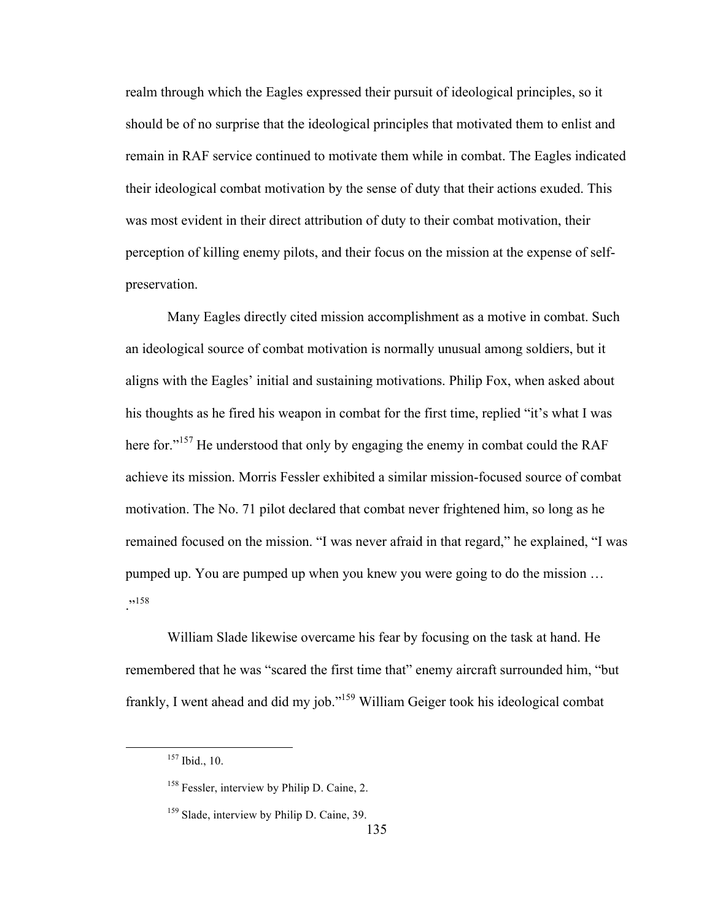realm through which the Eagles expressed their pursuit of ideological principles, so it should be of no surprise that the ideological principles that motivated them to enlist and remain in RAF service continued to motivate them while in combat. The Eagles indicated their ideological combat motivation by the sense of duty that their actions exuded. This was most evident in their direct attribution of duty to their combat motivation, their perception of killing enemy pilots, and their focus on the mission at the expense of selfpreservation.

Many Eagles directly cited mission accomplishment as a motive in combat. Such an ideological source of combat motivation is normally unusual among soldiers, but it aligns with the Eagles' initial and sustaining motivations. Philip Fox, when asked about his thoughts as he fired his weapon in combat for the first time, replied "it's what I was here for."<sup>157</sup> He understood that only by engaging the enemy in combat could the RAF achieve its mission. Morris Fessler exhibited a similar mission-focused source of combat motivation. The No. 71 pilot declared that combat never frightened him, so long as he remained focused on the mission. "I was never afraid in that regard," he explained, "I was pumped up. You are pumped up when you knew you were going to do the mission … .,158

William Slade likewise overcame his fear by focusing on the task at hand. He remembered that he was "scared the first time that" enemy aircraft surrounded him, "but frankly, I went ahead and did my job."159 William Geiger took his ideological combat

 <sup>157</sup> Ibid., 10.

<sup>&</sup>lt;sup>158</sup> Fessler, interview by Philip D. Caine, 2.

<sup>&</sup>lt;sup>159</sup> Slade, interview by Philip D. Caine, 39.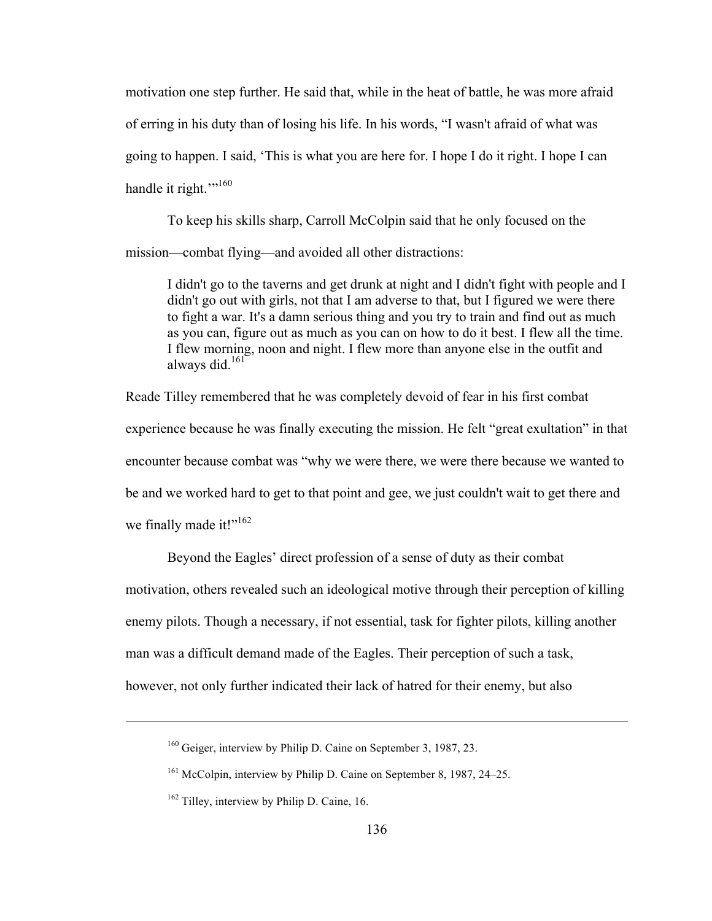motivation one step further. He said that, while in the heat of battle, he was more afraid of erring in his duty than of losing his life. In his words, "I wasn't afraid of what was going to happen. I said, 'This is what you are here for. I hope I do it right. I hope I can handle it right."<sup>160</sup>

To keep his skills sharp, Carroll McColpin said that he only focused on the mission—combat flying—and avoided all other distractions:

I didn't go to the taverns and get drunk at night and I didn't fight with people and I didn't go out with girls, not that I am adverse to that, but I figured we were there to fight a war. It's a damn serious thing and you try to train and find out as much as you can, figure out as much as you can on how to do it best. I flew all the time. I flew morning, noon and night. I flew more than anyone else in the outfit and always did. $161$ 

Reade Tilley remembered that he was completely devoid of fear in his first combat experience because he was finally executing the mission. He felt "great exultation" in that encounter because combat was "why we were there, we were there because we wanted to be and we worked hard to get to that point and gee, we just couldn't wait to get there and we finally made it!"<sup>162</sup>

Beyond the Eagles' direct profession of a sense of duty as their combat motivation, others revealed such an ideological motive through their perception of killing enemy pilots. Though a necessary, if not essential, task for fighter pilots, killing another man was a difficult demand made of the Eagles. Their perception of such a task, however, not only further indicated their lack of hatred for their enemy, but also

 $\overline{a}$ 

<sup>160</sup> Geiger, interview by Philip D. Caine on September 3, 1987, 23.

<sup>&</sup>lt;sup>161</sup> McColpin, interview by Philip D. Caine on September 8, 1987, 24–25.

 $162$  Tilley, interview by Philip D. Caine, 16.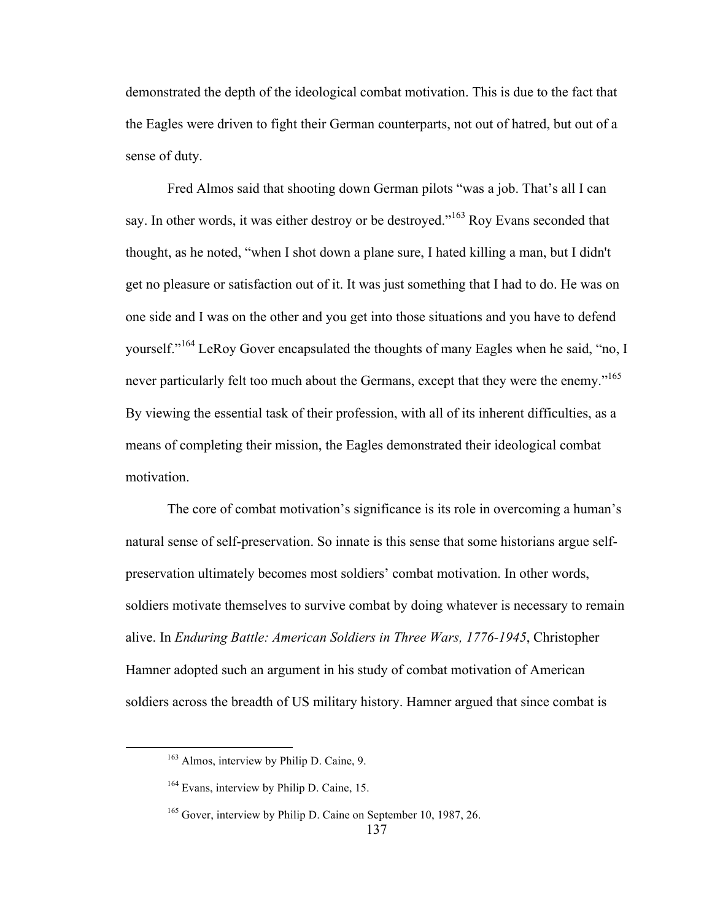demonstrated the depth of the ideological combat motivation. This is due to the fact that the Eagles were driven to fight their German counterparts, not out of hatred, but out of a sense of duty.

Fred Almos said that shooting down German pilots "was a job. That's all I can say. In other words, it was either destroy or be destroyed."<sup>163</sup> Roy Evans seconded that thought, as he noted, "when I shot down a plane sure, I hated killing a man, but I didn't get no pleasure or satisfaction out of it. It was just something that I had to do. He was on one side and I was on the other and you get into those situations and you have to defend yourself."<sup>164</sup> LeRoy Gover encapsulated the thoughts of many Eagles when he said, "no, I never particularly felt too much about the Germans, except that they were the enemy."<sup>165</sup> By viewing the essential task of their profession, with all of its inherent difficulties, as a means of completing their mission, the Eagles demonstrated their ideological combat motivation.

The core of combat motivation's significance is its role in overcoming a human's natural sense of self-preservation. So innate is this sense that some historians argue selfpreservation ultimately becomes most soldiers' combat motivation. In other words, soldiers motivate themselves to survive combat by doing whatever is necessary to remain alive. In *Enduring Battle: American Soldiers in Three Wars, 1776-1945*, Christopher Hamner adopted such an argument in his study of combat motivation of American soldiers across the breadth of US military history. Hamner argued that since combat is

<sup>&</sup>lt;sup>163</sup> Almos, interview by Philip D. Caine, 9.

<sup>&</sup>lt;sup>164</sup> Evans, interview by Philip D. Caine, 15.

<sup>&</sup>lt;sup>165</sup> Gover, interview by Philip D. Caine on September 10, 1987, 26.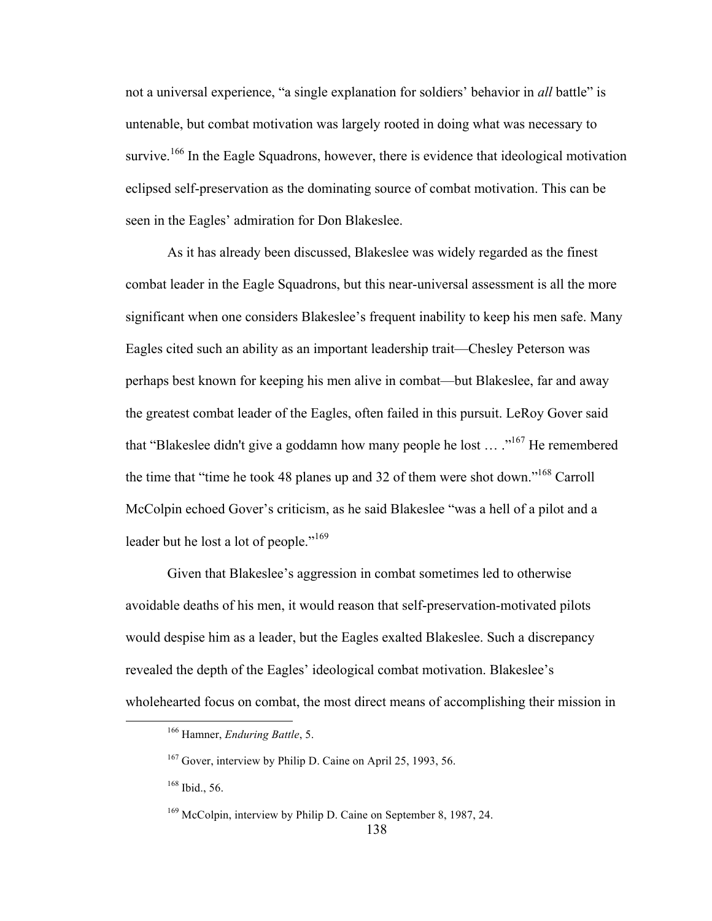not a universal experience, "a single explanation for soldiers' behavior in *all* battle" is untenable, but combat motivation was largely rooted in doing what was necessary to survive.<sup>166</sup> In the Eagle Squadrons, however, there is evidence that ideological motivation eclipsed self-preservation as the dominating source of combat motivation. This can be seen in the Eagles' admiration for Don Blakeslee.

As it has already been discussed, Blakeslee was widely regarded as the finest combat leader in the Eagle Squadrons, but this near-universal assessment is all the more significant when one considers Blakeslee's frequent inability to keep his men safe. Many Eagles cited such an ability as an important leadership trait—Chesley Peterson was perhaps best known for keeping his men alive in combat—but Blakeslee, far and away the greatest combat leader of the Eagles, often failed in this pursuit. LeRoy Gover said that "Blakeslee didn't give a goddamn how many people he lost  $\ldots$ ."<sup>167</sup> He remembered the time that "time he took 48 planes up and 32 of them were shot down."168 Carroll McColpin echoed Gover's criticism, as he said Blakeslee "was a hell of a pilot and a leader but he lost a lot of people."<sup>169</sup>

Given that Blakeslee's aggression in combat sometimes led to otherwise avoidable deaths of his men, it would reason that self-preservation-motivated pilots would despise him as a leader, but the Eagles exalted Blakeslee. Such a discrepancy revealed the depth of the Eagles' ideological combat motivation. Blakeslee's wholehearted focus on combat, the most direct means of accomplishing their mission in

 <sup>166</sup> Hamner, *Enduring Battle*, 5.

<sup>&</sup>lt;sup>167</sup> Gover, interview by Philip D. Caine on April 25, 1993, 56.

<sup>168</sup> Ibid., 56.

<sup>169</sup> McColpin, interview by Philip D. Caine on September 8, 1987, 24.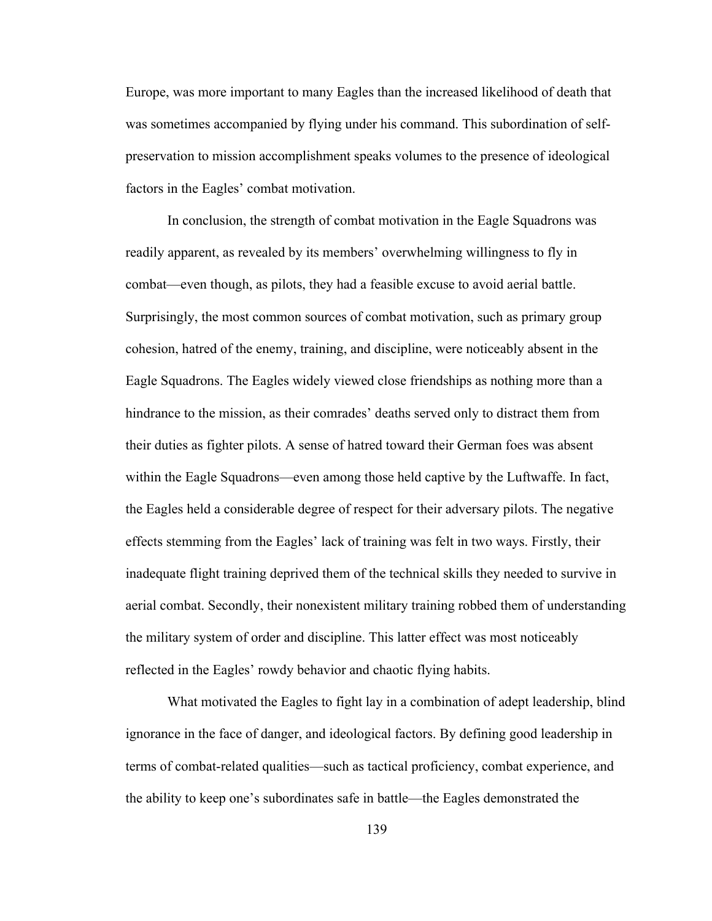Europe, was more important to many Eagles than the increased likelihood of death that was sometimes accompanied by flying under his command. This subordination of selfpreservation to mission accomplishment speaks volumes to the presence of ideological factors in the Eagles' combat motivation.

In conclusion, the strength of combat motivation in the Eagle Squadrons was readily apparent, as revealed by its members' overwhelming willingness to fly in combat—even though, as pilots, they had a feasible excuse to avoid aerial battle. Surprisingly, the most common sources of combat motivation, such as primary group cohesion, hatred of the enemy, training, and discipline, were noticeably absent in the Eagle Squadrons. The Eagles widely viewed close friendships as nothing more than a hindrance to the mission, as their comrades' deaths served only to distract them from their duties as fighter pilots. A sense of hatred toward their German foes was absent within the Eagle Squadrons—even among those held captive by the Luftwaffe. In fact, the Eagles held a considerable degree of respect for their adversary pilots. The negative effects stemming from the Eagles' lack of training was felt in two ways. Firstly, their inadequate flight training deprived them of the technical skills they needed to survive in aerial combat. Secondly, their nonexistent military training robbed them of understanding the military system of order and discipline. This latter effect was most noticeably reflected in the Eagles' rowdy behavior and chaotic flying habits.

What motivated the Eagles to fight lay in a combination of adept leadership, blind ignorance in the face of danger, and ideological factors. By defining good leadership in terms of combat-related qualities—such as tactical proficiency, combat experience, and the ability to keep one's subordinates safe in battle—the Eagles demonstrated the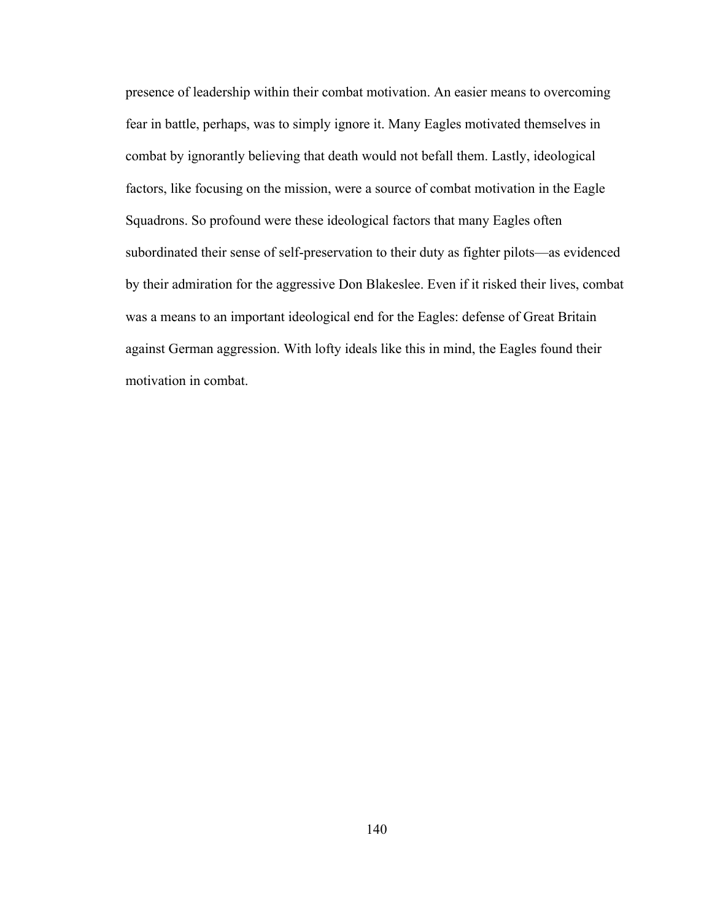presence of leadership within their combat motivation. An easier means to overcoming fear in battle, perhaps, was to simply ignore it. Many Eagles motivated themselves in combat by ignorantly believing that death would not befall them. Lastly, ideological factors, like focusing on the mission, were a source of combat motivation in the Eagle Squadrons. So profound were these ideological factors that many Eagles often subordinated their sense of self-preservation to their duty as fighter pilots—as evidenced by their admiration for the aggressive Don Blakeslee. Even if it risked their lives, combat was a means to an important ideological end for the Eagles: defense of Great Britain against German aggression. With lofty ideals like this in mind, the Eagles found their motivation in combat.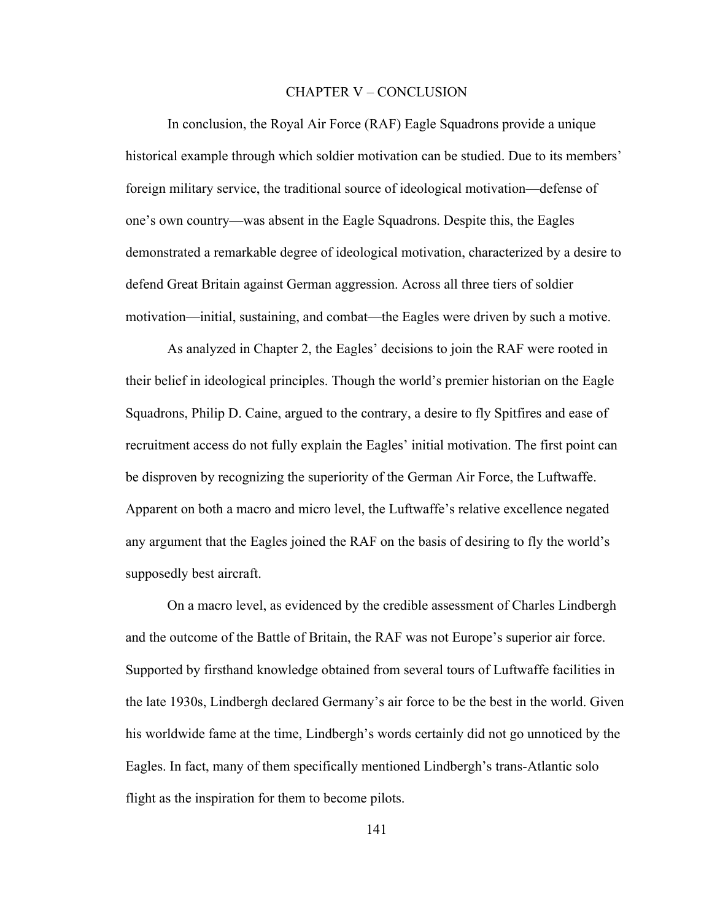#### CHAPTER V – CONCLUSION

In conclusion, the Royal Air Force (RAF) Eagle Squadrons provide a unique historical example through which soldier motivation can be studied. Due to its members' foreign military service, the traditional source of ideological motivation—defense of one's own country—was absent in the Eagle Squadrons. Despite this, the Eagles demonstrated a remarkable degree of ideological motivation, characterized by a desire to defend Great Britain against German aggression. Across all three tiers of soldier motivation—initial, sustaining, and combat—the Eagles were driven by such a motive.

As analyzed in Chapter 2, the Eagles' decisions to join the RAF were rooted in their belief in ideological principles. Though the world's premier historian on the Eagle Squadrons, Philip D. Caine, argued to the contrary, a desire to fly Spitfires and ease of recruitment access do not fully explain the Eagles' initial motivation. The first point can be disproven by recognizing the superiority of the German Air Force, the Luftwaffe. Apparent on both a macro and micro level, the Luftwaffe's relative excellence negated any argument that the Eagles joined the RAF on the basis of desiring to fly the world's supposedly best aircraft.

On a macro level, as evidenced by the credible assessment of Charles Lindbergh and the outcome of the Battle of Britain, the RAF was not Europe's superior air force. Supported by firsthand knowledge obtained from several tours of Luftwaffe facilities in the late 1930s, Lindbergh declared Germany's air force to be the best in the world. Given his worldwide fame at the time, Lindbergh's words certainly did not go unnoticed by the Eagles. In fact, many of them specifically mentioned Lindbergh's trans-Atlantic solo flight as the inspiration for them to become pilots.

141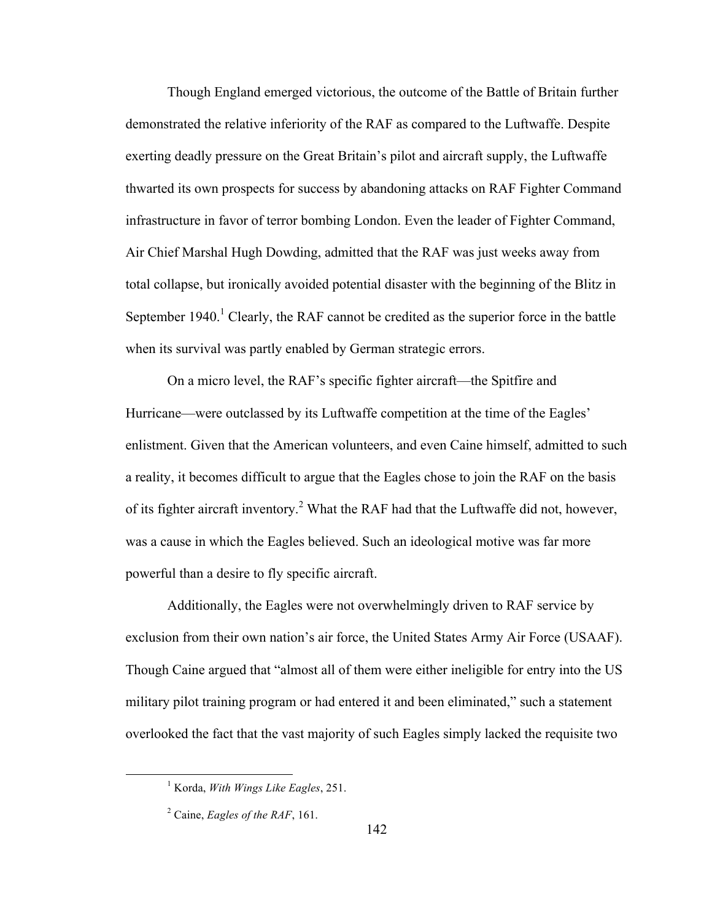Though England emerged victorious, the outcome of the Battle of Britain further demonstrated the relative inferiority of the RAF as compared to the Luftwaffe. Despite exerting deadly pressure on the Great Britain's pilot and aircraft supply, the Luftwaffe thwarted its own prospects for success by abandoning attacks on RAF Fighter Command infrastructure in favor of terror bombing London. Even the leader of Fighter Command, Air Chief Marshal Hugh Dowding, admitted that the RAF was just weeks away from total collapse, but ironically avoided potential disaster with the beginning of the Blitz in September 1940.<sup>1</sup> Clearly, the RAF cannot be credited as the superior force in the battle when its survival was partly enabled by German strategic errors.

On a micro level, the RAF's specific fighter aircraft—the Spitfire and Hurricane—were outclassed by its Luftwaffe competition at the time of the Eagles' enlistment. Given that the American volunteers, and even Caine himself, admitted to such a reality, it becomes difficult to argue that the Eagles chose to join the RAF on the basis of its fighter aircraft inventory.<sup>2</sup> What the RAF had that the Luftwaffe did not, however, was a cause in which the Eagles believed. Such an ideological motive was far more powerful than a desire to fly specific aircraft.

Additionally, the Eagles were not overwhelmingly driven to RAF service by exclusion from their own nation's air force, the United States Army Air Force (USAAF). Though Caine argued that "almost all of them were either ineligible for entry into the US military pilot training program or had entered it and been eliminated," such a statement overlooked the fact that the vast majority of such Eagles simply lacked the requisite two

 <sup>1</sup> Korda, *With Wings Like Eagles*, 251.

<sup>2</sup> Caine, *Eagles of the RAF*, 161.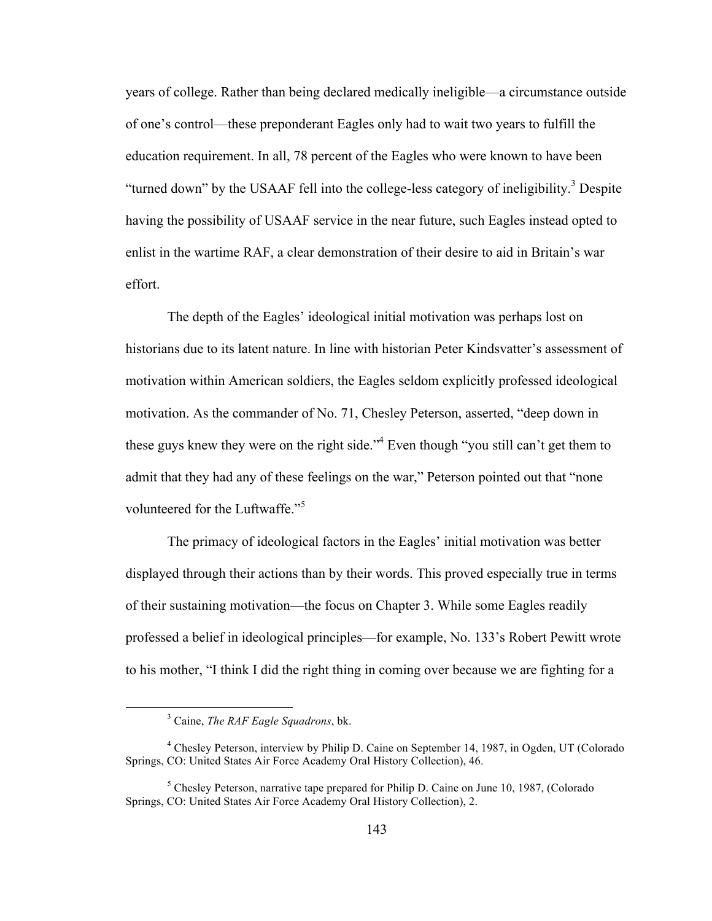years of college. Rather than being declared medically ineligible—a circumstance outside of one's control—these preponderant Eagles only had to wait two years to fulfill the education requirement. In all, 78 percent of the Eagles who were known to have been "turned down" by the USAAF fell into the college-less category of ineligibility.<sup>3</sup> Despite having the possibility of USAAF service in the near future, such Eagles instead opted to enlist in the wartime RAF, a clear demonstration of their desire to aid in Britain's war effort.

The depth of the Eagles' ideological initial motivation was perhaps lost on historians due to its latent nature. In line with historian Peter Kindsvatter's assessment of motivation within American soldiers, the Eagles seldom explicitly professed ideological motivation. As the commander of No. 71, Chesley Peterson, asserted, "deep down in these guys knew they were on the right side."<sup>4</sup> Even though "you still can't get them to admit that they had any of these feelings on the war," Peterson pointed out that "none volunteered for the Luftwaffe."<sup>5</sup>

The primacy of ideological factors in the Eagles' initial motivation was better displayed through their actions than by their words. This proved especially true in terms of their sustaining motivation—the focus on Chapter 3. While some Eagles readily professed a belief in ideological principles—for example, No. 133's Robert Pewitt wrote to his mother, "I think I did the right thing in coming over because we are fighting for a

 <sup>3</sup> Caine, *The RAF Eagle Squadrons*, bk.

<sup>4</sup> Chesley Peterson, interview by Philip D. Caine on September 14, 1987, in Ogden, UT (Colorado Springs, CO: United States Air Force Academy Oral History Collection), 46.

 $<sup>5</sup>$  Chesley Peterson, narrative tape prepared for Philip D. Caine on June 10, 1987, (Colorado</sup> Springs, CO: United States Air Force Academy Oral History Collection), 2.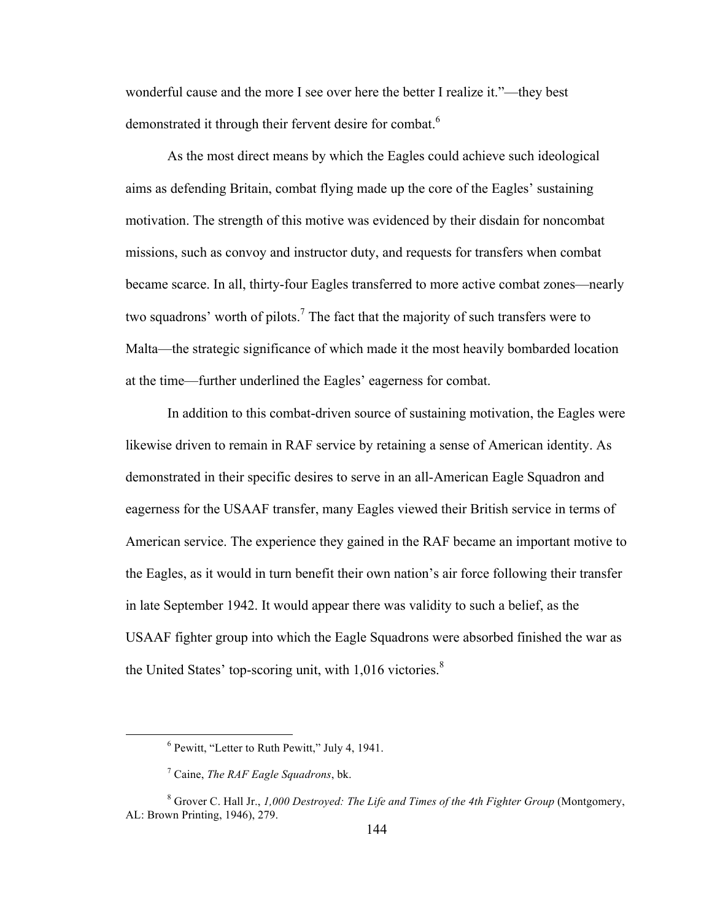wonderful cause and the more I see over here the better I realize it."—they best demonstrated it through their fervent desire for combat.<sup>6</sup>

As the most direct means by which the Eagles could achieve such ideological aims as defending Britain, combat flying made up the core of the Eagles' sustaining motivation. The strength of this motive was evidenced by their disdain for noncombat missions, such as convoy and instructor duty, and requests for transfers when combat became scarce. In all, thirty-four Eagles transferred to more active combat zones—nearly two squadrons' worth of pilots.<sup>7</sup> The fact that the majority of such transfers were to Malta—the strategic significance of which made it the most heavily bombarded location at the time—further underlined the Eagles' eagerness for combat.

In addition to this combat-driven source of sustaining motivation, the Eagles were likewise driven to remain in RAF service by retaining a sense of American identity. As demonstrated in their specific desires to serve in an all-American Eagle Squadron and eagerness for the USAAF transfer, many Eagles viewed their British service in terms of American service. The experience they gained in the RAF became an important motive to the Eagles, as it would in turn benefit their own nation's air force following their transfer in late September 1942. It would appear there was validity to such a belief, as the USAAF fighter group into which the Eagle Squadrons were absorbed finished the war as the United States' top-scoring unit, with 1,016 victories.<sup>8</sup>

 $6$  Pewitt, "Letter to Ruth Pewitt," July 4, 1941.

<sup>7</sup> Caine, *The RAF Eagle Squadrons*, bk.

<sup>8</sup> Grover C. Hall Jr., *1,000 Destroyed: The Life and Times of the 4th Fighter Group* (Montgomery, AL: Brown Printing, 1946), 279.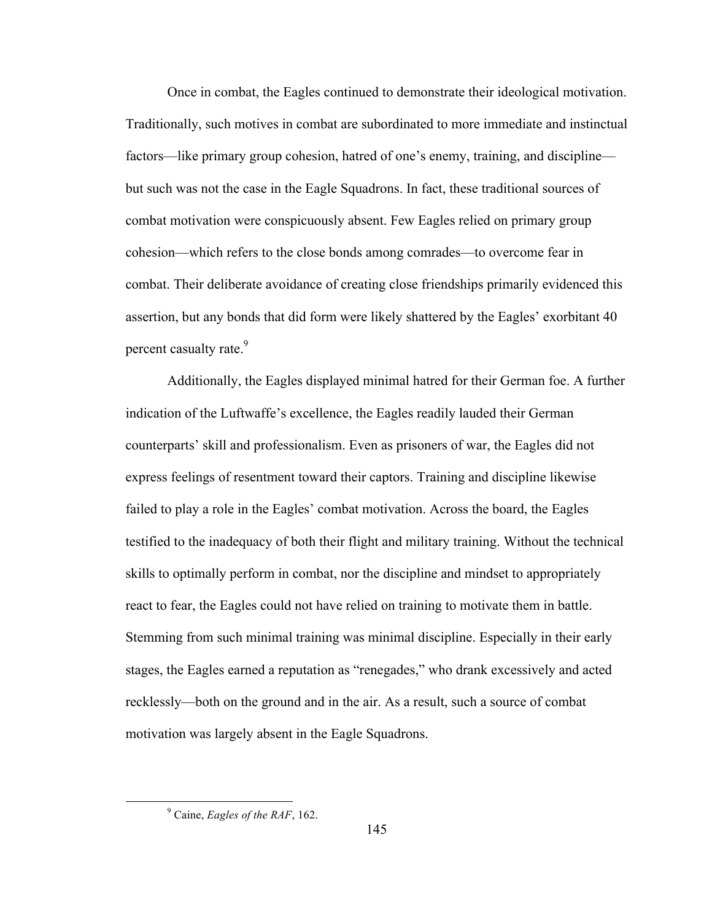Once in combat, the Eagles continued to demonstrate their ideological motivation. Traditionally, such motives in combat are subordinated to more immediate and instinctual factors—like primary group cohesion, hatred of one's enemy, training, and discipline but such was not the case in the Eagle Squadrons. In fact, these traditional sources of combat motivation were conspicuously absent. Few Eagles relied on primary group cohesion—which refers to the close bonds among comrades—to overcome fear in combat. Their deliberate avoidance of creating close friendships primarily evidenced this assertion, but any bonds that did form were likely shattered by the Eagles' exorbitant 40 percent casualty rate.<sup>9</sup>

Additionally, the Eagles displayed minimal hatred for their German foe. A further indication of the Luftwaffe's excellence, the Eagles readily lauded their German counterparts' skill and professionalism. Even as prisoners of war, the Eagles did not express feelings of resentment toward their captors. Training and discipline likewise failed to play a role in the Eagles' combat motivation. Across the board, the Eagles testified to the inadequacy of both their flight and military training. Without the technical skills to optimally perform in combat, nor the discipline and mindset to appropriately react to fear, the Eagles could not have relied on training to motivate them in battle. Stemming from such minimal training was minimal discipline. Especially in their early stages, the Eagles earned a reputation as "renegades," who drank excessively and acted recklessly—both on the ground and in the air. As a result, such a source of combat motivation was largely absent in the Eagle Squadrons.

 <sup>9</sup> Caine, *Eagles of the RAF*, 162.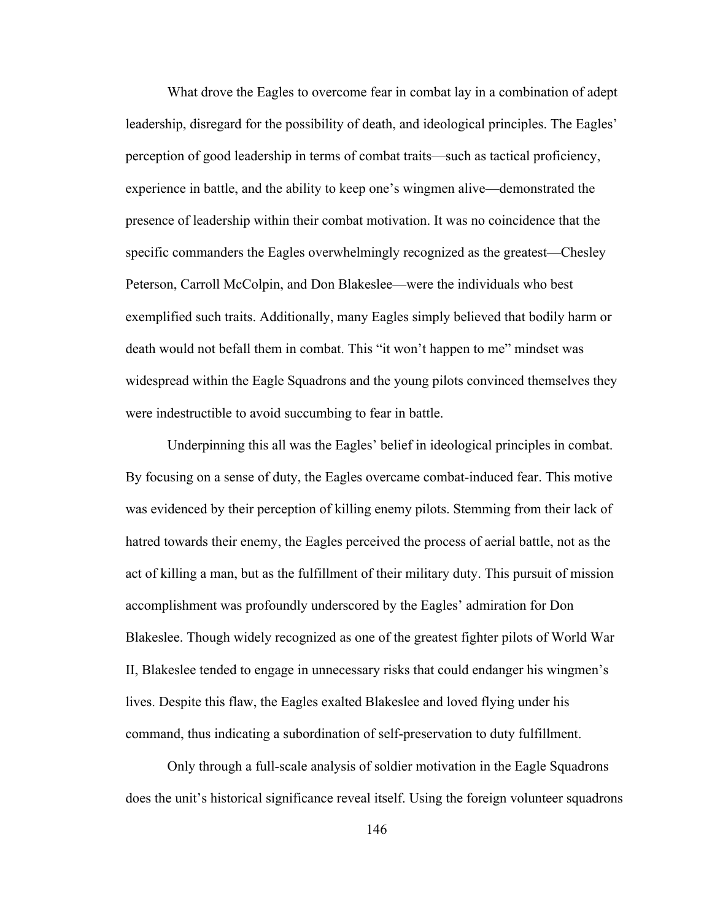What drove the Eagles to overcome fear in combat lay in a combination of adept leadership, disregard for the possibility of death, and ideological principles. The Eagles' perception of good leadership in terms of combat traits—such as tactical proficiency, experience in battle, and the ability to keep one's wingmen alive—demonstrated the presence of leadership within their combat motivation. It was no coincidence that the specific commanders the Eagles overwhelmingly recognized as the greatest—Chesley Peterson, Carroll McColpin, and Don Blakeslee—were the individuals who best exemplified such traits. Additionally, many Eagles simply believed that bodily harm or death would not befall them in combat. This "it won't happen to me" mindset was widespread within the Eagle Squadrons and the young pilots convinced themselves they were indestructible to avoid succumbing to fear in battle.

Underpinning this all was the Eagles' belief in ideological principles in combat. By focusing on a sense of duty, the Eagles overcame combat-induced fear. This motive was evidenced by their perception of killing enemy pilots. Stemming from their lack of hatred towards their enemy, the Eagles perceived the process of aerial battle, not as the act of killing a man, but as the fulfillment of their military duty. This pursuit of mission accomplishment was profoundly underscored by the Eagles' admiration for Don Blakeslee. Though widely recognized as one of the greatest fighter pilots of World War II, Blakeslee tended to engage in unnecessary risks that could endanger his wingmen's lives. Despite this flaw, the Eagles exalted Blakeslee and loved flying under his command, thus indicating a subordination of self-preservation to duty fulfillment.

Only through a full-scale analysis of soldier motivation in the Eagle Squadrons does the unit's historical significance reveal itself. Using the foreign volunteer squadrons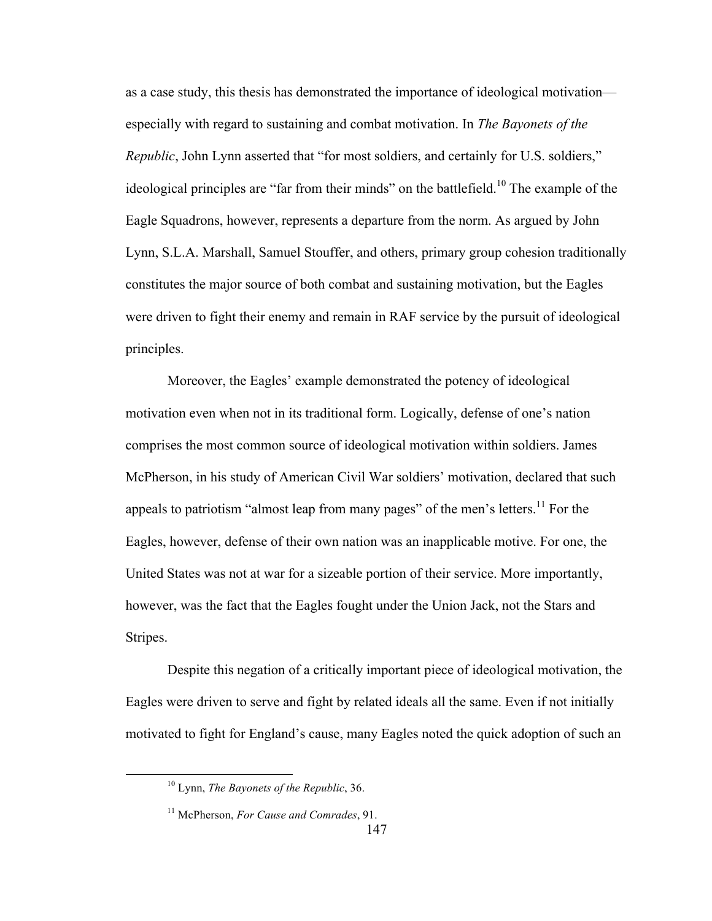as a case study, this thesis has demonstrated the importance of ideological motivation especially with regard to sustaining and combat motivation. In *The Bayonets of the Republic*, John Lynn asserted that "for most soldiers, and certainly for U.S. soldiers," ideological principles are "far from their minds" on the battlefield.<sup>10</sup> The example of the Eagle Squadrons, however, represents a departure from the norm. As argued by John Lynn, S.L.A. Marshall, Samuel Stouffer, and others, primary group cohesion traditionally constitutes the major source of both combat and sustaining motivation, but the Eagles were driven to fight their enemy and remain in RAF service by the pursuit of ideological principles.

Moreover, the Eagles' example demonstrated the potency of ideological motivation even when not in its traditional form. Logically, defense of one's nation comprises the most common source of ideological motivation within soldiers. James McPherson, in his study of American Civil War soldiers' motivation, declared that such appeals to patriotism "almost leap from many pages" of the men's letters.<sup>11</sup> For the Eagles, however, defense of their own nation was an inapplicable motive. For one, the United States was not at war for a sizeable portion of their service. More importantly, however, was the fact that the Eagles fought under the Union Jack, not the Stars and Stripes.

Despite this negation of a critically important piece of ideological motivation, the Eagles were driven to serve and fight by related ideals all the same. Even if not initially motivated to fight for England's cause, many Eagles noted the quick adoption of such an

 <sup>10</sup> Lynn, *The Bayonets of the Republic*, 36.

<sup>11</sup> McPherson, *For Cause and Comrades*, 91.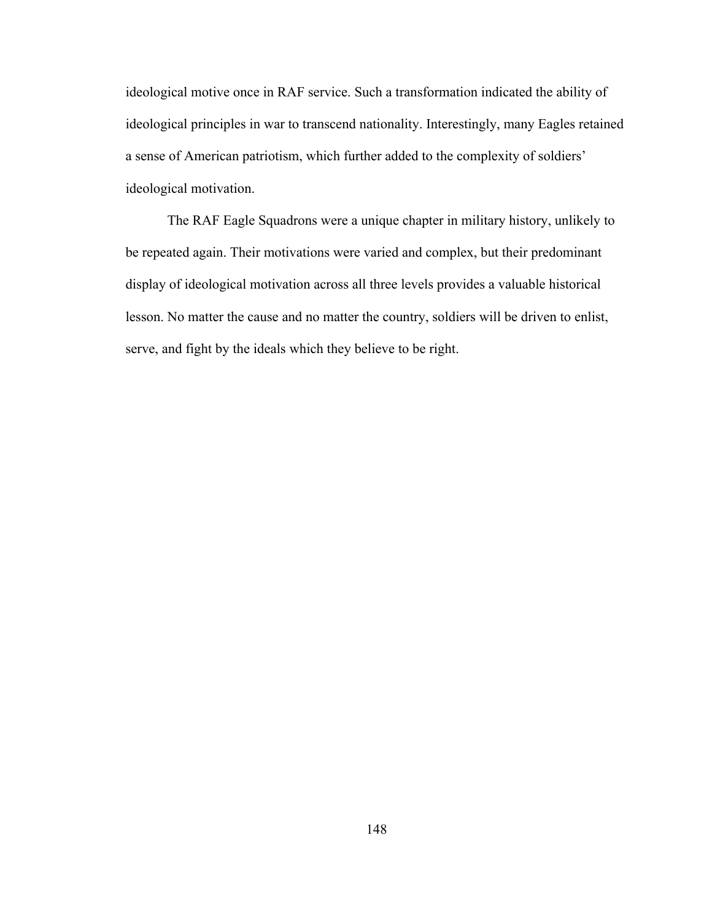ideological motive once in RAF service. Such a transformation indicated the ability of ideological principles in war to transcend nationality. Interestingly, many Eagles retained a sense of American patriotism, which further added to the complexity of soldiers' ideological motivation.

The RAF Eagle Squadrons were a unique chapter in military history, unlikely to be repeated again. Their motivations were varied and complex, but their predominant display of ideological motivation across all three levels provides a valuable historical lesson. No matter the cause and no matter the country, soldiers will be driven to enlist, serve, and fight by the ideals which they believe to be right.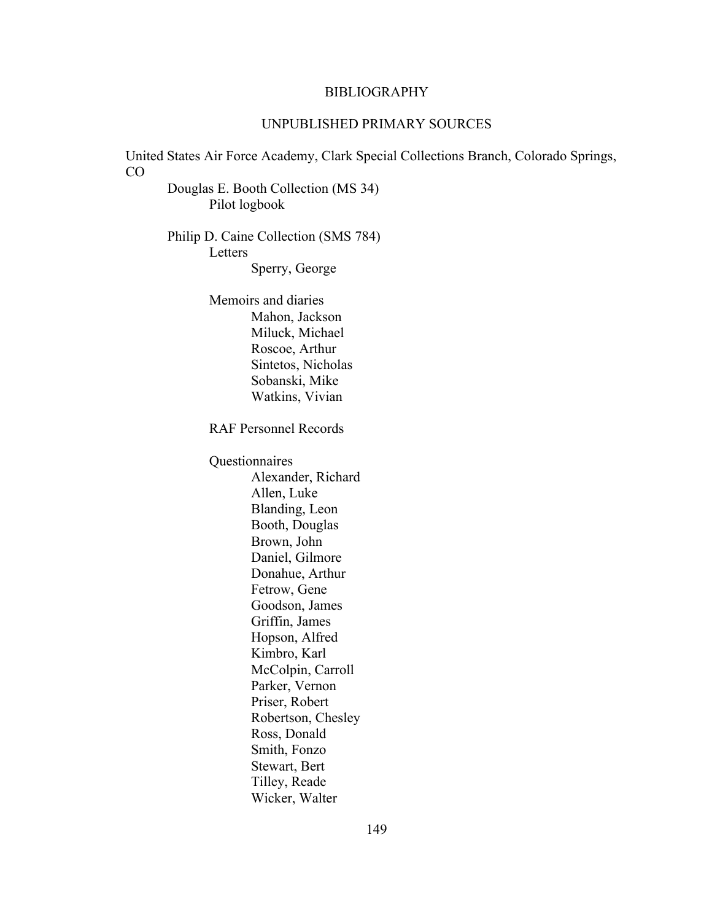### BIBLIOGRAPHY

# UNPUBLISHED PRIMARY SOURCES

United States Air Force Academy, Clark Special Collections Branch, Colorado Springs, CO Douglas E. Booth Collection (MS 34) Pilot logbook Philip D. Caine Collection (SMS 784) Letters Sperry, George Memoirs and diaries Mahon, Jackson Miluck, Michael Roscoe, Arthur Sintetos, Nicholas Sobanski, Mike Watkins, Vivian RAF Personnel Records Questionnaires Alexander, Richard Allen, Luke Blanding, Leon Booth, Douglas Brown, John Daniel, Gilmore Donahue, Arthur Fetrow, Gene Goodson, James Griffin, James Hopson, Alfred Kimbro, Karl McColpin, Carroll Parker, Vernon Priser, Robert Robertson, Chesley Ross, Donald Smith, Fonzo Stewart, Bert Tilley, Reade Wicker, Walter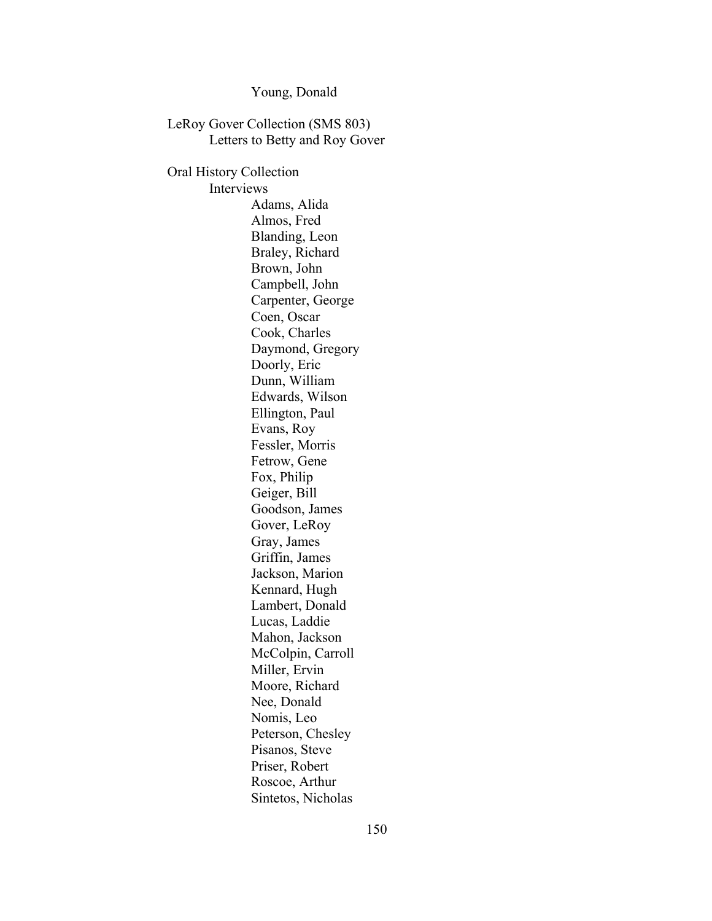Young, Donald

LeRoy Gover Collection (SMS 803) Letters to Betty and Roy Gover Oral History Collection Interviews Adams, Alida Almos, Fred Blanding, Leon Braley, Richard Brown, John Campbell, John Carpenter, George Coen, Oscar Cook, Charles Daymond, Gregory Doorly, Eric Dunn, William Edwards, Wilson Ellington, Paul Evans, Roy Fessler, Morris Fetrow, Gene Fox, Philip Geiger, Bill Goodson, James Gover, LeRoy Gray, James Griffin, James Jackson, Marion Kennard, Hugh Lambert, Donald Lucas, Laddie Mahon, Jackson McColpin, Carroll Miller, Ervin Moore, Richard Nee, Donald Nomis, Leo Peterson, Chesley Pisanos, Steve Priser, Robert Roscoe, Arthur Sintetos, Nicholas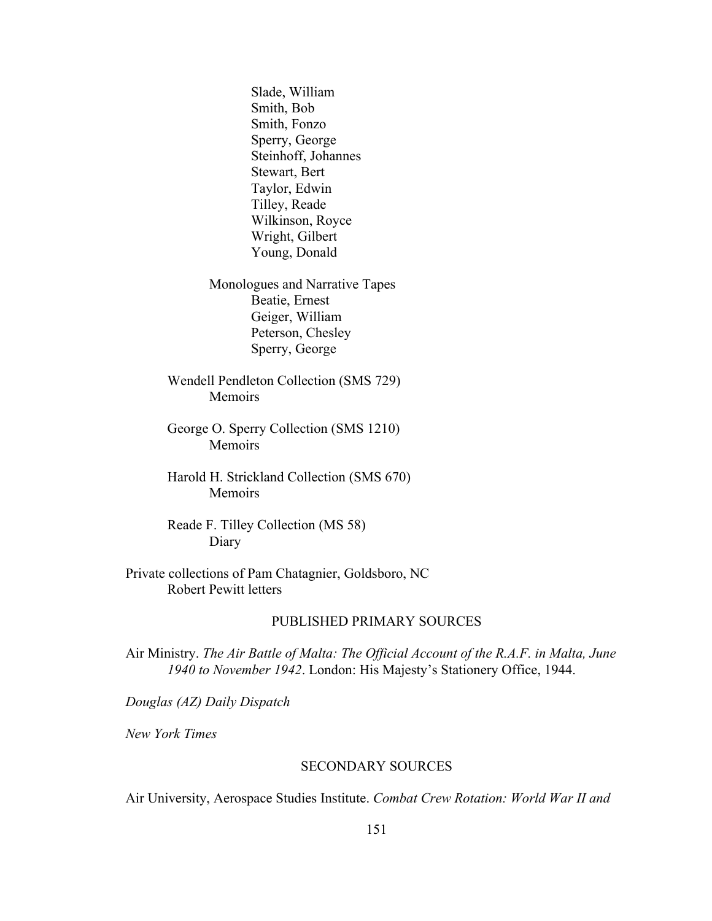Slade, William Smith, Bob Smith, Fonzo Sperry, George Steinhoff, Johannes Stewart, Bert Taylor, Edwin Tilley, Reade Wilkinson, Royce Wright, Gilbert Young, Donald

Monologues and Narrative Tapes Beatie, Ernest Geiger, William Peterson, Chesley Sperry, George

Wendell Pendleton Collection (SMS 729) Memoirs

George O. Sperry Collection (SMS 1210) Memoirs

Harold H. Strickland Collection (SMS 670) Memoirs

Reade F. Tilley Collection (MS 58) Diary

Private collections of Pam Chatagnier, Goldsboro, NC Robert Pewitt letters

# PUBLISHED PRIMARY SOURCES

Air Ministry. *The Air Battle of Malta: The Official Account of the R.A.F. in Malta, June 1940 to November 1942*. London: His Majesty's Stationery Office, 1944.

*Douglas (AZ) Daily Dispatch*

*New York Times*

### SECONDARY SOURCES

Air University, Aerospace Studies Institute. *Combat Crew Rotation: World War II and*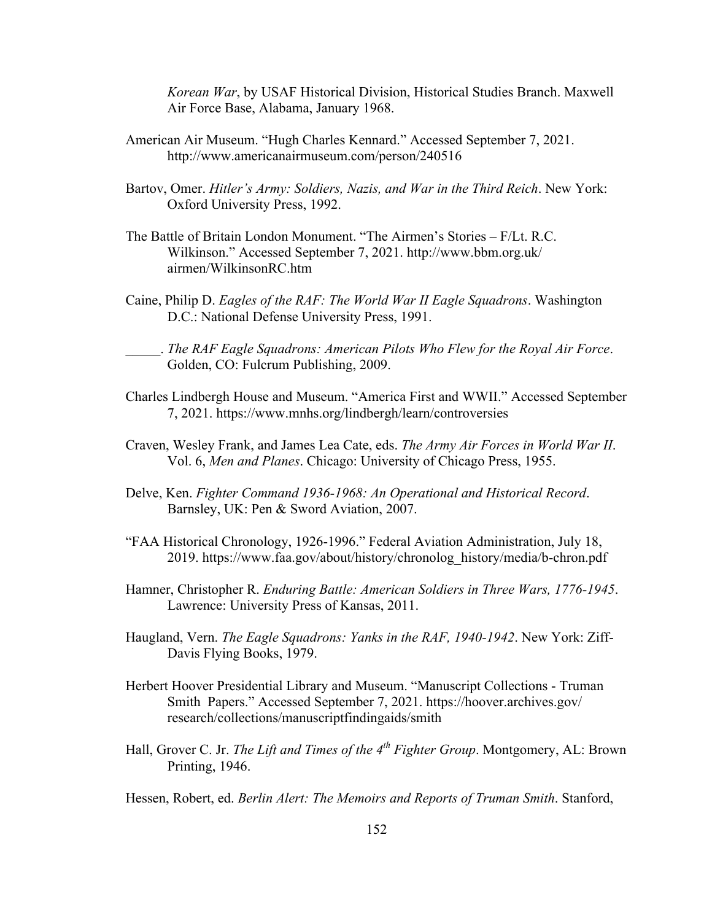*Korean War*, by USAF Historical Division, Historical Studies Branch. Maxwell Air Force Base, Alabama, January 1968.

- American Air Museum. "Hugh Charles Kennard." Accessed September 7, 2021. http://www.americanairmuseum.com/person/240516
- Bartov, Omer. *Hitler's Army: Soldiers, Nazis, and War in the Third Reich*. New York: Oxford University Press, 1992.
- The Battle of Britain London Monument. "The Airmen's Stories F/Lt. R.C. Wilkinson." Accessed September 7, 2021. http://www.bbm.org.uk/ airmen/WilkinsonRC.htm
- Caine, Philip D. *Eagles of the RAF: The World War II Eagle Squadrons*. Washington D.C.: National Defense University Press, 1991.

\_\_\_\_\_. *The RAF Eagle Squadrons: American Pilots Who Flew for the Royal Air Force*. Golden, CO: Fulcrum Publishing, 2009.

- Charles Lindbergh House and Museum. "America First and WWII." Accessed September 7, 2021. https://www.mnhs.org/lindbergh/learn/controversies
- Craven, Wesley Frank, and James Lea Cate, eds. *The Army Air Forces in World War II*. Vol. 6, *Men and Planes*. Chicago: University of Chicago Press, 1955.
- Delve, Ken. *Fighter Command 1936-1968: An Operational and Historical Record*. Barnsley, UK: Pen & Sword Aviation, 2007.
- "FAA Historical Chronology, 1926-1996." Federal Aviation Administration, July 18, 2019. https://www.faa.gov/about/history/chronolog\_history/media/b-chron.pdf
- Hamner, Christopher R. *Enduring Battle: American Soldiers in Three Wars, 1776-1945*. Lawrence: University Press of Kansas, 2011.
- Haugland, Vern. *The Eagle Squadrons: Yanks in the RAF, 1940-1942*. New York: Ziff-Davis Flying Books, 1979.
- Herbert Hoover Presidential Library and Museum. "Manuscript Collections Truman Smith Papers." Accessed September 7, 2021. https://hoover.archives.gov/ research/collections/manuscriptfindingaids/smith
- Hall, Grover C. Jr. *The Lift and Times of the 4th Fighter Group*. Montgomery, AL: Brown Printing, 1946.

Hessen, Robert, ed. *Berlin Alert: The Memoirs and Reports of Truman Smith*. Stanford,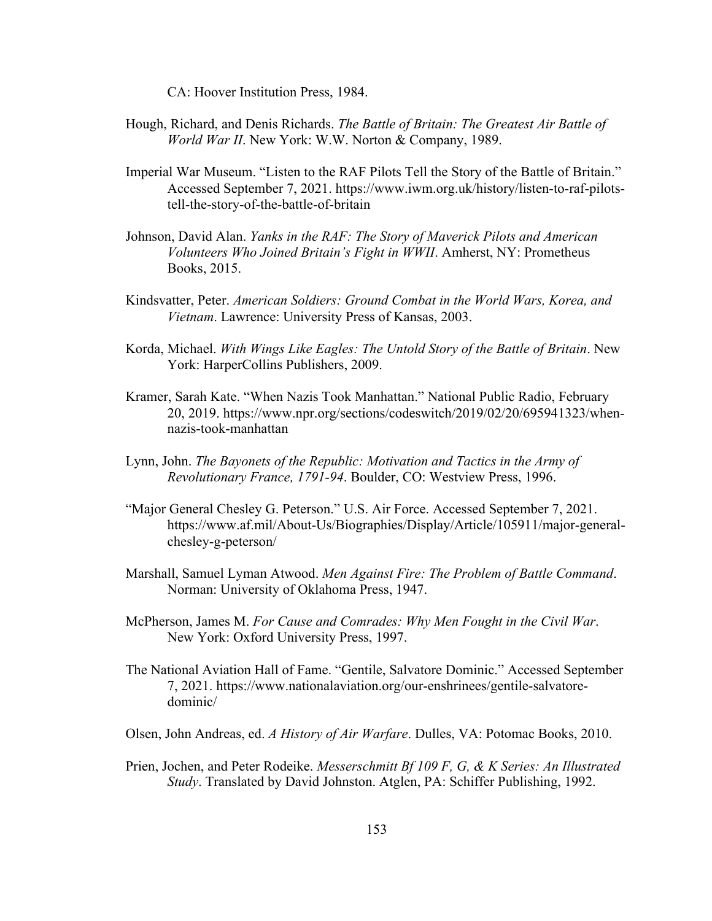CA: Hoover Institution Press, 1984.

- Hough, Richard, and Denis Richards. *The Battle of Britain: The Greatest Air Battle of World War II*. New York: W.W. Norton & Company, 1989.
- Imperial War Museum. "Listen to the RAF Pilots Tell the Story of the Battle of Britain." Accessed September 7, 2021. https://www.iwm.org.uk/history/listen-to-raf-pilotstell-the-story-of-the-battle-of-britain
- Johnson, David Alan. *Yanks in the RAF: The Story of Maverick Pilots and American Volunteers Who Joined Britain's Fight in WWII*. Amherst, NY: Prometheus Books, 2015.
- Kindsvatter, Peter. *American Soldiers: Ground Combat in the World Wars, Korea, and Vietnam*. Lawrence: University Press of Kansas, 2003.
- Korda, Michael. *With Wings Like Eagles: The Untold Story of the Battle of Britain*. New York: HarperCollins Publishers, 2009.
- Kramer, Sarah Kate. "When Nazis Took Manhattan." National Public Radio, February 20, 2019. https://www.npr.org/sections/codeswitch/2019/02/20/695941323/whennazis-took-manhattan
- Lynn, John. *The Bayonets of the Republic: Motivation and Tactics in the Army of Revolutionary France, 1791-94*. Boulder, CO: Westview Press, 1996.
- "Major General Chesley G. Peterson." U.S. Air Force. Accessed September 7, 2021. https://www.af.mil/About-Us/Biographies/Display/Article/105911/major-generalchesley-g-peterson/
- Marshall, Samuel Lyman Atwood. *Men Against Fire: The Problem of Battle Command*. Norman: University of Oklahoma Press, 1947.
- McPherson, James M. *For Cause and Comrades: Why Men Fought in the Civil War*. New York: Oxford University Press, 1997.
- The National Aviation Hall of Fame. "Gentile, Salvatore Dominic." Accessed September 7, 2021. https://www.nationalaviation.org/our-enshrinees/gentile-salvatoredominic/
- Olsen, John Andreas, ed. *A History of Air Warfare*. Dulles, VA: Potomac Books, 2010.
- Prien, Jochen, and Peter Rodeike. *Messerschmitt Bf 109 F, G, & K Series: An Illustrated Study*. Translated by David Johnston. Atglen, PA: Schiffer Publishing, 1992.